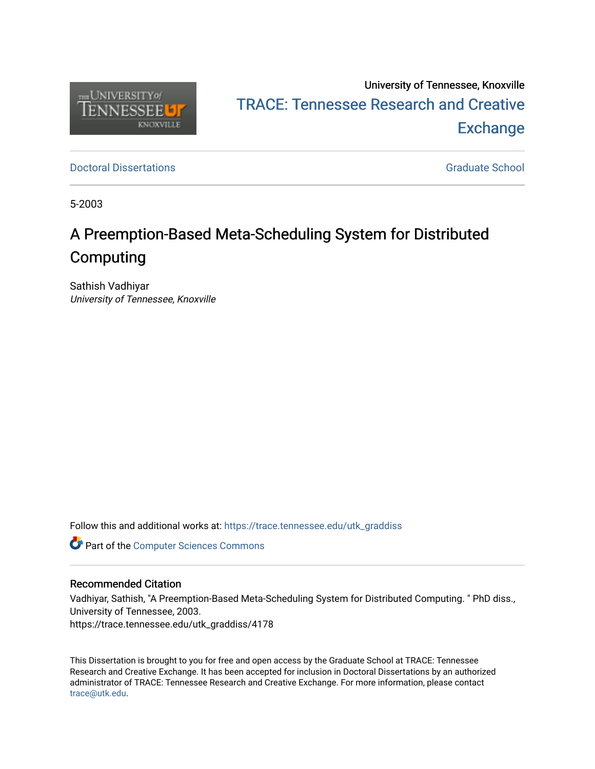

### University of Tennessee, Knoxville TRACE: T[ennessee Research and Cr](https://trace.tennessee.edu/)eative **Exchange**

**Doctoral Dissertations** [Graduate School](https://trace.tennessee.edu/utk-grad) **Contract Contract Contract Contract Contract Contract Contract Contract Contract Contract Contract Contract Contract Contract Contract Contract Contract Contract Contract Contract** 

5-2003

### A Preemption-Based Meta-Scheduling System for Distributed Computing

Sathish Vadhiyar University of Tennessee, Knoxville

Follow this and additional works at: [https://trace.tennessee.edu/utk\\_graddiss](https://trace.tennessee.edu/utk_graddiss?utm_source=trace.tennessee.edu%2Futk_graddiss%2F4178&utm_medium=PDF&utm_campaign=PDFCoverPages) 

**Part of the [Computer Sciences Commons](http://network.bepress.com/hgg/discipline/142?utm_source=trace.tennessee.edu%2Futk_graddiss%2F4178&utm_medium=PDF&utm_campaign=PDFCoverPages)** 

#### Recommended Citation

Vadhiyar, Sathish, "A Preemption-Based Meta-Scheduling System for Distributed Computing. " PhD diss., University of Tennessee, 2003. https://trace.tennessee.edu/utk\_graddiss/4178

This Dissertation is brought to you for free and open access by the Graduate School at TRACE: Tennessee Research and Creative Exchange. It has been accepted for inclusion in Doctoral Dissertations by an authorized administrator of TRACE: Tennessee Research and Creative Exchange. For more information, please contact [trace@utk.edu.](mailto:trace@utk.edu)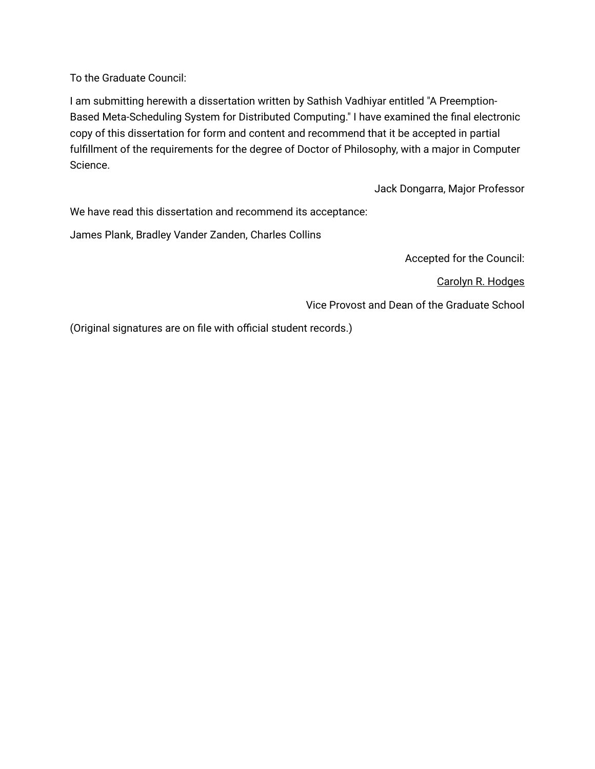To the Graduate Council:

I am submitting herewith a dissertation written by Sathish Vadhiyar entitled "A Preemption-Based Meta-Scheduling System for Distributed Computing." I have examined the final electronic copy of this dissertation for form and content and recommend that it be accepted in partial fulfillment of the requirements for the degree of Doctor of Philosophy, with a major in Computer Science.

Jack Dongarra, Major Professor

We have read this dissertation and recommend its acceptance:

James Plank, Bradley Vander Zanden, Charles Collins

Accepted for the Council:

Carolyn R. Hodges

Vice Provost and Dean of the Graduate School

(Original signatures are on file with official student records.)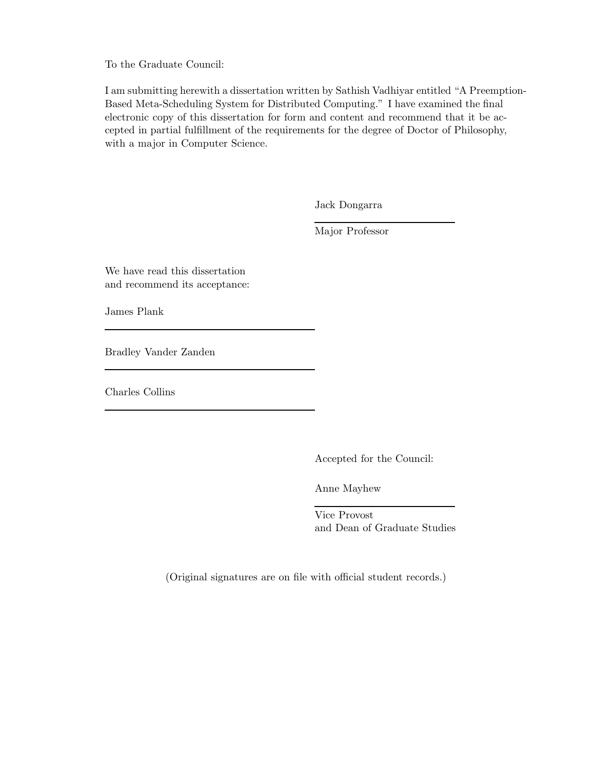To the Graduate Council:

I am submitting herewith a dissertation written by Sathish Vadhiyar entitled "A Preemption-Based Meta-Scheduling System for Distributed Computing." I have examined the final electronic copy of this dissertation for form and content and recommend that it be accepted in partial fulfillment of the requirements for the degree of Doctor of Philosophy, with a major in Computer Science.

Jack Dongarra

Major Professor

We have read this dissertation and recommend its acceptance:

James Plank

Bradley Vander Zanden

Charles Collins

Accepted for the Council:

Anne Mayhew

Vice Provost and Dean of Graduate Studies

(Original signatures are on file with official student records.)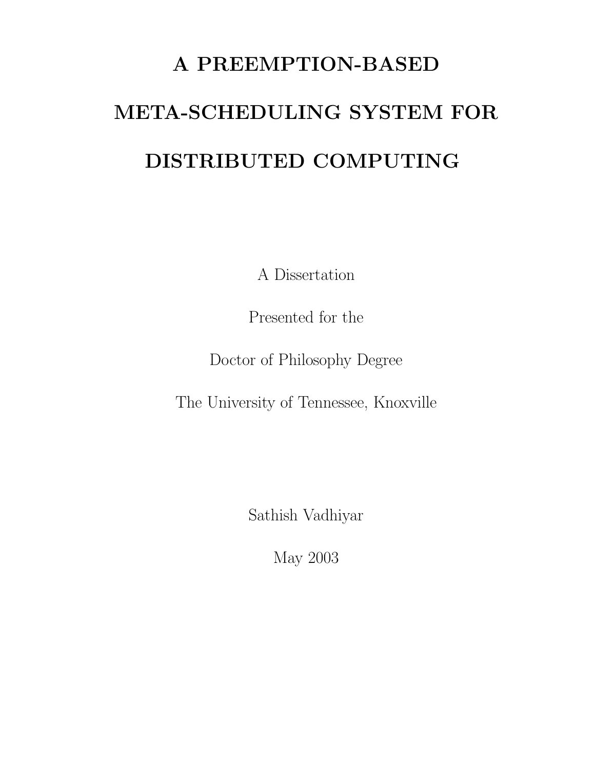# **A PREEMPTION-BASED META-SCHEDULING SYSTEM FOR DISTRIBUTED COMPUTING**

A Dissertation

Presented for the

Doctor of Philosophy Degree

The University of Tennessee, Knoxville

Sathish Vadhiyar

May 2003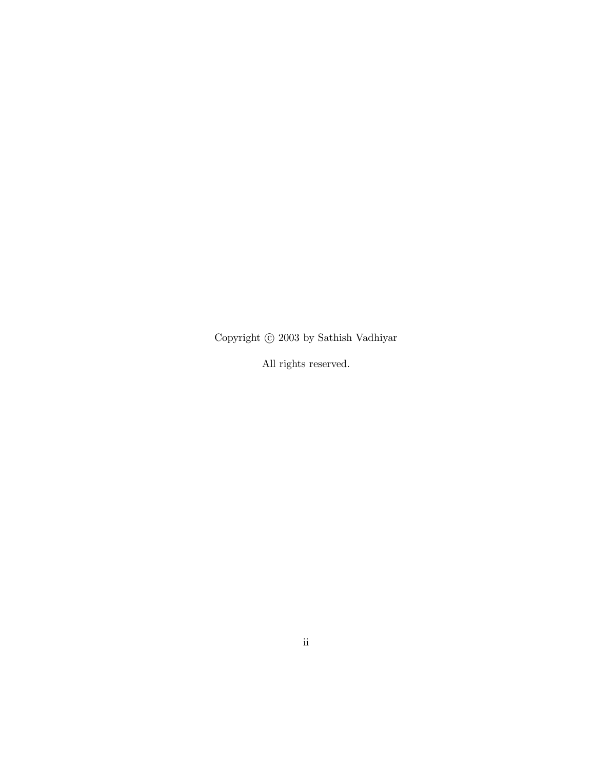Copyright  $\odot$  2003 by Sathish Vadhiyar

All rights reserved.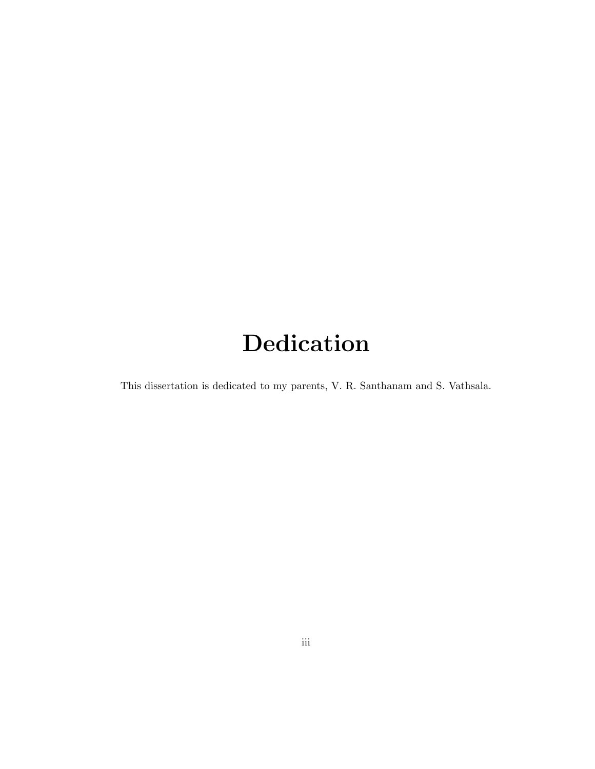# **Dedication**

This dissertation is dedicated to my parents, V. R. Santhanam and S. Vathsala.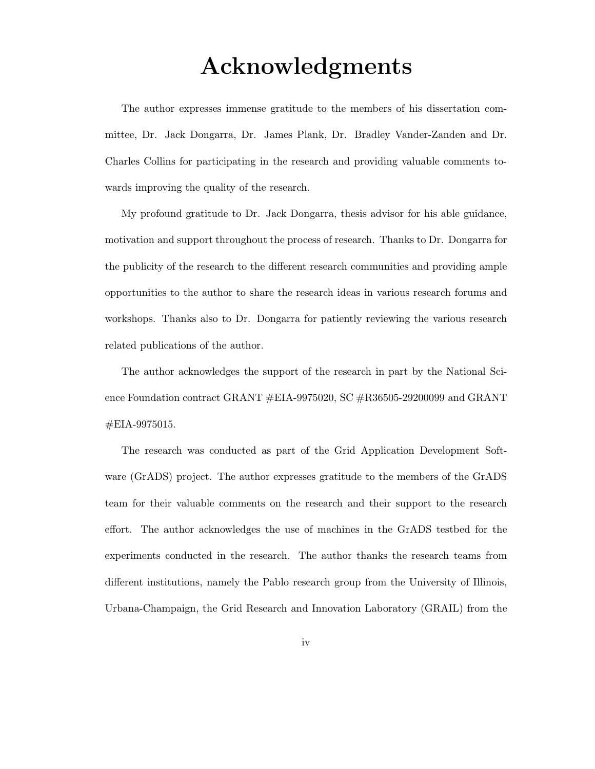### **Acknowledgments**

The author expresses immense gratitude to the members of his dissertation committee, Dr. Jack Dongarra, Dr. James Plank, Dr. Bradley Vander-Zanden and Dr. Charles Collins for participating in the research and providing valuable comments towards improving the quality of the research.

My profound gratitude to Dr. Jack Dongarra, thesis advisor for his able guidance, motivation and support throughout the process of research. Thanks to Dr. Dongarra for the publicity of the research to the different research communities and providing ample opportunities to the author to share the research ideas in various research forums and workshops. Thanks also to Dr. Dongarra for patiently reviewing the various research related publications of the author.

The author acknowledges the support of the research in part by the National Science Foundation contract GRANT #EIA-9975020, SC #R36505-29200099 and GRANT #EIA-9975015.

The research was conducted as part of the Grid Application Development Software (GrADS) project. The author expresses gratitude to the members of the GrADS team for their valuable comments on the research and their support to the research effort. The author acknowledges the use of machines in the GrADS testbed for the experiments conducted in the research. The author thanks the research teams from different institutions, namely the Pablo research group from the University of Illinois, Urbana-Champaign, the Grid Research and Innovation Laboratory (GRAIL) from the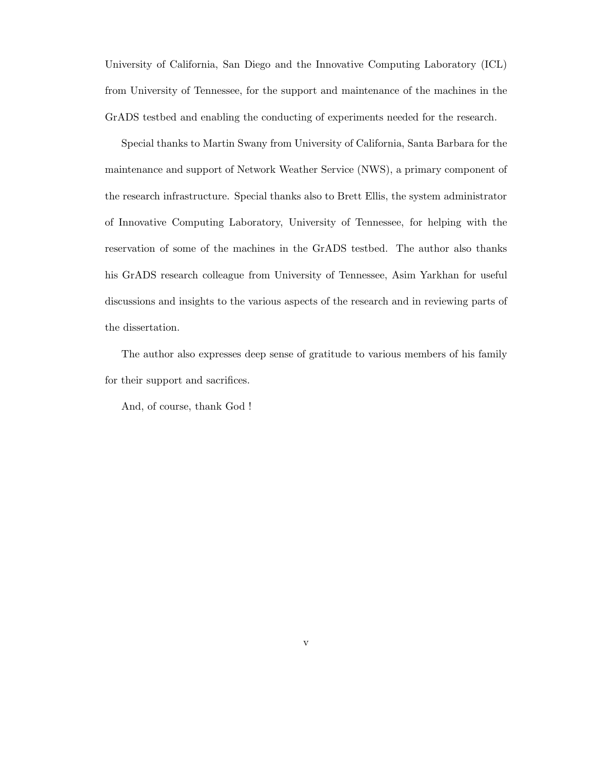University of California, San Diego and the Innovative Computing Laboratory (ICL) from University of Tennessee, for the support and maintenance of the machines in the GrADS testbed and enabling the conducting of experiments needed for the research.

Special thanks to Martin Swany from University of California, Santa Barbara for the maintenance and support of Network Weather Service (NWS), a primary component of the research infrastructure. Special thanks also to Brett Ellis, the system administrator of Innovative Computing Laboratory, University of Tennessee, for helping with the reservation of some of the machines in the GrADS testbed. The author also thanks his GrADS research colleague from University of Tennessee, Asim Yarkhan for useful discussions and insights to the various aspects of the research and in reviewing parts of the dissertation.

The author also expresses deep sense of gratitude to various members of his family for their support and sacrifices.

And, of course, thank God !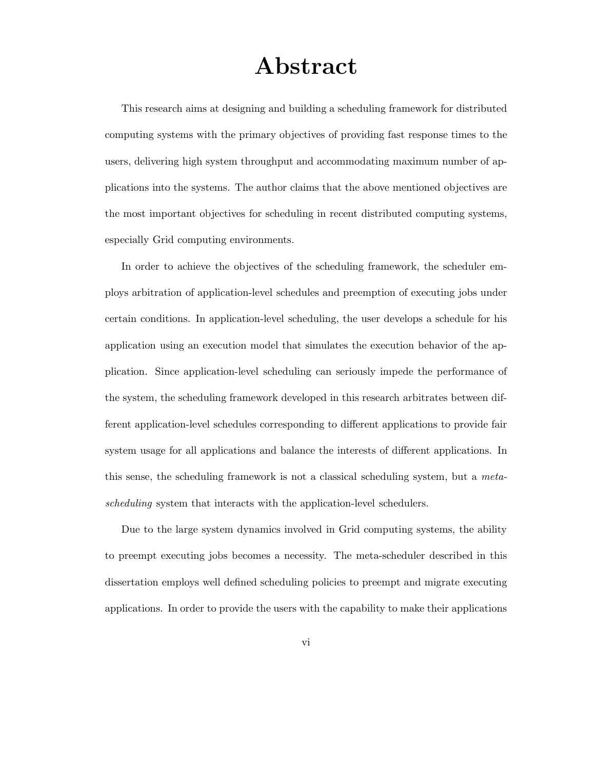### **Abstract**

This research aims at designing and building a scheduling framework for distributed computing systems with the primary objectives of providing fast response times to the users, delivering high system throughput and accommodating maximum number of applications into the systems. The author claims that the above mentioned objectives are the most important objectives for scheduling in recent distributed computing systems, especially Grid computing environments.

In order to achieve the objectives of the scheduling framework, the scheduler employs arbitration of application-level schedules and preemption of executing jobs under certain conditions. In application-level scheduling, the user develops a schedule for his application using an execution model that simulates the execution behavior of the application. Since application-level scheduling can seriously impede the performance of the system, the scheduling framework developed in this research arbitrates between different application-level schedules corresponding to different applications to provide fair system usage for all applications and balance the interests of different applications. In this sense, the scheduling framework is not a classical scheduling system, but a *metascheduling* system that interacts with the application-level schedulers.

Due to the large system dynamics involved in Grid computing systems, the ability to preempt executing jobs becomes a necessity. The meta-scheduler described in this dissertation employs well defined scheduling policies to preempt and migrate executing applications. In order to provide the users with the capability to make their applications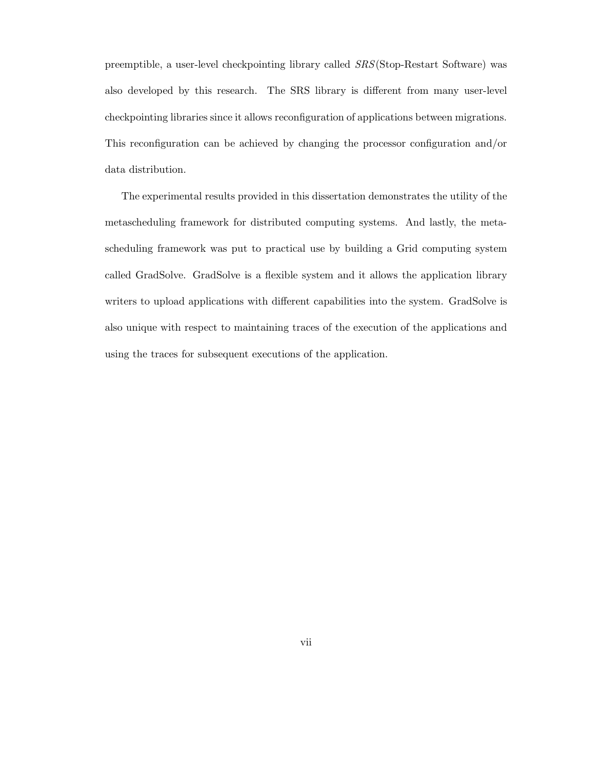preemptible, a user-level checkpointing library called *SRS*(Stop-Restart Software) was also developed by this research. The SRS library is different from many user-level checkpointing libraries since it allows reconfiguration of applications between migrations. This reconfiguration can be achieved by changing the processor configuration and/or data distribution.

The experimental results provided in this dissertation demonstrates the utility of the metascheduling framework for distributed computing systems. And lastly, the metascheduling framework was put to practical use by building a Grid computing system called GradSolve. GradSolve is a flexible system and it allows the application library writers to upload applications with different capabilities into the system. GradSolve is also unique with respect to maintaining traces of the execution of the applications and using the traces for subsequent executions of the application.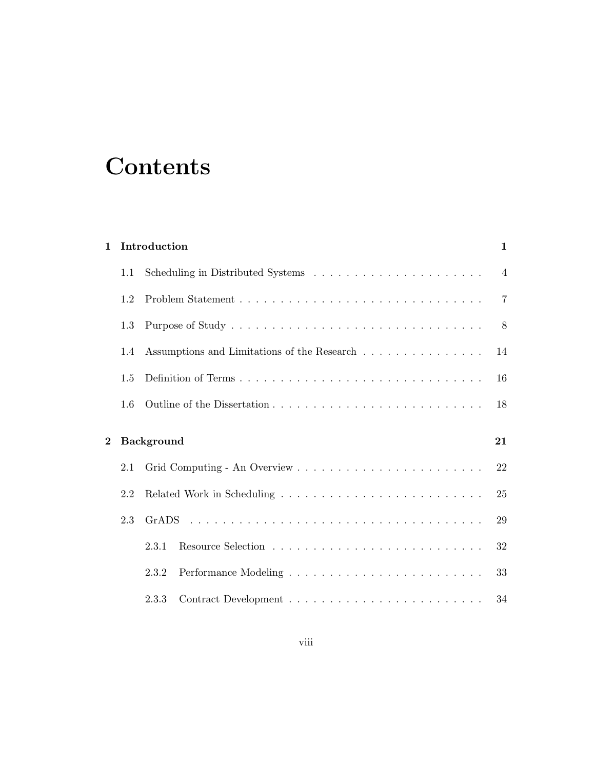# **Contents**

| $\mathbf{1}$ |     | Introduction                                | $\mathbf{1}$   |
|--------------|-----|---------------------------------------------|----------------|
|              | 1.1 |                                             | $\overline{4}$ |
|              | 1.2 |                                             | $\overline{7}$ |
|              | 1.3 |                                             | 8              |
|              | 1.4 | Assumptions and Limitations of the Research | 14             |
|              | 1.5 |                                             | 16             |
|              | 1.6 |                                             | 18             |
| $\bf{2}$     |     | <b>Background</b>                           | 21             |
|              | 2.1 |                                             | 22             |
|              |     |                                             |                |
|              | 2.2 |                                             | 25             |
|              | 2.3 |                                             | 29             |
|              |     | 2.3.1                                       | 32             |
|              |     | 2.3.2                                       | 33             |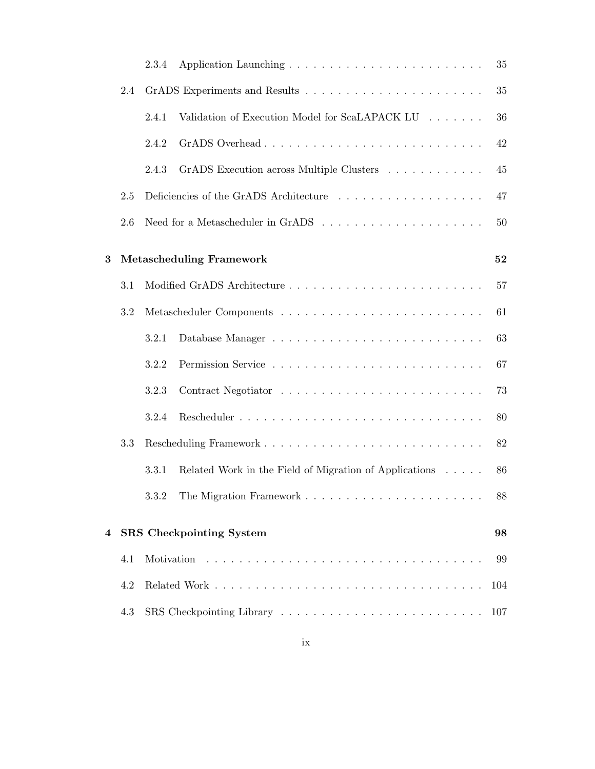|   |     | 35<br>2.3.4                                                                     |  |
|---|-----|---------------------------------------------------------------------------------|--|
|   | 2.4 | 35                                                                              |  |
|   |     | Validation of Execution Model for ScaLAPACK LU $\dots\dots\dots$<br>36<br>2.4.1 |  |
|   |     | 2.4.2<br>42                                                                     |  |
|   |     | GrADS Execution across Multiple Clusters<br>45<br>2.4.3                         |  |
|   | 2.5 | Deficiencies of the GrADS Architecture<br>47                                    |  |
|   | 2.6 | 50                                                                              |  |
| 3 |     | <b>Metascheduling Framework</b><br>52                                           |  |
|   | 3.1 | 57                                                                              |  |
|   | 3.2 | 61                                                                              |  |
|   |     | 63<br>3.2.1                                                                     |  |
|   |     | 3.2.2<br>67                                                                     |  |
|   |     | 3.2.3<br>73                                                                     |  |
|   |     | 80<br>3.2.4                                                                     |  |
|   | 3.3 | 82                                                                              |  |
|   |     | Related Work in the Field of Migration of Applications<br>86<br>3.3.1           |  |
|   |     | 3.3.2<br>88                                                                     |  |
| 4 |     | <b>SRS</b> Checkpointing System<br>98                                           |  |
|   | 4.1 | Motivation<br>99                                                                |  |
|   | 4.2 | 104                                                                             |  |
|   | 4.3 | 107                                                                             |  |
|   |     |                                                                                 |  |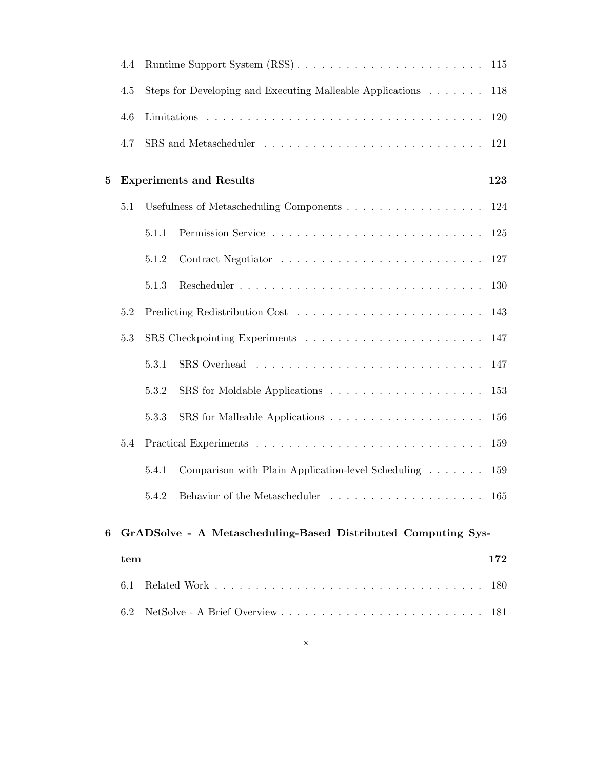|   | 4.4 |       | Runtime Support System (RSS)                                  | 115 |
|---|-----|-------|---------------------------------------------------------------|-----|
|   | 4.5 |       | Steps for Developing and Executing Malleable Applications     | 118 |
|   | 4.6 |       |                                                               | 120 |
|   | 4.7 |       |                                                               | 121 |
| 5 |     |       | <b>Experiments and Results</b>                                | 123 |
|   | 5.1 |       |                                                               | 124 |
|   |     | 5.1.1 |                                                               | 125 |
|   |     | 5.1.2 |                                                               | 127 |
|   |     | 5.1.3 |                                                               | 130 |
|   | 5.2 |       |                                                               | 143 |
|   | 5.3 |       |                                                               | 147 |
|   |     | 5.3.1 |                                                               | 147 |
|   |     | 5.3.2 |                                                               | 153 |
|   |     | 5.3.3 |                                                               | 156 |
|   | 5.4 |       |                                                               | 159 |
|   |     | 5.4.1 | Comparison with Plain Application-level Scheduling            | 159 |
|   |     | 5.4.2 |                                                               |     |
| 6 |     |       | GrADSolve - A Metascheduling-Based Distributed Computing Sys- |     |
|   | tem |       |                                                               | 172 |
|   | 6.1 |       |                                                               | 180 |
|   | 6.2 |       |                                                               | 181 |
|   |     |       |                                                               |     |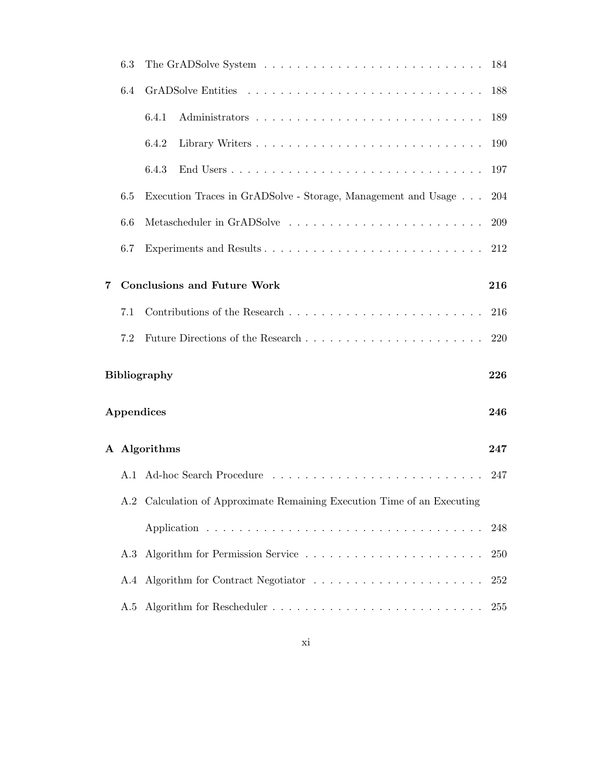|                     | 6.3        |                                                                         | 184 |
|---------------------|------------|-------------------------------------------------------------------------|-----|
|                     | 6.4        |                                                                         | 188 |
|                     |            | 6.4.1                                                                   | 189 |
|                     |            | 6.4.2<br>Library Writers                                                | 190 |
|                     |            | 6.4.3                                                                   | 197 |
|                     | 6.5        | Execution Traces in GrADSolve - Storage, Management and Usage           | 204 |
|                     | 6.6        |                                                                         | 209 |
|                     | 6.7        |                                                                         | 212 |
| 7                   |            | <b>Conclusions and Future Work</b>                                      | 216 |
|                     | 7.1        |                                                                         | 216 |
|                     | 7.2        |                                                                         | 220 |
| <b>Bibliography</b> |            |                                                                         | 226 |
|                     | Appendices |                                                                         |     |
|                     |            | A Algorithms                                                            | 247 |
|                     |            |                                                                         | 247 |
|                     |            | A.2 Calculation of Approximate Remaining Execution Time of an Executing |     |
|                     |            |                                                                         | 248 |
|                     | A.3        |                                                                         | 250 |
|                     |            |                                                                         | 252 |
|                     | A.5        |                                                                         | 255 |
|                     |            |                                                                         |     |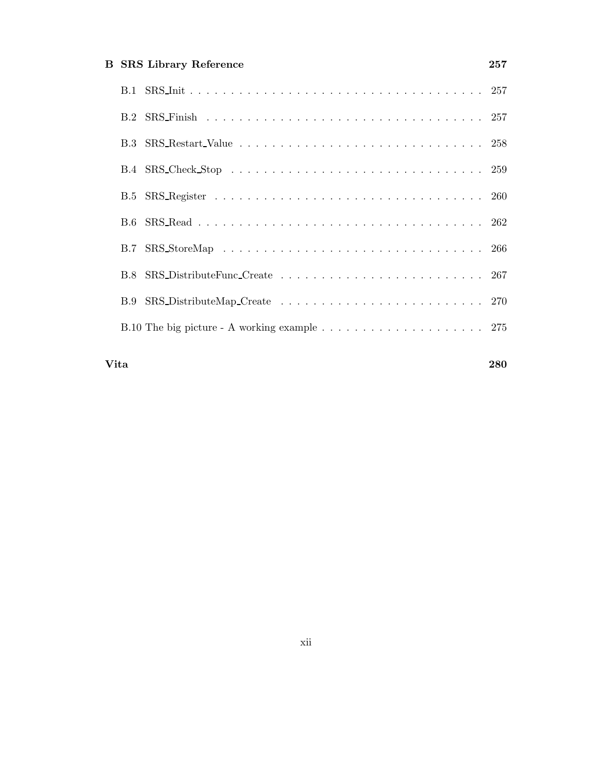#### **B SRS Library Reference 257**

#### **Vita 280**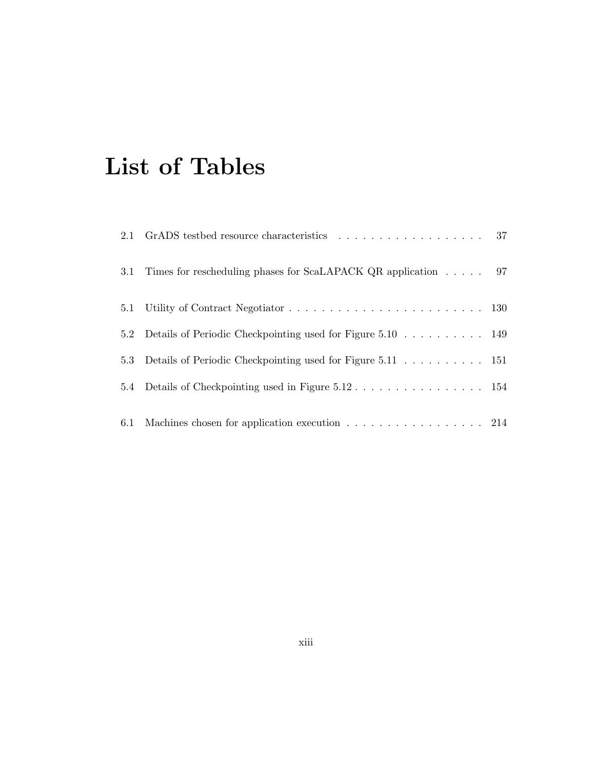# **List of Tables**

|     | 2.1 GrADS testbed resource characteristics 37                          |  |
|-----|------------------------------------------------------------------------|--|
| 3.1 | Times for rescheduling phases for ScaLAPACK QR application $\ldots$ 97 |  |
|     |                                                                        |  |
| 5.2 | Details of Periodic Checkpointing used for Figure 5.10 149             |  |
| 5.3 | Details of Periodic Checkpointing used for Figure 5.11 151             |  |
| 5.4 |                                                                        |  |
|     | 6.1 Machines chosen for application execution 214                      |  |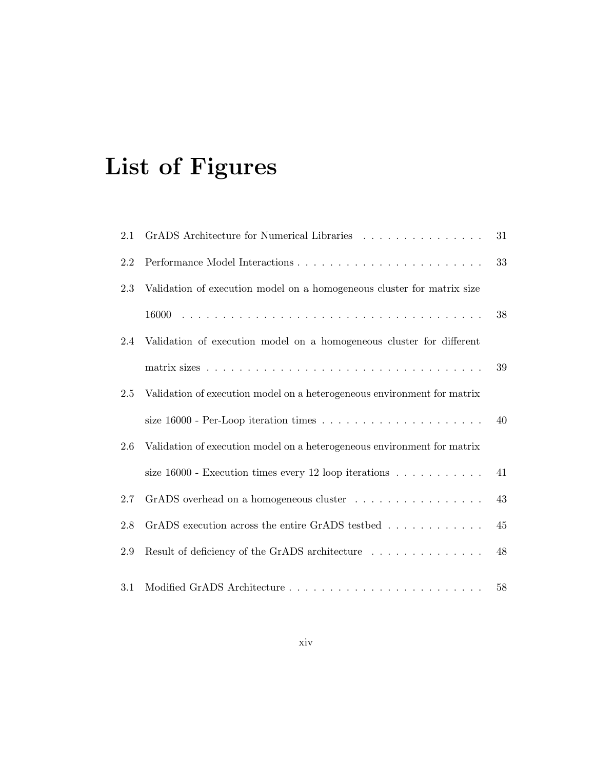# **List of Figures**

| 2.1 | GrADS Architecture for Numerical Libraries                                   | 31 |
|-----|------------------------------------------------------------------------------|----|
| 2.2 |                                                                              | 33 |
| 2.3 | Validation of execution model on a homogeneous cluster for matrix size       |    |
|     |                                                                              | 38 |
| 2.4 | Validation of execution model on a homogeneous cluster for different         |    |
|     |                                                                              | 39 |
| 2.5 | Validation of execution model on a heterogeneous environment for matrix      |    |
|     |                                                                              | 40 |
| 2.6 | Validation of execution model on a heterogeneous environment for matrix      |    |
|     | size $16000$ - Execution times every 12 loop iterations                      | 41 |
| 2.7 | GrADS overhead on a homogeneous cluster $\ldots \ldots \ldots \ldots \ldots$ | 43 |
| 2.8 | GrADS execution across the entire GrADS testbed                              | 45 |
| 2.9 | Result of deficiency of the GrADS architecture                               | 48 |
| 3.1 |                                                                              | 58 |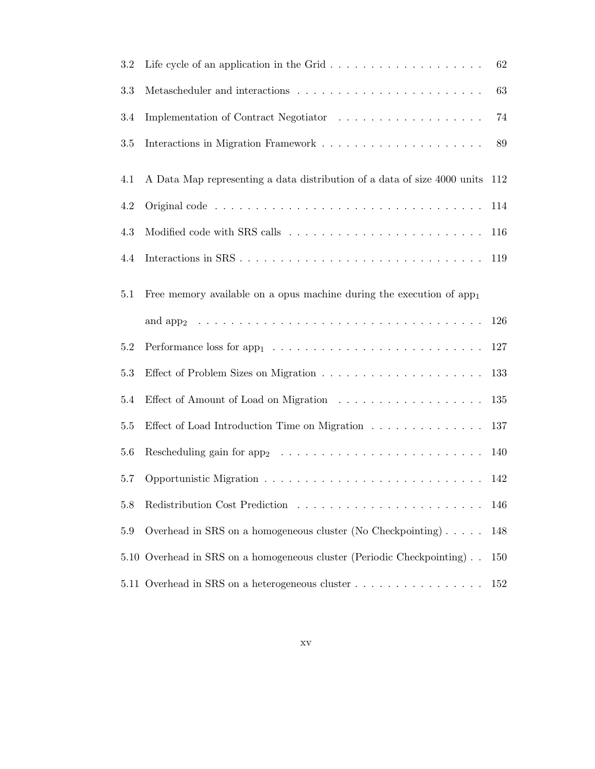| 3.2     |                                                                                          | 62  |
|---------|------------------------------------------------------------------------------------------|-----|
| 3.3     | Metascheduler and interactions $\ldots \ldots \ldots \ldots \ldots \ldots \ldots \ldots$ | 63  |
| 3.4     |                                                                                          | 74  |
| $3.5\,$ |                                                                                          | 89  |
| 4.1     | A Data Map representing a data distribution of a data of size 4000 units                 | 112 |
| 4.2     |                                                                                          | 114 |
| 4.3     |                                                                                          | 116 |
| 4.4     |                                                                                          | 119 |
| 5.1     | Free memory available on a opus machine during the execution of $app1$                   |     |
|         |                                                                                          | 126 |
| 5.2     |                                                                                          | 127 |
| 5.3     |                                                                                          | 133 |
| 5.4     | Effect of Amount of Load on Migration                                                    | 135 |
| 5.5     | Effect of Load Introduction Time on Migration                                            | 137 |
| 5.6     |                                                                                          | 140 |
| $5.7\,$ |                                                                                          | 142 |
| 5.8     |                                                                                          | 146 |
| 5.9     | Overhead in SRS on a homogeneous cluster (No Checkpointing)                              | 148 |
|         | 5.10 Overhead in SRS on a homogeneous cluster (Periodic Checkpointing).                  | 150 |
|         |                                                                                          | 152 |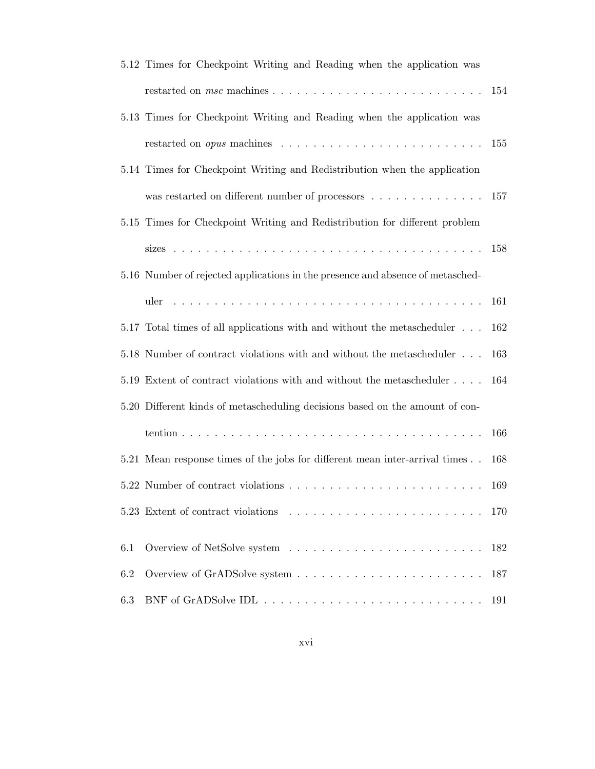|     | 5.12 Times for Checkpoint Writing and Reading when the application was                          |     |
|-----|-------------------------------------------------------------------------------------------------|-----|
|     |                                                                                                 | 154 |
|     | 5.13 Times for Checkpoint Writing and Reading when the application was                          |     |
|     | restarted on opus machines $\ldots \ldots \ldots \ldots \ldots \ldots \ldots \ldots$            | 155 |
|     | 5.14 Times for Checkpoint Writing and Redistribution when the application                       |     |
|     | was restarted on different number of processors $\dots \dots \dots \dots \dots \dots \dots$ 157 |     |
|     | 5.15 Times for Checkpoint Writing and Redistribution for different problem                      |     |
|     |                                                                                                 | 158 |
|     | 5.16 Number of rejected applications in the presence and absence of metasched-                  |     |
|     |                                                                                                 | 161 |
|     | 5.17 Total times of all applications with and without the metascheduler                         | 162 |
|     | 5.18 Number of contract violations with and without the metascheduler                           | 163 |
|     | 5.19 Extent of contract violations with and without the metascheduler                           | 164 |
|     | 5.20 Different kinds of metascheduling decisions based on the amount of con-                    |     |
|     |                                                                                                 | 166 |
|     | 5.21 Mean response times of the jobs for different mean inter-arrival times                     | 168 |
|     |                                                                                                 | 169 |
|     |                                                                                                 | 170 |
| 6.1 |                                                                                                 | 182 |
| 6.2 |                                                                                                 | 187 |
| 6.3 |                                                                                                 | 191 |
|     |                                                                                                 |     |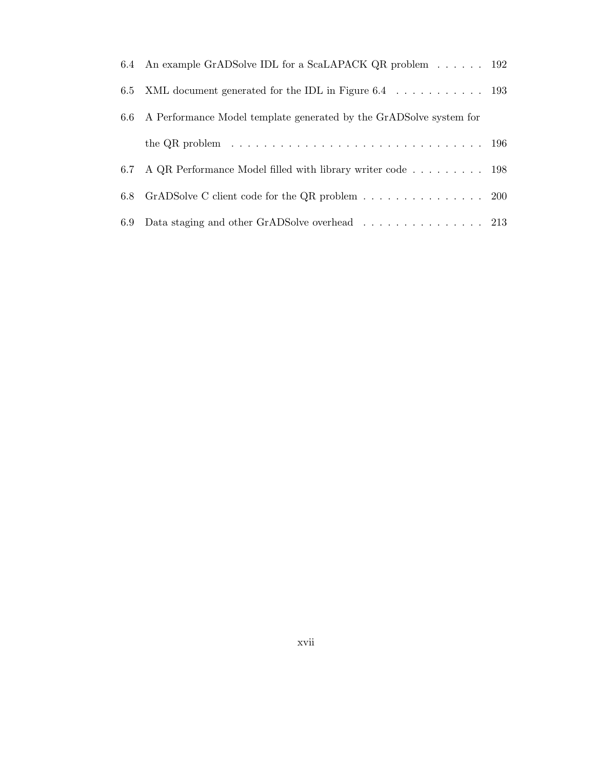|     | 6.4 An example GrADSolve IDL for a ScaLAPACK QR problem 192                                              |  |
|-----|----------------------------------------------------------------------------------------------------------|--|
|     | 6.5 XML document generated for the IDL in Figure 6.4 193                                                 |  |
|     | 6.6 A Performance Model template generated by the GrADSolve system for                                   |  |
|     | the QR problem $\ldots \ldots \ldots \ldots \ldots \ldots \ldots \ldots \ldots \ldots \ldots \ldots 196$ |  |
| 6.7 | A QR Performance Model filled with library writer code 198                                               |  |
|     | 6.8 GrADSolve C client code for the QR problem $\ldots \ldots \ldots \ldots \ldots$ 200                  |  |
|     | 6.9 Data staging and other GrADSolve overhead 213                                                        |  |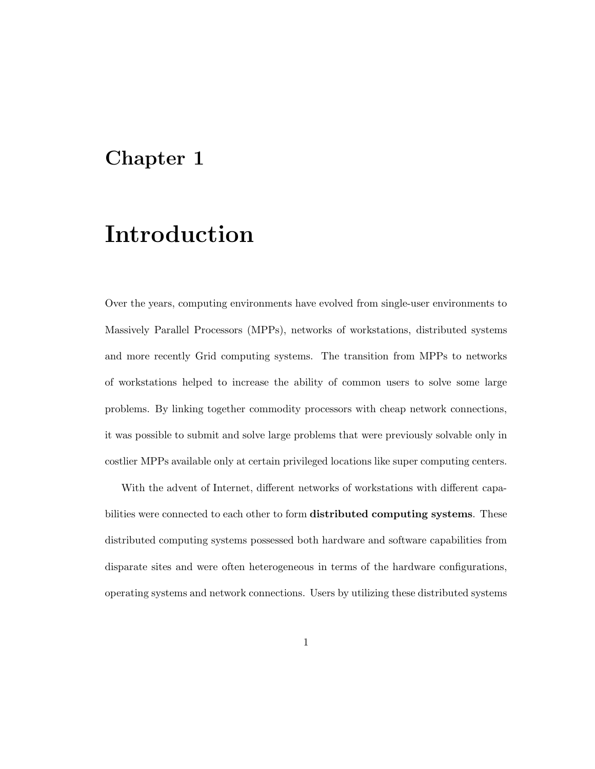### **Chapter 1**

### **Introduction**

Over the years, computing environments have evolved from single-user environments to Massively Parallel Processors (MPPs), networks of workstations, distributed systems and more recently Grid computing systems. The transition from MPPs to networks of workstations helped to increase the ability of common users to solve some large problems. By linking together commodity processors with cheap network connections, it was possible to submit and solve large problems that were previously solvable only in costlier MPPs available only at certain privileged locations like super computing centers.

With the advent of Internet, different networks of workstations with different capabilities were connected to each other to form **distributed computing systems**. These distributed computing systems possessed both hardware and software capabilities from disparate sites and were often heterogeneous in terms of the hardware configurations, operating systems and network connections. Users by utilizing these distributed systems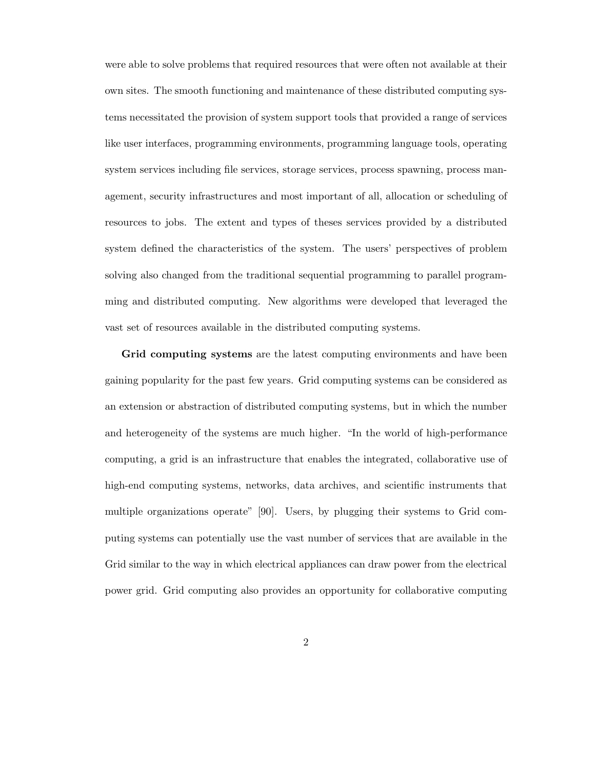were able to solve problems that required resources that were often not available at their own sites. The smooth functioning and maintenance of these distributed computing systems necessitated the provision of system support tools that provided a range of services like user interfaces, programming environments, programming language tools, operating system services including file services, storage services, process spawning, process management, security infrastructures and most important of all, allocation or scheduling of resources to jobs. The extent and types of theses services provided by a distributed system defined the characteristics of the system. The users' perspectives of problem solving also changed from the traditional sequential programming to parallel programming and distributed computing. New algorithms were developed that leveraged the vast set of resources available in the distributed computing systems.

**Grid computing systems** are the latest computing environments and have been gaining popularity for the past few years. Grid computing systems can be considered as an extension or abstraction of distributed computing systems, but in which the number and heterogeneity of the systems are much higher. "In the world of high-performance computing, a grid is an infrastructure that enables the integrated, collaborative use of high-end computing systems, networks, data archives, and scientific instruments that multiple organizations operate" [90]. Users, by plugging their systems to Grid computing systems can potentially use the vast number of services that are available in the Grid similar to the way in which electrical appliances can draw power from the electrical power grid. Grid computing also provides an opportunity for collaborative computing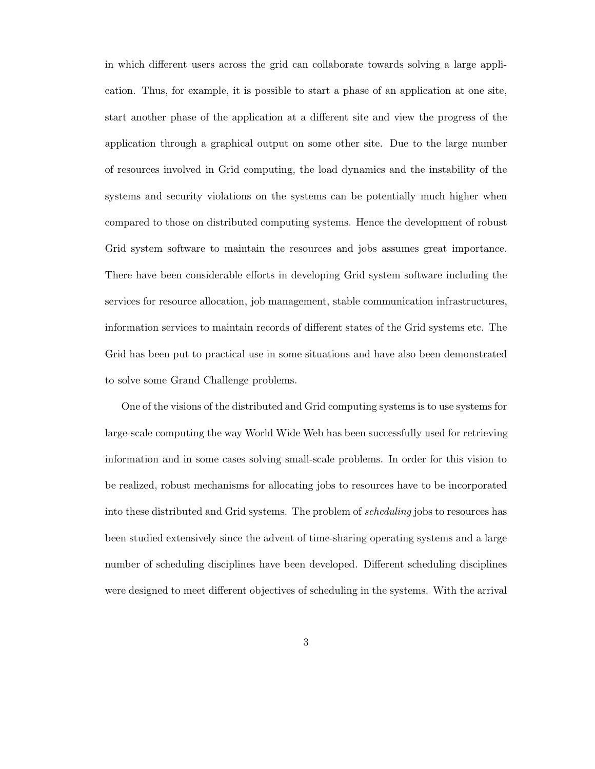in which different users across the grid can collaborate towards solving a large application. Thus, for example, it is possible to start a phase of an application at one site, start another phase of the application at a different site and view the progress of the application through a graphical output on some other site. Due to the large number of resources involved in Grid computing, the load dynamics and the instability of the systems and security violations on the systems can be potentially much higher when compared to those on distributed computing systems. Hence the development of robust Grid system software to maintain the resources and jobs assumes great importance. There have been considerable efforts in developing Grid system software including the services for resource allocation, job management, stable communication infrastructures, information services to maintain records of different states of the Grid systems etc. The Grid has been put to practical use in some situations and have also been demonstrated to solve some Grand Challenge problems.

One of the visions of the distributed and Grid computing systems is to use systems for large-scale computing the way World Wide Web has been successfully used for retrieving information and in some cases solving small-scale problems. In order for this vision to be realized, robust mechanisms for allocating jobs to resources have to be incorporated into these distributed and Grid systems. The problem of *scheduling* jobs to resources has been studied extensively since the advent of time-sharing operating systems and a large number of scheduling disciplines have been developed. Different scheduling disciplines were designed to meet different objectives of scheduling in the systems. With the arrival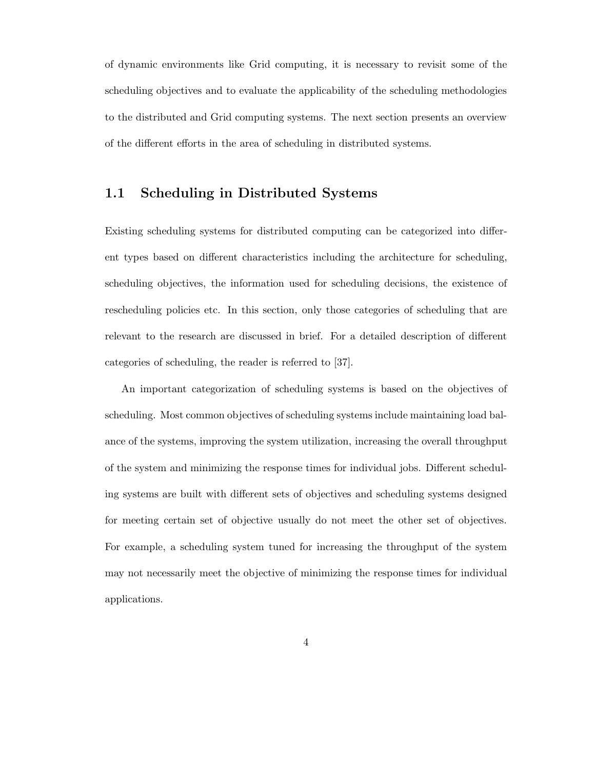of dynamic environments like Grid computing, it is necessary to revisit some of the scheduling objectives and to evaluate the applicability of the scheduling methodologies to the distributed and Grid computing systems. The next section presents an overview of the different efforts in the area of scheduling in distributed systems.

### **1.1 Scheduling in Distributed Systems**

Existing scheduling systems for distributed computing can be categorized into different types based on different characteristics including the architecture for scheduling, scheduling objectives, the information used for scheduling decisions, the existence of rescheduling policies etc. In this section, only those categories of scheduling that are relevant to the research are discussed in brief. For a detailed description of different categories of scheduling, the reader is referred to [37].

An important categorization of scheduling systems is based on the objectives of scheduling. Most common objectives of scheduling systems include maintaining load balance of the systems, improving the system utilization, increasing the overall throughput of the system and minimizing the response times for individual jobs. Different scheduling systems are built with different sets of objectives and scheduling systems designed for meeting certain set of objective usually do not meet the other set of objectives. For example, a scheduling system tuned for increasing the throughput of the system may not necessarily meet the objective of minimizing the response times for individual applications.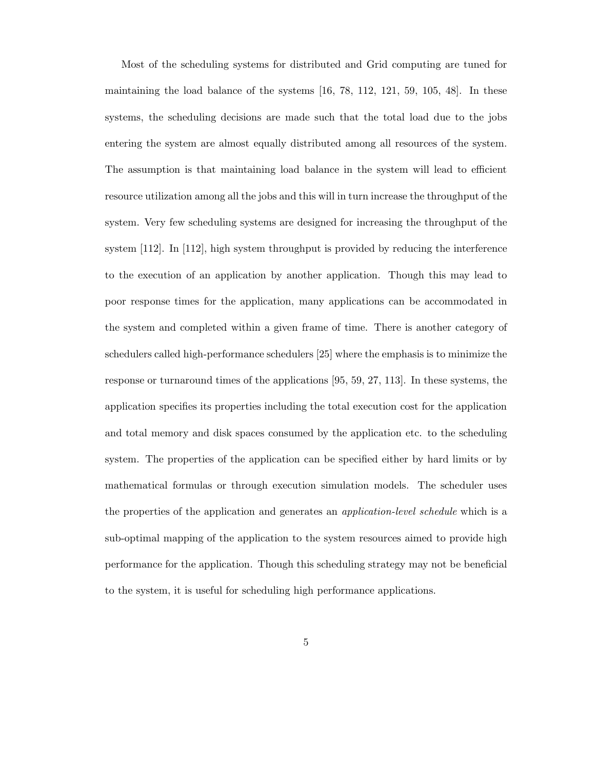Most of the scheduling systems for distributed and Grid computing are tuned for maintaining the load balance of the systems [16, 78, 112, 121, 59, 105, 48]. In these systems, the scheduling decisions are made such that the total load due to the jobs entering the system are almost equally distributed among all resources of the system. The assumption is that maintaining load balance in the system will lead to efficient resource utilization among all the jobs and this will in turn increase the throughput of the system. Very few scheduling systems are designed for increasing the throughput of the system [112]. In [112], high system throughput is provided by reducing the interference to the execution of an application by another application. Though this may lead to poor response times for the application, many applications can be accommodated in the system and completed within a given frame of time. There is another category of schedulers called high-performance schedulers [25] where the emphasis is to minimize the response or turnaround times of the applications [95, 59, 27, 113]. In these systems, the application specifies its properties including the total execution cost for the application and total memory and disk spaces consumed by the application etc. to the scheduling system. The properties of the application can be specified either by hard limits or by mathematical formulas or through execution simulation models. The scheduler uses the properties of the application and generates an *application-level schedule* which is a sub-optimal mapping of the application to the system resources aimed to provide high performance for the application. Though this scheduling strategy may not be beneficial to the system, it is useful for scheduling high performance applications.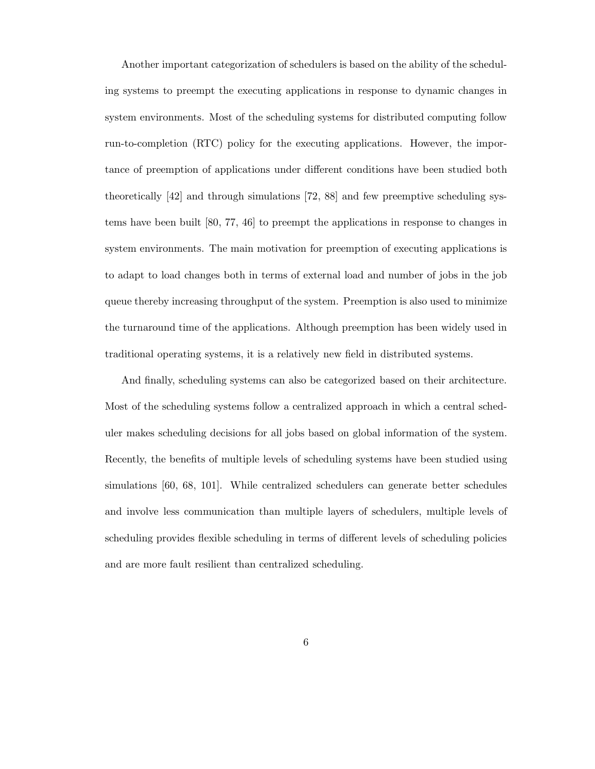Another important categorization of schedulers is based on the ability of the scheduling systems to preempt the executing applications in response to dynamic changes in system environments. Most of the scheduling systems for distributed computing follow run-to-completion (RTC) policy for the executing applications. However, the importance of preemption of applications under different conditions have been studied both theoretically [42] and through simulations [72, 88] and few preemptive scheduling systems have been built [80, 77, 46] to preempt the applications in response to changes in system environments. The main motivation for preemption of executing applications is to adapt to load changes both in terms of external load and number of jobs in the job queue thereby increasing throughput of the system. Preemption is also used to minimize the turnaround time of the applications. Although preemption has been widely used in traditional operating systems, it is a relatively new field in distributed systems.

And finally, scheduling systems can also be categorized based on their architecture. Most of the scheduling systems follow a centralized approach in which a central scheduler makes scheduling decisions for all jobs based on global information of the system. Recently, the benefits of multiple levels of scheduling systems have been studied using simulations [60, 68, 101]. While centralized schedulers can generate better schedules and involve less communication than multiple layers of schedulers, multiple levels of scheduling provides flexible scheduling in terms of different levels of scheduling policies and are more fault resilient than centralized scheduling.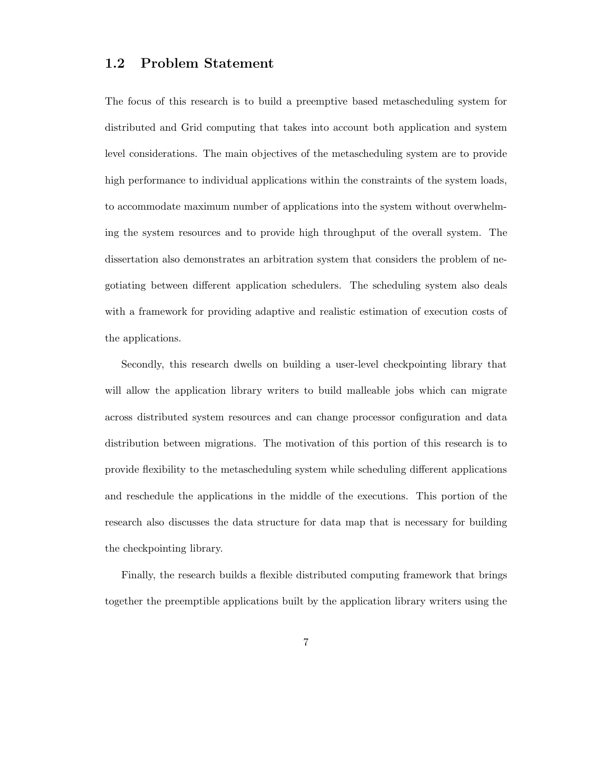#### **1.2 Problem Statement**

The focus of this research is to build a preemptive based metascheduling system for distributed and Grid computing that takes into account both application and system level considerations. The main objectives of the metascheduling system are to provide high performance to individual applications within the constraints of the system loads, to accommodate maximum number of applications into the system without overwhelming the system resources and to provide high throughput of the overall system. The dissertation also demonstrates an arbitration system that considers the problem of negotiating between different application schedulers. The scheduling system also deals with a framework for providing adaptive and realistic estimation of execution costs of the applications.

Secondly, this research dwells on building a user-level checkpointing library that will allow the application library writers to build malleable jobs which can migrate across distributed system resources and can change processor configuration and data distribution between migrations. The motivation of this portion of this research is to provide flexibility to the metascheduling system while scheduling different applications and reschedule the applications in the middle of the executions. This portion of the research also discusses the data structure for data map that is necessary for building the checkpointing library.

Finally, the research builds a flexible distributed computing framework that brings together the preemptible applications built by the application library writers using the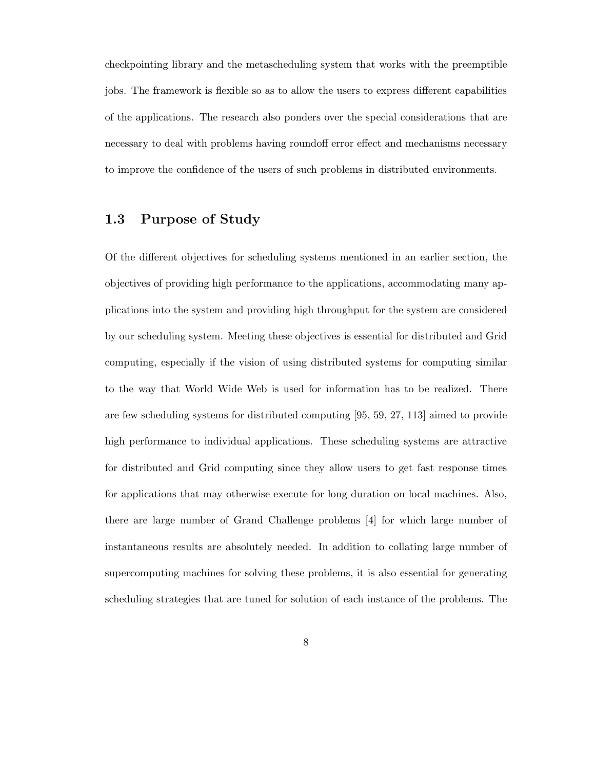checkpointing library and the metascheduling system that works with the preemptible jobs. The framework is flexible so as to allow the users to express different capabilities of the applications. The research also ponders over the special considerations that are necessary to deal with problems having roundoff error effect and mechanisms necessary to improve the confidence of the users of such problems in distributed environments.

### **1.3 Purpose of Study**

Of the different objectives for scheduling systems mentioned in an earlier section, the objectives of providing high performance to the applications, accommodating many applications into the system and providing high throughput for the system are considered by our scheduling system. Meeting these objectives is essential for distributed and Grid computing, especially if the vision of using distributed systems for computing similar to the way that World Wide Web is used for information has to be realized. There are few scheduling systems for distributed computing [95, 59, 27, 113] aimed to provide high performance to individual applications. These scheduling systems are attractive for distributed and Grid computing since they allow users to get fast response times for applications that may otherwise execute for long duration on local machines. Also, there are large number of Grand Challenge problems [4] for which large number of instantaneous results are absolutely needed. In addition to collating large number of supercomputing machines for solving these problems, it is also essential for generating scheduling strategies that are tuned for solution of each instance of the problems. The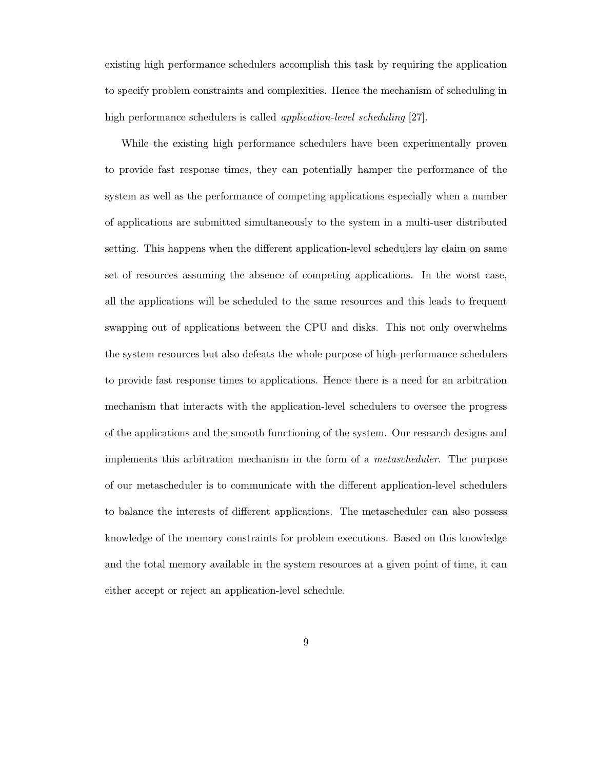existing high performance schedulers accomplish this task by requiring the application to specify problem constraints and complexities. Hence the mechanism of scheduling in high performance schedulers is called *application-level scheduling* [27].

While the existing high performance schedulers have been experimentally proven to provide fast response times, they can potentially hamper the performance of the system as well as the performance of competing applications especially when a number of applications are submitted simultaneously to the system in a multi-user distributed setting. This happens when the different application-level schedulers lay claim on same set of resources assuming the absence of competing applications. In the worst case, all the applications will be scheduled to the same resources and this leads to frequent swapping out of applications between the CPU and disks. This not only overwhelms the system resources but also defeats the whole purpose of high-performance schedulers to provide fast response times to applications. Hence there is a need for an arbitration mechanism that interacts with the application-level schedulers to oversee the progress of the applications and the smooth functioning of the system. Our research designs and implements this arbitration mechanism in the form of a *metascheduler*. The purpose of our metascheduler is to communicate with the different application-level schedulers to balance the interests of different applications. The metascheduler can also possess knowledge of the memory constraints for problem executions. Based on this knowledge and the total memory available in the system resources at a given point of time, it can either accept or reject an application-level schedule.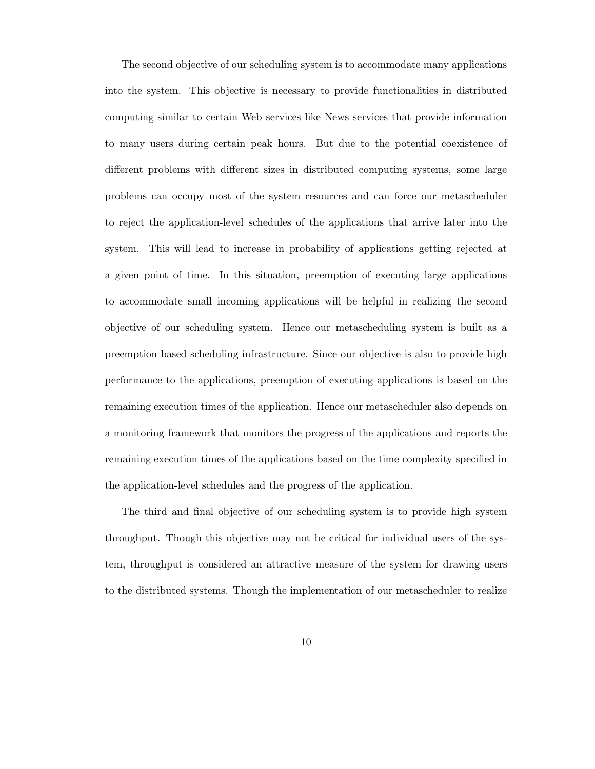The second objective of our scheduling system is to accommodate many applications into the system. This objective is necessary to provide functionalities in distributed computing similar to certain Web services like News services that provide information to many users during certain peak hours. But due to the potential coexistence of different problems with different sizes in distributed computing systems, some large problems can occupy most of the system resources and can force our metascheduler to reject the application-level schedules of the applications that arrive later into the system. This will lead to increase in probability of applications getting rejected at a given point of time. In this situation, preemption of executing large applications to accommodate small incoming applications will be helpful in realizing the second objective of our scheduling system. Hence our metascheduling system is built as a preemption based scheduling infrastructure. Since our objective is also to provide high performance to the applications, preemption of executing applications is based on the remaining execution times of the application. Hence our metascheduler also depends on a monitoring framework that monitors the progress of the applications and reports the remaining execution times of the applications based on the time complexity specified in the application-level schedules and the progress of the application.

The third and final objective of our scheduling system is to provide high system throughput. Though this objective may not be critical for individual users of the system, throughput is considered an attractive measure of the system for drawing users to the distributed systems. Though the implementation of our metascheduler to realize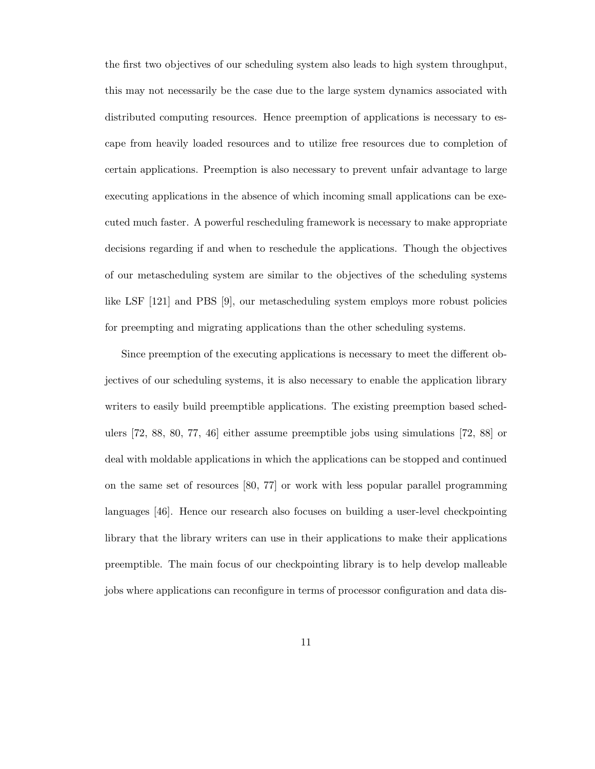the first two objectives of our scheduling system also leads to high system throughput, this may not necessarily be the case due to the large system dynamics associated with distributed computing resources. Hence preemption of applications is necessary to escape from heavily loaded resources and to utilize free resources due to completion of certain applications. Preemption is also necessary to prevent unfair advantage to large executing applications in the absence of which incoming small applications can be executed much faster. A powerful rescheduling framework is necessary to make appropriate decisions regarding if and when to reschedule the applications. Though the objectives of our metascheduling system are similar to the objectives of the scheduling systems like LSF [121] and PBS [9], our metascheduling system employs more robust policies for preempting and migrating applications than the other scheduling systems.

Since preemption of the executing applications is necessary to meet the different objectives of our scheduling systems, it is also necessary to enable the application library writers to easily build preemptible applications. The existing preemption based schedulers [72, 88, 80, 77, 46] either assume preemptible jobs using simulations [72, 88] or deal with moldable applications in which the applications can be stopped and continued on the same set of resources [80, 77] or work with less popular parallel programming languages [46]. Hence our research also focuses on building a user-level checkpointing library that the library writers can use in their applications to make their applications preemptible. The main focus of our checkpointing library is to help develop malleable jobs where applications can reconfigure in terms of processor configuration and data dis-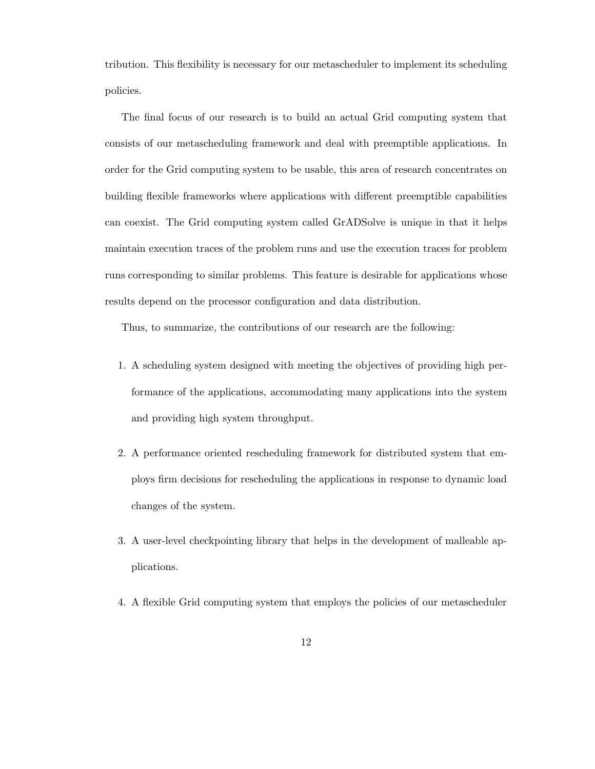tribution. This flexibility is necessary for our metascheduler to implement its scheduling policies.

The final focus of our research is to build an actual Grid computing system that consists of our metascheduling framework and deal with preemptible applications. In order for the Grid computing system to be usable, this area of research concentrates on building flexible frameworks where applications with different preemptible capabilities can coexist. The Grid computing system called GrADSolve is unique in that it helps maintain execution traces of the problem runs and use the execution traces for problem runs corresponding to similar problems. This feature is desirable for applications whose results depend on the processor configuration and data distribution.

Thus, to summarize, the contributions of our research are the following:

- 1. A scheduling system designed with meeting the objectives of providing high performance of the applications, accommodating many applications into the system and providing high system throughput.
- 2. A performance oriented rescheduling framework for distributed system that employs firm decisions for rescheduling the applications in response to dynamic load changes of the system.
- 3. A user-level checkpointing library that helps in the development of malleable applications.
- 4. A flexible Grid computing system that employs the policies of our metascheduler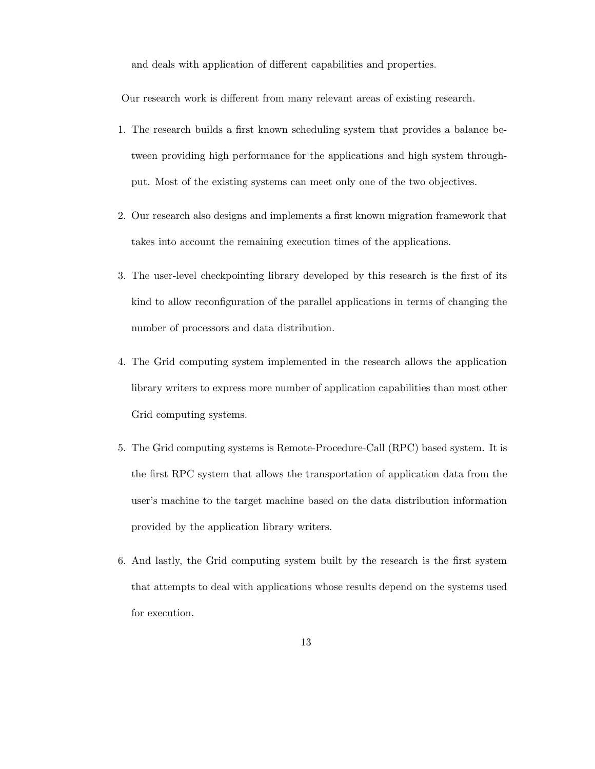and deals with application of different capabilities and properties.

Our research work is different from many relevant areas of existing research.

- 1. The research builds a first known scheduling system that provides a balance between providing high performance for the applications and high system throughput. Most of the existing systems can meet only one of the two objectives.
- 2. Our research also designs and implements a first known migration framework that takes into account the remaining execution times of the applications.
- 3. The user-level checkpointing library developed by this research is the first of its kind to allow reconfiguration of the parallel applications in terms of changing the number of processors and data distribution.
- 4. The Grid computing system implemented in the research allows the application library writers to express more number of application capabilities than most other Grid computing systems.
- 5. The Grid computing systems is Remote-Procedure-Call (RPC) based system. It is the first RPC system that allows the transportation of application data from the user's machine to the target machine based on the data distribution information provided by the application library writers.
- 6. And lastly, the Grid computing system built by the research is the first system that attempts to deal with applications whose results depend on the systems used for execution.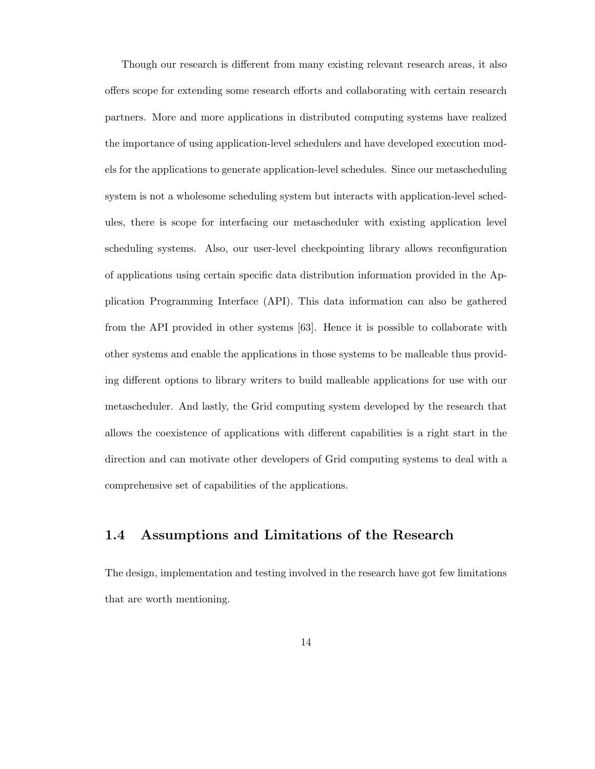Though our research is different from many existing relevant research areas, it also offers scope for extending some research efforts and collaborating with certain research partners. More and more applications in distributed computing systems have realized the importance of using application-level schedulers and have developed execution models for the applications to generate application-level schedules. Since our metascheduling system is not a wholesome scheduling system but interacts with application-level schedules, there is scope for interfacing our metascheduler with existing application level scheduling systems. Also, our user-level checkpointing library allows reconfiguration of applications using certain specific data distribution information provided in the Application Programming Interface (API). This data information can also be gathered from the API provided in other systems [63]. Hence it is possible to collaborate with other systems and enable the applications in those systems to be malleable thus providing different options to library writers to build malleable applications for use with our metascheduler. And lastly, the Grid computing system developed by the research that allows the coexistence of applications with different capabilities is a right start in the direction and can motivate other developers of Grid computing systems to deal with a comprehensive set of capabilities of the applications.

#### **1.4 Assumptions and Limitations of the Research**

The design, implementation and testing involved in the research have got few limitations that are worth mentioning.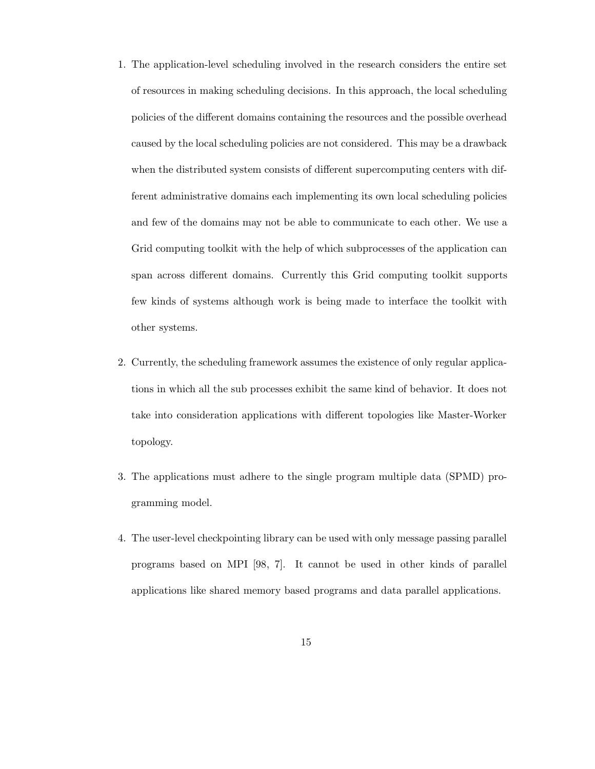- 1. The application-level scheduling involved in the research considers the entire set of resources in making scheduling decisions. In this approach, the local scheduling policies of the different domains containing the resources and the possible overhead caused by the local scheduling policies are not considered. This may be a drawback when the distributed system consists of different supercomputing centers with different administrative domains each implementing its own local scheduling policies and few of the domains may not be able to communicate to each other. We use a Grid computing toolkit with the help of which subprocesses of the application can span across different domains. Currently this Grid computing toolkit supports few kinds of systems although work is being made to interface the toolkit with other systems.
- 2. Currently, the scheduling framework assumes the existence of only regular applications in which all the sub processes exhibit the same kind of behavior. It does not take into consideration applications with different topologies like Master-Worker topology.
- 3. The applications must adhere to the single program multiple data (SPMD) programming model.
- 4. The user-level checkpointing library can be used with only message passing parallel programs based on MPI [98, 7]. It cannot be used in other kinds of parallel applications like shared memory based programs and data parallel applications.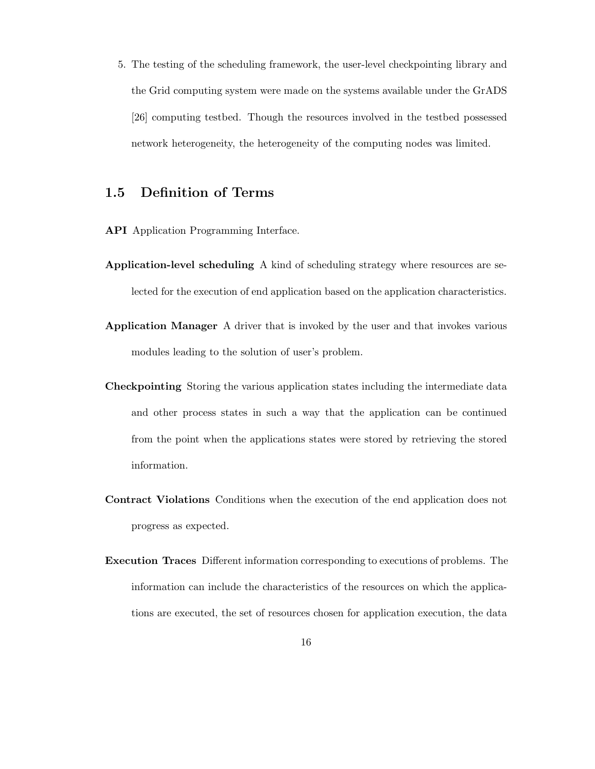5. The testing of the scheduling framework, the user-level checkpointing library and the Grid computing system were made on the systems available under the GrADS [26] computing testbed. Though the resources involved in the testbed possessed network heterogeneity, the heterogeneity of the computing nodes was limited.

#### **1.5 Definition of Terms**

- **API** Application Programming Interface.
- **Application-level scheduling** A kind of scheduling strategy where resources are selected for the execution of end application based on the application characteristics.
- **Application Manager** A driver that is invoked by the user and that invokes various modules leading to the solution of user's problem.
- **Checkpointing** Storing the various application states including the intermediate data and other process states in such a way that the application can be continued from the point when the applications states were stored by retrieving the stored information.
- **Contract Violations** Conditions when the execution of the end application does not progress as expected.
- **Execution Traces** Different information corresponding to executions of problems. The information can include the characteristics of the resources on which the applications are executed, the set of resources chosen for application execution, the data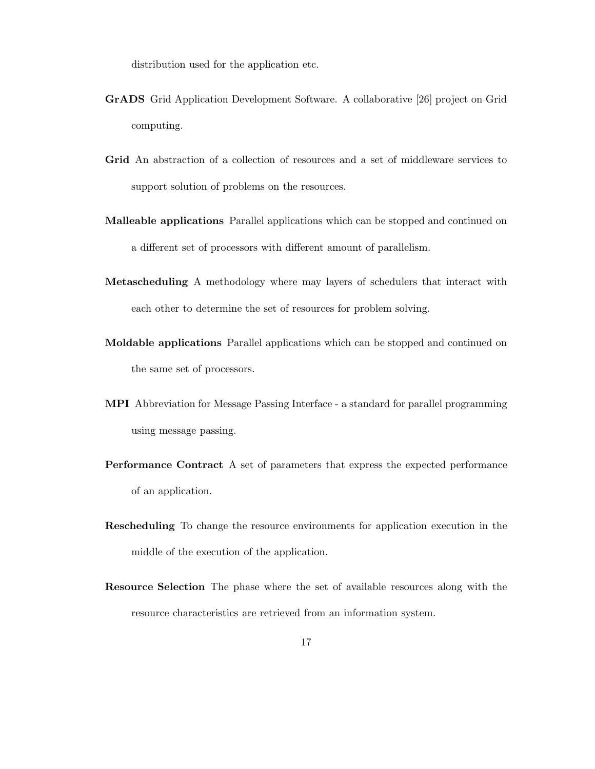distribution used for the application etc.

- **GrADS** Grid Application Development Software. A collaborative [26] project on Grid computing.
- **Grid** An abstraction of a collection of resources and a set of middleware services to support solution of problems on the resources.
- **Malleable applications** Parallel applications which can be stopped and continued on a different set of processors with different amount of parallelism.
- **Metascheduling** A methodology where may layers of schedulers that interact with each other to determine the set of resources for problem solving.
- **Moldable applications** Parallel applications which can be stopped and continued on the same set of processors.
- **MPI** Abbreviation for Message Passing Interface a standard for parallel programming using message passing.
- **Performance Contract** A set of parameters that express the expected performance of an application.
- **Rescheduling** To change the resource environments for application execution in the middle of the execution of the application.
- **Resource Selection** The phase where the set of available resources along with the resource characteristics are retrieved from an information system.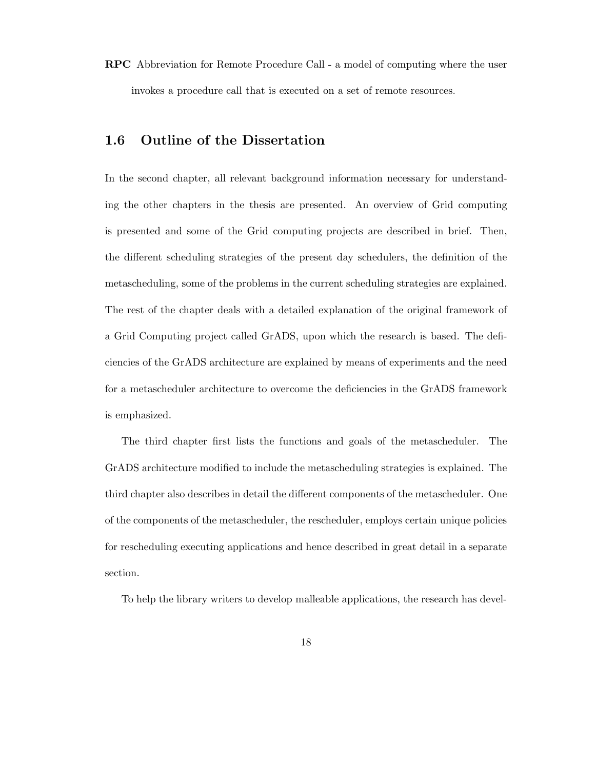**RPC** Abbreviation for Remote Procedure Call - a model of computing where the user invokes a procedure call that is executed on a set of remote resources.

## **1.6 Outline of the Dissertation**

In the second chapter, all relevant background information necessary for understanding the other chapters in the thesis are presented. An overview of Grid computing is presented and some of the Grid computing projects are described in brief. Then, the different scheduling strategies of the present day schedulers, the definition of the metascheduling, some of the problems in the current scheduling strategies are explained. The rest of the chapter deals with a detailed explanation of the original framework of a Grid Computing project called GrADS, upon which the research is based. The deficiencies of the GrADS architecture are explained by means of experiments and the need for a metascheduler architecture to overcome the deficiencies in the GrADS framework is emphasized.

The third chapter first lists the functions and goals of the metascheduler. The GrADS architecture modified to include the metascheduling strategies is explained. The third chapter also describes in detail the different components of the metascheduler. One of the components of the metascheduler, the rescheduler, employs certain unique policies for rescheduling executing applications and hence described in great detail in a separate section.

To help the library writers to develop malleable applications, the research has devel-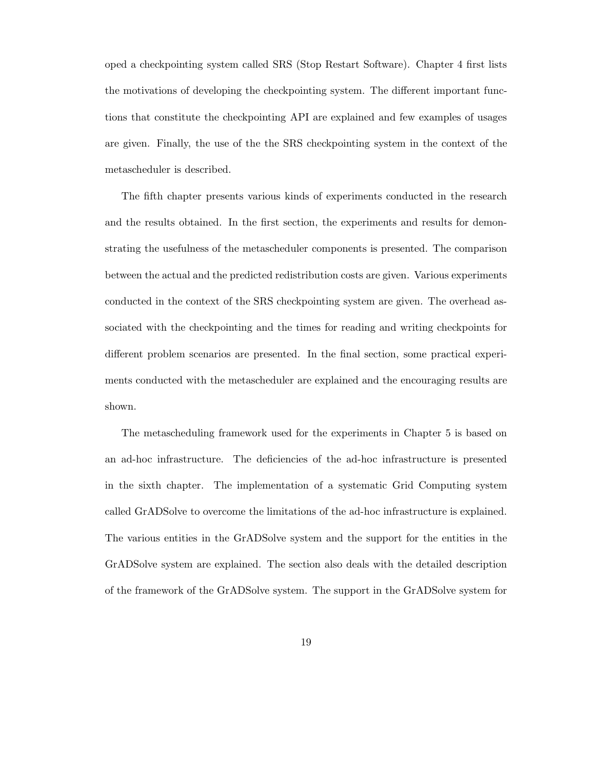oped a checkpointing system called SRS (Stop Restart Software). Chapter 4 first lists the motivations of developing the checkpointing system. The different important functions that constitute the checkpointing API are explained and few examples of usages are given. Finally, the use of the the SRS checkpointing system in the context of the metascheduler is described.

The fifth chapter presents various kinds of experiments conducted in the research and the results obtained. In the first section, the experiments and results for demonstrating the usefulness of the metascheduler components is presented. The comparison between the actual and the predicted redistribution costs are given. Various experiments conducted in the context of the SRS checkpointing system are given. The overhead associated with the checkpointing and the times for reading and writing checkpoints for different problem scenarios are presented. In the final section, some practical experiments conducted with the metascheduler are explained and the encouraging results are shown.

The metascheduling framework used for the experiments in Chapter 5 is based on an ad-hoc infrastructure. The deficiencies of the ad-hoc infrastructure is presented in the sixth chapter. The implementation of a systematic Grid Computing system called GrADSolve to overcome the limitations of the ad-hoc infrastructure is explained. The various entities in the GrADSolve system and the support for the entities in the GrADSolve system are explained. The section also deals with the detailed description of the framework of the GrADSolve system. The support in the GrADSolve system for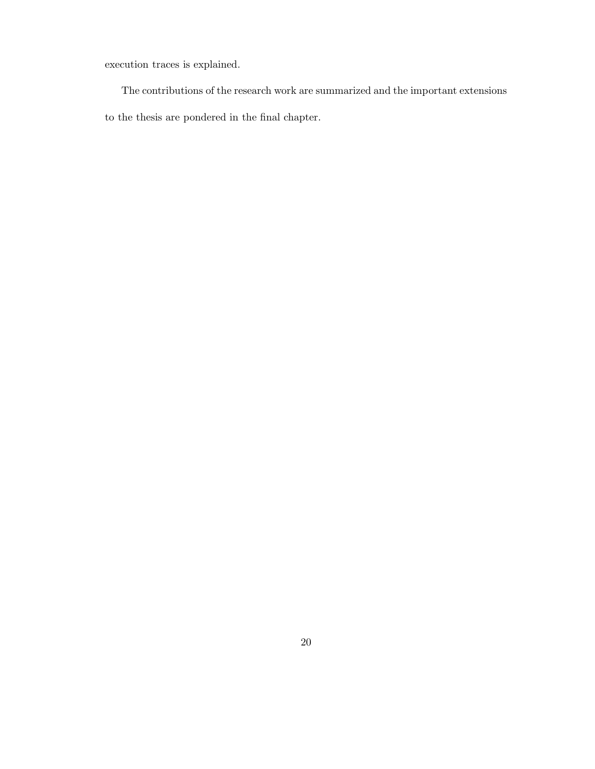execution traces is explained.

The contributions of the research work are summarized and the important extensions

to the thesis are pondered in the final chapter.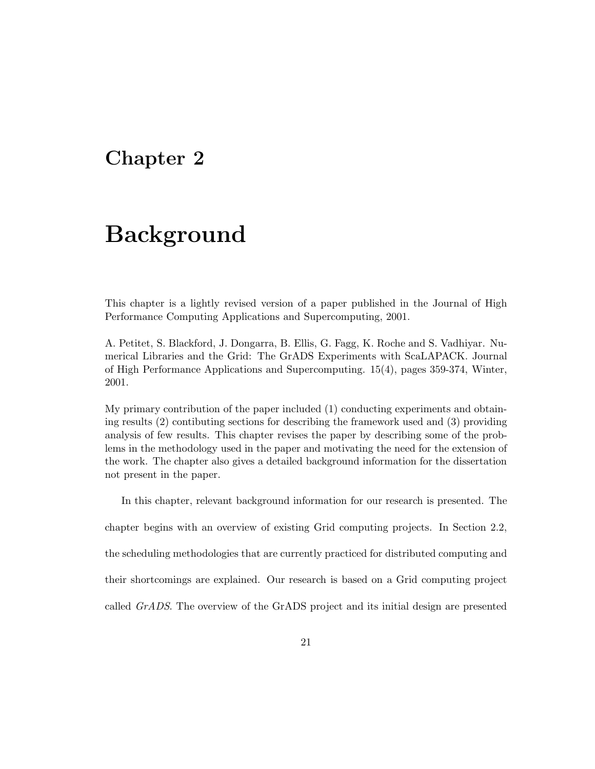## **Chapter 2**

# **Background**

This chapter is a lightly revised version of a paper published in the Journal of High Performance Computing Applications and Supercomputing, 2001.

A. Petitet, S. Blackford, J. Dongarra, B. Ellis, G. Fagg, K. Roche and S. Vadhiyar. Numerical Libraries and the Grid: The GrADS Experiments with ScaLAPACK. Journal of High Performance Applications and Supercomputing. 15(4), pages 359-374, Winter, 2001.

My primary contribution of the paper included (1) conducting experiments and obtaining results (2) contibuting sections for describing the framework used and (3) providing analysis of few results. This chapter revises the paper by describing some of the problems in the methodology used in the paper and motivating the need for the extension of the work. The chapter also gives a detailed background information for the dissertation not present in the paper.

In this chapter, relevant background information for our research is presented. The chapter begins with an overview of existing Grid computing projects. In Section 2.2, the scheduling methodologies that are currently practiced for distributed computing and their shortcomings are explained. Our research is based on a Grid computing project called *GrADS*. The overview of the GrADS project and its initial design are presented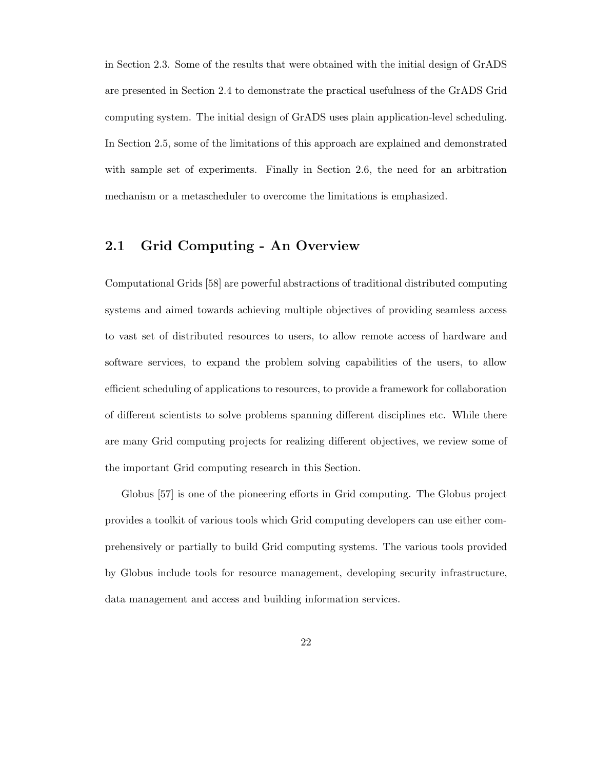in Section 2.3. Some of the results that were obtained with the initial design of GrADS are presented in Section 2.4 to demonstrate the practical usefulness of the GrADS Grid computing system. The initial design of GrADS uses plain application-level scheduling. In Section 2.5, some of the limitations of this approach are explained and demonstrated with sample set of experiments. Finally in Section 2.6, the need for an arbitration mechanism or a metascheduler to overcome the limitations is emphasized.

## **2.1 Grid Computing - An Overview**

Computational Grids [58] are powerful abstractions of traditional distributed computing systems and aimed towards achieving multiple objectives of providing seamless access to vast set of distributed resources to users, to allow remote access of hardware and software services, to expand the problem solving capabilities of the users, to allow efficient scheduling of applications to resources, to provide a framework for collaboration of different scientists to solve problems spanning different disciplines etc. While there are many Grid computing projects for realizing different objectives, we review some of the important Grid computing research in this Section.

Globus [57] is one of the pioneering efforts in Grid computing. The Globus project provides a toolkit of various tools which Grid computing developers can use either comprehensively or partially to build Grid computing systems. The various tools provided by Globus include tools for resource management, developing security infrastructure, data management and access and building information services.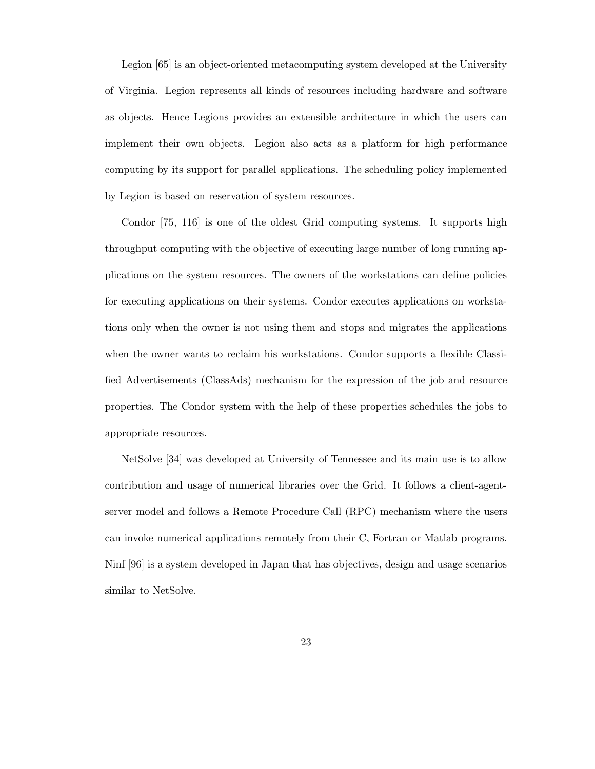Legion [65] is an object-oriented metacomputing system developed at the University of Virginia. Legion represents all kinds of resources including hardware and software as objects. Hence Legions provides an extensible architecture in which the users can implement their own objects. Legion also acts as a platform for high performance computing by its support for parallel applications. The scheduling policy implemented by Legion is based on reservation of system resources.

Condor [75, 116] is one of the oldest Grid computing systems. It supports high throughput computing with the objective of executing large number of long running applications on the system resources. The owners of the workstations can define policies for executing applications on their systems. Condor executes applications on workstations only when the owner is not using them and stops and migrates the applications when the owner wants to reclaim his workstations. Condor supports a flexible Classified Advertisements (ClassAds) mechanism for the expression of the job and resource properties. The Condor system with the help of these properties schedules the jobs to appropriate resources.

NetSolve [34] was developed at University of Tennessee and its main use is to allow contribution and usage of numerical libraries over the Grid. It follows a client-agentserver model and follows a Remote Procedure Call (RPC) mechanism where the users can invoke numerical applications remotely from their C, Fortran or Matlab programs. Ninf [96] is a system developed in Japan that has objectives, design and usage scenarios similar to NetSolve.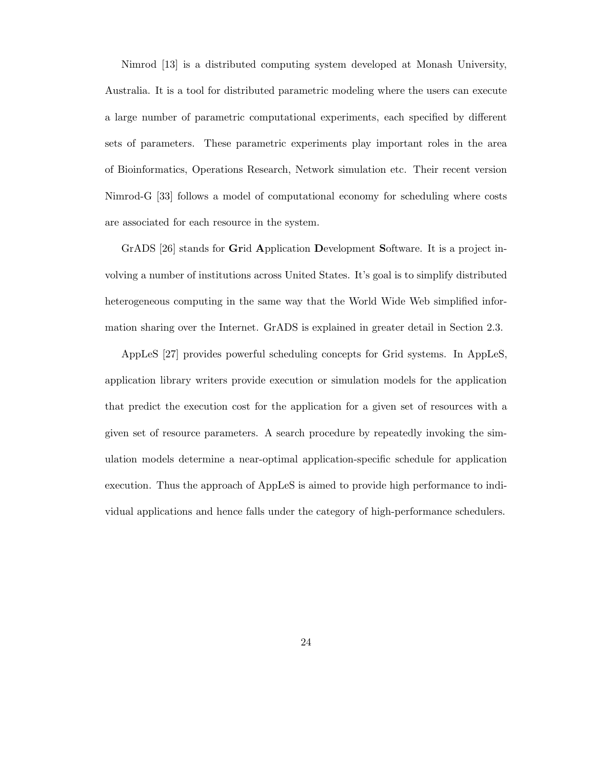Nimrod [13] is a distributed computing system developed at Monash University, Australia. It is a tool for distributed parametric modeling where the users can execute a large number of parametric computational experiments, each specified by different sets of parameters. These parametric experiments play important roles in the area of Bioinformatics, Operations Research, Network simulation etc. Their recent version Nimrod-G [33] follows a model of computational economy for scheduling where costs are associated for each resource in the system.

GrADS [26] stands for **Gr**id **A**pplication **D**evelopment **S**oftware. It is a project involving a number of institutions across United States. It's goal is to simplify distributed heterogeneous computing in the same way that the World Wide Web simplified information sharing over the Internet. GrADS is explained in greater detail in Section 2.3.

AppLeS [27] provides powerful scheduling concepts for Grid systems. In AppLeS, application library writers provide execution or simulation models for the application that predict the execution cost for the application for a given set of resources with a given set of resource parameters. A search procedure by repeatedly invoking the simulation models determine a near-optimal application-specific schedule for application execution. Thus the approach of AppLeS is aimed to provide high performance to individual applications and hence falls under the category of high-performance schedulers.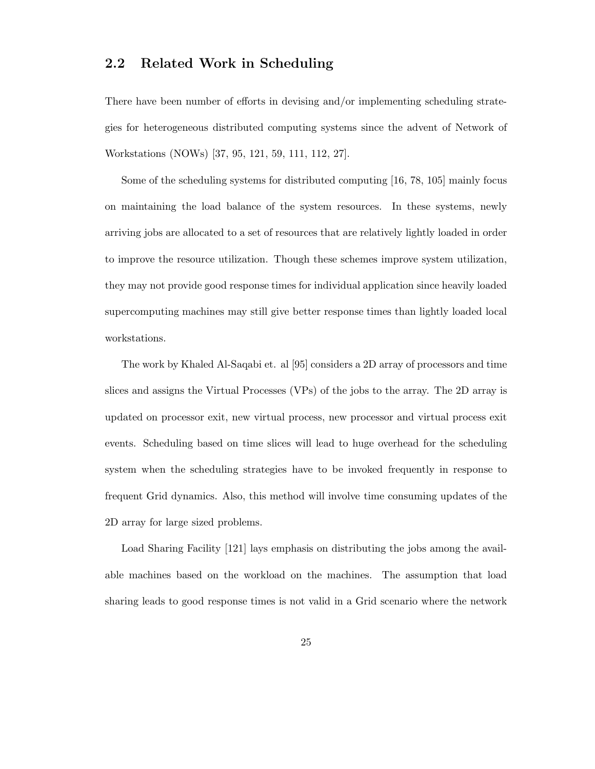## **2.2 Related Work in Scheduling**

There have been number of efforts in devising and/or implementing scheduling strategies for heterogeneous distributed computing systems since the advent of Network of Workstations (NOWs) [37, 95, 121, 59, 111, 112, 27].

Some of the scheduling systems for distributed computing [16, 78, 105] mainly focus on maintaining the load balance of the system resources. In these systems, newly arriving jobs are allocated to a set of resources that are relatively lightly loaded in order to improve the resource utilization. Though these schemes improve system utilization, they may not provide good response times for individual application since heavily loaded supercomputing machines may still give better response times than lightly loaded local workstations.

The work by Khaled Al-Saqabi et. al [95] considers a 2D array of processors and time slices and assigns the Virtual Processes (VPs) of the jobs to the array. The 2D array is updated on processor exit, new virtual process, new processor and virtual process exit events. Scheduling based on time slices will lead to huge overhead for the scheduling system when the scheduling strategies have to be invoked frequently in response to frequent Grid dynamics. Also, this method will involve time consuming updates of the 2D array for large sized problems.

Load Sharing Facility [121] lays emphasis on distributing the jobs among the available machines based on the workload on the machines. The assumption that load sharing leads to good response times is not valid in a Grid scenario where the network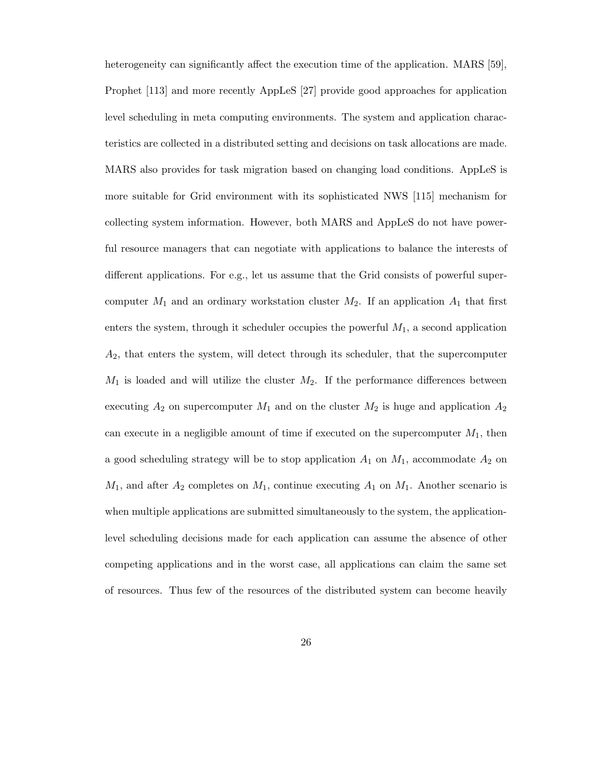heterogeneity can significantly affect the execution time of the application. MARS [59], Prophet [113] and more recently AppLeS [27] provide good approaches for application level scheduling in meta computing environments. The system and application characteristics are collected in a distributed setting and decisions on task allocations are made. MARS also provides for task migration based on changing load conditions. AppLeS is more suitable for Grid environment with its sophisticated NWS [115] mechanism for collecting system information. However, both MARS and AppLeS do not have powerful resource managers that can negotiate with applications to balance the interests of different applications. For e.g., let us assume that the Grid consists of powerful supercomputer  $M_1$  and an ordinary workstation cluster  $M_2$ . If an application  $A_1$  that first enters the system, through it scheduler occupies the powerful  $M_1$ , a second application  $A_2$ , that enters the system, will detect through its scheduler, that the supercomputer  $M_1$  is loaded and will utilize the cluster  $M_2$ . If the performance differences between executing  $A_2$  on supercomputer  $M_1$  and on the cluster  $M_2$  is huge and application  $A_2$ can execute in a negligible amount of time if executed on the supercomputer  $M_1$ , then a good scheduling strategy will be to stop application  $A_1$  on  $M_1$ , accommodate  $A_2$  on  $M_1$ , and after  $A_2$  completes on  $M_1$ , continue executing  $A_1$  on  $M_1$ . Another scenario is when multiple applications are submitted simultaneously to the system, the applicationlevel scheduling decisions made for each application can assume the absence of other competing applications and in the worst case, all applications can claim the same set of resources. Thus few of the resources of the distributed system can become heavily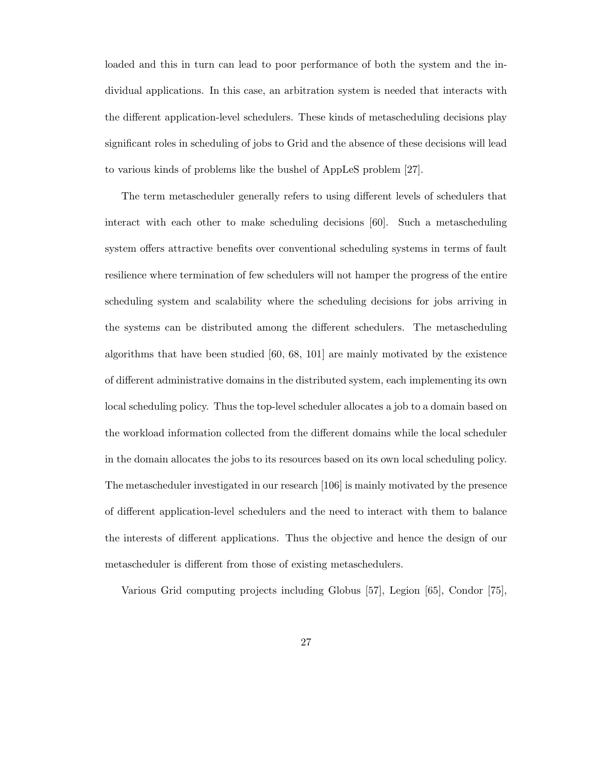loaded and this in turn can lead to poor performance of both the system and the individual applications. In this case, an arbitration system is needed that interacts with the different application-level schedulers. These kinds of metascheduling decisions play significant roles in scheduling of jobs to Grid and the absence of these decisions will lead to various kinds of problems like the bushel of AppLeS problem [27].

The term metascheduler generally refers to using different levels of schedulers that interact with each other to make scheduling decisions [60]. Such a metascheduling system offers attractive benefits over conventional scheduling systems in terms of fault resilience where termination of few schedulers will not hamper the progress of the entire scheduling system and scalability where the scheduling decisions for jobs arriving in the systems can be distributed among the different schedulers. The metascheduling algorithms that have been studied [60, 68, 101] are mainly motivated by the existence of different administrative domains in the distributed system, each implementing its own local scheduling policy. Thus the top-level scheduler allocates a job to a domain based on the workload information collected from the different domains while the local scheduler in the domain allocates the jobs to its resources based on its own local scheduling policy. The metascheduler investigated in our research [106] is mainly motivated by the presence of different application-level schedulers and the need to interact with them to balance the interests of different applications. Thus the objective and hence the design of our metascheduler is different from those of existing metaschedulers.

Various Grid computing projects including Globus [57], Legion [65], Condor [75],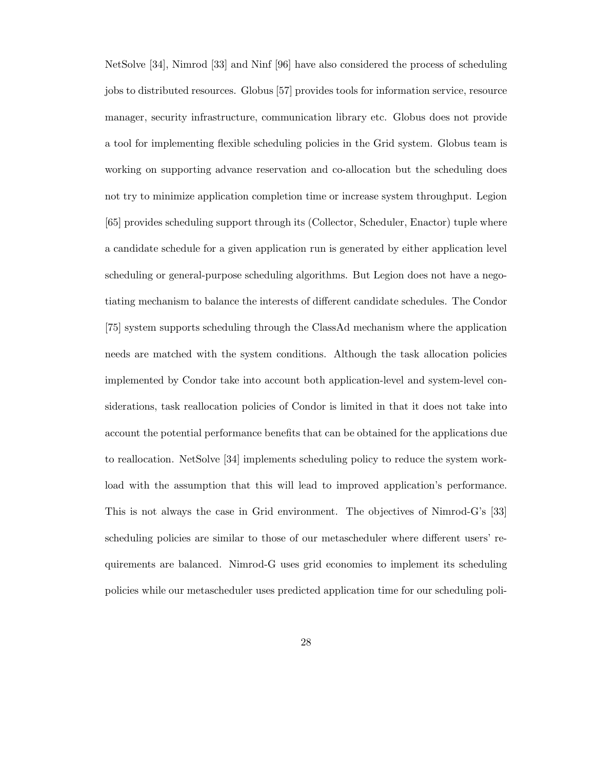NetSolve [34], Nimrod [33] and Ninf [96] have also considered the process of scheduling jobs to distributed resources. Globus [57] provides tools for information service, resource manager, security infrastructure, communication library etc. Globus does not provide a tool for implementing flexible scheduling policies in the Grid system. Globus team is working on supporting advance reservation and co-allocation but the scheduling does not try to minimize application completion time or increase system throughput. Legion [65] provides scheduling support through its (Collector, Scheduler, Enactor) tuple where a candidate schedule for a given application run is generated by either application level scheduling or general-purpose scheduling algorithms. But Legion does not have a negotiating mechanism to balance the interests of different candidate schedules. The Condor [75] system supports scheduling through the ClassAd mechanism where the application needs are matched with the system conditions. Although the task allocation policies implemented by Condor take into account both application-level and system-level considerations, task reallocation policies of Condor is limited in that it does not take into account the potential performance benefits that can be obtained for the applications due to reallocation. NetSolve [34] implements scheduling policy to reduce the system workload with the assumption that this will lead to improved application's performance. This is not always the case in Grid environment. The objectives of Nimrod-G's [33] scheduling policies are similar to those of our metascheduler where different users' requirements are balanced. Nimrod-G uses grid economies to implement its scheduling policies while our metascheduler uses predicted application time for our scheduling poli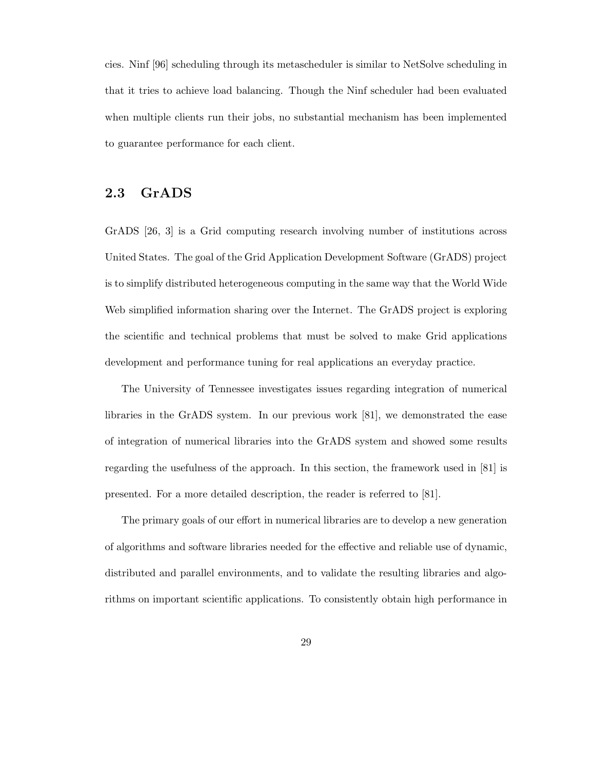cies. Ninf [96] scheduling through its metascheduler is similar to NetSolve scheduling in that it tries to achieve load balancing. Though the Ninf scheduler had been evaluated when multiple clients run their jobs, no substantial mechanism has been implemented to guarantee performance for each client.

## **2.3 GrADS**

GrADS [26, 3] is a Grid computing research involving number of institutions across United States. The goal of the Grid Application Development Software (GrADS) project is to simplify distributed heterogeneous computing in the same way that the World Wide Web simplified information sharing over the Internet. The GrADS project is exploring the scientific and technical problems that must be solved to make Grid applications development and performance tuning for real applications an everyday practice.

The University of Tennessee investigates issues regarding integration of numerical libraries in the GrADS system. In our previous work [81], we demonstrated the ease of integration of numerical libraries into the GrADS system and showed some results regarding the usefulness of the approach. In this section, the framework used in [81] is presented. For a more detailed description, the reader is referred to [81].

The primary goals of our effort in numerical libraries are to develop a new generation of algorithms and software libraries needed for the effective and reliable use of dynamic, distributed and parallel environments, and to validate the resulting libraries and algorithms on important scientific applications. To consistently obtain high performance in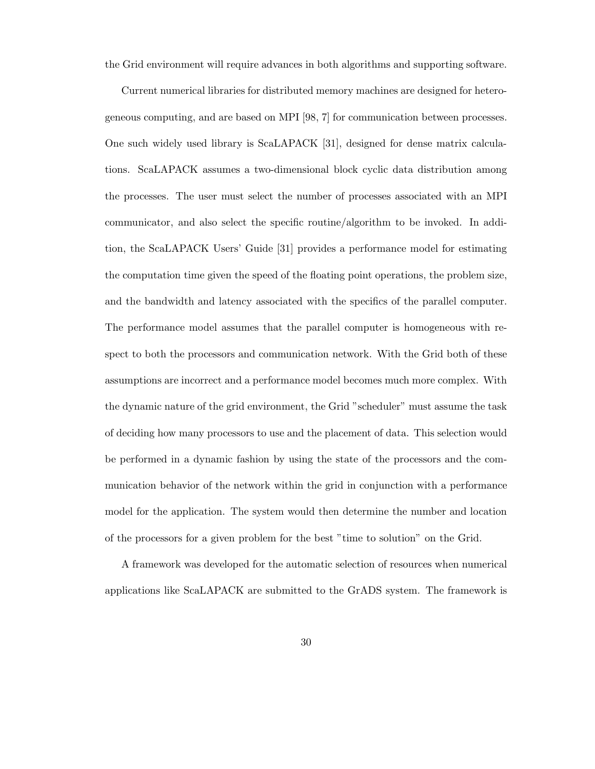the Grid environment will require advances in both algorithms and supporting software.

Current numerical libraries for distributed memory machines are designed for heterogeneous computing, and are based on MPI [98, 7] for communication between processes. One such widely used library is ScaLAPACK [31], designed for dense matrix calculations. ScaLAPACK assumes a two-dimensional block cyclic data distribution among the processes. The user must select the number of processes associated with an MPI communicator, and also select the specific routine/algorithm to be invoked. In addition, the ScaLAPACK Users' Guide [31] provides a performance model for estimating the computation time given the speed of the floating point operations, the problem size, and the bandwidth and latency associated with the specifics of the parallel computer. The performance model assumes that the parallel computer is homogeneous with respect to both the processors and communication network. With the Grid both of these assumptions are incorrect and a performance model becomes much more complex. With the dynamic nature of the grid environment, the Grid "scheduler" must assume the task of deciding how many processors to use and the placement of data. This selection would be performed in a dynamic fashion by using the state of the processors and the communication behavior of the network within the grid in conjunction with a performance model for the application. The system would then determine the number and location of the processors for a given problem for the best "time to solution" on the Grid.

A framework was developed for the automatic selection of resources when numerical applications like ScaLAPACK are submitted to the GrADS system. The framework is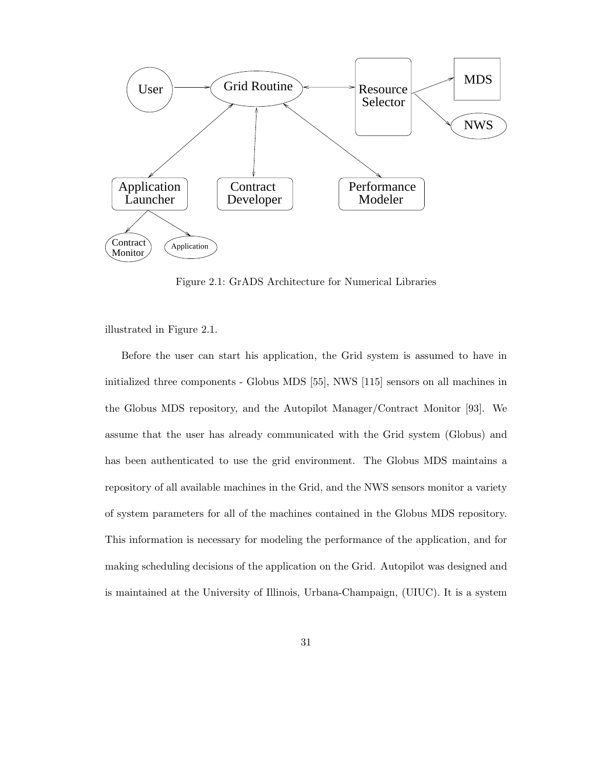

Figure 2.1: GrADS Architecture for Numerical Libraries

illustrated in Figure 2.1.

Before the user can start his application, the Grid system is assumed to have in initialized three components - Globus MDS [55], NWS [115] sensors on all machines in the Globus MDS repository, and the Autopilot Manager/Contract Monitor [93]. We assume that the user has already communicated with the Grid system (Globus) and has been authenticated to use the grid environment. The Globus MDS maintains a repository of all available machines in the Grid, and the NWS sensors monitor a variety of system parameters for all of the machines contained in the Globus MDS repository. This information is necessary for modeling the performance of the application, and for making scheduling decisions of the application on the Grid. Autopilot was designed and is maintained at the University of Illinois, Urbana-Champaign, (UIUC). It is a system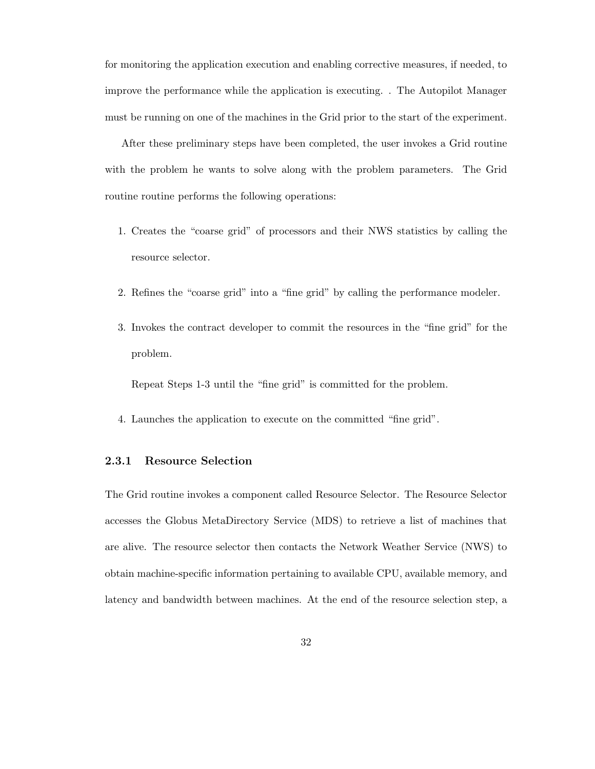for monitoring the application execution and enabling corrective measures, if needed, to improve the performance while the application is executing. . The Autopilot Manager must be running on one of the machines in the Grid prior to the start of the experiment.

After these preliminary steps have been completed, the user invokes a Grid routine with the problem he wants to solve along with the problem parameters. The Grid routine routine performs the following operations:

- 1. Creates the "coarse grid" of processors and their NWS statistics by calling the resource selector.
- 2. Refines the "coarse grid" into a "fine grid" by calling the performance modeler.
- 3. Invokes the contract developer to commit the resources in the "fine grid" for the problem.

Repeat Steps 1-3 until the "fine grid" is committed for the problem.

4. Launches the application to execute on the committed "fine grid".

#### **2.3.1 Resource Selection**

The Grid routine invokes a component called Resource Selector. The Resource Selector accesses the Globus MetaDirectory Service (MDS) to retrieve a list of machines that are alive. The resource selector then contacts the Network Weather Service (NWS) to obtain machine-specific information pertaining to available CPU, available memory, and latency and bandwidth between machines. At the end of the resource selection step, a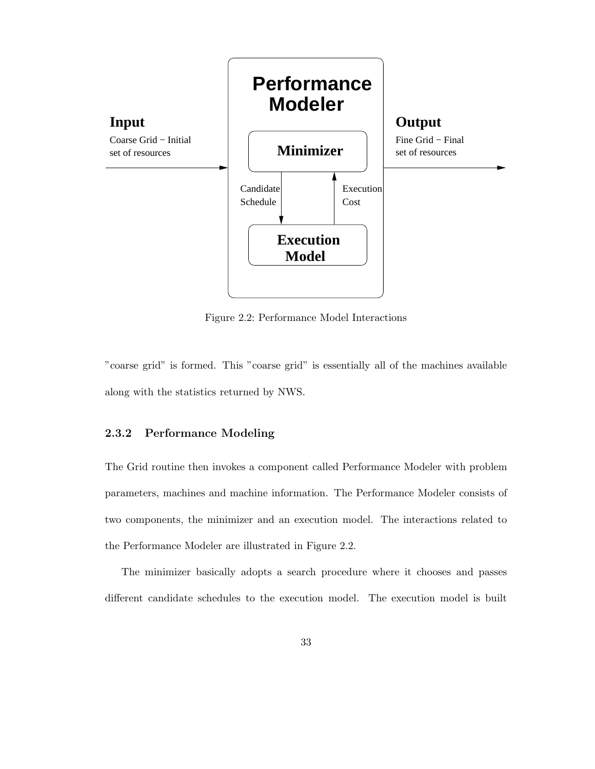

Figure 2.2: Performance Model Interactions

"coarse grid" is formed. This "coarse grid" is essentially all of the machines available along with the statistics returned by NWS.

#### **2.3.2 Performance Modeling**

The Grid routine then invokes a component called Performance Modeler with problem parameters, machines and machine information. The Performance Modeler consists of two components, the minimizer and an execution model. The interactions related to the Performance Modeler are illustrated in Figure 2.2.

The minimizer basically adopts a search procedure where it chooses and passes different candidate schedules to the execution model. The execution model is built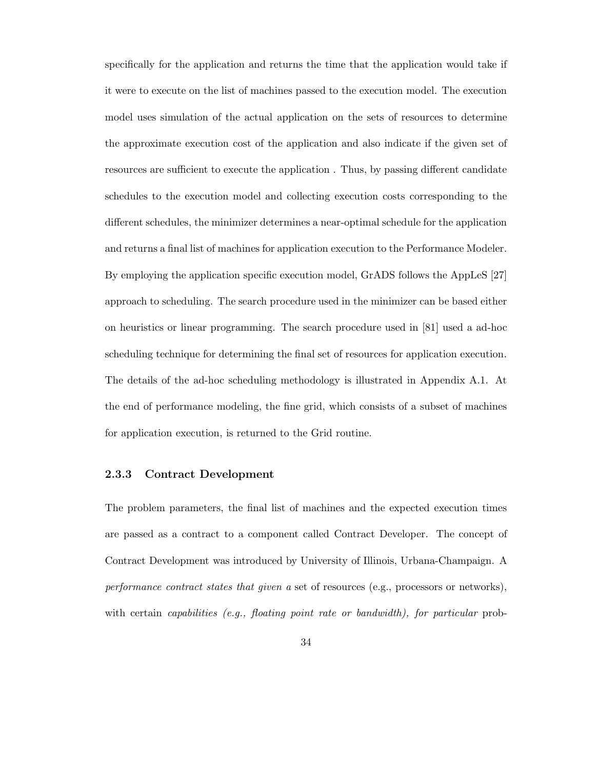specifically for the application and returns the time that the application would take if it were to execute on the list of machines passed to the execution model. The execution model uses simulation of the actual application on the sets of resources to determine the approximate execution cost of the application and also indicate if the given set of resources are sufficient to execute the application . Thus, by passing different candidate schedules to the execution model and collecting execution costs corresponding to the different schedules, the minimizer determines a near-optimal schedule for the application and returns a final list of machines for application execution to the Performance Modeler. By employing the application specific execution model, GrADS follows the AppLeS [27] approach to scheduling. The search procedure used in the minimizer can be based either on heuristics or linear programming. The search procedure used in [81] used a ad-hoc scheduling technique for determining the final set of resources for application execution. The details of the ad-hoc scheduling methodology is illustrated in Appendix A.1. At the end of performance modeling, the fine grid, which consists of a subset of machines for application execution, is returned to the Grid routine.

#### **2.3.3 Contract Development**

The problem parameters, the final list of machines and the expected execution times are passed as a contract to a component called Contract Developer. The concept of Contract Development was introduced by University of Illinois, Urbana-Champaign. A *performance contract states that given a* set of resources (e.g., processors or networks), with certain *capabilities (e.g., floating point rate or bandwidth), for particular* prob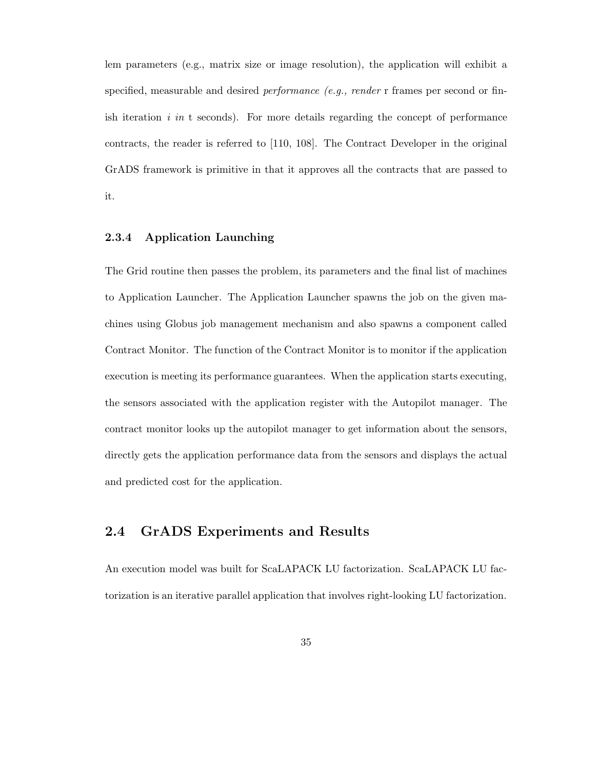lem parameters (e.g., matrix size or image resolution), the application will exhibit a specified, measurable and desired *performance (e.g., render* r frames per second or finish iteration *i in* t seconds). For more details regarding the concept of performance contracts, the reader is referred to [110, 108]. The Contract Developer in the original GrADS framework is primitive in that it approves all the contracts that are passed to it.

#### **2.3.4 Application Launching**

The Grid routine then passes the problem, its parameters and the final list of machines to Application Launcher. The Application Launcher spawns the job on the given machines using Globus job management mechanism and also spawns a component called Contract Monitor. The function of the Contract Monitor is to monitor if the application execution is meeting its performance guarantees. When the application starts executing, the sensors associated with the application register with the Autopilot manager. The contract monitor looks up the autopilot manager to get information about the sensors, directly gets the application performance data from the sensors and displays the actual and predicted cost for the application.

## **2.4 GrADS Experiments and Results**

An execution model was built for ScaLAPACK LU factorization. ScaLAPACK LU factorization is an iterative parallel application that involves right-looking LU factorization.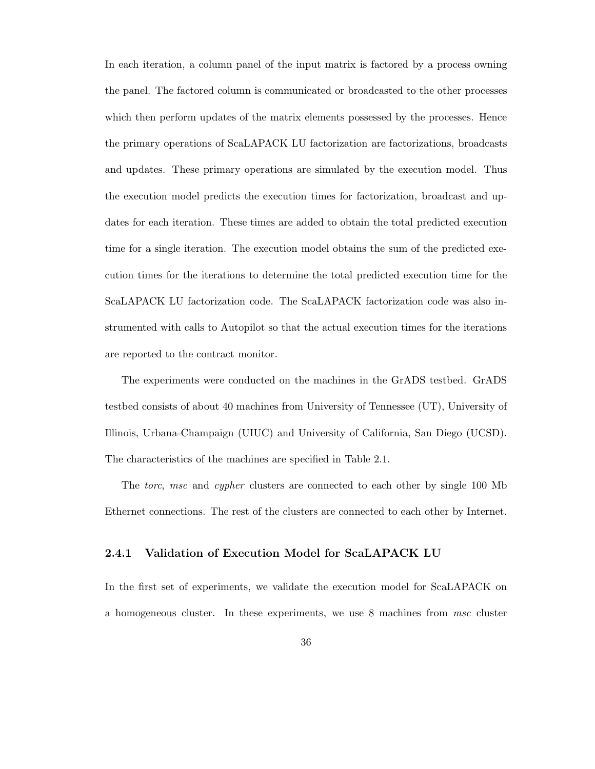In each iteration, a column panel of the input matrix is factored by a process owning the panel. The factored column is communicated or broadcasted to the other processes which then perform updates of the matrix elements possessed by the processes. Hence the primary operations of ScaLAPACK LU factorization are factorizations, broadcasts and updates. These primary operations are simulated by the execution model. Thus the execution model predicts the execution times for factorization, broadcast and updates for each iteration. These times are added to obtain the total predicted execution time for a single iteration. The execution model obtains the sum of the predicted execution times for the iterations to determine the total predicted execution time for the ScaLAPACK LU factorization code. The ScaLAPACK factorization code was also instrumented with calls to Autopilot so that the actual execution times for the iterations are reported to the contract monitor.

The experiments were conducted on the machines in the GrADS testbed. GrADS testbed consists of about 40 machines from University of Tennessee (UT), University of Illinois, Urbana-Champaign (UIUC) and University of California, San Diego (UCSD). The characteristics of the machines are specified in Table 2.1.

The *torc*, *msc* and *cypher* clusters are connected to each other by single 100 Mb Ethernet connections. The rest of the clusters are connected to each other by Internet.

#### **2.4.1 Validation of Execution Model for ScaLAPACK LU**

In the first set of experiments, we validate the execution model for ScaLAPACK on a homogeneous cluster. In these experiments, we use 8 machines from *msc* cluster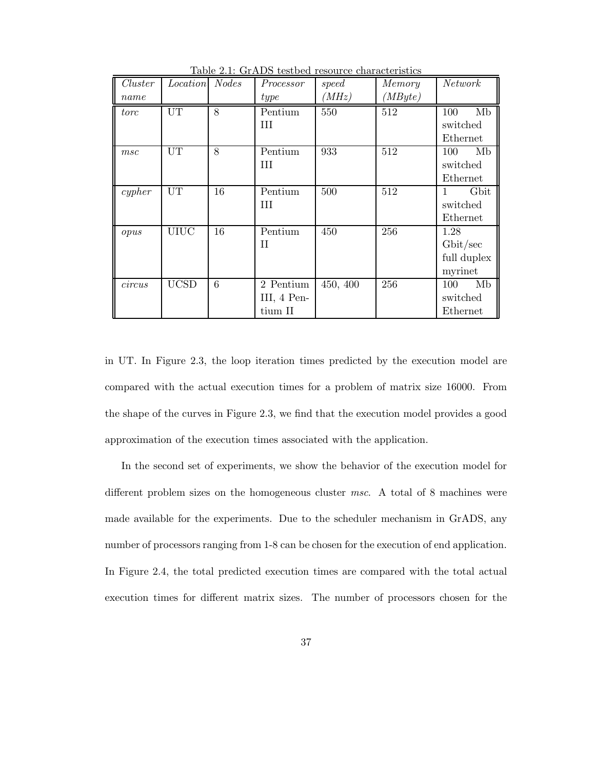| Cluster | Location               | <b>Nodes</b> | Processor   | speed    | Memory  | <b>Network</b> |
|---------|------------------------|--------------|-------------|----------|---------|----------------|
| name    |                        |              | type        | (MHz)    | (MByte) |                |
| torc    | UT                     | 8            | Pentium     | 550      | 512     | 100<br>Mb      |
|         |                        |              | Ш           |          |         | switched       |
|         |                        |              |             |          |         | Ethernet       |
| msc     | $\overline{\text{UT}}$ | 8            | Pentium     | 933      | 512     | Mb<br>100      |
|         |                        |              | Ш           |          |         | switched       |
|         |                        |              |             |          |         | Ethernet       |
| cypher  | UT                     | 16           | Pentium     | 500      | 512     | Gbit<br>1      |
|         |                        |              | Ш           |          |         | switched       |
|         |                        |              |             |          |         | Ethernet       |
| opus    | <b>UIUC</b>            | 16           | Pentium     | 450      | 256     | 1.28           |
|         |                        |              | П           |          |         | Gbit/sec       |
|         |                        |              |             |          |         | full duplex    |
|         |                        |              |             |          |         | myrinet        |
| circus  | <b>UCSD</b>            | 6            | 2 Pentium   | 450, 400 | 256     | Mb<br>100      |
|         |                        |              | III, 4 Pen- |          |         | switched       |
|         |                        |              | tium II     |          |         | Ethernet       |

Table 2.1: GrADS testbed resource characteristics

in UT. In Figure 2.3, the loop iteration times predicted by the execution model are compared with the actual execution times for a problem of matrix size 16000. From the shape of the curves in Figure 2.3, we find that the execution model provides a good approximation of the execution times associated with the application.

In the second set of experiments, we show the behavior of the execution model for different problem sizes on the homogeneous cluster *msc*. A total of 8 machines were made available for the experiments. Due to the scheduler mechanism in GrADS, any number of processors ranging from 1-8 can be chosen for the execution of end application. In Figure 2.4, the total predicted execution times are compared with the total actual execution times for different matrix sizes. The number of processors chosen for the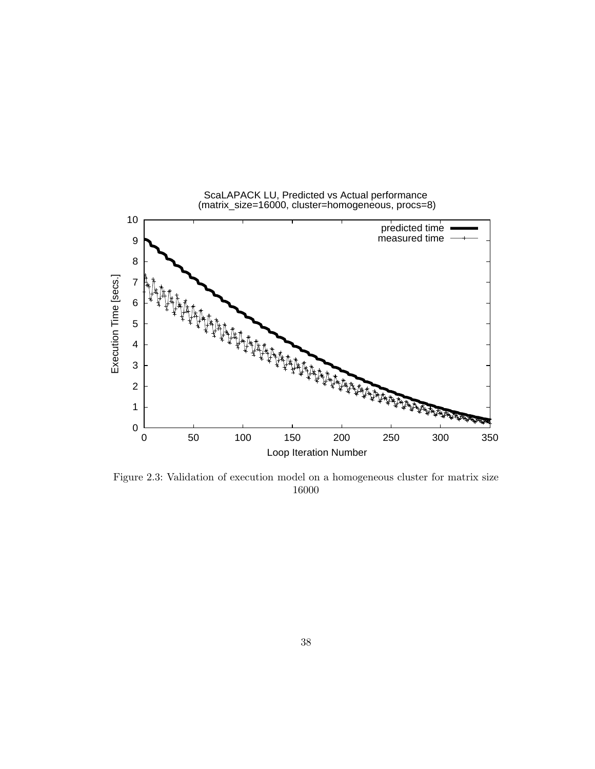

Figure 2.3: Validation of execution model on a homogeneous cluster for matrix size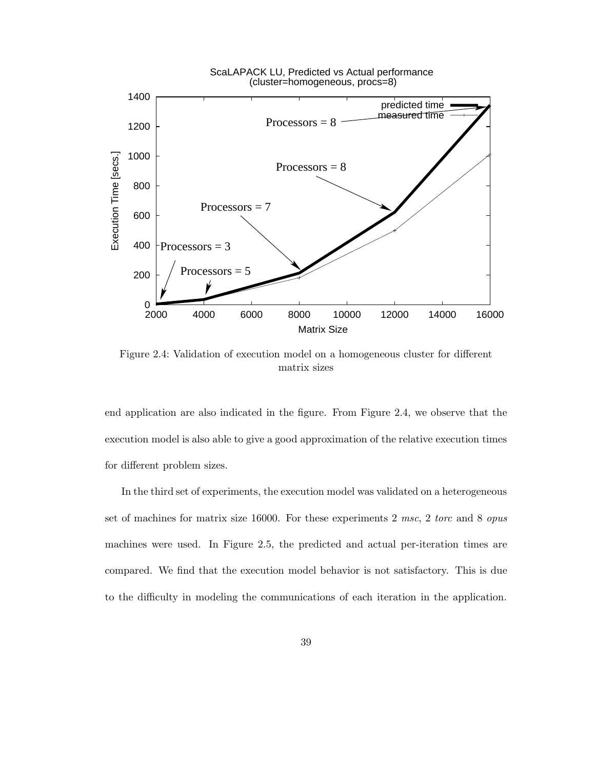

Figure 2.4: Validation of execution model on a homogeneous cluster for different matrix sizes

end application are also indicated in the figure. From Figure 2.4, we observe that the execution model is also able to give a good approximation of the relative execution times for different problem sizes.

In the third set of experiments, the execution model was validated on a heterogeneous set of machines for matrix size 16000. For these experiments 2 *msc*, 2 *torc* and 8 *opus* machines were used. In Figure 2.5, the predicted and actual per-iteration times are compared. We find that the execution model behavior is not satisfactory. This is due to the difficulty in modeling the communications of each iteration in the application.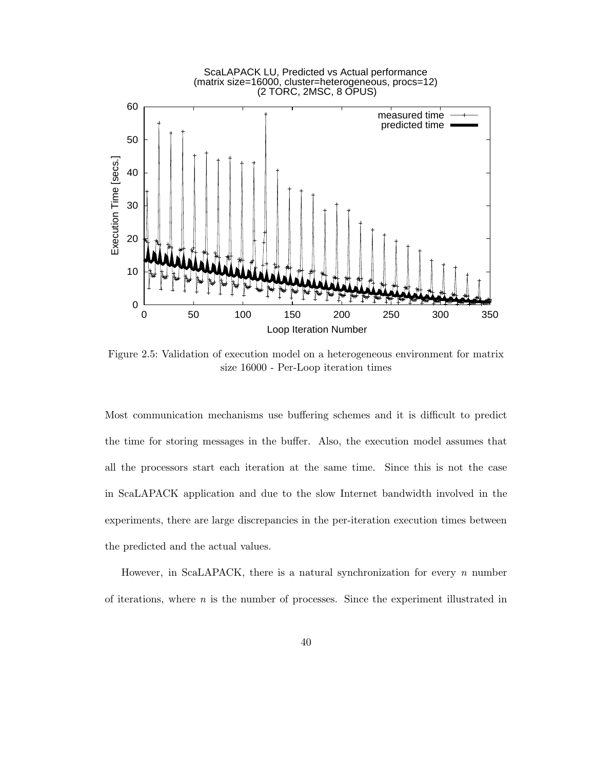

Figure 2.5: Validation of execution model on a heterogeneous environment for matrix size 16000 - Per-Loop iteration times

Most communication mechanisms use buffering schemes and it is difficult to predict the time for storing messages in the buffer. Also, the execution model assumes that all the processors start each iteration at the same time. Since this is not the case in ScaLAPACK application and due to the slow Internet bandwidth involved in the experiments, there are large discrepancies in the per-iteration execution times between the predicted and the actual values.

However, in ScaLAPACK, there is a natural synchronization for every *n* number of iterations, where *n* is the number of processes. Since the experiment illustrated in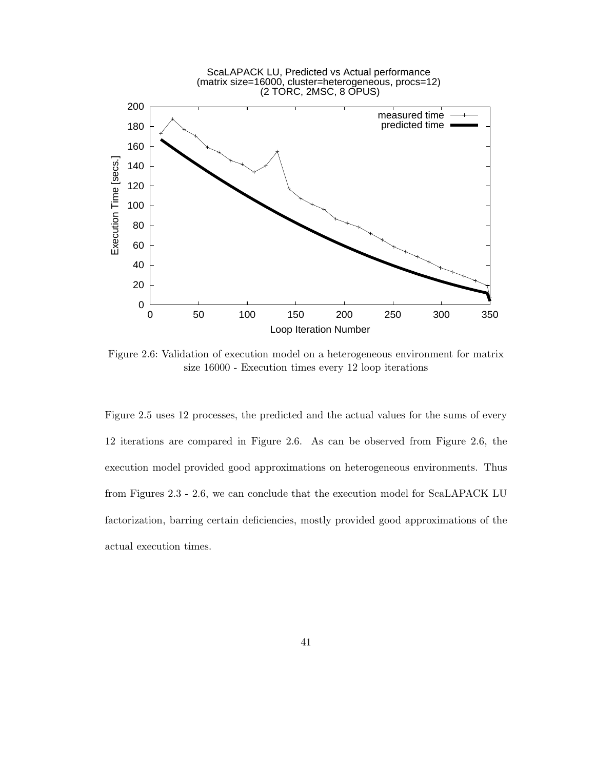

Figure 2.6: Validation of execution model on a heterogeneous environment for matrix size 16000 - Execution times every 12 loop iterations

Figure 2.5 uses 12 processes, the predicted and the actual values for the sums of every 12 iterations are compared in Figure 2.6. As can be observed from Figure 2.6, the execution model provided good approximations on heterogeneous environments. Thus from Figures 2.3 - 2.6, we can conclude that the execution model for ScaLAPACK LU factorization, barring certain deficiencies, mostly provided good approximations of the actual execution times.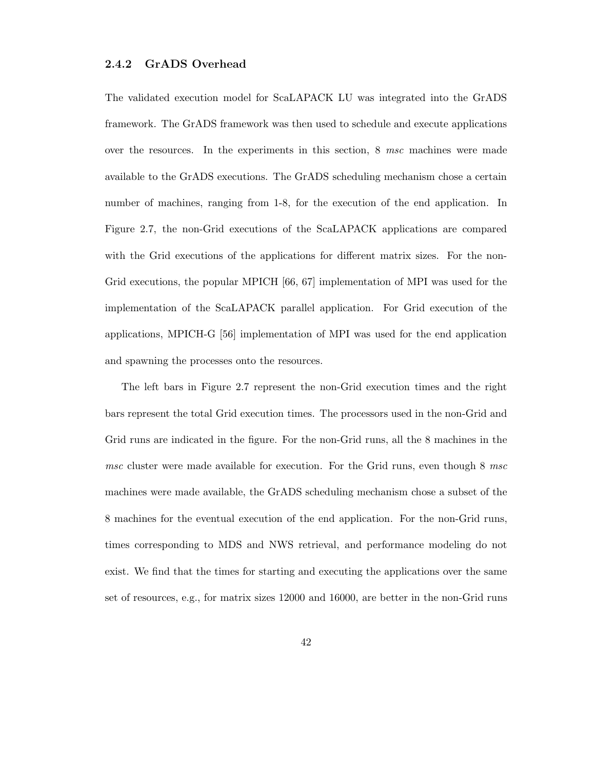#### **2.4.2 GrADS Overhead**

The validated execution model for ScaLAPACK LU was integrated into the GrADS framework. The GrADS framework was then used to schedule and execute applications over the resources. In the experiments in this section, 8 *msc* machines were made available to the GrADS executions. The GrADS scheduling mechanism chose a certain number of machines, ranging from 1-8, for the execution of the end application. In Figure 2.7, the non-Grid executions of the ScaLAPACK applications are compared with the Grid executions of the applications for different matrix sizes. For the non-Grid executions, the popular MPICH [66, 67] implementation of MPI was used for the implementation of the ScaLAPACK parallel application. For Grid execution of the applications, MPICH-G [56] implementation of MPI was used for the end application and spawning the processes onto the resources.

The left bars in Figure 2.7 represent the non-Grid execution times and the right bars represent the total Grid execution times. The processors used in the non-Grid and Grid runs are indicated in the figure. For the non-Grid runs, all the 8 machines in the *msc* cluster were made available for execution. For the Grid runs, even though 8 *msc* machines were made available, the GrADS scheduling mechanism chose a subset of the 8 machines for the eventual execution of the end application. For the non-Grid runs, times corresponding to MDS and NWS retrieval, and performance modeling do not exist. We find that the times for starting and executing the applications over the same set of resources, e.g., for matrix sizes 12000 and 16000, are better in the non-Grid runs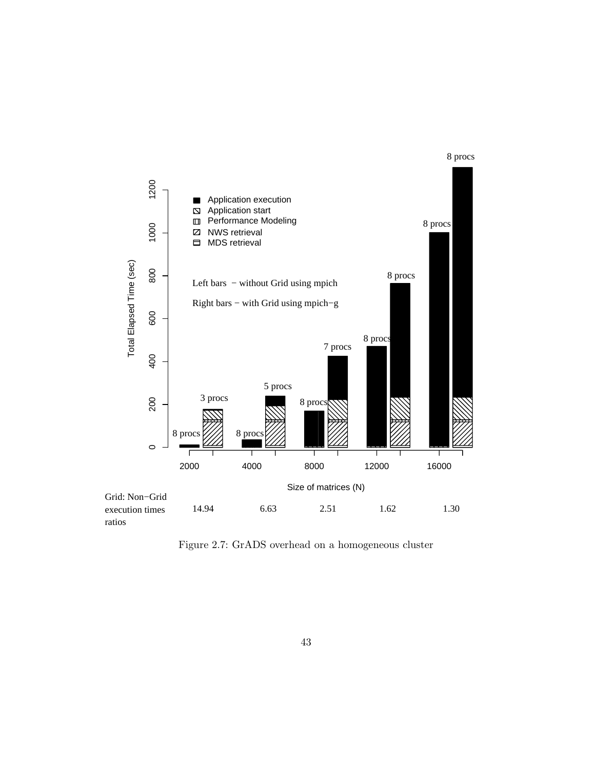

Figure 2.7: GrADS overhead on a homogeneous cluster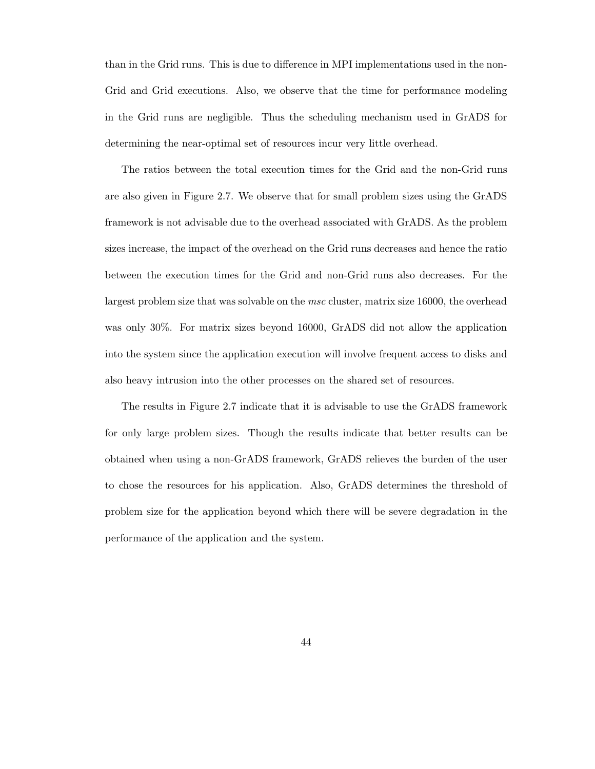than in the Grid runs. This is due to difference in MPI implementations used in the non-Grid and Grid executions. Also, we observe that the time for performance modeling in the Grid runs are negligible. Thus the scheduling mechanism used in GrADS for determining the near-optimal set of resources incur very little overhead.

The ratios between the total execution times for the Grid and the non-Grid runs are also given in Figure 2.7. We observe that for small problem sizes using the GrADS framework is not advisable due to the overhead associated with GrADS. As the problem sizes increase, the impact of the overhead on the Grid runs decreases and hence the ratio between the execution times for the Grid and non-Grid runs also decreases. For the largest problem size that was solvable on the *msc* cluster, matrix size 16000, the overhead was only 30%. For matrix sizes beyond 16000, GrADS did not allow the application into the system since the application execution will involve frequent access to disks and also heavy intrusion into the other processes on the shared set of resources.

The results in Figure 2.7 indicate that it is advisable to use the GrADS framework for only large problem sizes. Though the results indicate that better results can be obtained when using a non-GrADS framework, GrADS relieves the burden of the user to chose the resources for his application. Also, GrADS determines the threshold of problem size for the application beyond which there will be severe degradation in the performance of the application and the system.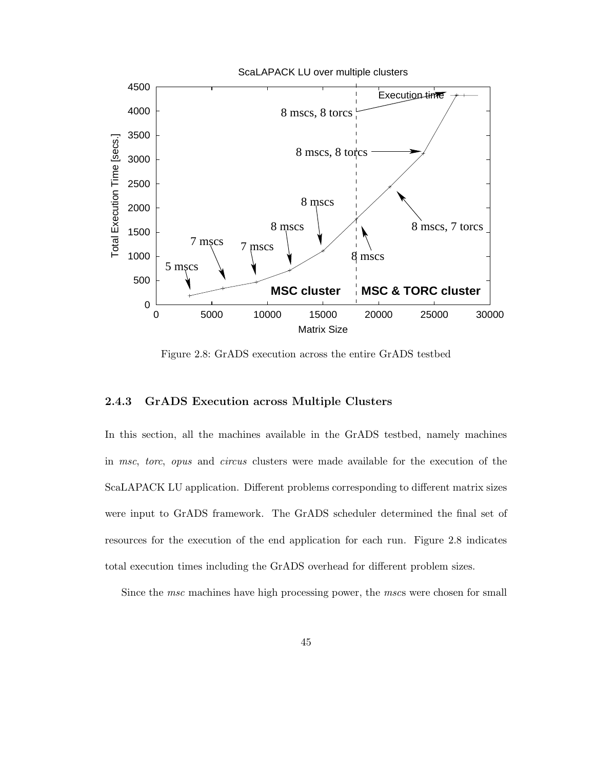

Figure 2.8: GrADS execution across the entire GrADS testbed

#### **2.4.3 GrADS Execution across Multiple Clusters**

In this section, all the machines available in the GrADS testbed, namely machines in *msc*, *torc*, *opus* and *circus* clusters were made available for the execution of the ScaLAPACK LU application. Different problems corresponding to different matrix sizes were input to GrADS framework. The GrADS scheduler determined the final set of resources for the execution of the end application for each run. Figure 2.8 indicates total execution times including the GrADS overhead for different problem sizes.

Since the *msc* machines have high processing power, the *msc*s were chosen for small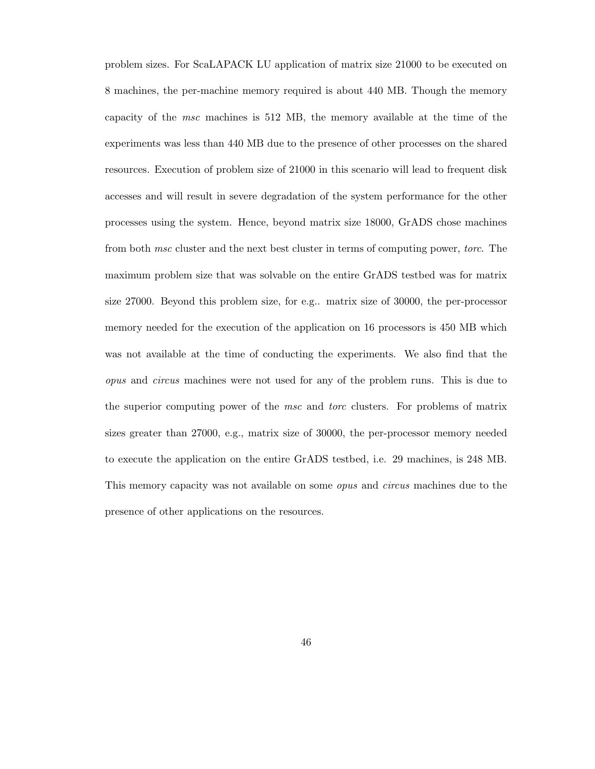problem sizes. For ScaLAPACK LU application of matrix size 21000 to be executed on 8 machines, the per-machine memory required is about 440 MB. Though the memory capacity of the *msc* machines is 512 MB, the memory available at the time of the experiments was less than 440 MB due to the presence of other processes on the shared resources. Execution of problem size of 21000 in this scenario will lead to frequent disk accesses and will result in severe degradation of the system performance for the other processes using the system. Hence, beyond matrix size 18000, GrADS chose machines from both *msc* cluster and the next best cluster in terms of computing power, *torc*. The maximum problem size that was solvable on the entire GrADS testbed was for matrix size 27000. Beyond this problem size, for e.g.. matrix size of 30000, the per-processor memory needed for the execution of the application on 16 processors is 450 MB which was not available at the time of conducting the experiments. We also find that the *opus* and *circus* machines were not used for any of the problem runs. This is due to the superior computing power of the *msc* and *torc* clusters. For problems of matrix sizes greater than 27000, e.g., matrix size of 30000, the per-processor memory needed to execute the application on the entire GrADS testbed, i.e. 29 machines, is 248 MB. This memory capacity was not available on some *opus* and *circus* machines due to the presence of other applications on the resources.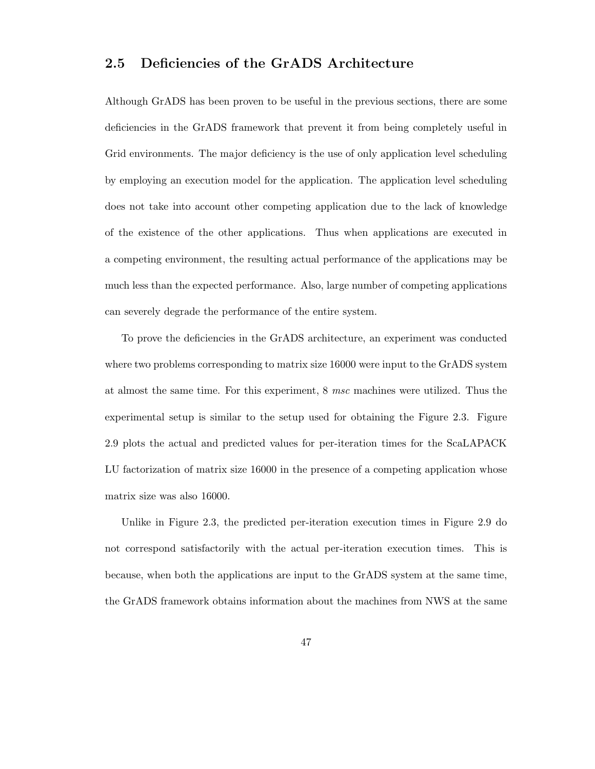## **2.5 Deficiencies of the GrADS Architecture**

Although GrADS has been proven to be useful in the previous sections, there are some deficiencies in the GrADS framework that prevent it from being completely useful in Grid environments. The major deficiency is the use of only application level scheduling by employing an execution model for the application. The application level scheduling does not take into account other competing application due to the lack of knowledge of the existence of the other applications. Thus when applications are executed in a competing environment, the resulting actual performance of the applications may be much less than the expected performance. Also, large number of competing applications can severely degrade the performance of the entire system.

To prove the deficiencies in the GrADS architecture, an experiment was conducted where two problems corresponding to matrix size 16000 were input to the GrADS system at almost the same time. For this experiment, 8 *msc* machines were utilized. Thus the experimental setup is similar to the setup used for obtaining the Figure 2.3. Figure 2.9 plots the actual and predicted values for per-iteration times for the ScaLAPACK LU factorization of matrix size 16000 in the presence of a competing application whose matrix size was also 16000.

Unlike in Figure 2.3, the predicted per-iteration execution times in Figure 2.9 do not correspond satisfactorily with the actual per-iteration execution times. This is because, when both the applications are input to the GrADS system at the same time, the GrADS framework obtains information about the machines from NWS at the same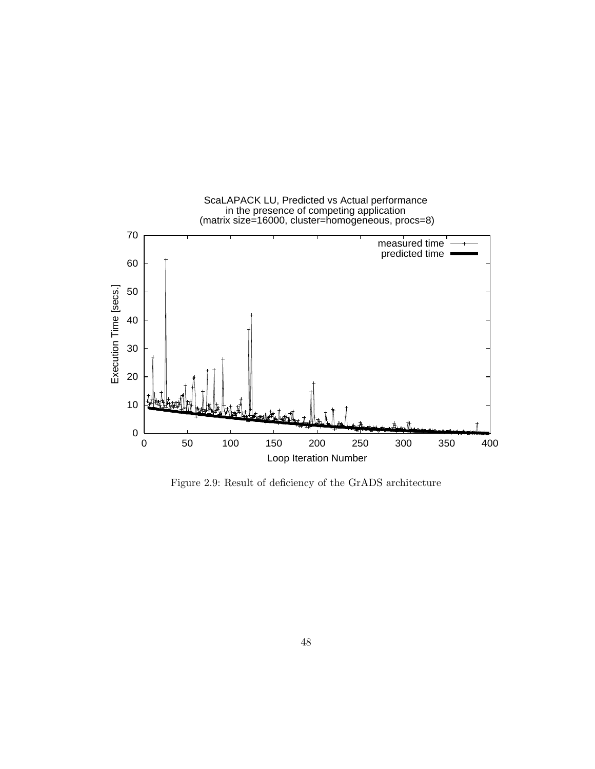

Figure 2.9: Result of deficiency of the GrADS architecture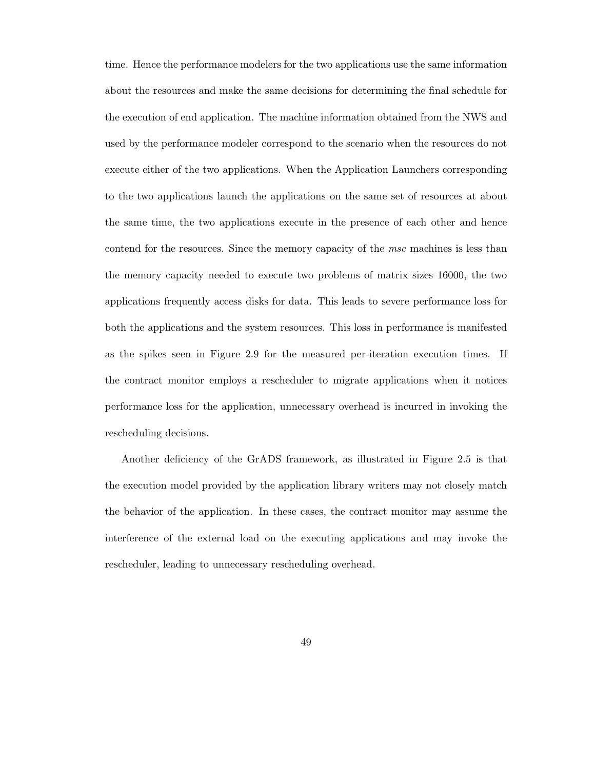time. Hence the performance modelers for the two applications use the same information about the resources and make the same decisions for determining the final schedule for the execution of end application. The machine information obtained from the NWS and used by the performance modeler correspond to the scenario when the resources do not execute either of the two applications. When the Application Launchers corresponding to the two applications launch the applications on the same set of resources at about the same time, the two applications execute in the presence of each other and hence contend for the resources. Since the memory capacity of the *msc* machines is less than the memory capacity needed to execute two problems of matrix sizes 16000, the two applications frequently access disks for data. This leads to severe performance loss for both the applications and the system resources. This loss in performance is manifested as the spikes seen in Figure 2.9 for the measured per-iteration execution times. If the contract monitor employs a rescheduler to migrate applications when it notices performance loss for the application, unnecessary overhead is incurred in invoking the rescheduling decisions.

Another deficiency of the GrADS framework, as illustrated in Figure 2.5 is that the execution model provided by the application library writers may not closely match the behavior of the application. In these cases, the contract monitor may assume the interference of the external load on the executing applications and may invoke the rescheduler, leading to unnecessary rescheduling overhead.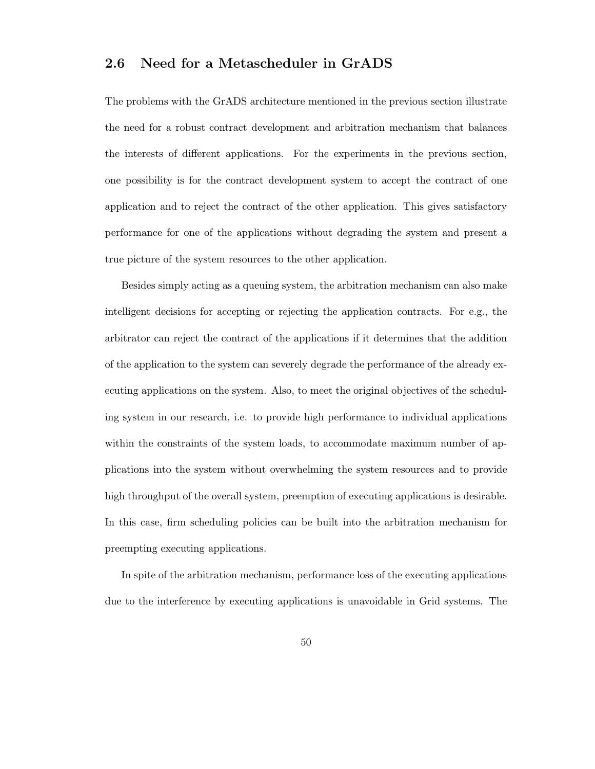## **2.6 Need for a Metascheduler in GrADS**

The problems with the GrADS architecture mentioned in the previous section illustrate the need for a robust contract development and arbitration mechanism that balances the interests of different applications. For the experiments in the previous section, one possibility is for the contract development system to accept the contract of one application and to reject the contract of the other application. This gives satisfactory performance for one of the applications without degrading the system and present a true picture of the system resources to the other application.

Besides simply acting as a queuing system, the arbitration mechanism can also make intelligent decisions for accepting or rejecting the application contracts. For e.g., the arbitrator can reject the contract of the applications if it determines that the addition of the application to the system can severely degrade the performance of the already executing applications on the system. Also, to meet the original objectives of the scheduling system in our research, i.e. to provide high performance to individual applications within the constraints of the system loads, to accommodate maximum number of applications into the system without overwhelming the system resources and to provide high throughput of the overall system, preemption of executing applications is desirable. In this case, firm scheduling policies can be built into the arbitration mechanism for preempting executing applications.

In spite of the arbitration mechanism, performance loss of the executing applications due to the interference by executing applications is unavoidable in Grid systems. The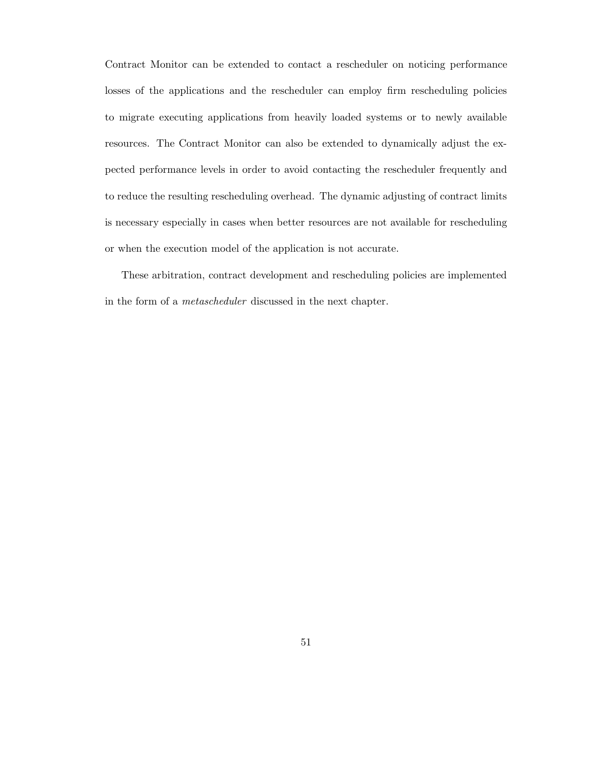Contract Monitor can be extended to contact a rescheduler on noticing performance losses of the applications and the rescheduler can employ firm rescheduling policies to migrate executing applications from heavily loaded systems or to newly available resources. The Contract Monitor can also be extended to dynamically adjust the expected performance levels in order to avoid contacting the rescheduler frequently and to reduce the resulting rescheduling overhead. The dynamic adjusting of contract limits is necessary especially in cases when better resources are not available for rescheduling or when the execution model of the application is not accurate.

These arbitration, contract development and rescheduling policies are implemented in the form of a *metascheduler* discussed in the next chapter.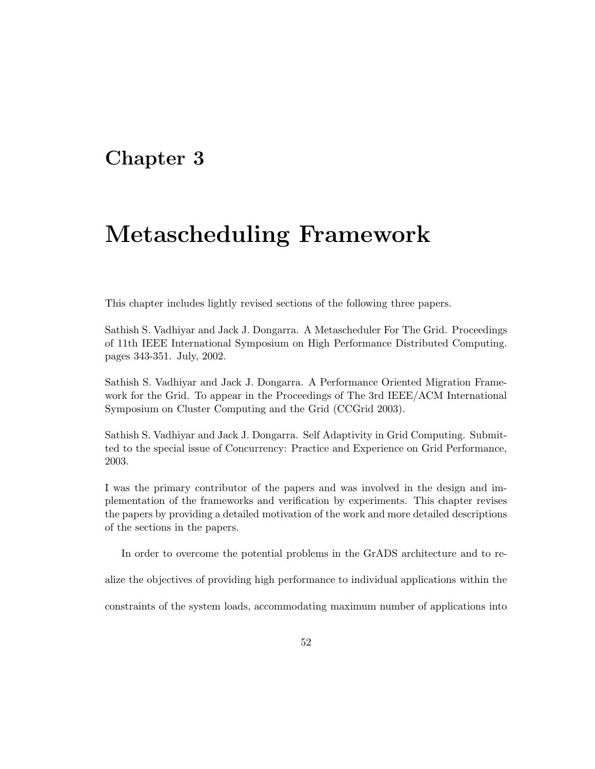## **Chapter 3**

# **Metascheduling Framework**

This chapter includes lightly revised sections of the following three papers.

Sathish S. Vadhiyar and Jack J. Dongarra. A Metascheduler For The Grid. Proceedings of 11th IEEE International Symposium on High Performance Distributed Computing. pages 343-351. July, 2002.

Sathish S. Vadhiyar and Jack J. Dongarra. A Performance Oriented Migration Framework for the Grid. To appear in the Proceedings of The 3rd IEEE/ACM International Symposium on Cluster Computing and the Grid (CCGrid 2003).

Sathish S. Vadhiyar and Jack J. Dongarra. Self Adaptivity in Grid Computing. Submitted to the special issue of Concurrency: Practice and Experience on Grid Performance, 2003.

I was the primary contributor of the papers and was involved in the design and implementation of the frameworks and verification by experiments. This chapter revises the papers by providing a detailed motivation of the work and more detailed descriptions of the sections in the papers.

In order to overcome the potential problems in the GrADS architecture and to re-

alize the objectives of providing high performance to individual applications within the

constraints of the system loads, accommodating maximum number of applications into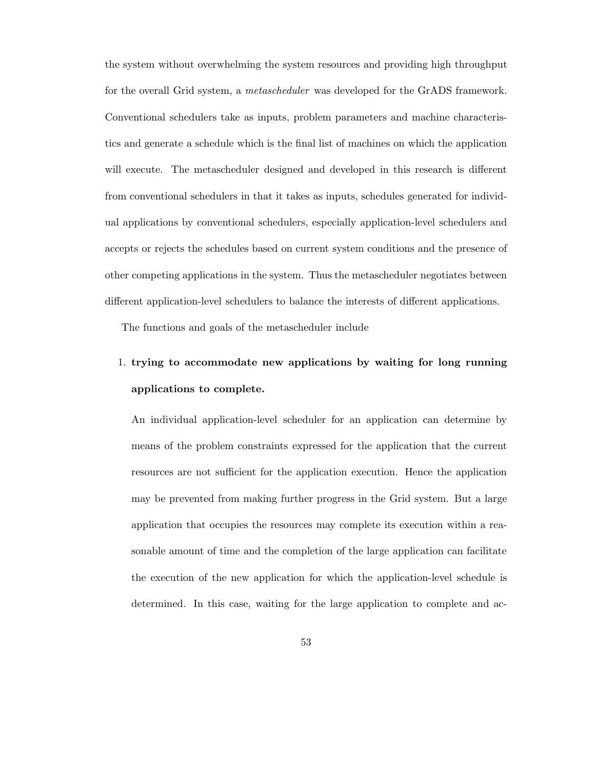the system without overwhelming the system resources and providing high throughput for the overall Grid system, a *metascheduler* was developed for the GrADS framework. Conventional schedulers take as inputs, problem parameters and machine characteristics and generate a schedule which is the final list of machines on which the application will execute. The metascheduler designed and developed in this research is different from conventional schedulers in that it takes as inputs, schedules generated for individual applications by conventional schedulers, especially application-level schedulers and accepts or rejects the schedules based on current system conditions and the presence of other competing applications in the system. Thus the metascheduler negotiates between different application-level schedulers to balance the interests of different applications.

The functions and goals of the metascheduler include

# 1. **trying to accommodate new applications by waiting for long running applications to complete.**

An individual application-level scheduler for an application can determine by means of the problem constraints expressed for the application that the current resources are not sufficient for the application execution. Hence the application may be prevented from making further progress in the Grid system. But a large application that occupies the resources may complete its execution within a reasonable amount of time and the completion of the large application can facilitate the execution of the new application for which the application-level schedule is determined. In this case, waiting for the large application to complete and ac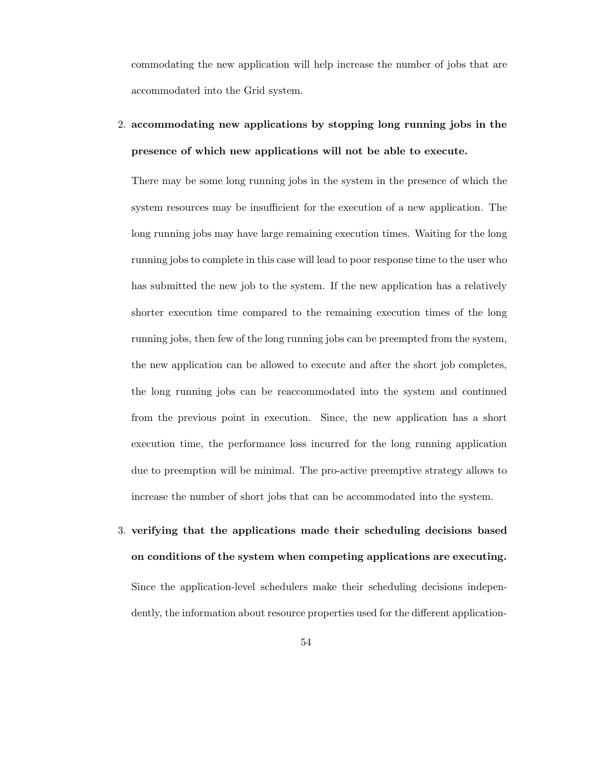commodating the new application will help increase the number of jobs that are accommodated into the Grid system.

2. **accommodating new applications by stopping long running jobs in the presence of which new applications will not be able to execute.**

There may be some long running jobs in the system in the presence of which the system resources may be insufficient for the execution of a new application. The long running jobs may have large remaining execution times. Waiting for the long running jobs to complete in this case will lead to poor response time to the user who has submitted the new job to the system. If the new application has a relatively shorter execution time compared to the remaining execution times of the long running jobs, then few of the long running jobs can be preempted from the system, the new application can be allowed to execute and after the short job completes, the long running jobs can be reaccommodated into the system and continued from the previous point in execution. Since, the new application has a short execution time, the performance loss incurred for the long running application due to preemption will be minimal. The pro-active preemptive strategy allows to increase the number of short jobs that can be accommodated into the system.

3. **verifying that the applications made their scheduling decisions based on conditions of the system when competing applications are executing.** Since the application-level schedulers make their scheduling decisions independently, the information about resource properties used for the different application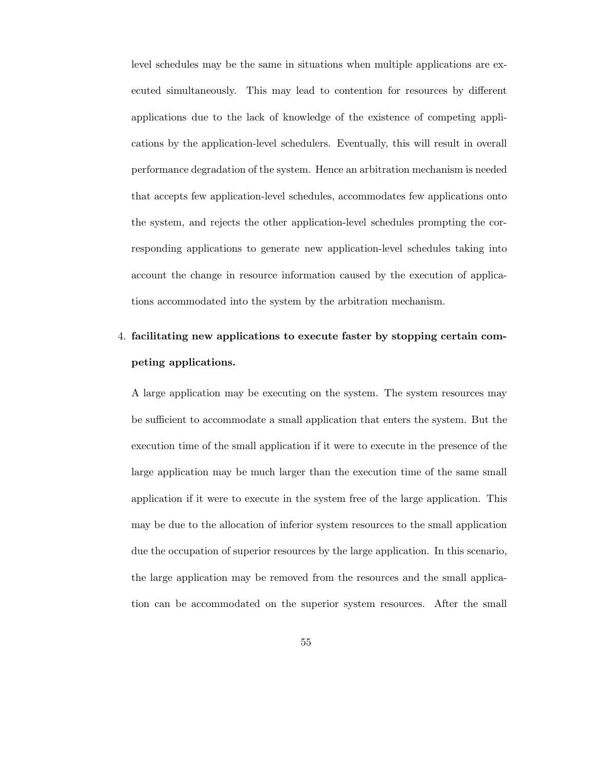level schedules may be the same in situations when multiple applications are executed simultaneously. This may lead to contention for resources by different applications due to the lack of knowledge of the existence of competing applications by the application-level schedulers. Eventually, this will result in overall performance degradation of the system. Hence an arbitration mechanism is needed that accepts few application-level schedules, accommodates few applications onto the system, and rejects the other application-level schedules prompting the corresponding applications to generate new application-level schedules taking into account the change in resource information caused by the execution of applications accommodated into the system by the arbitration mechanism.

# 4. **facilitating new applications to execute faster by stopping certain competing applications.**

A large application may be executing on the system. The system resources may be sufficient to accommodate a small application that enters the system. But the execution time of the small application if it were to execute in the presence of the large application may be much larger than the execution time of the same small application if it were to execute in the system free of the large application. This may be due to the allocation of inferior system resources to the small application due the occupation of superior resources by the large application. In this scenario, the large application may be removed from the resources and the small application can be accommodated on the superior system resources. After the small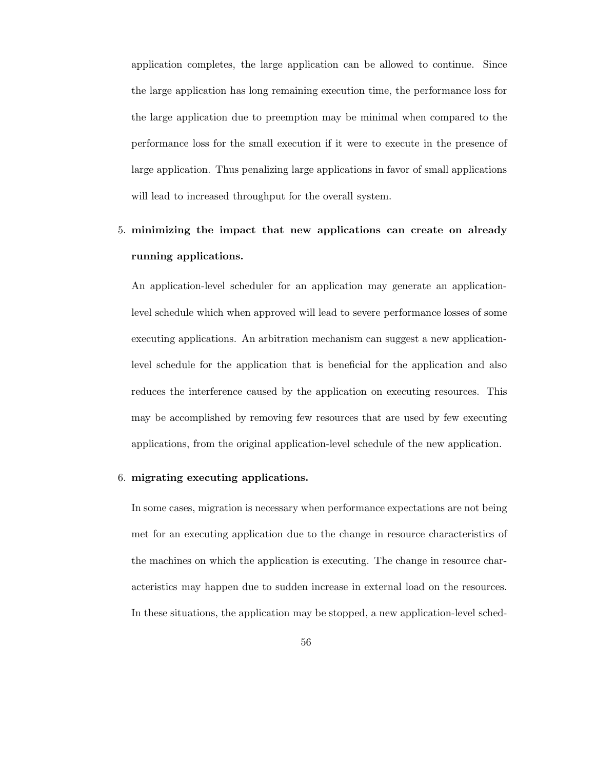application completes, the large application can be allowed to continue. Since the large application has long remaining execution time, the performance loss for the large application due to preemption may be minimal when compared to the performance loss for the small execution if it were to execute in the presence of large application. Thus penalizing large applications in favor of small applications will lead to increased throughput for the overall system.

# 5. **minimizing the impact that new applications can create on already running applications.**

An application-level scheduler for an application may generate an applicationlevel schedule which when approved will lead to severe performance losses of some executing applications. An arbitration mechanism can suggest a new applicationlevel schedule for the application that is beneficial for the application and also reduces the interference caused by the application on executing resources. This may be accomplished by removing few resources that are used by few executing applications, from the original application-level schedule of the new application.

### 6. **migrating executing applications.**

In some cases, migration is necessary when performance expectations are not being met for an executing application due to the change in resource characteristics of the machines on which the application is executing. The change in resource characteristics may happen due to sudden increase in external load on the resources. In these situations, the application may be stopped, a new application-level sched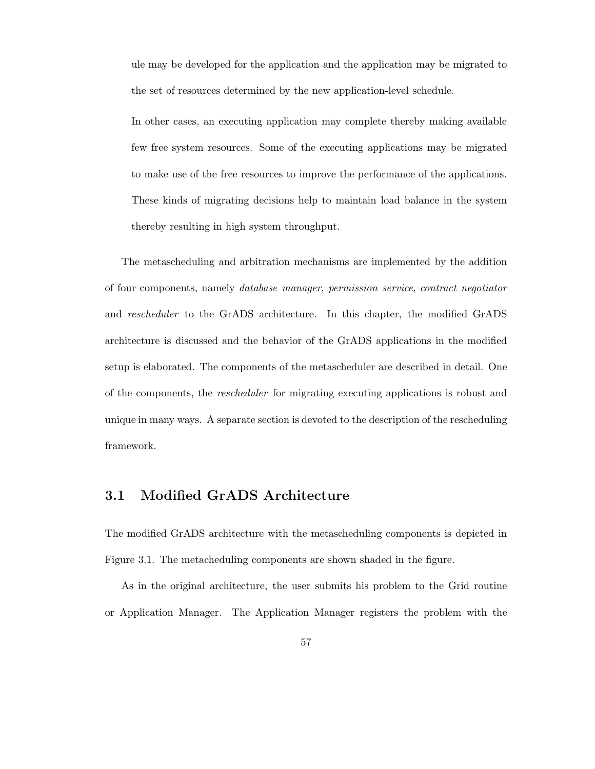ule may be developed for the application and the application may be migrated to the set of resources determined by the new application-level schedule.

In other cases, an executing application may complete thereby making available few free system resources. Some of the executing applications may be migrated to make use of the free resources to improve the performance of the applications. These kinds of migrating decisions help to maintain load balance in the system thereby resulting in high system throughput.

The metascheduling and arbitration mechanisms are implemented by the addition of four components, namely *database manager*, *permission service*, *contract negotiator* and *rescheduler* to the GrADS architecture. In this chapter, the modified GrADS architecture is discussed and the behavior of the GrADS applications in the modified setup is elaborated. The components of the metascheduler are described in detail. One of the components, the *rescheduler* for migrating executing applications is robust and unique in many ways. A separate section is devoted to the description of the rescheduling framework.

## **3.1 Modified GrADS Architecture**

The modified GrADS architecture with the metascheduling components is depicted in Figure 3.1. The metacheduling components are shown shaded in the figure.

As in the original architecture, the user submits his problem to the Grid routine or Application Manager. The Application Manager registers the problem with the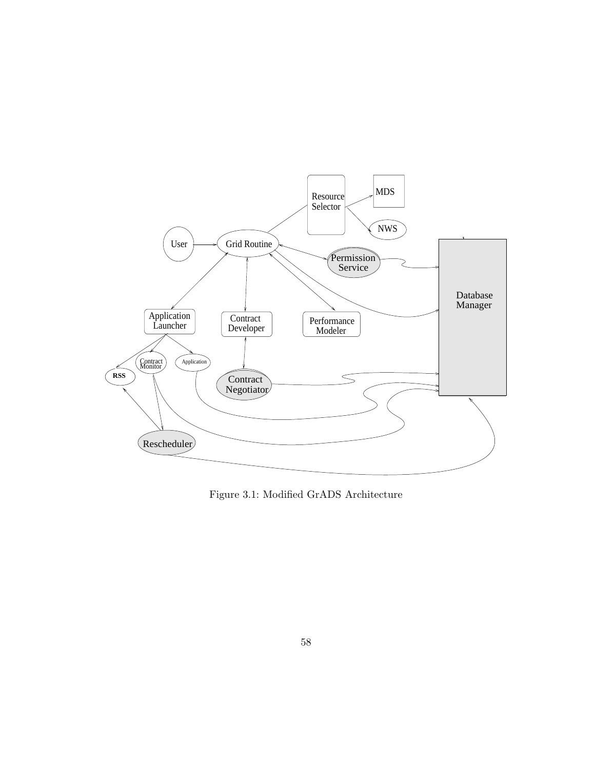

Figure 3.1: Modified GrADS Architecture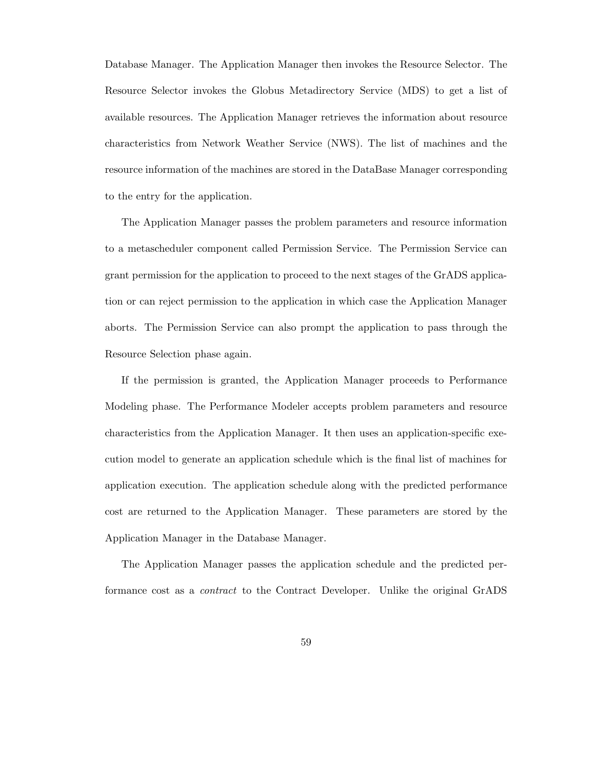Database Manager. The Application Manager then invokes the Resource Selector. The Resource Selector invokes the Globus Metadirectory Service (MDS) to get a list of available resources. The Application Manager retrieves the information about resource characteristics from Network Weather Service (NWS). The list of machines and the resource information of the machines are stored in the DataBase Manager corresponding to the entry for the application.

The Application Manager passes the problem parameters and resource information to a metascheduler component called Permission Service. The Permission Service can grant permission for the application to proceed to the next stages of the GrADS application or can reject permission to the application in which case the Application Manager aborts. The Permission Service can also prompt the application to pass through the Resource Selection phase again.

If the permission is granted, the Application Manager proceeds to Performance Modeling phase. The Performance Modeler accepts problem parameters and resource characteristics from the Application Manager. It then uses an application-specific execution model to generate an application schedule which is the final list of machines for application execution. The application schedule along with the predicted performance cost are returned to the Application Manager. These parameters are stored by the Application Manager in the Database Manager.

The Application Manager passes the application schedule and the predicted performance cost as a *contract* to the Contract Developer. Unlike the original GrADS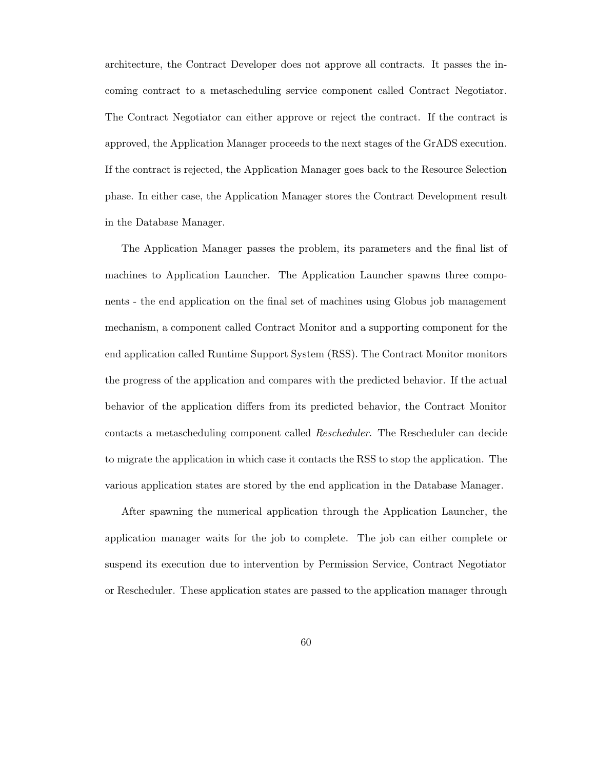architecture, the Contract Developer does not approve all contracts. It passes the incoming contract to a metascheduling service component called Contract Negotiator. The Contract Negotiator can either approve or reject the contract. If the contract is approved, the Application Manager proceeds to the next stages of the GrADS execution. If the contract is rejected, the Application Manager goes back to the Resource Selection phase. In either case, the Application Manager stores the Contract Development result in the Database Manager.

The Application Manager passes the problem, its parameters and the final list of machines to Application Launcher. The Application Launcher spawns three components - the end application on the final set of machines using Globus job management mechanism, a component called Contract Monitor and a supporting component for the end application called Runtime Support System (RSS). The Contract Monitor monitors the progress of the application and compares with the predicted behavior. If the actual behavior of the application differs from its predicted behavior, the Contract Monitor contacts a metascheduling component called *Rescheduler*. The Rescheduler can decide to migrate the application in which case it contacts the RSS to stop the application. The various application states are stored by the end application in the Database Manager.

After spawning the numerical application through the Application Launcher, the application manager waits for the job to complete. The job can either complete or suspend its execution due to intervention by Permission Service, Contract Negotiator or Rescheduler. These application states are passed to the application manager through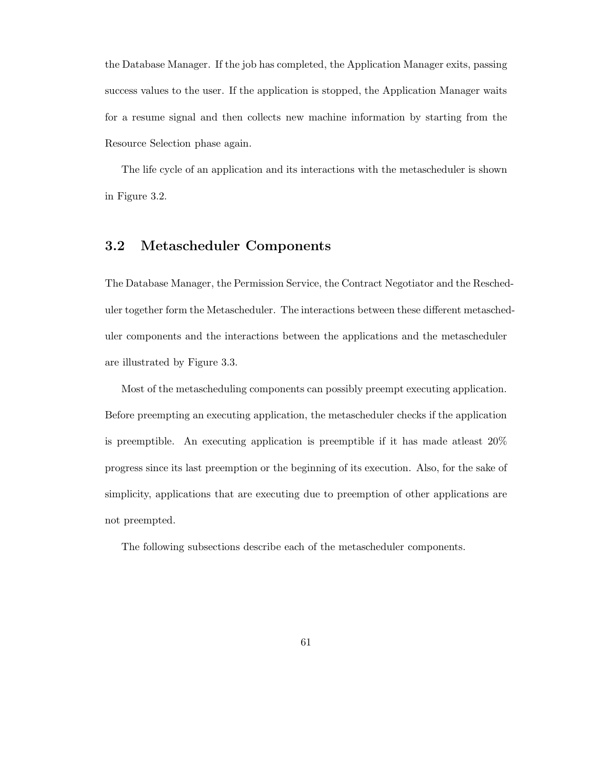the Database Manager. If the job has completed, the Application Manager exits, passing success values to the user. If the application is stopped, the Application Manager waits for a resume signal and then collects new machine information by starting from the Resource Selection phase again.

The life cycle of an application and its interactions with the metascheduler is shown in Figure 3.2.

# **3.2 Metascheduler Components**

The Database Manager, the Permission Service, the Contract Negotiator and the Rescheduler together form the Metascheduler. The interactions between these different metascheduler components and the interactions between the applications and the metascheduler are illustrated by Figure 3.3.

Most of the metascheduling components can possibly preempt executing application. Before preempting an executing application, the metascheduler checks if the application is preemptible. An executing application is preemptible if it has made atleast 20% progress since its last preemption or the beginning of its execution. Also, for the sake of simplicity, applications that are executing due to preemption of other applications are not preempted.

The following subsections describe each of the metascheduler components.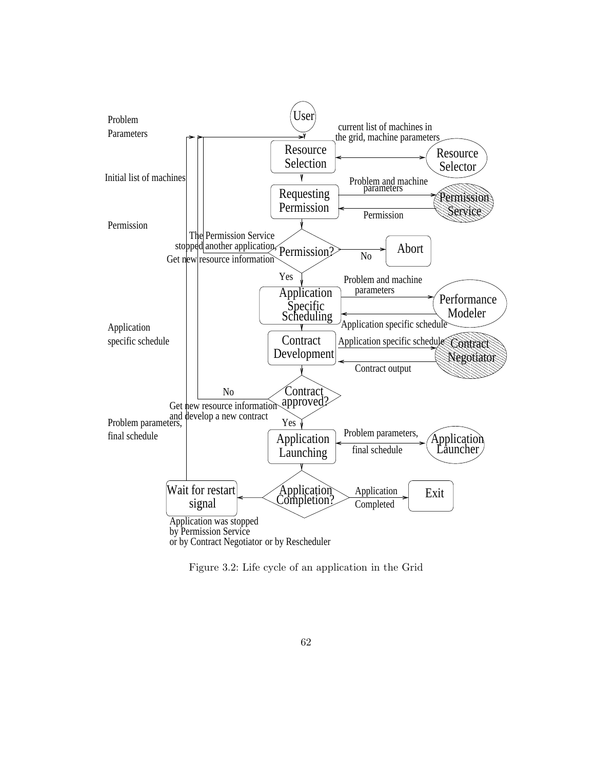

Figure 3.2: Life cycle of an application in the Grid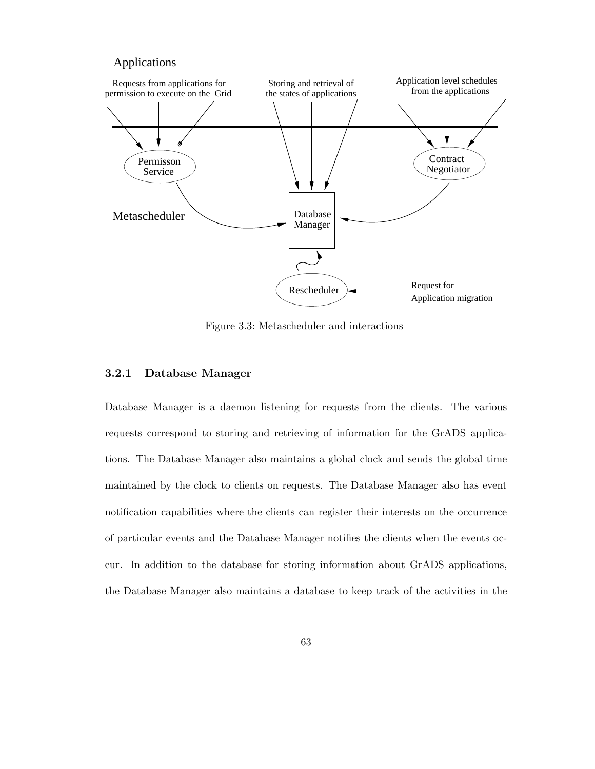## Applications



Figure 3.3: Metascheduler and interactions

## **3.2.1 Database Manager**

Database Manager is a daemon listening for requests from the clients. The various requests correspond to storing and retrieving of information for the GrADS applications. The Database Manager also maintains a global clock and sends the global time maintained by the clock to clients on requests. The Database Manager also has event notification capabilities where the clients can register their interests on the occurrence of particular events and the Database Manager notifies the clients when the events occur. In addition to the database for storing information about GrADS applications, the Database Manager also maintains a database to keep track of the activities in the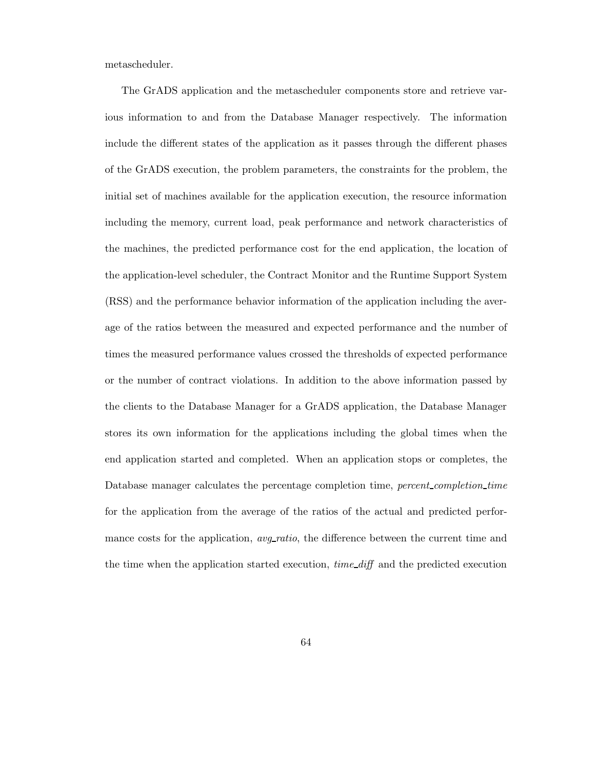metascheduler.

The GrADS application and the metascheduler components store and retrieve various information to and from the Database Manager respectively. The information include the different states of the application as it passes through the different phases of the GrADS execution, the problem parameters, the constraints for the problem, the initial set of machines available for the application execution, the resource information including the memory, current load, peak performance and network characteristics of the machines, the predicted performance cost for the end application, the location of the application-level scheduler, the Contract Monitor and the Runtime Support System (RSS) and the performance behavior information of the application including the average of the ratios between the measured and expected performance and the number of times the measured performance values crossed the thresholds of expected performance or the number of contract violations. In addition to the above information passed by the clients to the Database Manager for a GrADS application, the Database Manager stores its own information for the applications including the global times when the end application started and completed. When an application stops or completes, the Database manager calculates the percentage completion time, *percent completion time* for the application from the average of the ratios of the actual and predicted performance costs for the application, *avg\_ratio*, the difference between the current time and the time when the application started execution, *time diff* and the predicted execution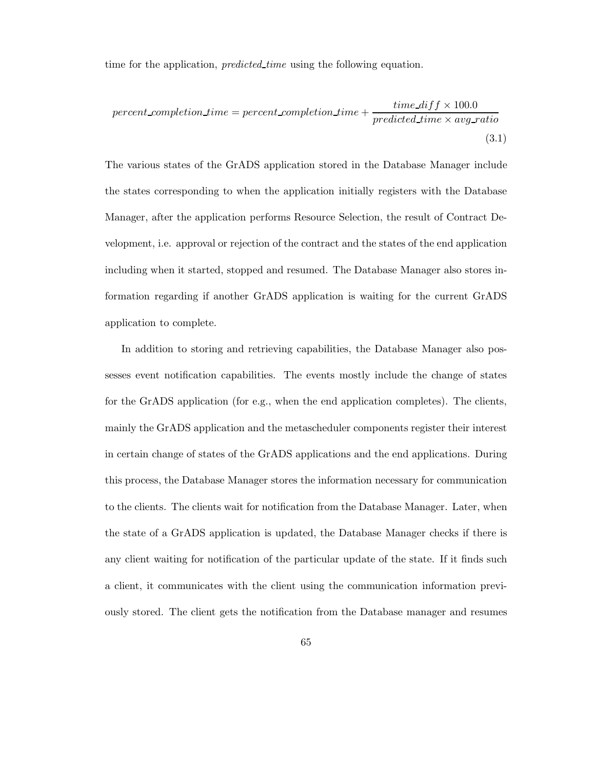time for the application, *predicted time* using the following equation.

$$
percent\_completion\_time = percent\_completion\_time + \frac{time\_diff \times 100.0}{predicted\_time \times avg\_ratio}
$$
\n(3.1)

The various states of the GrADS application stored in the Database Manager include the states corresponding to when the application initially registers with the Database Manager, after the application performs Resource Selection, the result of Contract Development, i.e. approval or rejection of the contract and the states of the end application including when it started, stopped and resumed. The Database Manager also stores information regarding if another GrADS application is waiting for the current GrADS application to complete.

In addition to storing and retrieving capabilities, the Database Manager also possesses event notification capabilities. The events mostly include the change of states for the GrADS application (for e.g., when the end application completes). The clients, mainly the GrADS application and the metascheduler components register their interest in certain change of states of the GrADS applications and the end applications. During this process, the Database Manager stores the information necessary for communication to the clients. The clients wait for notification from the Database Manager. Later, when the state of a GrADS application is updated, the Database Manager checks if there is any client waiting for notification of the particular update of the state. If it finds such a client, it communicates with the client using the communication information previously stored. The client gets the notification from the Database manager and resumes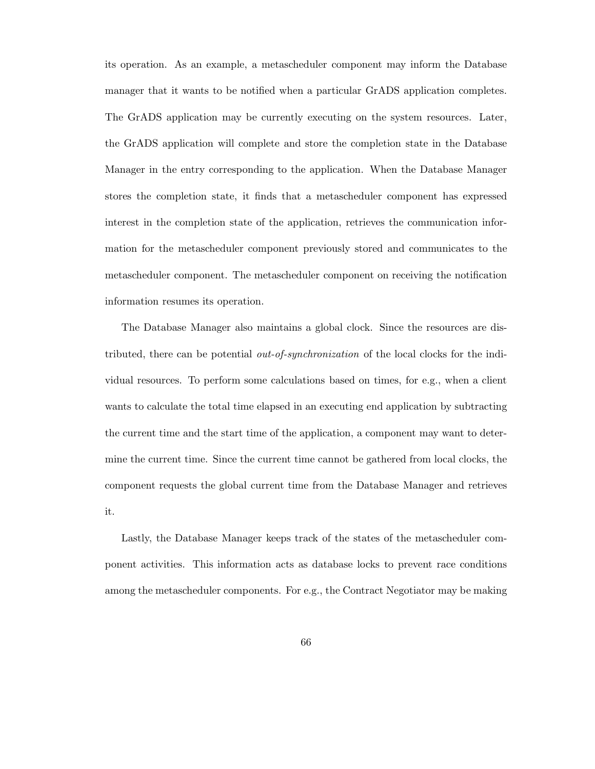its operation. As an example, a metascheduler component may inform the Database manager that it wants to be notified when a particular GrADS application completes. The GrADS application may be currently executing on the system resources. Later, the GrADS application will complete and store the completion state in the Database Manager in the entry corresponding to the application. When the Database Manager stores the completion state, it finds that a metascheduler component has expressed interest in the completion state of the application, retrieves the communication information for the metascheduler component previously stored and communicates to the metascheduler component. The metascheduler component on receiving the notification information resumes its operation.

The Database Manager also maintains a global clock. Since the resources are distributed, there can be potential *out-of-synchronization* of the local clocks for the individual resources. To perform some calculations based on times, for e.g., when a client wants to calculate the total time elapsed in an executing end application by subtracting the current time and the start time of the application, a component may want to determine the current time. Since the current time cannot be gathered from local clocks, the component requests the global current time from the Database Manager and retrieves it.

Lastly, the Database Manager keeps track of the states of the metascheduler component activities. This information acts as database locks to prevent race conditions among the metascheduler components. For e.g., the Contract Negotiator may be making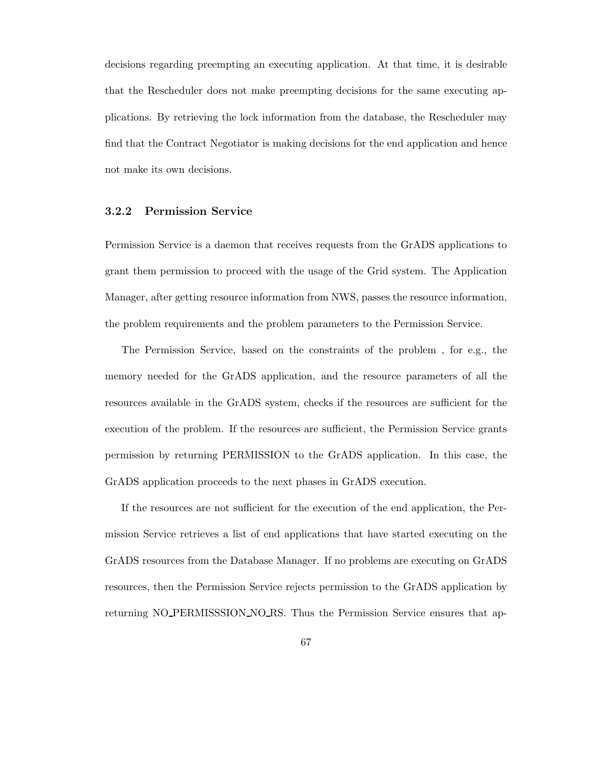decisions regarding preempting an executing application. At that time, it is desirable that the Rescheduler does not make preempting decisions for the same executing applications. By retrieving the lock information from the database, the Rescheduler may find that the Contract Negotiator is making decisions for the end application and hence not make its own decisions.

#### **3.2.2 Permission Service**

Permission Service is a daemon that receives requests from the GrADS applications to grant them permission to proceed with the usage of the Grid system. The Application Manager, after getting resource information from NWS, passes the resource information, the problem requirements and the problem parameters to the Permission Service.

The Permission Service, based on the constraints of the problem , for e.g., the memory needed for the GrADS application, and the resource parameters of all the resources available in the GrADS system, checks if the resources are sufficient for the execution of the problem. If the resources are sufficient, the Permission Service grants permission by returning PERMISSION to the GrADS application. In this case, the GrADS application proceeds to the next phases in GrADS execution.

If the resources are not sufficient for the execution of the end application, the Permission Service retrieves a list of end applications that have started executing on the GrADS resources from the Database Manager. If no problems are executing on GrADS resources, then the Permission Service rejects permission to the GrADS application by returning NO PERMISSSION NO RS. Thus the Permission Service ensures that ap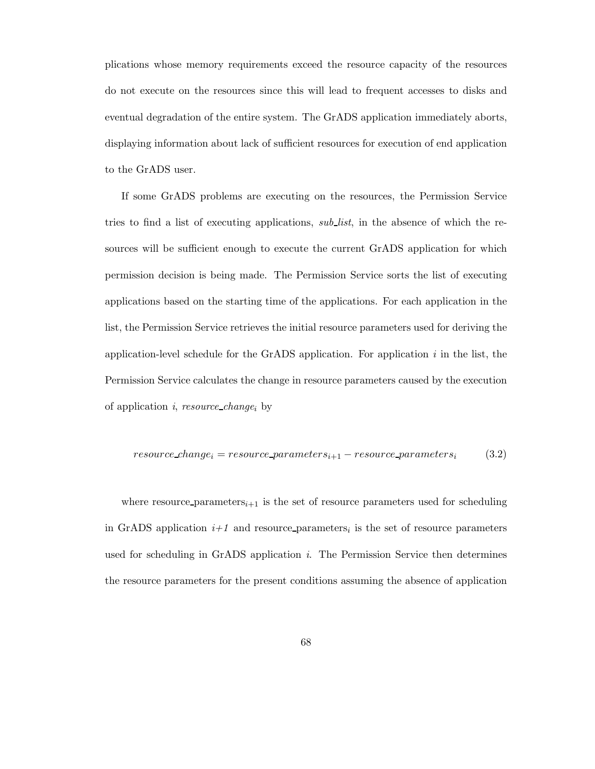plications whose memory requirements exceed the resource capacity of the resources do not execute on the resources since this will lead to frequent accesses to disks and eventual degradation of the entire system. The GrADS application immediately aborts, displaying information about lack of sufficient resources for execution of end application to the GrADS user.

If some GrADS problems are executing on the resources, the Permission Service tries to find a list of executing applications, *sub list*, in the absence of which the resources will be sufficient enough to execute the current GrADS application for which permission decision is being made. The Permission Service sorts the list of executing applications based on the starting time of the applications. For each application in the list, the Permission Service retrieves the initial resource parameters used for deriving the application-level schedule for the GrADS application. For application *i* in the list, the Permission Service calculates the change in resource parameters caused by the execution of application *<sup>i</sup>*, *resource change*i by

$$
resource\_change_i = resource\_parameters_{i+1} - resource\_parameters_i \tag{3.2}
$$

where resource parameters<sub>i+1</sub> is the set of resource parameters used for scheduling in GrADS application  $i+1$  and resource parameters<sub>i</sub> is the set of resource parameters used for scheduling in GrADS application *i*. The Permission Service then determines the resource parameters for the present conditions assuming the absence of application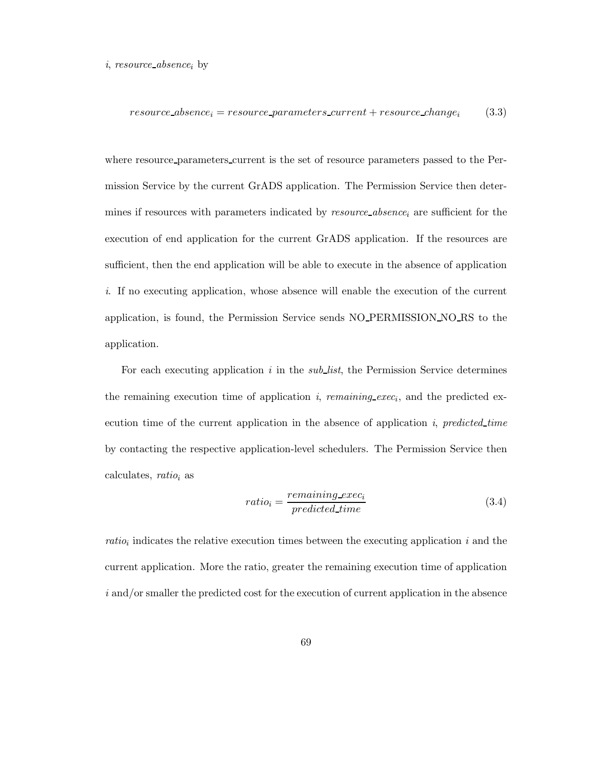#### *<sup>i</sup>*, *resource absence*i by

$$
resource\_absence_i = resource\_parameters\_current + resource\_change_i \qquad (3.3)
$$

where resource parameters current is the set of resource parameters passed to the Permission Service by the current GrADS application. The Permission Service then determines if resources with parameters indicated by *resource absence*i are sufficient for the execution of end application for the current GrADS application. If the resources are sufficient, then the end application will be able to execute in the absence of application *i*. If no executing application, whose absence will enable the execution of the current application, is found, the Permission Service sends NO PERMISSION NO RS to the application.

For each executing application *i* in the *sub list*, the Permission Service determines the remaining execution time of application  $i$ , *remaining exec<sub>i</sub>*, and the predicted execution time of the current application in the absence of application *i*, *predicted time* by contacting the respective application-level schedulers. The Permission Service then calculates, *ratio*i as

$$
ratio_i = \frac{remaining\_exec_i}{predicted\_time}
$$
\n(3.4)

*ratio*i indicates the relative execution times between the executing application *<sup>i</sup>* and the current application. More the ratio, greater the remaining execution time of application *i* and/or smaller the predicted cost for the execution of current application in the absence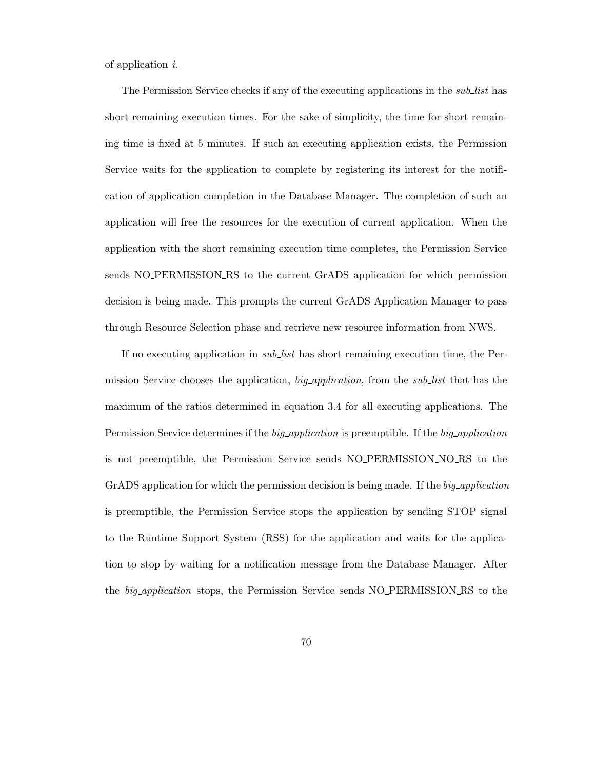of application *i*.

The Permission Service checks if any of the executing applications in the *sub list* has short remaining execution times. For the sake of simplicity, the time for short remaining time is fixed at 5 minutes. If such an executing application exists, the Permission Service waits for the application to complete by registering its interest for the notification of application completion in the Database Manager. The completion of such an application will free the resources for the execution of current application. When the application with the short remaining execution time completes, the Permission Service sends NO PERMISSION RS to the current GrADS application for which permission decision is being made. This prompts the current GrADS Application Manager to pass through Resource Selection phase and retrieve new resource information from NWS.

If no executing application in *sub list* has short remaining execution time, the Permission Service chooses the application, *big application*, from the *sub list* that has the maximum of the ratios determined in equation 3.4 for all executing applications. The Permission Service determines if the *big application* is preemptible. If the *big application* is not preemptible, the Permission Service sends NO PERMISSION NO RS to the GrADS application for which the permission decision is being made. If the *big application* is preemptible, the Permission Service stops the application by sending STOP signal to the Runtime Support System (RSS) for the application and waits for the application to stop by waiting for a notification message from the Database Manager. After the *big application* stops, the Permission Service sends NO PERMISSION RS to the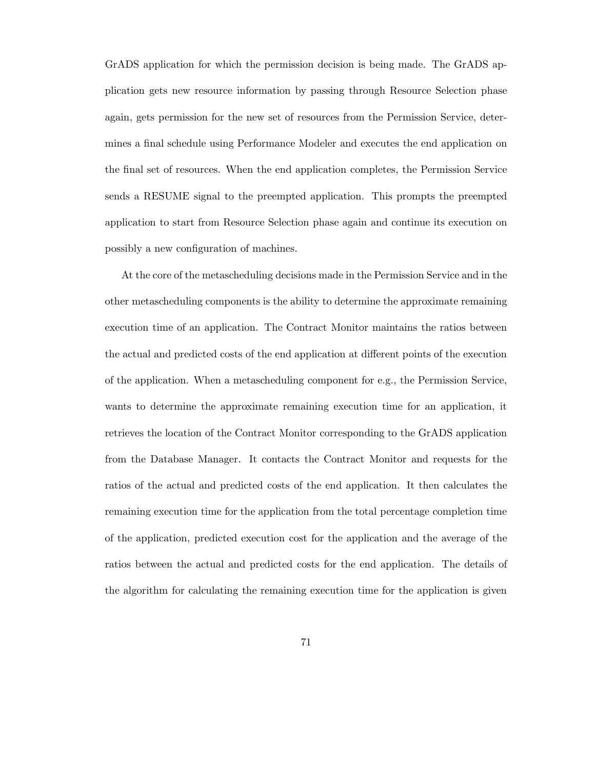GrADS application for which the permission decision is being made. The GrADS application gets new resource information by passing through Resource Selection phase again, gets permission for the new set of resources from the Permission Service, determines a final schedule using Performance Modeler and executes the end application on the final set of resources. When the end application completes, the Permission Service sends a RESUME signal to the preempted application. This prompts the preempted application to start from Resource Selection phase again and continue its execution on possibly a new configuration of machines.

At the core of the metascheduling decisions made in the Permission Service and in the other metascheduling components is the ability to determine the approximate remaining execution time of an application. The Contract Monitor maintains the ratios between the actual and predicted costs of the end application at different points of the execution of the application. When a metascheduling component for e.g., the Permission Service, wants to determine the approximate remaining execution time for an application, it retrieves the location of the Contract Monitor corresponding to the GrADS application from the Database Manager. It contacts the Contract Monitor and requests for the ratios of the actual and predicted costs of the end application. It then calculates the remaining execution time for the application from the total percentage completion time of the application, predicted execution cost for the application and the average of the ratios between the actual and predicted costs for the end application. The details of the algorithm for calculating the remaining execution time for the application is given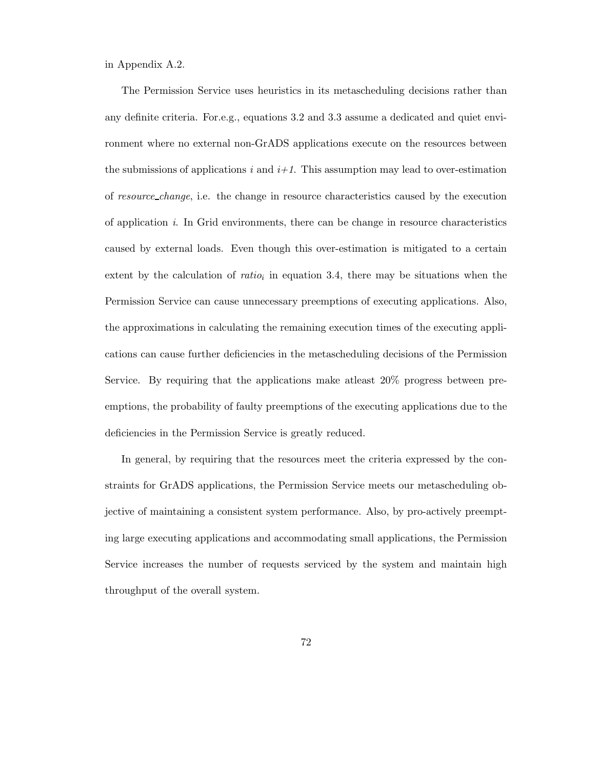in Appendix A.2.

The Permission Service uses heuristics in its metascheduling decisions rather than any definite criteria. For.e.g., equations 3.2 and 3.3 assume a dedicated and quiet environment where no external non-GrADS applications execute on the resources between the submissions of applications  $i$  and  $i+1$ . This assumption may lead to over-estimation of *resource change*, i.e. the change in resource characteristics caused by the execution of application *i*. In Grid environments, there can be change in resource characteristics caused by external loads. Even though this over-estimation is mitigated to a certain extent by the calculation of *ratio*<sub>i</sub> in equation 3.4, there may be situations when the Permission Service can cause unnecessary preemptions of executing applications. Also, the approximations in calculating the remaining execution times of the executing applications can cause further deficiencies in the metascheduling decisions of the Permission Service. By requiring that the applications make atleast 20% progress between preemptions, the probability of faulty preemptions of the executing applications due to the deficiencies in the Permission Service is greatly reduced.

In general, by requiring that the resources meet the criteria expressed by the constraints for GrADS applications, the Permission Service meets our metascheduling objective of maintaining a consistent system performance. Also, by pro-actively preempting large executing applications and accommodating small applications, the Permission Service increases the number of requests serviced by the system and maintain high throughput of the overall system.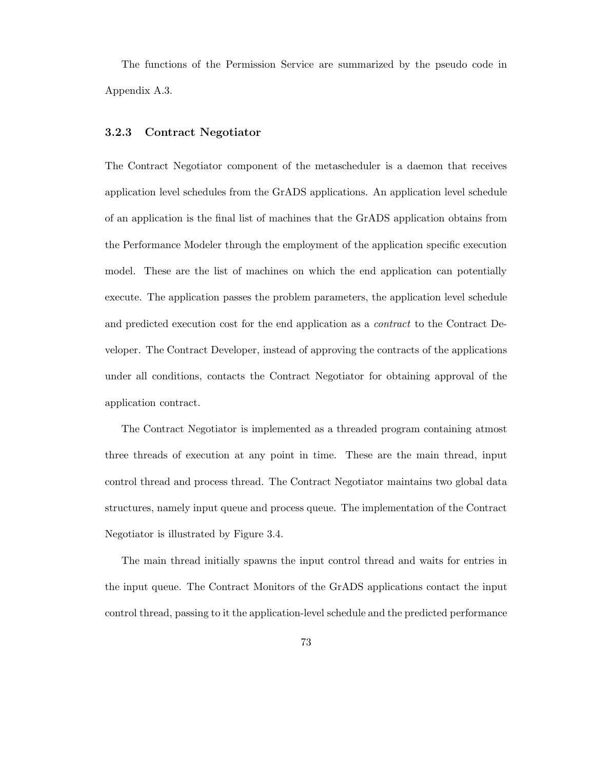The functions of the Permission Service are summarized by the pseudo code in Appendix A.3.

#### **3.2.3 Contract Negotiator**

The Contract Negotiator component of the metascheduler is a daemon that receives application level schedules from the GrADS applications. An application level schedule of an application is the final list of machines that the GrADS application obtains from the Performance Modeler through the employment of the application specific execution model. These are the list of machines on which the end application can potentially execute. The application passes the problem parameters, the application level schedule and predicted execution cost for the end application as a *contract* to the Contract Developer. The Contract Developer, instead of approving the contracts of the applications under all conditions, contacts the Contract Negotiator for obtaining approval of the application contract.

The Contract Negotiator is implemented as a threaded program containing atmost three threads of execution at any point in time. These are the main thread, input control thread and process thread. The Contract Negotiator maintains two global data structures, namely input queue and process queue. The implementation of the Contract Negotiator is illustrated by Figure 3.4.

The main thread initially spawns the input control thread and waits for entries in the input queue. The Contract Monitors of the GrADS applications contact the input control thread, passing to it the application-level schedule and the predicted performance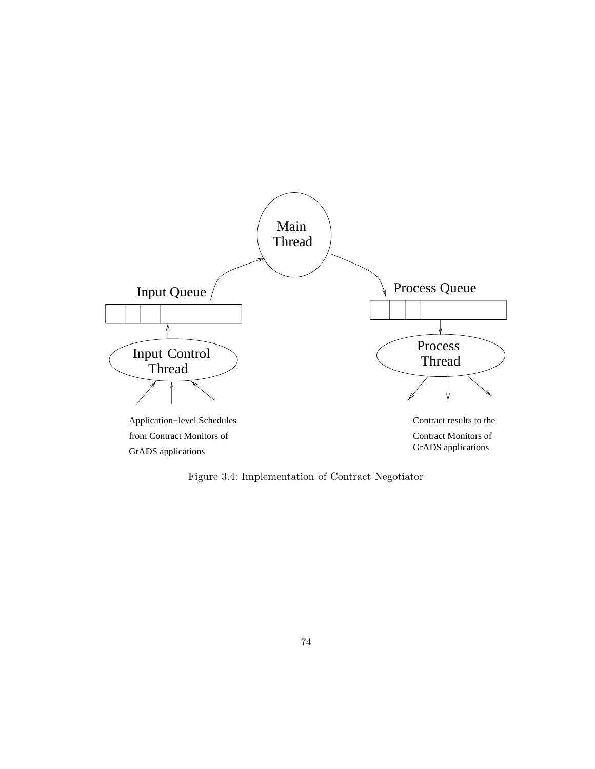

Figure 3.4: Implementation of Contract Negotiator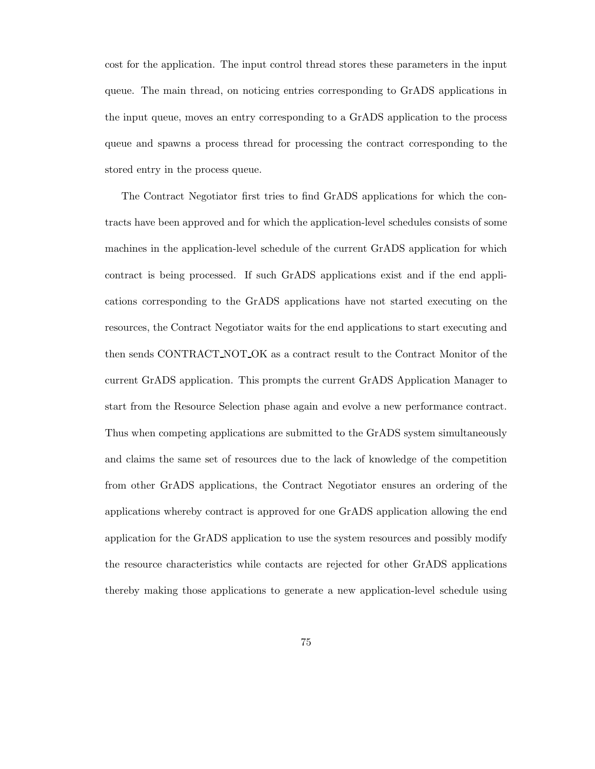cost for the application. The input control thread stores these parameters in the input queue. The main thread, on noticing entries corresponding to GrADS applications in the input queue, moves an entry corresponding to a GrADS application to the process queue and spawns a process thread for processing the contract corresponding to the stored entry in the process queue.

The Contract Negotiator first tries to find GrADS applications for which the contracts have been approved and for which the application-level schedules consists of some machines in the application-level schedule of the current GrADS application for which contract is being processed. If such GrADS applications exist and if the end applications corresponding to the GrADS applications have not started executing on the resources, the Contract Negotiator waits for the end applications to start executing and then sends CONTRACT NOT OK as a contract result to the Contract Monitor of the current GrADS application. This prompts the current GrADS Application Manager to start from the Resource Selection phase again and evolve a new performance contract. Thus when competing applications are submitted to the GrADS system simultaneously and claims the same set of resources due to the lack of knowledge of the competition from other GrADS applications, the Contract Negotiator ensures an ordering of the applications whereby contract is approved for one GrADS application allowing the end application for the GrADS application to use the system resources and possibly modify the resource characteristics while contacts are rejected for other GrADS applications thereby making those applications to generate a new application-level schedule using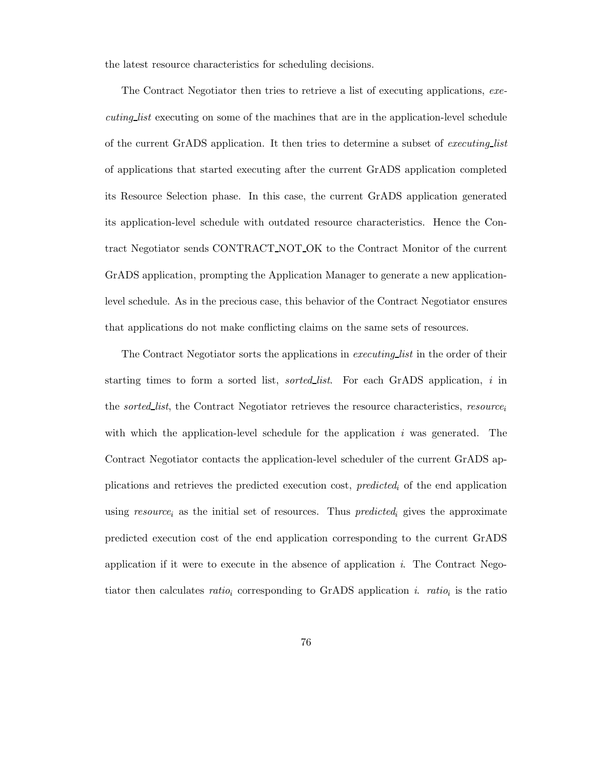the latest resource characteristics for scheduling decisions.

The Contract Negotiator then tries to retrieve a list of executing applications, *executing list* executing on some of the machines that are in the application-level schedule of the current GrADS application. It then tries to determine a subset of *executing list* of applications that started executing after the current GrADS application completed its Resource Selection phase. In this case, the current GrADS application generated its application-level schedule with outdated resource characteristics. Hence the Contract Negotiator sends CONTRACT NOT OK to the Contract Monitor of the current GrADS application, prompting the Application Manager to generate a new applicationlevel schedule. As in the precious case, this behavior of the Contract Negotiator ensures that applications do not make conflicting claims on the same sets of resources.

The Contract Negotiator sorts the applications in *executing list* in the order of their starting times to form a sorted list, *sorted list*. For each GrADS application, *i* in the *sorted list*, the Contract Negotiator retrieves the resource characteristics, *resource*i with which the application-level schedule for the application *i* was generated. The Contract Negotiator contacts the application-level scheduler of the current GrADS applications and retrieves the predicted execution cost, *predicted*i of the end application using *resource*<sub>i</sub> as the initial set of resources. Thus *predicted*<sub>i</sub> gives the approximate predicted execution cost of the end application corresponding to the current GrADS application if it were to execute in the absence of application *i*. The Contract Negotiator then calculates  $ratio_i$  corresponding to GrADS application *i*.  $ratio_i$  is the ratio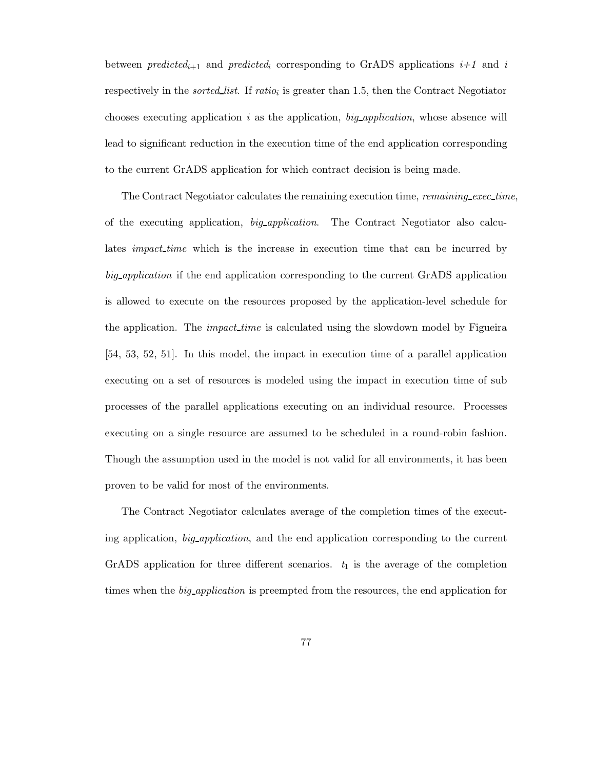between *predicted*<sub>i+1</sub> and *predicted*<sub>i</sub> corresponding to GrADS applications  $i+1$  and  $i$ respectively in the *sorted\_list*. If *ratio*<sub>i</sub> is greater than 1.5, then the Contract Negotiator chooses executing application *i* as the application, *big application*, whose absence will lead to significant reduction in the execution time of the end application corresponding to the current GrADS application for which contract decision is being made.

The Contract Negotiator calculates the remaining execution time, *remaining exec time*, of the executing application, *big application*. The Contract Negotiator also calculates *impact time* which is the increase in execution time that can be incurred by *big application* if the end application corresponding to the current GrADS application is allowed to execute on the resources proposed by the application-level schedule for the application. The *impact time* is calculated using the slowdown model by Figueira [54, 53, 52, 51]. In this model, the impact in execution time of a parallel application executing on a set of resources is modeled using the impact in execution time of sub processes of the parallel applications executing on an individual resource. Processes executing on a single resource are assumed to be scheduled in a round-robin fashion. Though the assumption used in the model is not valid for all environments, it has been proven to be valid for most of the environments.

The Contract Negotiator calculates average of the completion times of the executing application, *big application*, and the end application corresponding to the current GrADS application for three different scenarios.  $t_1$  is the average of the completion times when the *big application* is preempted from the resources, the end application for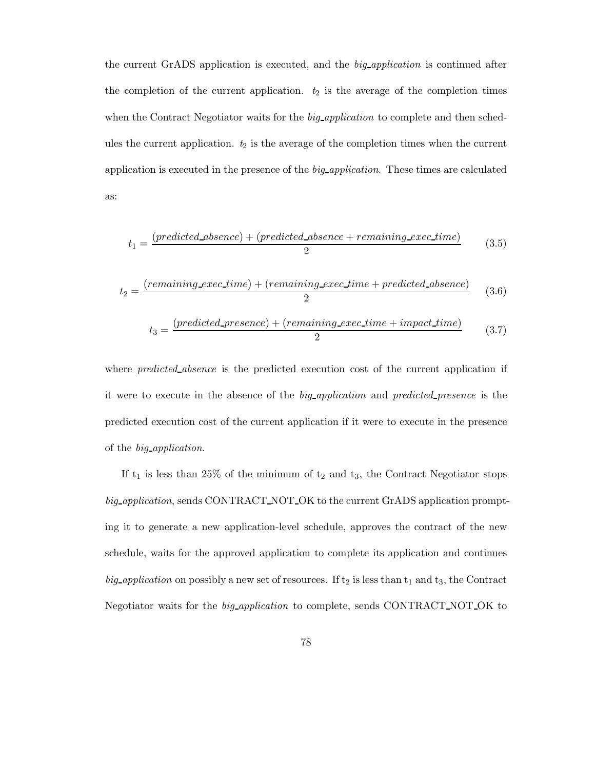the current GrADS application is executed, and the *big application* is continued after the completion of the current application.  $t_2$  is the average of the completion times when the Contract Negotiator waits for the *big application* to complete and then schedules the current application.  $t_2$  is the average of the completion times when the current application is executed in the presence of the *big application*. These times are calculated as:

$$
t_1 = \frac{(predicted\_absence) + (predicted\_absence + remaining\_exec\_time)}{2}
$$
 (3.5)

$$
t_2 = \frac{(remaining\_exec\_time) + (remaining\_exec\_time + predicted\_absence)}{2}
$$
 (3.6)

$$
t_3 = \frac{(predicted\_presence) + (remaining\_exec\_time + impact\_time)}{2}
$$
 (3.7)

where *predicted absence* is the predicted execution cost of the current application if it were to execute in the absence of the *big application* and *predicted presence* is the predicted execution cost of the current application if it were to execute in the presence of the *big application*.

If  $t_1$  is less than 25% of the minimum of  $t_2$  and  $t_3$ , the Contract Negotiator stops *big application*, sends CONTRACT NOT OK to the current GrADS application prompting it to generate a new application-level schedule, approves the contract of the new schedule, waits for the approved application to complete its application and continues *big application* on possibly a new set of resources. If  $t_2$  is less than  $t_1$  and  $t_3$ , the Contract Negotiator waits for the *big application* to complete, sends CONTRACT NOT OK to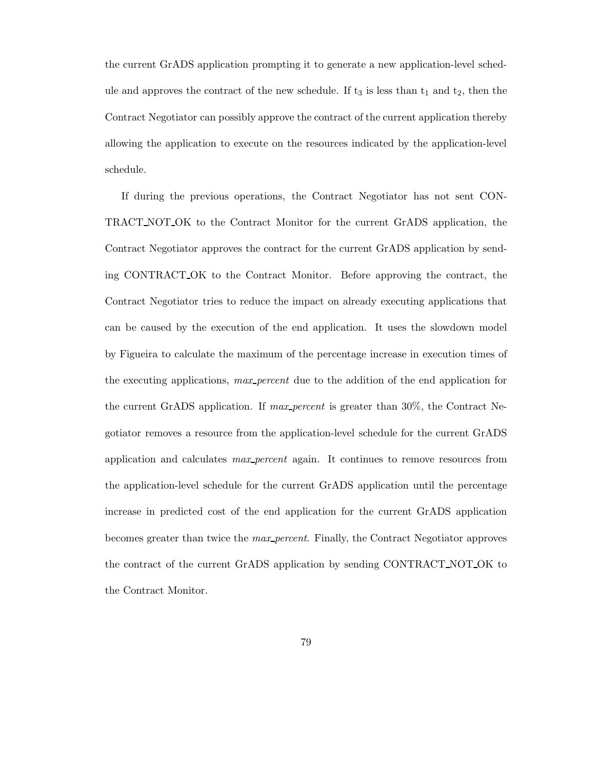the current GrADS application prompting it to generate a new application-level schedule and approves the contract of the new schedule. If  $t_3$  is less than  $t_1$  and  $t_2$ , then the Contract Negotiator can possibly approve the contract of the current application thereby allowing the application to execute on the resources indicated by the application-level schedule.

If during the previous operations, the Contract Negotiator has not sent CON-TRACT NOT OK to the Contract Monitor for the current GrADS application, the Contract Negotiator approves the contract for the current GrADS application by sending CONTRACT OK to the Contract Monitor. Before approving the contract, the Contract Negotiator tries to reduce the impact on already executing applications that can be caused by the execution of the end application. It uses the slowdown model by Figueira to calculate the maximum of the percentage increase in execution times of the executing applications, *max percent* due to the addition of the end application for the current GrADS application. If *max percent* is greater than 30%, the Contract Negotiator removes a resource from the application-level schedule for the current GrADS application and calculates *max percent* again. It continues to remove resources from the application-level schedule for the current GrADS application until the percentage increase in predicted cost of the end application for the current GrADS application becomes greater than twice the *max percent*. Finally, the Contract Negotiator approves the contract of the current GrADS application by sending CONTRACT NOT OK to the Contract Monitor.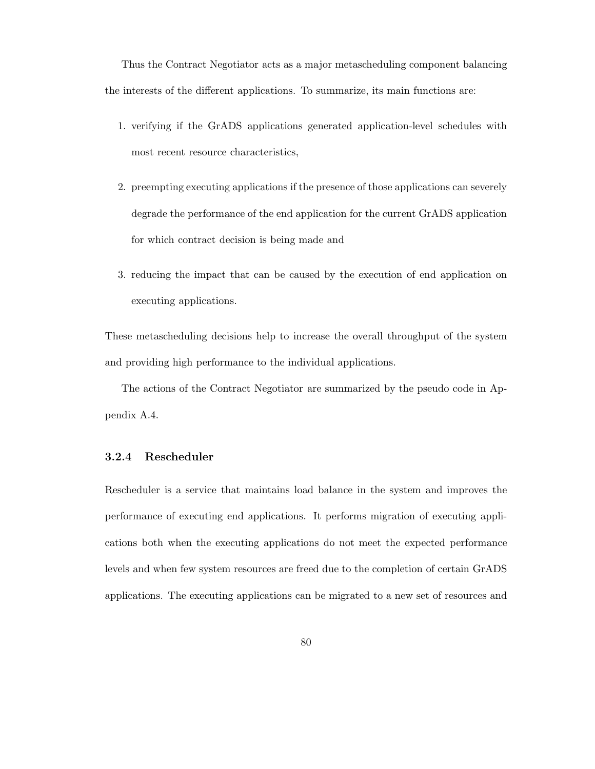Thus the Contract Negotiator acts as a major metascheduling component balancing the interests of the different applications. To summarize, its main functions are:

- 1. verifying if the GrADS applications generated application-level schedules with most recent resource characteristics,
- 2. preempting executing applications if the presence of those applications can severely degrade the performance of the end application for the current GrADS application for which contract decision is being made and
- 3. reducing the impact that can be caused by the execution of end application on executing applications.

These metascheduling decisions help to increase the overall throughput of the system and providing high performance to the individual applications.

The actions of the Contract Negotiator are summarized by the pseudo code in Appendix A.4.

### **3.2.4 Rescheduler**

Rescheduler is a service that maintains load balance in the system and improves the performance of executing end applications. It performs migration of executing applications both when the executing applications do not meet the expected performance levels and when few system resources are freed due to the completion of certain GrADS applications. The executing applications can be migrated to a new set of resources and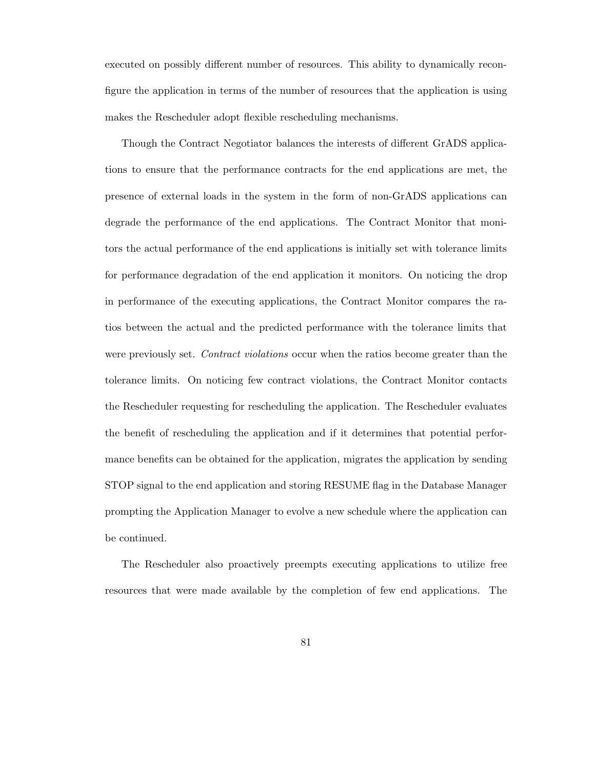executed on possibly different number of resources. This ability to dynamically reconfigure the application in terms of the number of resources that the application is using makes the Rescheduler adopt flexible rescheduling mechanisms.

Though the Contract Negotiator balances the interests of different GrADS applications to ensure that the performance contracts for the end applications are met, the presence of external loads in the system in the form of non-GrADS applications can degrade the performance of the end applications. The Contract Monitor that monitors the actual performance of the end applications is initially set with tolerance limits for performance degradation of the end application it monitors. On noticing the drop in performance of the executing applications, the Contract Monitor compares the ratios between the actual and the predicted performance with the tolerance limits that were previously set. *Contract violations* occur when the ratios become greater than the tolerance limits. On noticing few contract violations, the Contract Monitor contacts the Rescheduler requesting for rescheduling the application. The Rescheduler evaluates the benefit of rescheduling the application and if it determines that potential performance benefits can be obtained for the application, migrates the application by sending STOP signal to the end application and storing RESUME flag in the Database Manager prompting the Application Manager to evolve a new schedule where the application can be continued.

The Rescheduler also proactively preempts executing applications to utilize free resources that were made available by the completion of few end applications. The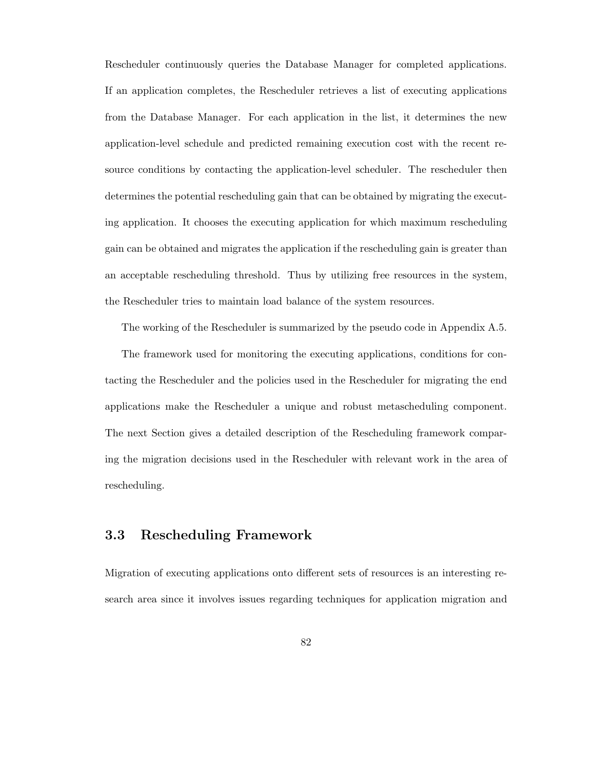Rescheduler continuously queries the Database Manager for completed applications. If an application completes, the Rescheduler retrieves a list of executing applications from the Database Manager. For each application in the list, it determines the new application-level schedule and predicted remaining execution cost with the recent resource conditions by contacting the application-level scheduler. The rescheduler then determines the potential rescheduling gain that can be obtained by migrating the executing application. It chooses the executing application for which maximum rescheduling gain can be obtained and migrates the application if the rescheduling gain is greater than an acceptable rescheduling threshold. Thus by utilizing free resources in the system, the Rescheduler tries to maintain load balance of the system resources.

The working of the Rescheduler is summarized by the pseudo code in Appendix A.5.

The framework used for monitoring the executing applications, conditions for contacting the Rescheduler and the policies used in the Rescheduler for migrating the end applications make the Rescheduler a unique and robust metascheduling component. The next Section gives a detailed description of the Rescheduling framework comparing the migration decisions used in the Rescheduler with relevant work in the area of rescheduling.

# **3.3 Rescheduling Framework**

Migration of executing applications onto different sets of resources is an interesting research area since it involves issues regarding techniques for application migration and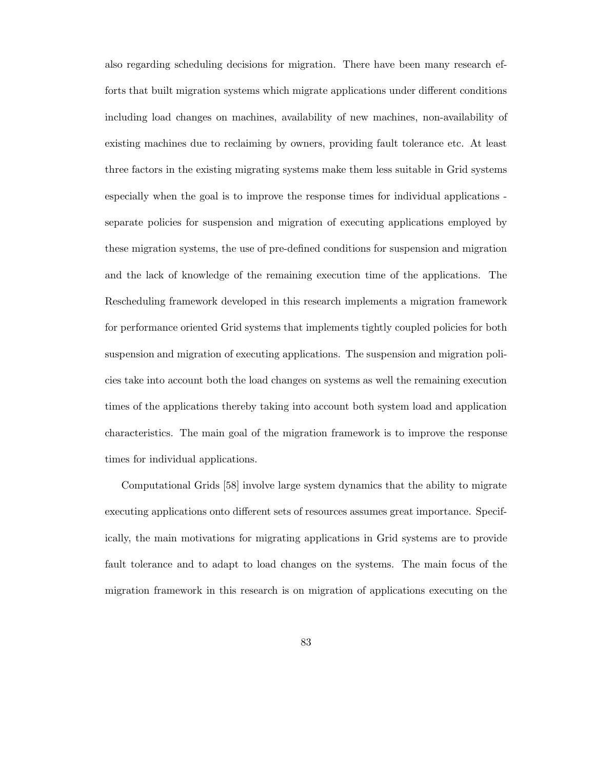also regarding scheduling decisions for migration. There have been many research efforts that built migration systems which migrate applications under different conditions including load changes on machines, availability of new machines, non-availability of existing machines due to reclaiming by owners, providing fault tolerance etc. At least three factors in the existing migrating systems make them less suitable in Grid systems especially when the goal is to improve the response times for individual applications separate policies for suspension and migration of executing applications employed by these migration systems, the use of pre-defined conditions for suspension and migration and the lack of knowledge of the remaining execution time of the applications. The Rescheduling framework developed in this research implements a migration framework for performance oriented Grid systems that implements tightly coupled policies for both suspension and migration of executing applications. The suspension and migration policies take into account both the load changes on systems as well the remaining execution times of the applications thereby taking into account both system load and application characteristics. The main goal of the migration framework is to improve the response times for individual applications.

Computational Grids [58] involve large system dynamics that the ability to migrate executing applications onto different sets of resources assumes great importance. Specifically, the main motivations for migrating applications in Grid systems are to provide fault tolerance and to adapt to load changes on the systems. The main focus of the migration framework in this research is on migration of applications executing on the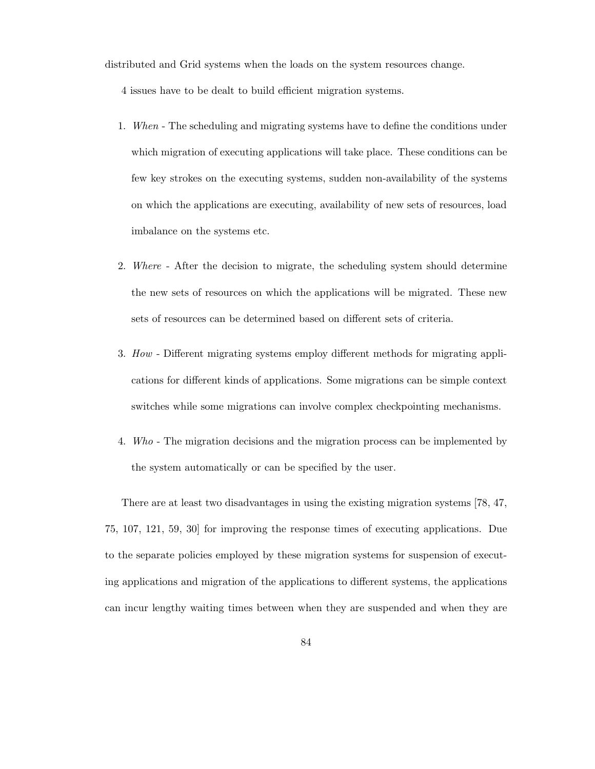distributed and Grid systems when the loads on the system resources change.

4 issues have to be dealt to build efficient migration systems.

- 1. *When* The scheduling and migrating systems have to define the conditions under which migration of executing applications will take place. These conditions can be few key strokes on the executing systems, sudden non-availability of the systems on which the applications are executing, availability of new sets of resources, load imbalance on the systems etc.
- 2. *Where* After the decision to migrate, the scheduling system should determine the new sets of resources on which the applications will be migrated. These new sets of resources can be determined based on different sets of criteria.
- 3. *How* Different migrating systems employ different methods for migrating applications for different kinds of applications. Some migrations can be simple context switches while some migrations can involve complex checkpointing mechanisms.
- 4. *Who* The migration decisions and the migration process can be implemented by the system automatically or can be specified by the user.

There are at least two disadvantages in using the existing migration systems [78, 47, 75, 107, 121, 59, 30] for improving the response times of executing applications. Due to the separate policies employed by these migration systems for suspension of executing applications and migration of the applications to different systems, the applications can incur lengthy waiting times between when they are suspended and when they are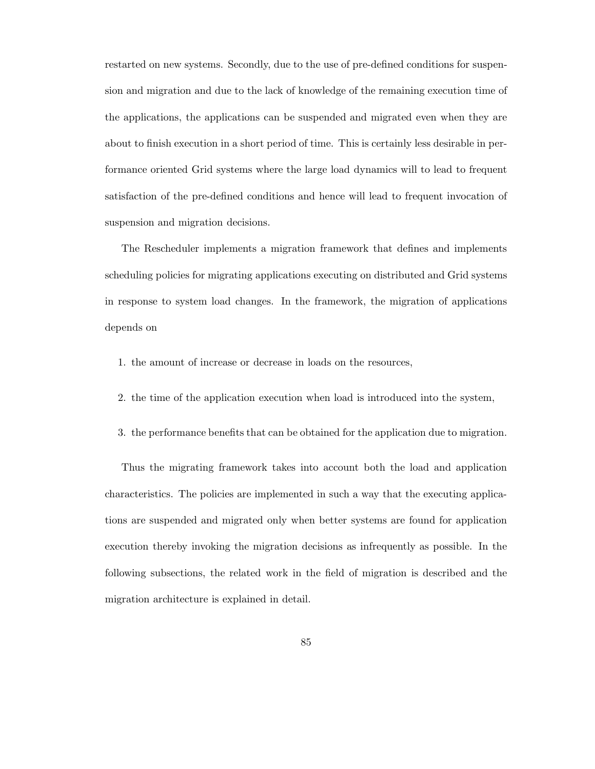restarted on new systems. Secondly, due to the use of pre-defined conditions for suspension and migration and due to the lack of knowledge of the remaining execution time of the applications, the applications can be suspended and migrated even when they are about to finish execution in a short period of time. This is certainly less desirable in performance oriented Grid systems where the large load dynamics will to lead to frequent satisfaction of the pre-defined conditions and hence will lead to frequent invocation of suspension and migration decisions.

The Rescheduler implements a migration framework that defines and implements scheduling policies for migrating applications executing on distributed and Grid systems in response to system load changes. In the framework, the migration of applications depends on

- 1. the amount of increase or decrease in loads on the resources,
- 2. the time of the application execution when load is introduced into the system,
- 3. the performance benefits that can be obtained for the application due to migration.

Thus the migrating framework takes into account both the load and application characteristics. The policies are implemented in such a way that the executing applications are suspended and migrated only when better systems are found for application execution thereby invoking the migration decisions as infrequently as possible. In the following subsections, the related work in the field of migration is described and the migration architecture is explained in detail.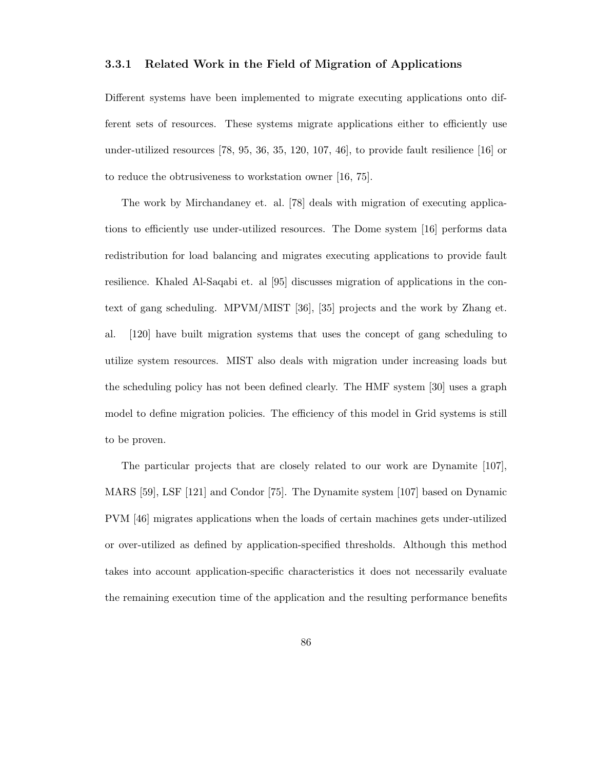#### **3.3.1 Related Work in the Field of Migration of Applications**

Different systems have been implemented to migrate executing applications onto different sets of resources. These systems migrate applications either to efficiently use under-utilized resources [78, 95, 36, 35, 120, 107, 46], to provide fault resilience [16] or to reduce the obtrusiveness to workstation owner [16, 75].

The work by Mirchandaney et. al. [78] deals with migration of executing applications to efficiently use under-utilized resources. The Dome system [16] performs data redistribution for load balancing and migrates executing applications to provide fault resilience. Khaled Al-Saqabi et. al [95] discusses migration of applications in the context of gang scheduling. MPVM/MIST [36], [35] projects and the work by Zhang et. al. [120] have built migration systems that uses the concept of gang scheduling to utilize system resources. MIST also deals with migration under increasing loads but the scheduling policy has not been defined clearly. The HMF system [30] uses a graph model to define migration policies. The efficiency of this model in Grid systems is still to be proven.

The particular projects that are closely related to our work are Dynamite [107], MARS [59], LSF [121] and Condor [75]. The Dynamite system [107] based on Dynamic PVM [46] migrates applications when the loads of certain machines gets under-utilized or over-utilized as defined by application-specified thresholds. Although this method takes into account application-specific characteristics it does not necessarily evaluate the remaining execution time of the application and the resulting performance benefits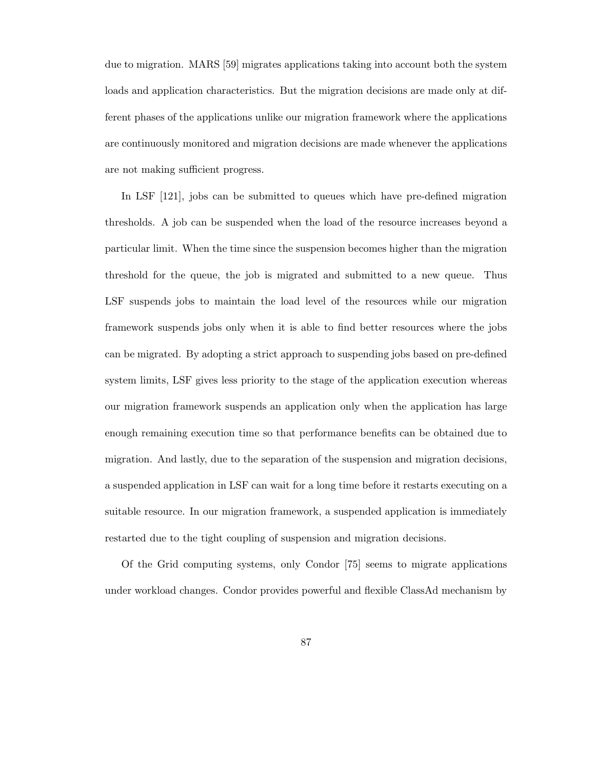due to migration. MARS [59] migrates applications taking into account both the system loads and application characteristics. But the migration decisions are made only at different phases of the applications unlike our migration framework where the applications are continuously monitored and migration decisions are made whenever the applications are not making sufficient progress.

In LSF [121], jobs can be submitted to queues which have pre-defined migration thresholds. A job can be suspended when the load of the resource increases beyond a particular limit. When the time since the suspension becomes higher than the migration threshold for the queue, the job is migrated and submitted to a new queue. Thus LSF suspends jobs to maintain the load level of the resources while our migration framework suspends jobs only when it is able to find better resources where the jobs can be migrated. By adopting a strict approach to suspending jobs based on pre-defined system limits, LSF gives less priority to the stage of the application execution whereas our migration framework suspends an application only when the application has large enough remaining execution time so that performance benefits can be obtained due to migration. And lastly, due to the separation of the suspension and migration decisions, a suspended application in LSF can wait for a long time before it restarts executing on a suitable resource. In our migration framework, a suspended application is immediately restarted due to the tight coupling of suspension and migration decisions.

Of the Grid computing systems, only Condor [75] seems to migrate applications under workload changes. Condor provides powerful and flexible ClassAd mechanism by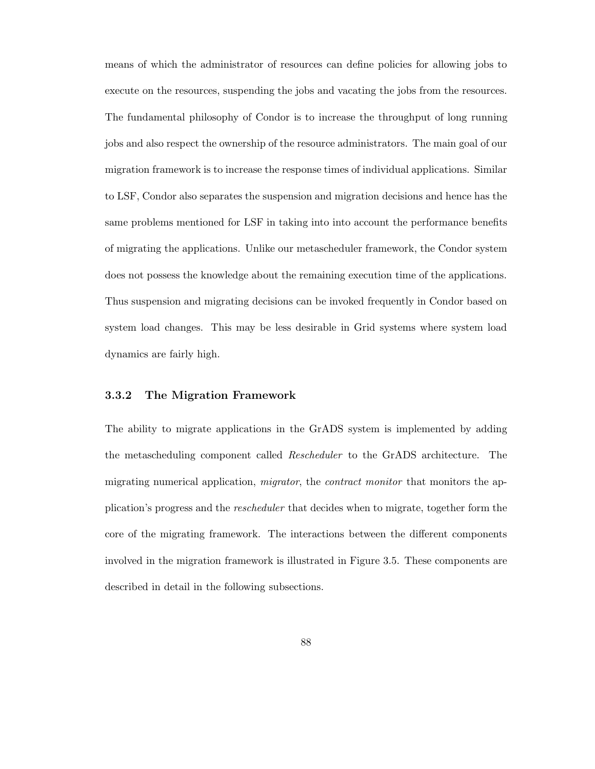means of which the administrator of resources can define policies for allowing jobs to execute on the resources, suspending the jobs and vacating the jobs from the resources. The fundamental philosophy of Condor is to increase the throughput of long running jobs and also respect the ownership of the resource administrators. The main goal of our migration framework is to increase the response times of individual applications. Similar to LSF, Condor also separates the suspension and migration decisions and hence has the same problems mentioned for LSF in taking into into account the performance benefits of migrating the applications. Unlike our metascheduler framework, the Condor system does not possess the knowledge about the remaining execution time of the applications. Thus suspension and migrating decisions can be invoked frequently in Condor based on system load changes. This may be less desirable in Grid systems where system load dynamics are fairly high.

## **3.3.2 The Migration Framework**

The ability to migrate applications in the GrADS system is implemented by adding the metascheduling component called *Rescheduler* to the GrADS architecture. The migrating numerical application, *migrator*, the *contract monitor* that monitors the application's progress and the *rescheduler* that decides when to migrate, together form the core of the migrating framework. The interactions between the different components involved in the migration framework is illustrated in Figure 3.5. These components are described in detail in the following subsections.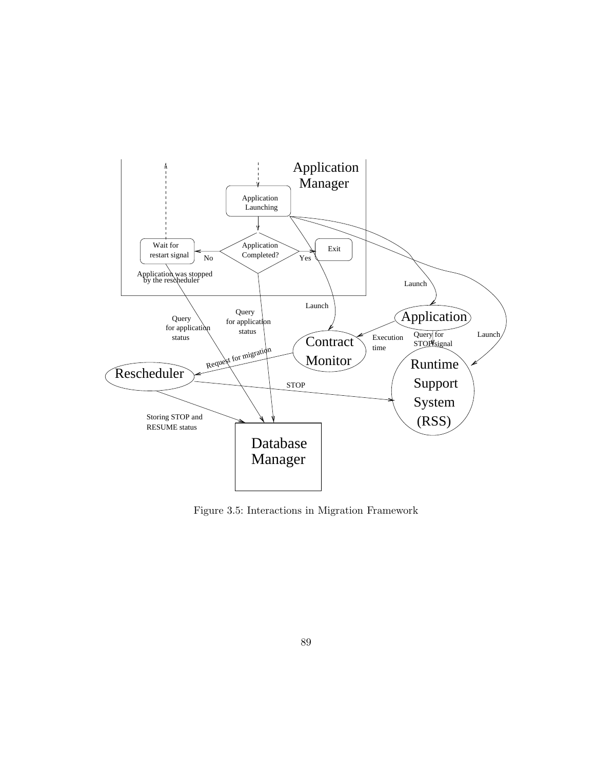

Figure 3.5: Interactions in Migration Framework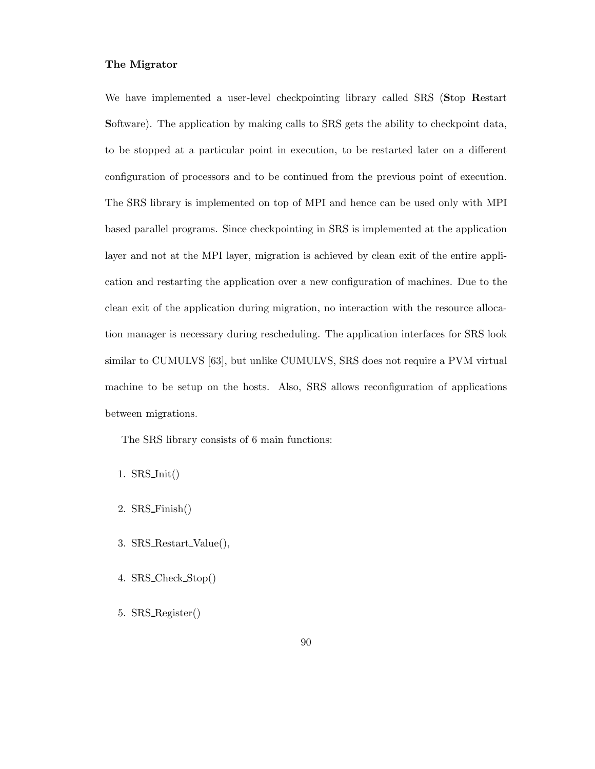## **The Migrator**

We have implemented a user-level checkpointing library called SRS (**S**top **R**estart **S**oftware). The application by making calls to SRS gets the ability to checkpoint data, to be stopped at a particular point in execution, to be restarted later on a different configuration of processors and to be continued from the previous point of execution. The SRS library is implemented on top of MPI and hence can be used only with MPI based parallel programs. Since checkpointing in SRS is implemented at the application layer and not at the MPI layer, migration is achieved by clean exit of the entire application and restarting the application over a new configuration of machines. Due to the clean exit of the application during migration, no interaction with the resource allocation manager is necessary during rescheduling. The application interfaces for SRS look similar to CUMULVS [63], but unlike CUMULVS, SRS does not require a PVM virtual machine to be setup on the hosts. Also, SRS allows reconfiguration of applications between migrations.

The SRS library consists of 6 main functions:

1. SRS Init()

2. SRS Finish()

- 3. SRS Restart Value(),
- 4. SRS Check Stop()
- 5. SRS Register()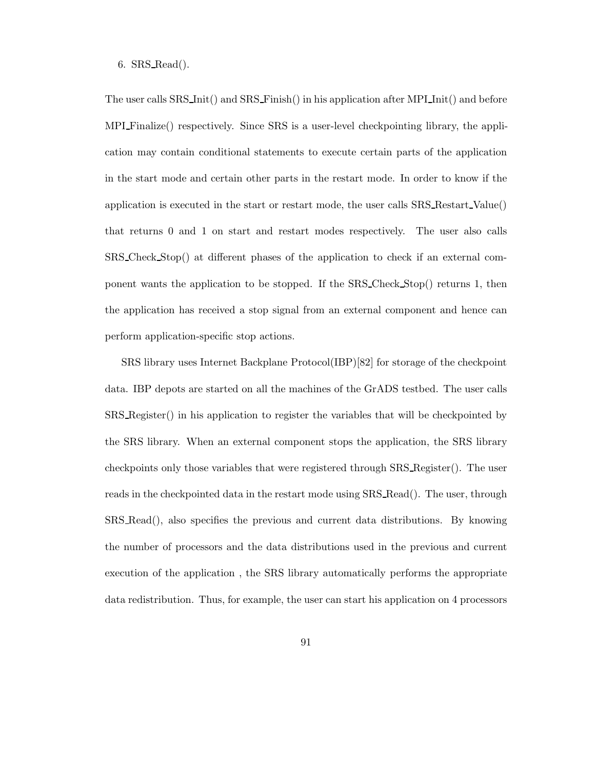6. SRS Read().

The user calls SRS Init() and SRS Finish() in his application after MPI Init() and before MPI Finalize() respectively. Since SRS is a user-level checkpointing library, the application may contain conditional statements to execute certain parts of the application in the start mode and certain other parts in the restart mode. In order to know if the application is executed in the start or restart mode, the user calls SRS Restart Value() that returns 0 and 1 on start and restart modes respectively. The user also calls SRS Check Stop() at different phases of the application to check if an external component wants the application to be stopped. If the SRS Check Stop() returns 1, then the application has received a stop signal from an external component and hence can perform application-specific stop actions.

SRS library uses Internet Backplane Protocol(IBP)[82] for storage of the checkpoint data. IBP depots are started on all the machines of the GrADS testbed. The user calls SRS Register() in his application to register the variables that will be checkpointed by the SRS library. When an external component stops the application, the SRS library checkpoints only those variables that were registered through SRS Register(). The user reads in the checkpointed data in the restart mode using SRS Read(). The user, through SRS Read(), also specifies the previous and current data distributions. By knowing the number of processors and the data distributions used in the previous and current execution of the application , the SRS library automatically performs the appropriate data redistribution. Thus, for example, the user can start his application on 4 processors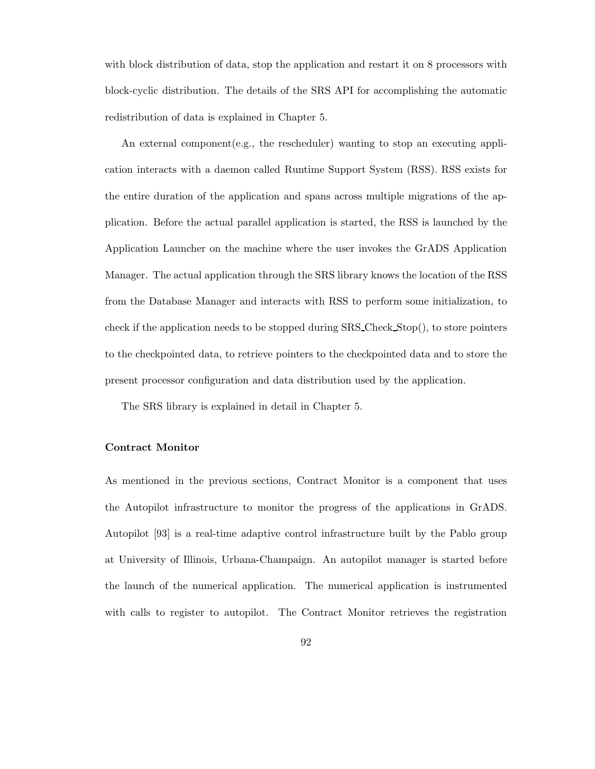with block distribution of data, stop the application and restart it on 8 processors with block-cyclic distribution. The details of the SRS API for accomplishing the automatic redistribution of data is explained in Chapter 5.

An external component(e.g., the rescheduler) wanting to stop an executing application interacts with a daemon called Runtime Support System (RSS). RSS exists for the entire duration of the application and spans across multiple migrations of the application. Before the actual parallel application is started, the RSS is launched by the Application Launcher on the machine where the user invokes the GrADS Application Manager. The actual application through the SRS library knows the location of the RSS from the Database Manager and interacts with RSS to perform some initialization, to check if the application needs to be stopped during SRS Check Stop(), to store pointers to the checkpointed data, to retrieve pointers to the checkpointed data and to store the present processor configuration and data distribution used by the application.

The SRS library is explained in detail in Chapter 5.

## **Contract Monitor**

As mentioned in the previous sections, Contract Monitor is a component that uses the Autopilot infrastructure to monitor the progress of the applications in GrADS. Autopilot [93] is a real-time adaptive control infrastructure built by the Pablo group at University of Illinois, Urbana-Champaign. An autopilot manager is started before the launch of the numerical application. The numerical application is instrumented with calls to register to autopilot. The Contract Monitor retrieves the registration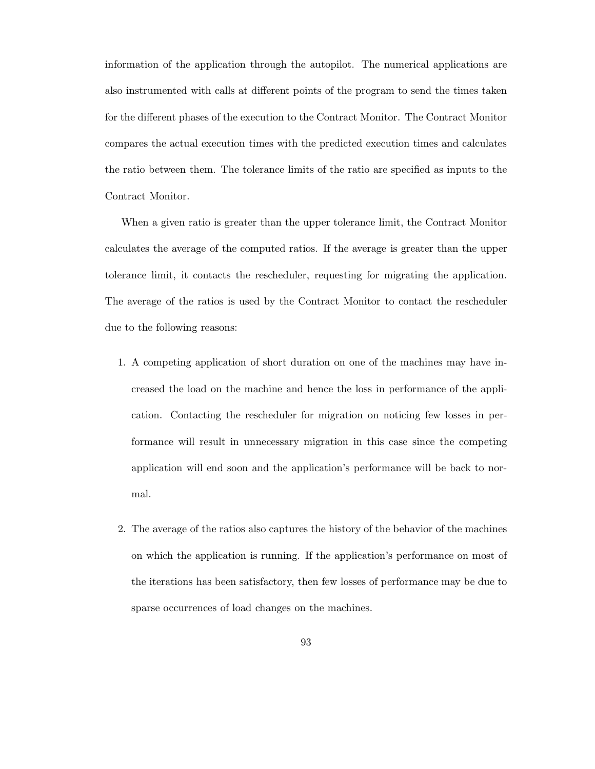information of the application through the autopilot. The numerical applications are also instrumented with calls at different points of the program to send the times taken for the different phases of the execution to the Contract Monitor. The Contract Monitor compares the actual execution times with the predicted execution times and calculates the ratio between them. The tolerance limits of the ratio are specified as inputs to the Contract Monitor.

When a given ratio is greater than the upper tolerance limit, the Contract Monitor calculates the average of the computed ratios. If the average is greater than the upper tolerance limit, it contacts the rescheduler, requesting for migrating the application. The average of the ratios is used by the Contract Monitor to contact the rescheduler due to the following reasons:

- 1. A competing application of short duration on one of the machines may have increased the load on the machine and hence the loss in performance of the application. Contacting the rescheduler for migration on noticing few losses in performance will result in unnecessary migration in this case since the competing application will end soon and the application's performance will be back to normal.
- 2. The average of the ratios also captures the history of the behavior of the machines on which the application is running. If the application's performance on most of the iterations has been satisfactory, then few losses of performance may be due to sparse occurrences of load changes on the machines.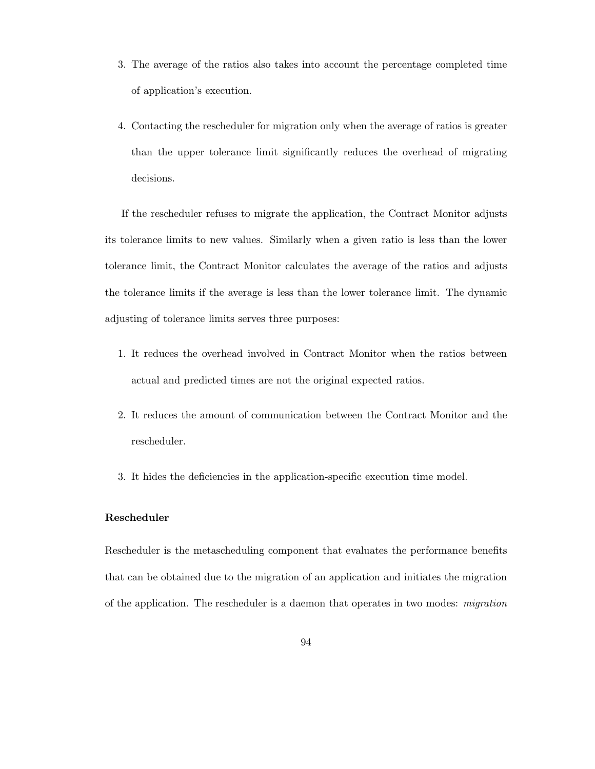- 3. The average of the ratios also takes into account the percentage completed time of application's execution.
- 4. Contacting the rescheduler for migration only when the average of ratios is greater than the upper tolerance limit significantly reduces the overhead of migrating decisions.

If the rescheduler refuses to migrate the application, the Contract Monitor adjusts its tolerance limits to new values. Similarly when a given ratio is less than the lower tolerance limit, the Contract Monitor calculates the average of the ratios and adjusts the tolerance limits if the average is less than the lower tolerance limit. The dynamic adjusting of tolerance limits serves three purposes:

- 1. It reduces the overhead involved in Contract Monitor when the ratios between actual and predicted times are not the original expected ratios.
- 2. It reduces the amount of communication between the Contract Monitor and the rescheduler.
- 3. It hides the deficiencies in the application-specific execution time model.

## **Rescheduler**

Rescheduler is the metascheduling component that evaluates the performance benefits that can be obtained due to the migration of an application and initiates the migration of the application. The rescheduler is a daemon that operates in two modes: *migration*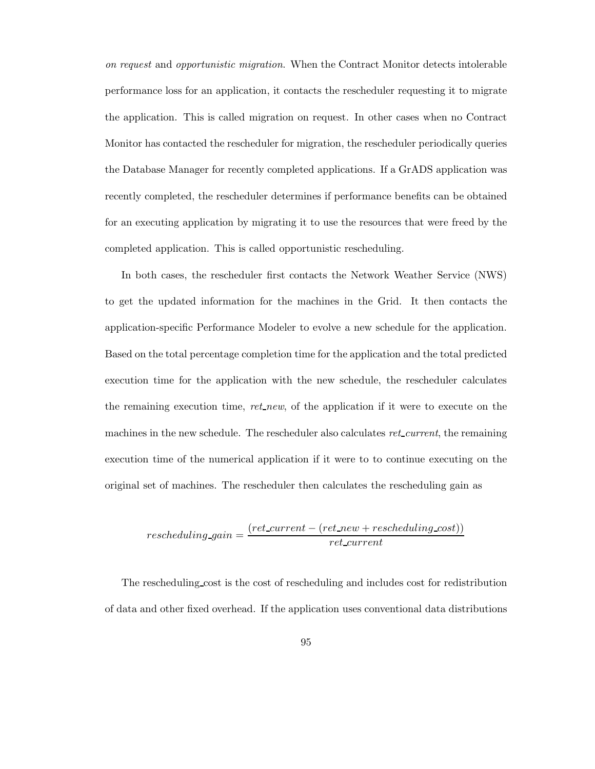*on request* and *opportunistic migration*. When the Contract Monitor detects intolerable performance loss for an application, it contacts the rescheduler requesting it to migrate the application. This is called migration on request. In other cases when no Contract Monitor has contacted the rescheduler for migration, the rescheduler periodically queries the Database Manager for recently completed applications. If a GrADS application was recently completed, the rescheduler determines if performance benefits can be obtained for an executing application by migrating it to use the resources that were freed by the completed application. This is called opportunistic rescheduling.

In both cases, the rescheduler first contacts the Network Weather Service (NWS) to get the updated information for the machines in the Grid. It then contacts the application-specific Performance Modeler to evolve a new schedule for the application. Based on the total percentage completion time for the application and the total predicted execution time for the application with the new schedule, the rescheduler calculates the remaining execution time, *ret new*, of the application if it were to execute on the machines in the new schedule. The rescheduler also calculates *ret current*, the remaining execution time of the numerical application if it were to to continue executing on the original set of machines. The rescheduler then calculates the rescheduling gain as

$$
rescheduling\_gain = \frac{(ret\_current - (ret\_new + rescheduling\_cost))}{ret\_current}
$$

The rescheduling cost is the cost of rescheduling and includes cost for redistribution of data and other fixed overhead. If the application uses conventional data distributions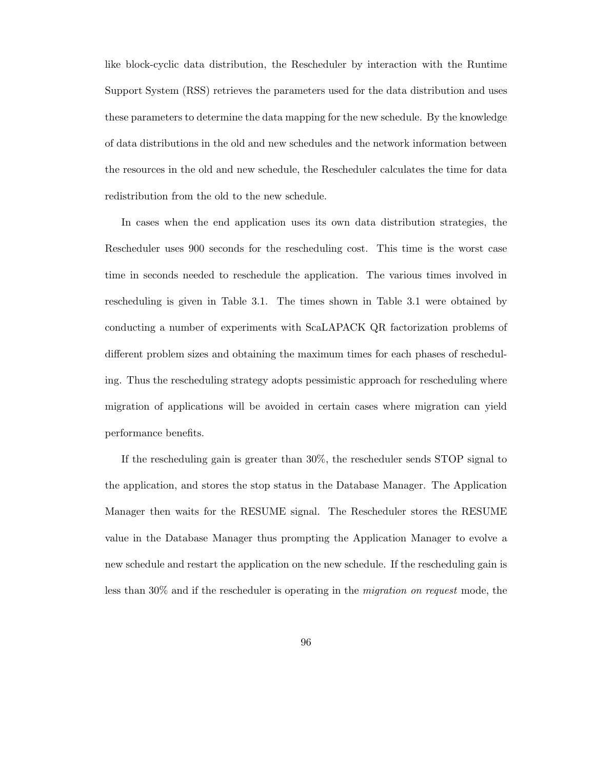like block-cyclic data distribution, the Rescheduler by interaction with the Runtime Support System (RSS) retrieves the parameters used for the data distribution and uses these parameters to determine the data mapping for the new schedule. By the knowledge of data distributions in the old and new schedules and the network information between the resources in the old and new schedule, the Rescheduler calculates the time for data redistribution from the old to the new schedule.

In cases when the end application uses its own data distribution strategies, the Rescheduler uses 900 seconds for the rescheduling cost. This time is the worst case time in seconds needed to reschedule the application. The various times involved in rescheduling is given in Table 3.1. The times shown in Table 3.1 were obtained by conducting a number of experiments with ScaLAPACK QR factorization problems of different problem sizes and obtaining the maximum times for each phases of rescheduling. Thus the rescheduling strategy adopts pessimistic approach for rescheduling where migration of applications will be avoided in certain cases where migration can yield performance benefits.

If the rescheduling gain is greater than 30%, the rescheduler sends STOP signal to the application, and stores the stop status in the Database Manager. The Application Manager then waits for the RESUME signal. The Rescheduler stores the RESUME value in the Database Manager thus prompting the Application Manager to evolve a new schedule and restart the application on the new schedule. If the rescheduling gain is less than 30% and if the rescheduler is operating in the *migration on request* mode, the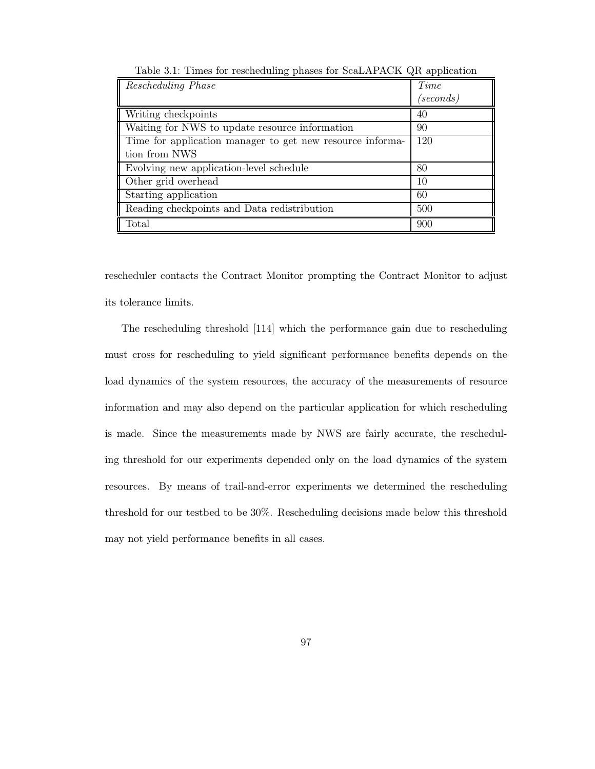| Rescheduling Phase                                        | Time                 |
|-----------------------------------------------------------|----------------------|
|                                                           | $\mathscr (seconds)$ |
| Writing checkpoints                                       | 40                   |
| Waiting for NWS to update resource information            | 90                   |
| Time for application manager to get new resource informa- | 120                  |
| tion from NWS                                             |                      |
| Evolving new application-level schedule                   | 80                   |
| Other grid overhead                                       | 10                   |
| Starting application                                      | 60                   |
| Reading checkpoints and Data redistribution               | 500                  |
| Total                                                     | 900                  |

Table 3.1: Times for rescheduling phases for ScaLAPACK QR application

rescheduler contacts the Contract Monitor prompting the Contract Monitor to adjust its tolerance limits.

The rescheduling threshold [114] which the performance gain due to rescheduling must cross for rescheduling to yield significant performance benefits depends on the load dynamics of the system resources, the accuracy of the measurements of resource information and may also depend on the particular application for which rescheduling is made. Since the measurements made by NWS are fairly accurate, the rescheduling threshold for our experiments depended only on the load dynamics of the system resources. By means of trail-and-error experiments we determined the rescheduling threshold for our testbed to be 30%. Rescheduling decisions made below this threshold may not yield performance benefits in all cases.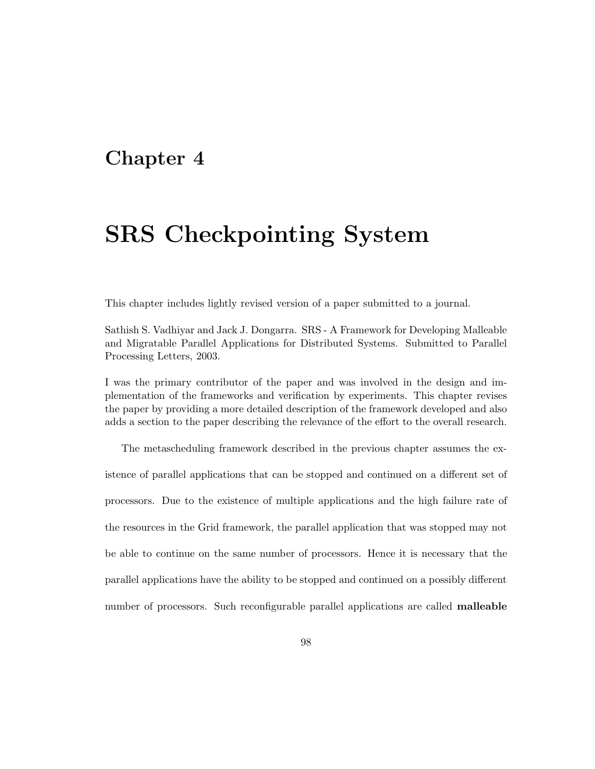# **Chapter 4**

# **SRS Checkpointing System**

This chapter includes lightly revised version of a paper submitted to a journal.

Sathish S. Vadhiyar and Jack J. Dongarra. SRS - A Framework for Developing Malleable and Migratable Parallel Applications for Distributed Systems. Submitted to Parallel Processing Letters, 2003.

I was the primary contributor of the paper and was involved in the design and implementation of the frameworks and verification by experiments. This chapter revises the paper by providing a more detailed description of the framework developed and also adds a section to the paper describing the relevance of the effort to the overall research.

The metascheduling framework described in the previous chapter assumes the existence of parallel applications that can be stopped and continued on a different set of processors. Due to the existence of multiple applications and the high failure rate of the resources in the Grid framework, the parallel application that was stopped may not be able to continue on the same number of processors. Hence it is necessary that the parallel applications have the ability to be stopped and continued on a possibly different number of processors. Such reconfigurable parallel applications are called **malleable**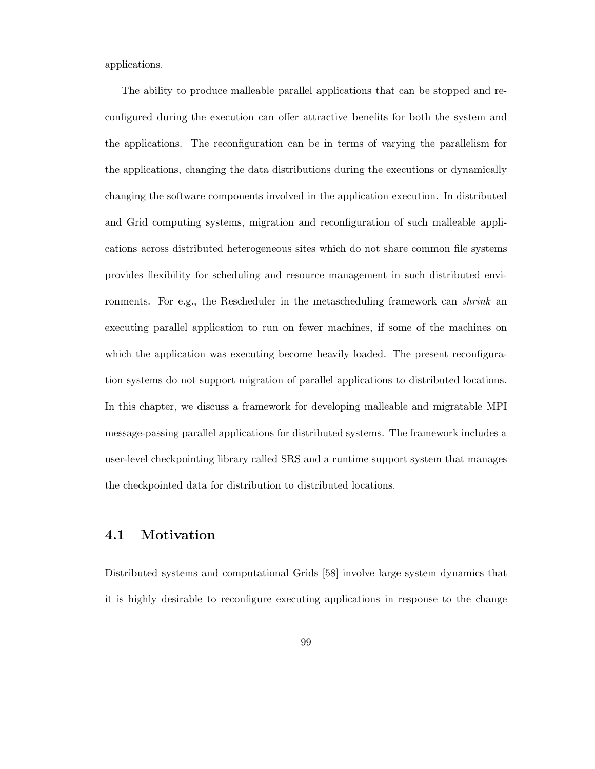applications.

The ability to produce malleable parallel applications that can be stopped and reconfigured during the execution can offer attractive benefits for both the system and the applications. The reconfiguration can be in terms of varying the parallelism for the applications, changing the data distributions during the executions or dynamically changing the software components involved in the application execution. In distributed and Grid computing systems, migration and reconfiguration of such malleable applications across distributed heterogeneous sites which do not share common file systems provides flexibility for scheduling and resource management in such distributed environments. For e.g., the Rescheduler in the metascheduling framework can *shrink* an executing parallel application to run on fewer machines, if some of the machines on which the application was executing become heavily loaded. The present reconfiguration systems do not support migration of parallel applications to distributed locations. In this chapter, we discuss a framework for developing malleable and migratable MPI message-passing parallel applications for distributed systems. The framework includes a user-level checkpointing library called SRS and a runtime support system that manages the checkpointed data for distribution to distributed locations.

## **4.1 Motivation**

Distributed systems and computational Grids [58] involve large system dynamics that it is highly desirable to reconfigure executing applications in response to the change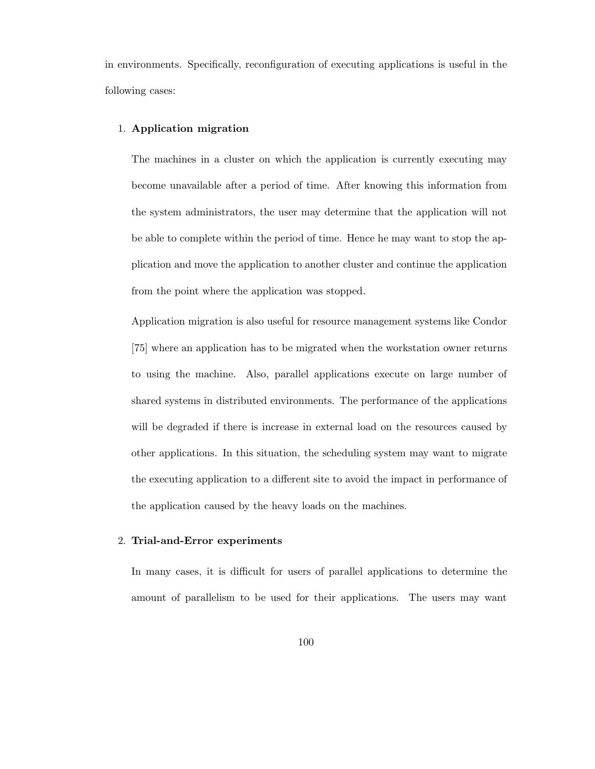in environments. Specifically, reconfiguration of executing applications is useful in the following cases:

## 1. **Application migration**

The machines in a cluster on which the application is currently executing may become unavailable after a period of time. After knowing this information from the system administrators, the user may determine that the application will not be able to complete within the period of time. Hence he may want to stop the application and move the application to another cluster and continue the application from the point where the application was stopped.

Application migration is also useful for resource management systems like Condor [75] where an application has to be migrated when the workstation owner returns to using the machine. Also, parallel applications execute on large number of shared systems in distributed environments. The performance of the applications will be degraded if there is increase in external load on the resources caused by other applications. In this situation, the scheduling system may want to migrate the executing application to a different site to avoid the impact in performance of the application caused by the heavy loads on the machines.

## 2. **Trial-and-Error experiments**

In many cases, it is difficult for users of parallel applications to determine the amount of parallelism to be used for their applications. The users may want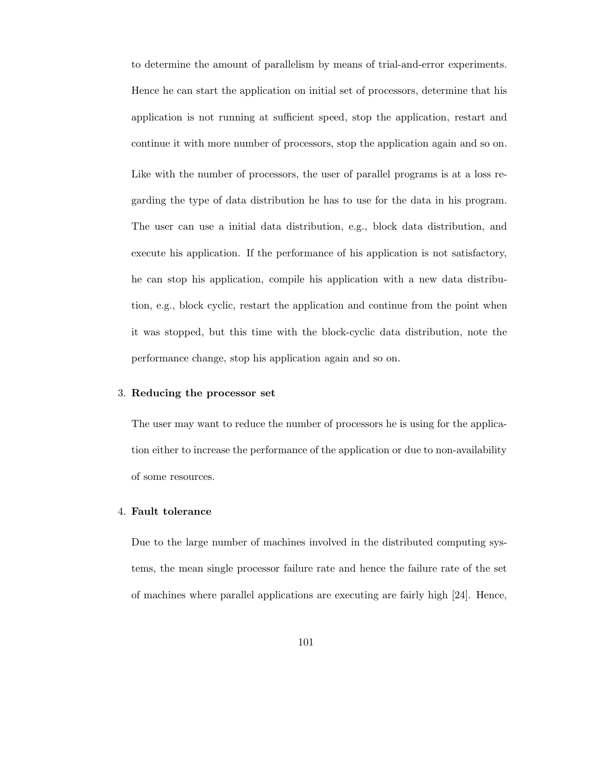to determine the amount of parallelism by means of trial-and-error experiments. Hence he can start the application on initial set of processors, determine that his application is not running at sufficient speed, stop the application, restart and continue it with more number of processors, stop the application again and so on. Like with the number of processors, the user of parallel programs is at a loss regarding the type of data distribution he has to use for the data in his program. The user can use a initial data distribution, e.g., block data distribution, and execute his application. If the performance of his application is not satisfactory, he can stop his application, compile his application with a new data distribution, e.g., block cyclic, restart the application and continue from the point when it was stopped, but this time with the block-cyclic data distribution, note the performance change, stop his application again and so on.

#### 3. **Reducing the processor set**

The user may want to reduce the number of processors he is using for the application either to increase the performance of the application or due to non-availability of some resources.

## 4. **Fault tolerance**

Due to the large number of machines involved in the distributed computing systems, the mean single processor failure rate and hence the failure rate of the set of machines where parallel applications are executing are fairly high [24]. Hence,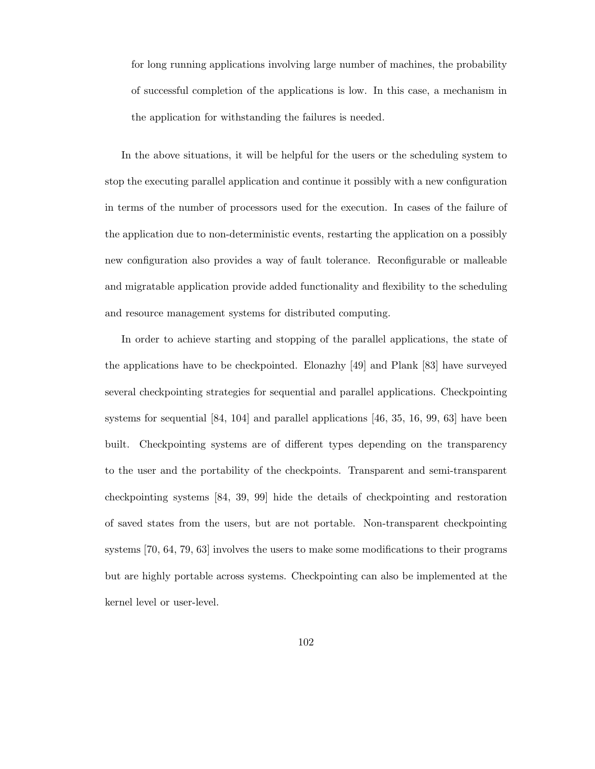for long running applications involving large number of machines, the probability of successful completion of the applications is low. In this case, a mechanism in the application for withstanding the failures is needed.

In the above situations, it will be helpful for the users or the scheduling system to stop the executing parallel application and continue it possibly with a new configuration in terms of the number of processors used for the execution. In cases of the failure of the application due to non-deterministic events, restarting the application on a possibly new configuration also provides a way of fault tolerance. Reconfigurable or malleable and migratable application provide added functionality and flexibility to the scheduling and resource management systems for distributed computing.

In order to achieve starting and stopping of the parallel applications, the state of the applications have to be checkpointed. Elonazhy [49] and Plank [83] have surveyed several checkpointing strategies for sequential and parallel applications. Checkpointing systems for sequential [84, 104] and parallel applications [46, 35, 16, 99, 63] have been built. Checkpointing systems are of different types depending on the transparency to the user and the portability of the checkpoints. Transparent and semi-transparent checkpointing systems [84, 39, 99] hide the details of checkpointing and restoration of saved states from the users, but are not portable. Non-transparent checkpointing systems [70, 64, 79, 63] involves the users to make some modifications to their programs but are highly portable across systems. Checkpointing can also be implemented at the kernel level or user-level.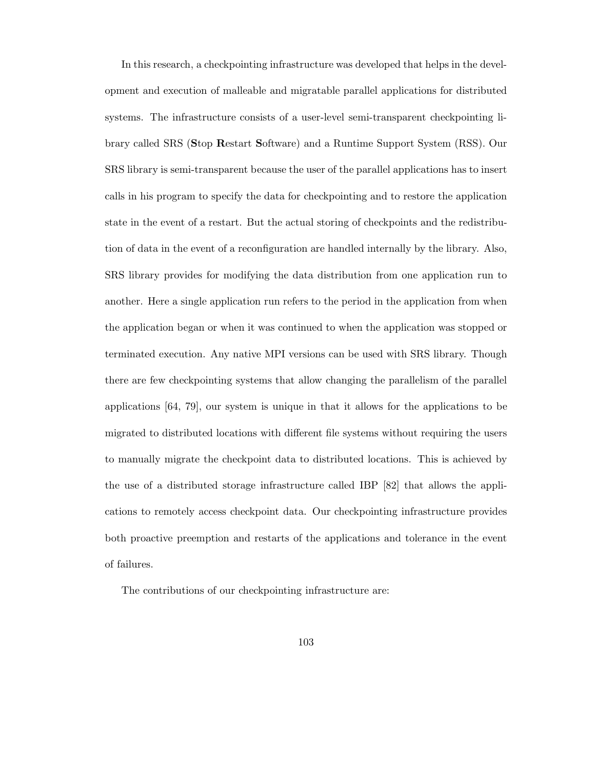In this research, a checkpointing infrastructure was developed that helps in the development and execution of malleable and migratable parallel applications for distributed systems. The infrastructure consists of a user-level semi-transparent checkpointing library called SRS (**S**top **R**estart **S**oftware) and a Runtime Support System (RSS). Our SRS library is semi-transparent because the user of the parallel applications has to insert calls in his program to specify the data for checkpointing and to restore the application state in the event of a restart. But the actual storing of checkpoints and the redistribution of data in the event of a reconfiguration are handled internally by the library. Also, SRS library provides for modifying the data distribution from one application run to another. Here a single application run refers to the period in the application from when the application began or when it was continued to when the application was stopped or terminated execution. Any native MPI versions can be used with SRS library. Though there are few checkpointing systems that allow changing the parallelism of the parallel applications [64, 79], our system is unique in that it allows for the applications to be migrated to distributed locations with different file systems without requiring the users to manually migrate the checkpoint data to distributed locations. This is achieved by the use of a distributed storage infrastructure called IBP [82] that allows the applications to remotely access checkpoint data. Our checkpointing infrastructure provides both proactive preemption and restarts of the applications and tolerance in the event of failures.

The contributions of our checkpointing infrastructure are: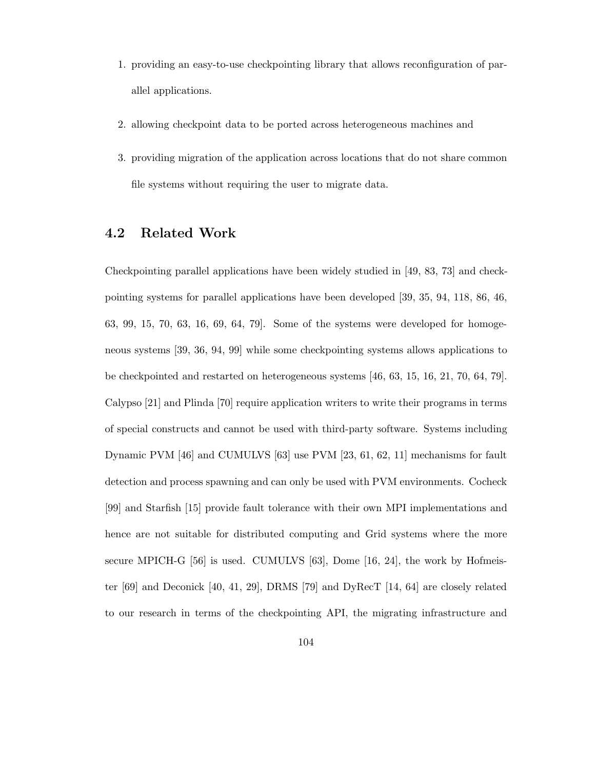- 1. providing an easy-to-use checkpointing library that allows reconfiguration of parallel applications.
- 2. allowing checkpoint data to be ported across heterogeneous machines and
- 3. providing migration of the application across locations that do not share common file systems without requiring the user to migrate data.

## **4.2 Related Work**

Checkpointing parallel applications have been widely studied in [49, 83, 73] and checkpointing systems for parallel applications have been developed [39, 35, 94, 118, 86, 46, 63, 99, 15, 70, 63, 16, 69, 64, 79]. Some of the systems were developed for homogeneous systems [39, 36, 94, 99] while some checkpointing systems allows applications to be checkpointed and restarted on heterogeneous systems [46, 63, 15, 16, 21, 70, 64, 79]. Calypso [21] and Plinda [70] require application writers to write their programs in terms of special constructs and cannot be used with third-party software. Systems including Dynamic PVM [46] and CUMULVS [63] use PVM [23, 61, 62, 11] mechanisms for fault detection and process spawning and can only be used with PVM environments. Cocheck [99] and Starfish [15] provide fault tolerance with their own MPI implementations and hence are not suitable for distributed computing and Grid systems where the more secure MPICH-G [56] is used. CUMULVS [63], Dome [16, 24], the work by Hofmeister [69] and Deconick [40, 41, 29], DRMS [79] and DyRecT [14, 64] are closely related to our research in terms of the checkpointing API, the migrating infrastructure and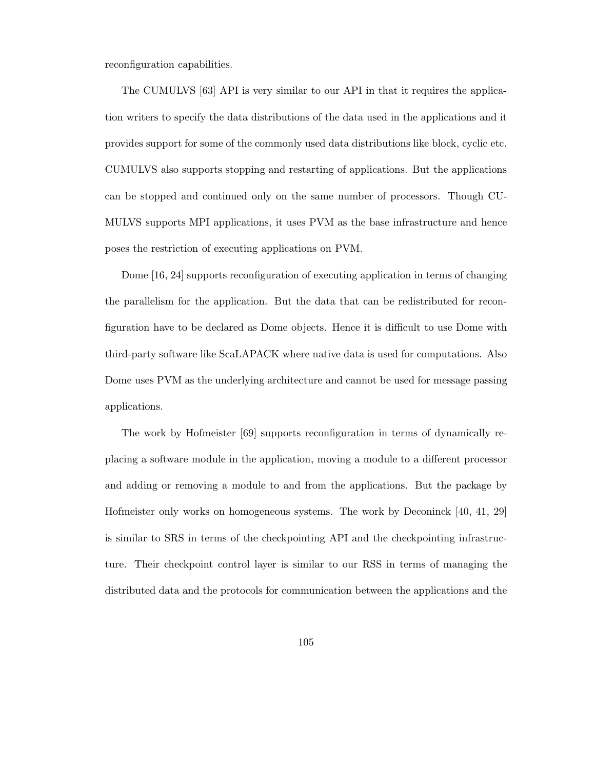reconfiguration capabilities.

The CUMULVS [63] API is very similar to our API in that it requires the application writers to specify the data distributions of the data used in the applications and it provides support for some of the commonly used data distributions like block, cyclic etc. CUMULVS also supports stopping and restarting of applications. But the applications can be stopped and continued only on the same number of processors. Though CU-MULVS supports MPI applications, it uses PVM as the base infrastructure and hence poses the restriction of executing applications on PVM.

Dome [16, 24] supports reconfiguration of executing application in terms of changing the parallelism for the application. But the data that can be redistributed for reconfiguration have to be declared as Dome objects. Hence it is difficult to use Dome with third-party software like ScaLAPACK where native data is used for computations. Also Dome uses PVM as the underlying architecture and cannot be used for message passing applications.

The work by Hofmeister [69] supports reconfiguration in terms of dynamically replacing a software module in the application, moving a module to a different processor and adding or removing a module to and from the applications. But the package by Hofmeister only works on homogeneous systems. The work by Deconinck [40, 41, 29] is similar to SRS in terms of the checkpointing API and the checkpointing infrastructure. Their checkpoint control layer is similar to our RSS in terms of managing the distributed data and the protocols for communication between the applications and the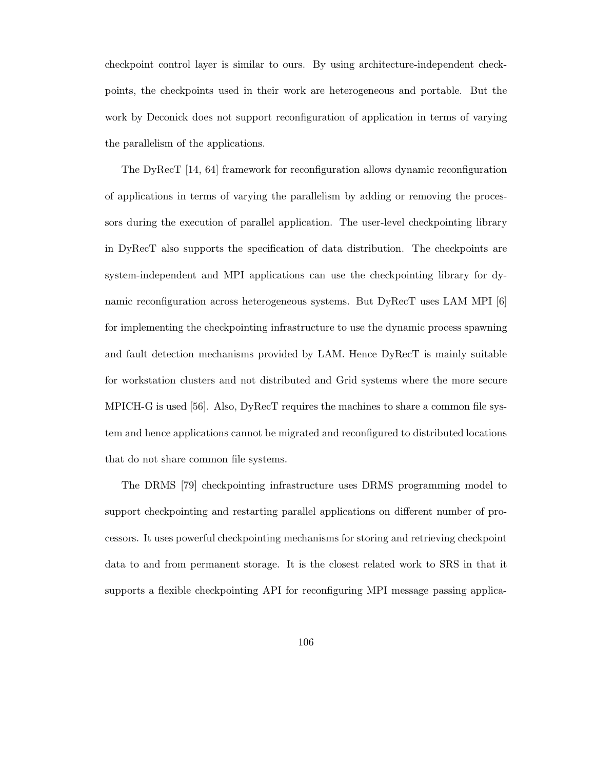checkpoint control layer is similar to ours. By using architecture-independent checkpoints, the checkpoints used in their work are heterogeneous and portable. But the work by Deconick does not support reconfiguration of application in terms of varying the parallelism of the applications.

The DyRecT [14, 64] framework for reconfiguration allows dynamic reconfiguration of applications in terms of varying the parallelism by adding or removing the processors during the execution of parallel application. The user-level checkpointing library in DyRecT also supports the specification of data distribution. The checkpoints are system-independent and MPI applications can use the checkpointing library for dynamic reconfiguration across heterogeneous systems. But DyRecT uses LAM MPI [6] for implementing the checkpointing infrastructure to use the dynamic process spawning and fault detection mechanisms provided by LAM. Hence DyRecT is mainly suitable for workstation clusters and not distributed and Grid systems where the more secure MPICH-G is used [56]. Also, DyRecT requires the machines to share a common file system and hence applications cannot be migrated and reconfigured to distributed locations that do not share common file systems.

The DRMS [79] checkpointing infrastructure uses DRMS programming model to support checkpointing and restarting parallel applications on different number of processors. It uses powerful checkpointing mechanisms for storing and retrieving checkpoint data to and from permanent storage. It is the closest related work to SRS in that it supports a flexible checkpointing API for reconfiguring MPI message passing applica-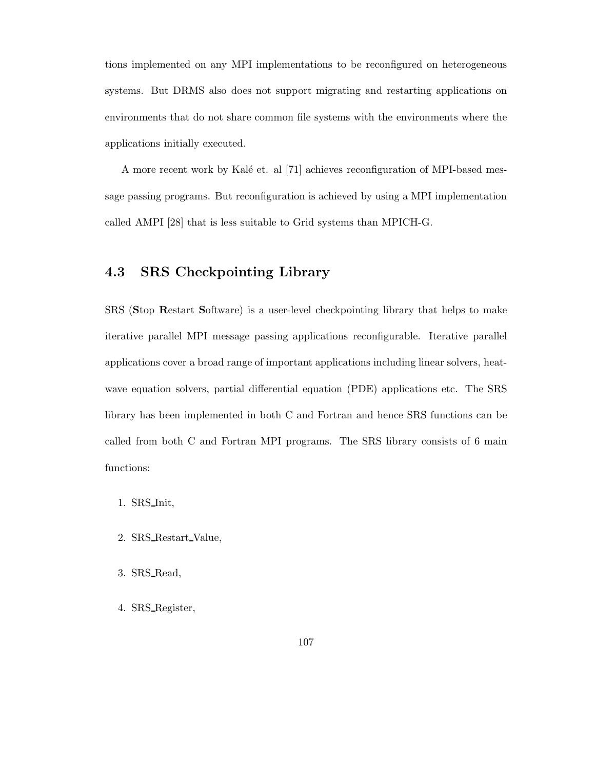tions implemented on any MPI implementations to be reconfigured on heterogeneous systems. But DRMS also does not support migrating and restarting applications on environments that do not share common file systems with the environments where the applications initially executed.

A more recent work by Kalé et. al [71] achieves reconfiguration of MPI-based message passing programs. But reconfiguration is achieved by using a MPI implementation called AMPI [28] that is less suitable to Grid systems than MPICH-G.

# **4.3 SRS Checkpointing Library**

SRS (**S**top **R**estart **S**oftware) is a user-level checkpointing library that helps to make iterative parallel MPI message passing applications reconfigurable. Iterative parallel applications cover a broad range of important applications including linear solvers, heatwave equation solvers, partial differential equation (PDE) applications etc. The SRS library has been implemented in both C and Fortran and hence SRS functions can be called from both C and Fortran MPI programs. The SRS library consists of 6 main functions:

- 1. SRS Init,
- 2. SRS Restart Value,
- 3. SRS Read,
- 4. SRS Register,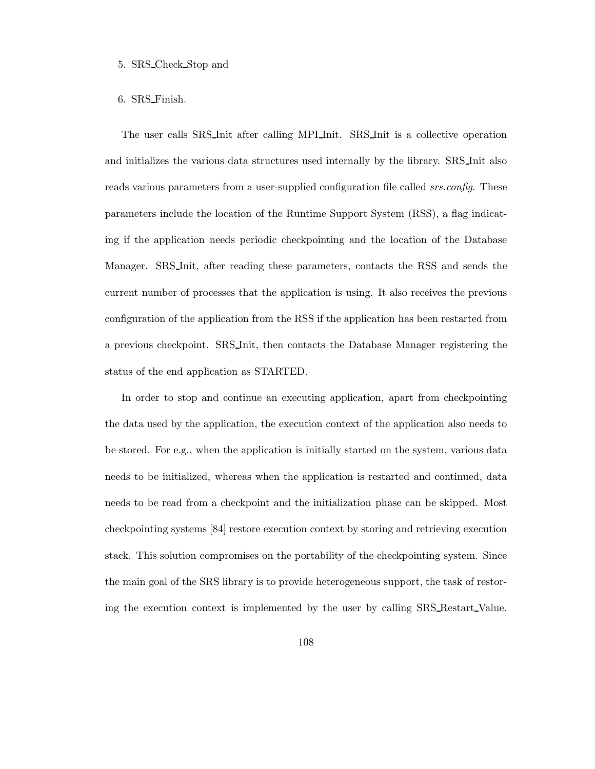### 5. SRS Check Stop and

#### 6. SRS Finish.

The user calls SRS Init after calling MPI Init. SRS Init is a collective operation and initializes the various data structures used internally by the library. SRS Init also reads various parameters from a user-supplied configuration file called *srs.config*. These parameters include the location of the Runtime Support System (RSS), a flag indicating if the application needs periodic checkpointing and the location of the Database Manager. SRS Init, after reading these parameters, contacts the RSS and sends the current number of processes that the application is using. It also receives the previous configuration of the application from the RSS if the application has been restarted from a previous checkpoint. SRS Init, then contacts the Database Manager registering the status of the end application as STARTED.

In order to stop and continue an executing application, apart from checkpointing the data used by the application, the execution context of the application also needs to be stored. For e.g., when the application is initially started on the system, various data needs to be initialized, whereas when the application is restarted and continued, data needs to be read from a checkpoint and the initialization phase can be skipped. Most checkpointing systems [84] restore execution context by storing and retrieving execution stack. This solution compromises on the portability of the checkpointing system. Since the main goal of the SRS library is to provide heterogeneous support, the task of restoring the execution context is implemented by the user by calling SRS Restart Value.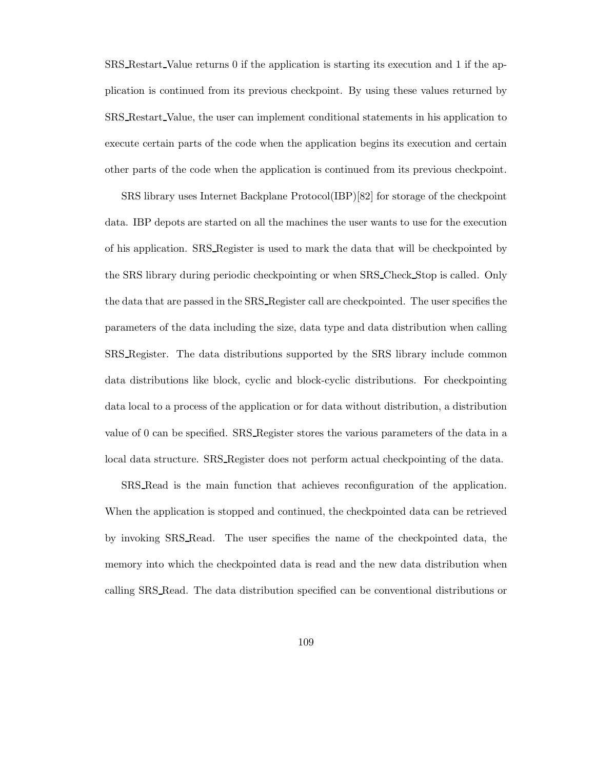SRS Restart Value returns 0 if the application is starting its execution and 1 if the application is continued from its previous checkpoint. By using these values returned by SRS Restart Value, the user can implement conditional statements in his application to execute certain parts of the code when the application begins its execution and certain other parts of the code when the application is continued from its previous checkpoint.

SRS library uses Internet Backplane Protocol(IBP)[82] for storage of the checkpoint data. IBP depots are started on all the machines the user wants to use for the execution of his application. SRS Register is used to mark the data that will be checkpointed by the SRS library during periodic checkpointing or when SRS Check Stop is called. Only the data that are passed in the SRS Register call are checkpointed. The user specifies the parameters of the data including the size, data type and data distribution when calling SRS Register. The data distributions supported by the SRS library include common data distributions like block, cyclic and block-cyclic distributions. For checkpointing data local to a process of the application or for data without distribution, a distribution value of 0 can be specified. SRS Register stores the various parameters of the data in a local data structure. SRS Register does not perform actual checkpointing of the data.

SRS Read is the main function that achieves reconfiguration of the application. When the application is stopped and continued, the checkpointed data can be retrieved by invoking SRS Read. The user specifies the name of the checkpointed data, the memory into which the checkpointed data is read and the new data distribution when calling SRS Read. The data distribution specified can be conventional distributions or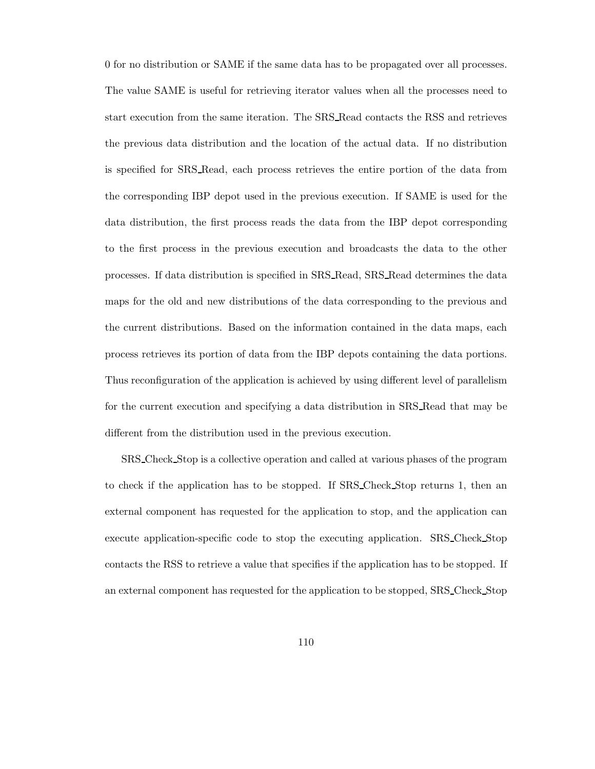0 for no distribution or SAME if the same data has to be propagated over all processes. The value SAME is useful for retrieving iterator values when all the processes need to start execution from the same iteration. The SRS Read contacts the RSS and retrieves the previous data distribution and the location of the actual data. If no distribution is specified for SRS Read, each process retrieves the entire portion of the data from the corresponding IBP depot used in the previous execution. If SAME is used for the data distribution, the first process reads the data from the IBP depot corresponding to the first process in the previous execution and broadcasts the data to the other processes. If data distribution is specified in SRS Read, SRS Read determines the data maps for the old and new distributions of the data corresponding to the previous and the current distributions. Based on the information contained in the data maps, each process retrieves its portion of data from the IBP depots containing the data portions. Thus reconfiguration of the application is achieved by using different level of parallelism for the current execution and specifying a data distribution in SRS Read that may be different from the distribution used in the previous execution.

SRS Check Stop is a collective operation and called at various phases of the program to check if the application has to be stopped. If SRS Check Stop returns 1, then an external component has requested for the application to stop, and the application can execute application-specific code to stop the executing application. SRS Check Stop contacts the RSS to retrieve a value that specifies if the application has to be stopped. If an external component has requested for the application to be stopped, SRS Check Stop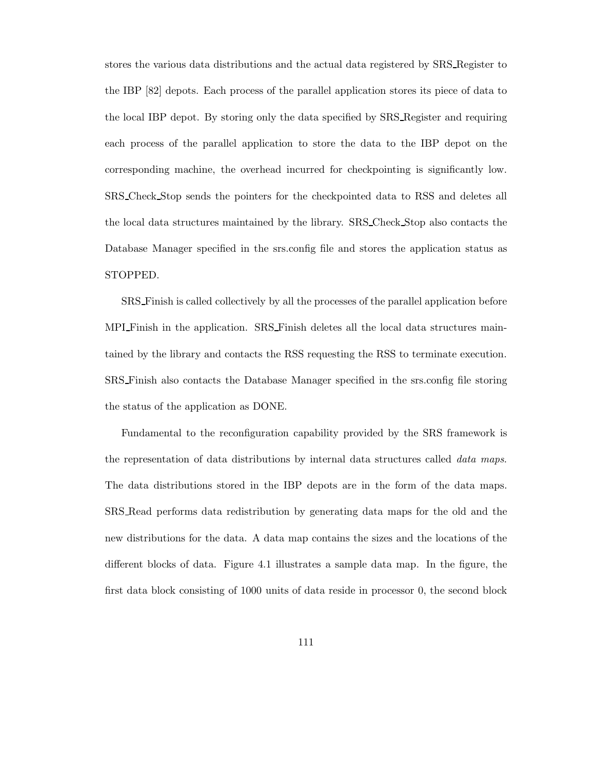stores the various data distributions and the actual data registered by SRS Register to the IBP [82] depots. Each process of the parallel application stores its piece of data to the local IBP depot. By storing only the data specified by SRS Register and requiring each process of the parallel application to store the data to the IBP depot on the corresponding machine, the overhead incurred for checkpointing is significantly low. SRS Check Stop sends the pointers for the checkpointed data to RSS and deletes all the local data structures maintained by the library. SRS Check Stop also contacts the Database Manager specified in the srs.config file and stores the application status as STOPPED.

SRS Finish is called collectively by all the processes of the parallel application before MPI Finish in the application. SRS Finish deletes all the local data structures maintained by the library and contacts the RSS requesting the RSS to terminate execution. SRS Finish also contacts the Database Manager specified in the srs.config file storing the status of the application as DONE.

Fundamental to the reconfiguration capability provided by the SRS framework is the representation of data distributions by internal data structures called *data maps*. The data distributions stored in the IBP depots are in the form of the data maps. SRS Read performs data redistribution by generating data maps for the old and the new distributions for the data. A data map contains the sizes and the locations of the different blocks of data. Figure 4.1 illustrates a sample data map. In the figure, the first data block consisting of 1000 units of data reside in processor 0, the second block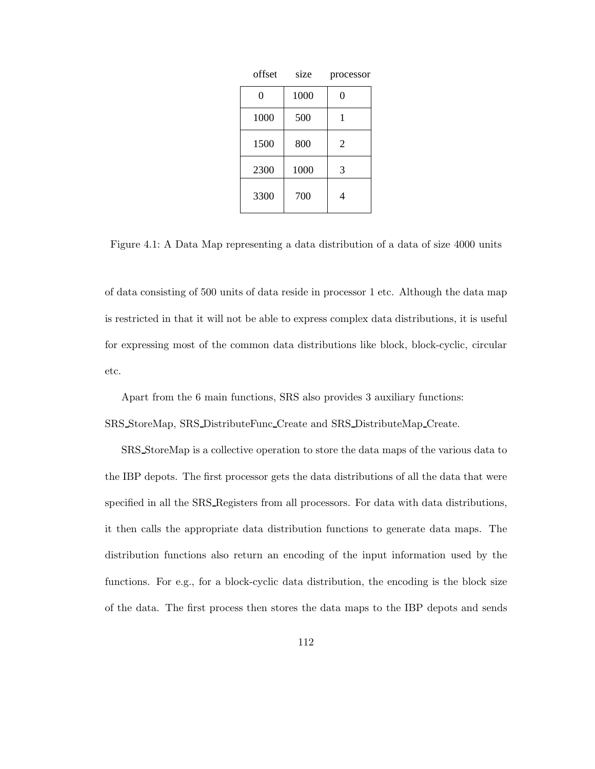| offset | size | processor |
|--------|------|-----------|
| 0      | 1000 | 0         |
| 1000   | 500  | 1         |
| 1500   | 800  | 2         |
| 2300   | 1000 | 3         |
| 3300   | 700  | 4         |

Figure 4.1: A Data Map representing a data distribution of a data of size 4000 units

of data consisting of 500 units of data reside in processor 1 etc. Although the data map is restricted in that it will not be able to express complex data distributions, it is useful for expressing most of the common data distributions like block, block-cyclic, circular etc.

Apart from the 6 main functions, SRS also provides 3 auxiliary functions:

SRS StoreMap, SRS DistributeFunc Create and SRS DistributeMap Create.

SRS StoreMap is a collective operation to store the data maps of the various data to the IBP depots. The first processor gets the data distributions of all the data that were specified in all the SRS Registers from all processors. For data with data distributions, it then calls the appropriate data distribution functions to generate data maps. The distribution functions also return an encoding of the input information used by the functions. For e.g., for a block-cyclic data distribution, the encoding is the block size of the data. The first process then stores the data maps to the IBP depots and sends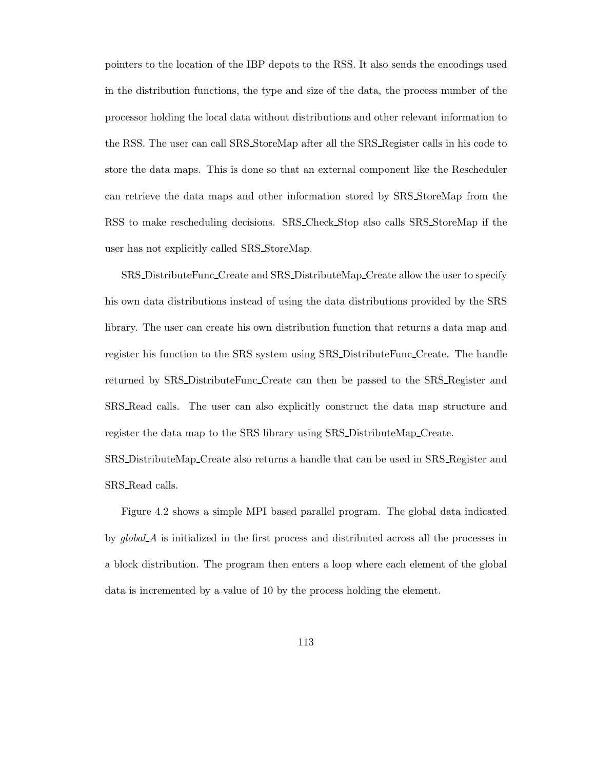pointers to the location of the IBP depots to the RSS. It also sends the encodings used in the distribution functions, the type and size of the data, the process number of the processor holding the local data without distributions and other relevant information to the RSS. The user can call SRS StoreMap after all the SRS Register calls in his code to store the data maps. This is done so that an external component like the Rescheduler can retrieve the data maps and other information stored by SRS StoreMap from the RSS to make rescheduling decisions. SRS Check Stop also calls SRS StoreMap if the user has not explicitly called SRS StoreMap.

SRS DistributeFunc Create and SRS DistributeMap Create allow the user to specify his own data distributions instead of using the data distributions provided by the SRS library. The user can create his own distribution function that returns a data map and register his function to the SRS system using SRS DistributeFunc Create. The handle returned by SRS DistributeFunc Create can then be passed to the SRS Register and SRS Read calls. The user can also explicitly construct the data map structure and register the data map to the SRS library using SRS DistributeMap Create.

SRS DistributeMap Create also returns a handle that can be used in SRS Register and SRS Read calls.

Figure 4.2 shows a simple MPI based parallel program. The global data indicated by *global A* is initialized in the first process and distributed across all the processes in a block distribution. The program then enters a loop where each element of the global data is incremented by a value of 10 by the process holding the element.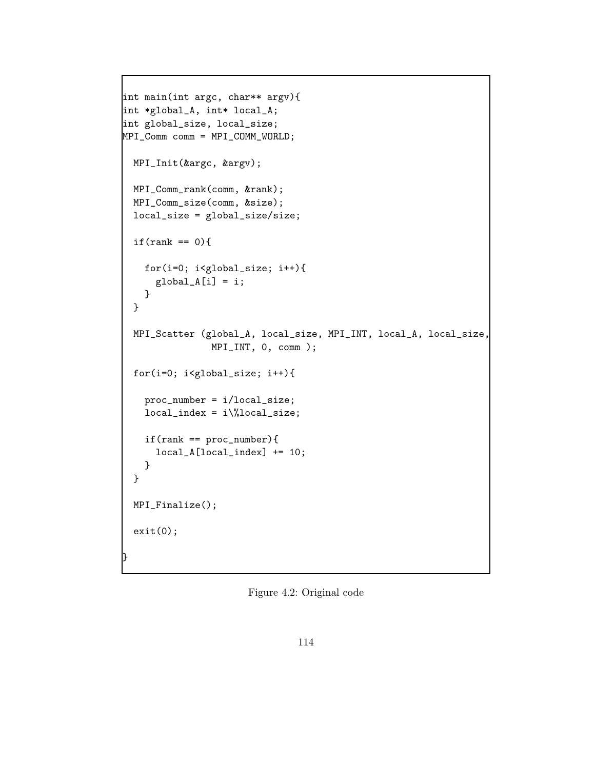```
int main(int argc, char** argv){
int *global_A, int* local_A;
int global_size, local_size;
MPI_Comm comm = MPI_COMM_WORLD;
 MPI_Init(&argc, &argv);
 MPI_Comm_rank(comm, &rank);
 MPI_Comm_size(comm, &size);
 local_size = global_size/size;
 if(rank == 0){
   for(i=0; i<global_size; i++){
     global_A[i] = i;}
 }
 MPI_Scatter (global_A, local_size, MPI_INT, local_A, local_size,
               MPI_INT, 0, comm );
 for(i=0; i<global_size; i++){
   proc_number = i/local_size;
   local_index = i\\2i</math>if(rank == proc_number){
      local_A[local_index] += 10;
   }
 }
 MPI_Finalize();
 exit(0);}
```
Figure 4.2: Original code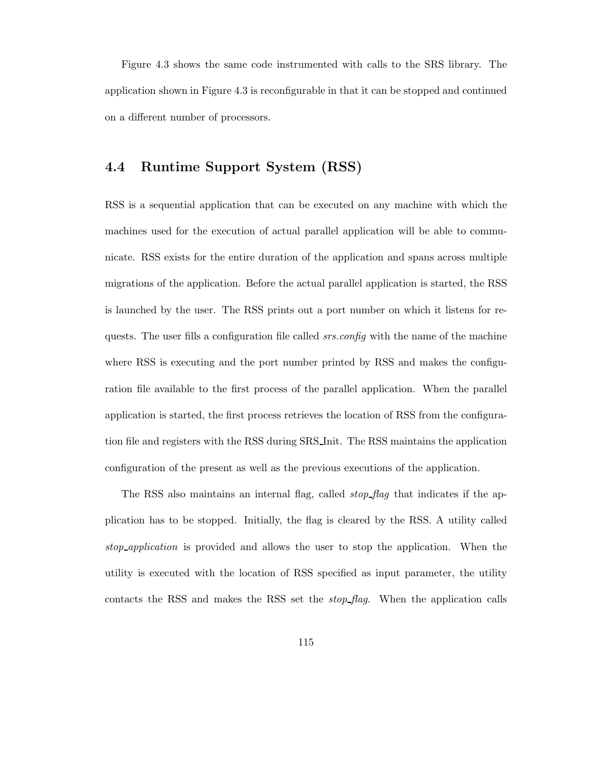Figure 4.3 shows the same code instrumented with calls to the SRS library. The application shown in Figure 4.3 is reconfigurable in that it can be stopped and continued on a different number of processors.

## **4.4 Runtime Support System (RSS)**

RSS is a sequential application that can be executed on any machine with which the machines used for the execution of actual parallel application will be able to communicate. RSS exists for the entire duration of the application and spans across multiple migrations of the application. Before the actual parallel application is started, the RSS is launched by the user. The RSS prints out a port number on which it listens for requests. The user fills a configuration file called *srs.config* with the name of the machine where RSS is executing and the port number printed by RSS and makes the configuration file available to the first process of the parallel application. When the parallel application is started, the first process retrieves the location of RSS from the configuration file and registers with the RSS during SRS Init. The RSS maintains the application configuration of the present as well as the previous executions of the application.

The RSS also maintains an internal flag, called *stop flag* that indicates if the application has to be stopped. Initially, the flag is cleared by the RSS. A utility called *stop application* is provided and allows the user to stop the application. When the utility is executed with the location of RSS specified as input parameter, the utility contacts the RSS and makes the RSS set the *stop flag*. When the application calls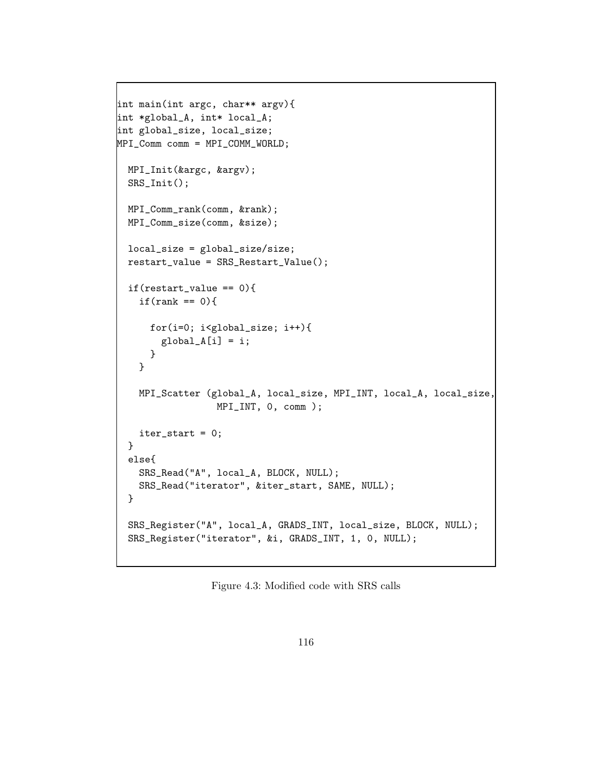```
int main(int argc, char** argv){
int *global_A, int* local_A;
int global_size, local_size;
MPI_Comm comm = MPI_COMM_WORLD;
  MPI_Init(&argc, &argv);
  SRS_Init();
  MPI_Comm_rank(comm, &rank);
  MPI_Comm_size(comm, &size);
  local_size = global_size/size;
  restart_value = SRS_Restart_Value();
  if(restart_value == 0){
    if(rank == 0){
      for(i=0; i<global_size; i++){
        global_A[i] = i;}
    }
   MPI_Scatter (global_A, local_size, MPI_INT, local_A, local_size,
                  MPI_INT, 0, comm );
    iter\_start = 0;}
  else{
    SRS_Read("A", local_A, BLOCK, NULL);
    SRS_Read("iterator", &iter_start, SAME, NULL);
  }
  SRS_Register("A", local_A, GRADS_INT, local_size, BLOCK, NULL);
  SRS_Register("iterator", &i, GRADS_INT, 1, 0, NULL);
```
Figure 4.3: Modified code with SRS calls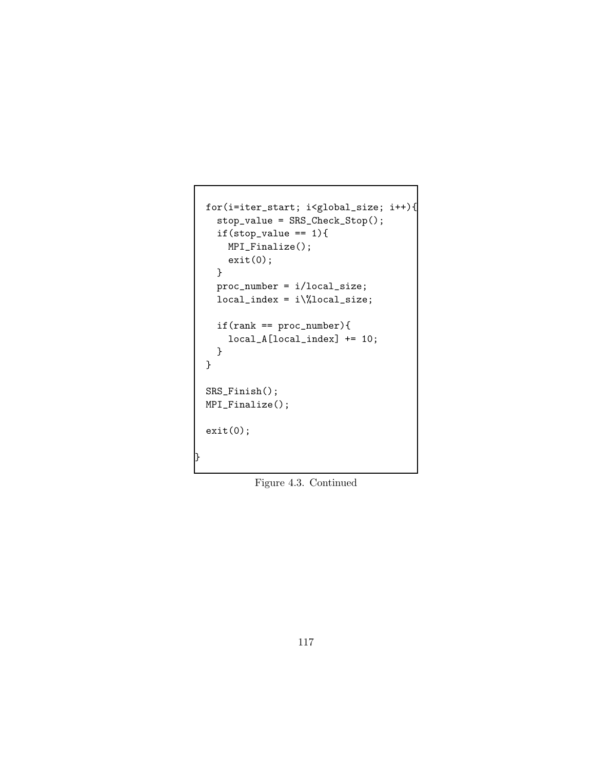```
for(i=iter_start; i<global_size; i++){
  stop_value = SRS_Check_Stop();
  if(\text{stop_value} == 1){
    MPI_Finalize();
    exit(0);
  }
  proc_number = i/local_size;
  local_index = i\\2local_size;if(rank == proc_number){
    local_A[local_index] += 10;
  }
}
SRS_Finish();
MPI_Finalize();
exit(0);
```
Figure 4.3. Continued

}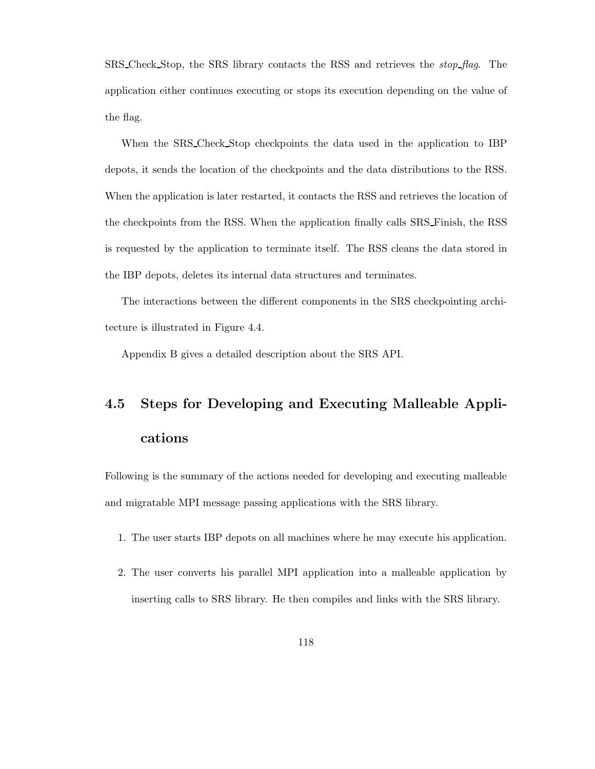SRS Check Stop, the SRS library contacts the RSS and retrieves the *stop flag*. The application either continues executing or stops its execution depending on the value of the flag.

When the SRS Check Stop checkpoints the data used in the application to IBP depots, it sends the location of the checkpoints and the data distributions to the RSS. When the application is later restarted, it contacts the RSS and retrieves the location of the checkpoints from the RSS. When the application finally calls SRS Finish, the RSS is requested by the application to terminate itself. The RSS cleans the data stored in the IBP depots, deletes its internal data structures and terminates.

The interactions between the different components in the SRS checkpointing architecture is illustrated in Figure 4.4.

Appendix B gives a detailed description about the SRS API.

# **4.5 Steps for Developing and Executing Malleable Applications**

Following is the summary of the actions needed for developing and executing malleable and migratable MPI message passing applications with the SRS library.

- 1. The user starts IBP depots on all machines where he may execute his application.
- 2. The user converts his parallel MPI application into a malleable application by inserting calls to SRS library. He then compiles and links with the SRS library.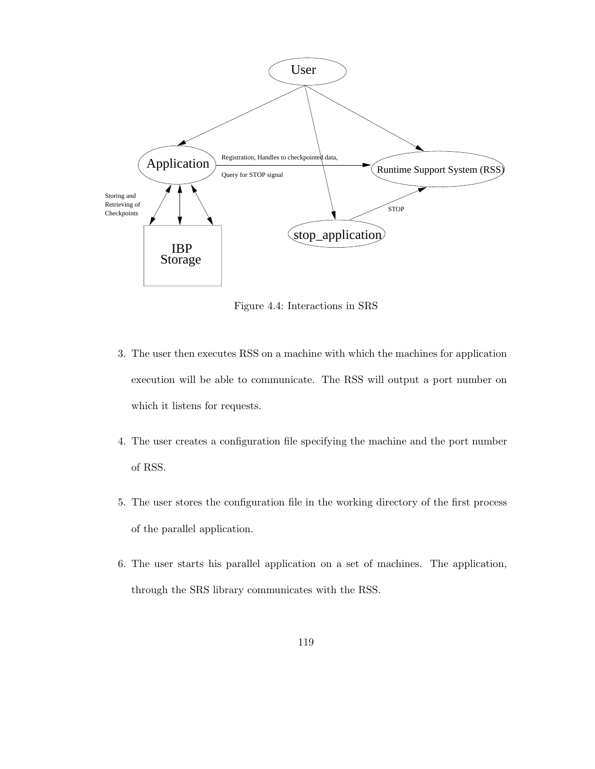

Figure 4.4: Interactions in SRS

- 3. The user then executes RSS on a machine with which the machines for application execution will be able to communicate. The RSS will output a port number on which it listens for requests.
- 4. The user creates a configuration file specifying the machine and the port number of RSS.
- 5. The user stores the configuration file in the working directory of the first process of the parallel application.
- 6. The user starts his parallel application on a set of machines. The application, through the SRS library communicates with the RSS.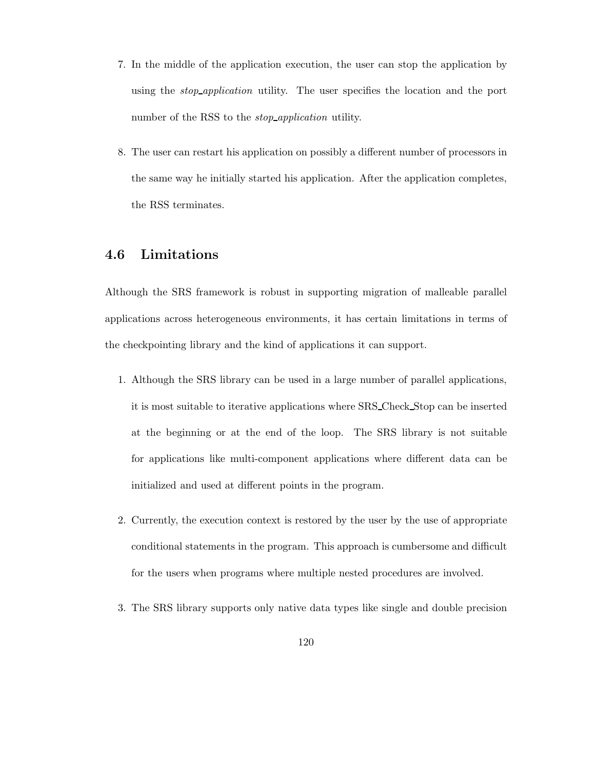- 7. In the middle of the application execution, the user can stop the application by using the *stop application* utility. The user specifies the location and the port number of the RSS to the *stop application* utility.
- 8. The user can restart his application on possibly a different number of processors in the same way he initially started his application. After the application completes, the RSS terminates.

## **4.6 Limitations**

Although the SRS framework is robust in supporting migration of malleable parallel applications across heterogeneous environments, it has certain limitations in terms of the checkpointing library and the kind of applications it can support.

- 1. Although the SRS library can be used in a large number of parallel applications, it is most suitable to iterative applications where SRS Check Stop can be inserted at the beginning or at the end of the loop. The SRS library is not suitable for applications like multi-component applications where different data can be initialized and used at different points in the program.
- 2. Currently, the execution context is restored by the user by the use of appropriate conditional statements in the program. This approach is cumbersome and difficult for the users when programs where multiple nested procedures are involved.
- 3. The SRS library supports only native data types like single and double precision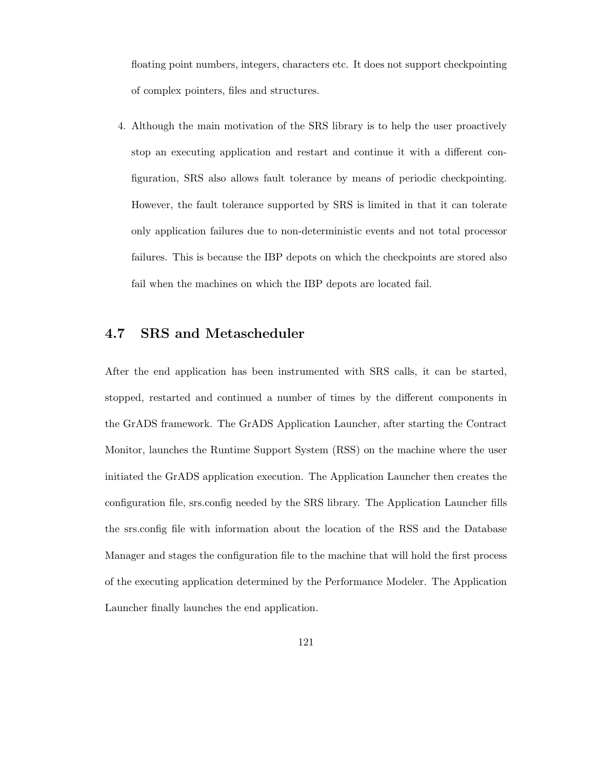floating point numbers, integers, characters etc. It does not support checkpointing of complex pointers, files and structures.

4. Although the main motivation of the SRS library is to help the user proactively stop an executing application and restart and continue it with a different configuration, SRS also allows fault tolerance by means of periodic checkpointing. However, the fault tolerance supported by SRS is limited in that it can tolerate only application failures due to non-deterministic events and not total processor failures. This is because the IBP depots on which the checkpoints are stored also fail when the machines on which the IBP depots are located fail.

## **4.7 SRS and Metascheduler**

After the end application has been instrumented with SRS calls, it can be started, stopped, restarted and continued a number of times by the different components in the GrADS framework. The GrADS Application Launcher, after starting the Contract Monitor, launches the Runtime Support System (RSS) on the machine where the user initiated the GrADS application execution. The Application Launcher then creates the configuration file, srs.config needed by the SRS library. The Application Launcher fills the srs.config file with information about the location of the RSS and the Database Manager and stages the configuration file to the machine that will hold the first process of the executing application determined by the Performance Modeler. The Application Launcher finally launches the end application.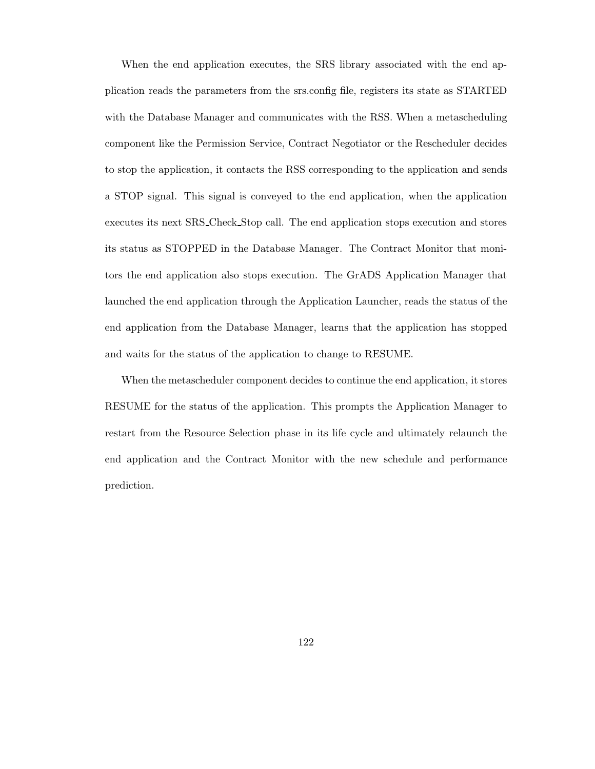When the end application executes, the SRS library associated with the end application reads the parameters from the srs.config file, registers its state as STARTED with the Database Manager and communicates with the RSS. When a metascheduling component like the Permission Service, Contract Negotiator or the Rescheduler decides to stop the application, it contacts the RSS corresponding to the application and sends a STOP signal. This signal is conveyed to the end application, when the application executes its next SRS Check Stop call. The end application stops execution and stores its status as STOPPED in the Database Manager. The Contract Monitor that monitors the end application also stops execution. The GrADS Application Manager that launched the end application through the Application Launcher, reads the status of the end application from the Database Manager, learns that the application has stopped and waits for the status of the application to change to RESUME.

When the metascheduler component decides to continue the end application, it stores RESUME for the status of the application. This prompts the Application Manager to restart from the Resource Selection phase in its life cycle and ultimately relaunch the end application and the Contract Monitor with the new schedule and performance prediction.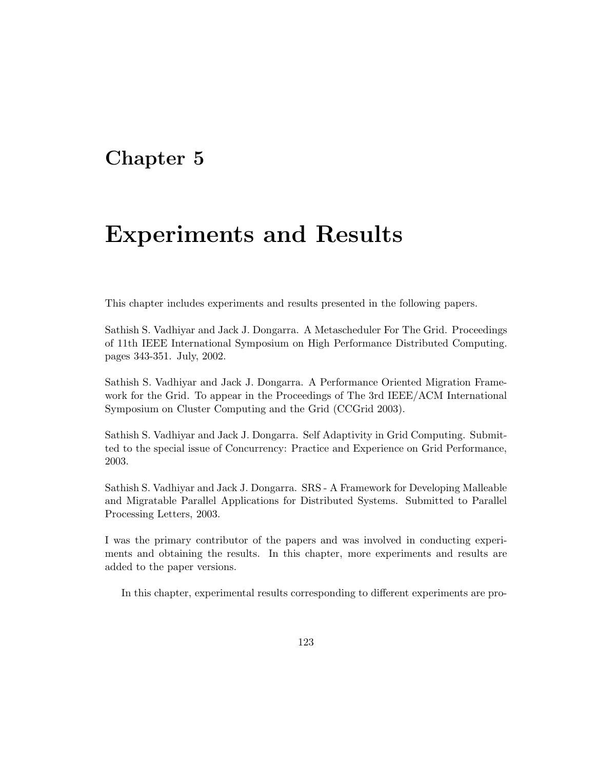# **Chapter 5**

# **Experiments and Results**

This chapter includes experiments and results presented in the following papers.

Sathish S. Vadhiyar and Jack J. Dongarra. A Metascheduler For The Grid. Proceedings of 11th IEEE International Symposium on High Performance Distributed Computing. pages 343-351. July, 2002.

Sathish S. Vadhiyar and Jack J. Dongarra. A Performance Oriented Migration Framework for the Grid. To appear in the Proceedings of The 3rd IEEE/ACM International Symposium on Cluster Computing and the Grid (CCGrid 2003).

Sathish S. Vadhiyar and Jack J. Dongarra. Self Adaptivity in Grid Computing. Submitted to the special issue of Concurrency: Practice and Experience on Grid Performance, 2003.

Sathish S. Vadhiyar and Jack J. Dongarra. SRS - A Framework for Developing Malleable and Migratable Parallel Applications for Distributed Systems. Submitted to Parallel Processing Letters, 2003.

I was the primary contributor of the papers and was involved in conducting experiments and obtaining the results. In this chapter, more experiments and results are added to the paper versions.

In this chapter, experimental results corresponding to different experiments are pro-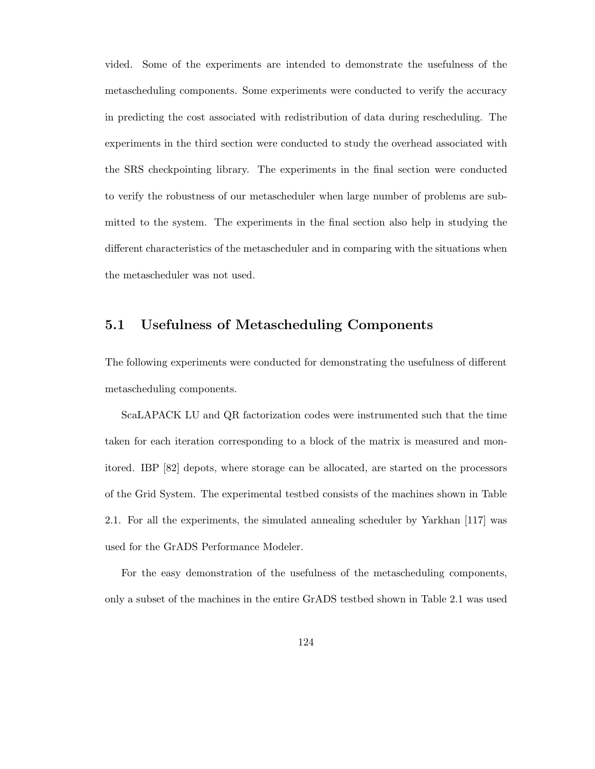vided. Some of the experiments are intended to demonstrate the usefulness of the metascheduling components. Some experiments were conducted to verify the accuracy in predicting the cost associated with redistribution of data during rescheduling. The experiments in the third section were conducted to study the overhead associated with the SRS checkpointing library. The experiments in the final section were conducted to verify the robustness of our metascheduler when large number of problems are submitted to the system. The experiments in the final section also help in studying the different characteristics of the metascheduler and in comparing with the situations when the metascheduler was not used.

# **5.1 Usefulness of Metascheduling Components**

The following experiments were conducted for demonstrating the usefulness of different metascheduling components.

ScaLAPACK LU and QR factorization codes were instrumented such that the time taken for each iteration corresponding to a block of the matrix is measured and monitored. IBP [82] depots, where storage can be allocated, are started on the processors of the Grid System. The experimental testbed consists of the machines shown in Table 2.1. For all the experiments, the simulated annealing scheduler by Yarkhan [117] was used for the GrADS Performance Modeler.

For the easy demonstration of the usefulness of the metascheduling components, only a subset of the machines in the entire GrADS testbed shown in Table 2.1 was used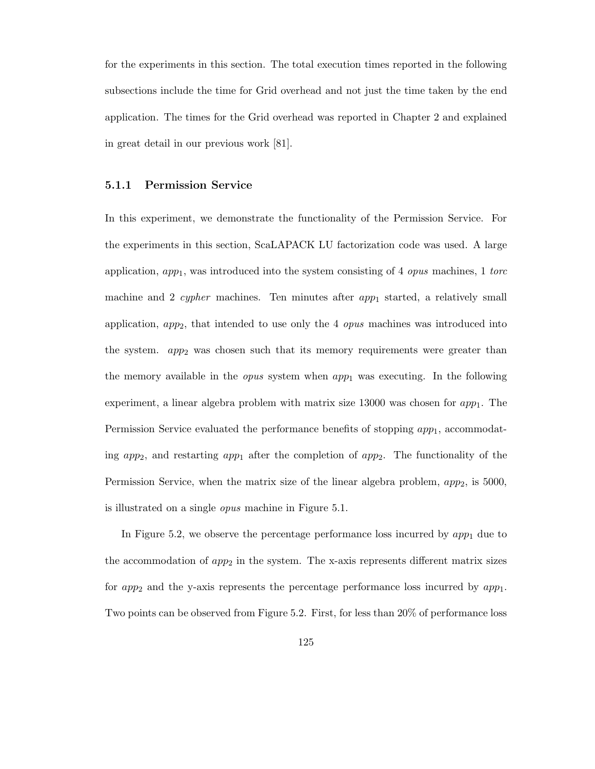for the experiments in this section. The total execution times reported in the following subsections include the time for Grid overhead and not just the time taken by the end application. The times for the Grid overhead was reported in Chapter 2 and explained in great detail in our previous work [81].

#### **5.1.1 Permission Service**

In this experiment, we demonstrate the functionality of the Permission Service. For the experiments in this section, ScaLAPACK LU factorization code was used. A large application, app1, was introduced into the system consisting of 4 *opus* machines, 1 *torc* machine and 2 *cypher* machines. Ten minutes after app<sub>1</sub> started, a relatively small application, app2, that intended to use only the 4 *opus* machines was introduced into the system.  $app_2$  was chosen such that its memory requirements were greater than the memory available in the *opus* system when  $app_1$  was executing. In the following experiment, a linear algebra problem with matrix size  $13000$  was chosen for  $app_1$ . The Permission Service evaluated the performance benefits of stopping  $app_1$ , accommodating app<sub>2</sub>, and restarting app<sub>1</sub> after the completion of app<sub>2</sub>. The functionality of the Permission Service, when the matrix size of the linear algebra problem,  $app_2$ , is 5000, is illustrated on a single *opus* machine in Figure 5.1.

In Figure 5.2, we observe the percentage performance loss incurred by  $app_1$  due to the accommodation of  $app_2$  in the system. The x-axis represents different matrix sizes for  $app_2$  and the y-axis represents the percentage performance loss incurred by  $app_1$ . Two points can be observed from Figure 5.2. First, for less than 20% of performance loss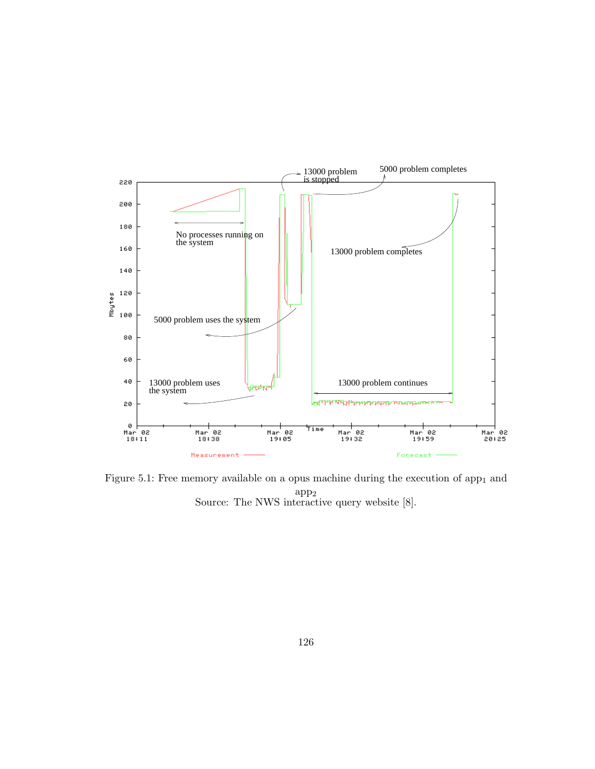

Figure 5.1: Free memory available on a opus machine during the execution of app<sub>1</sub> and app<sup>2</sup> Source: The NWS interactive query website [8].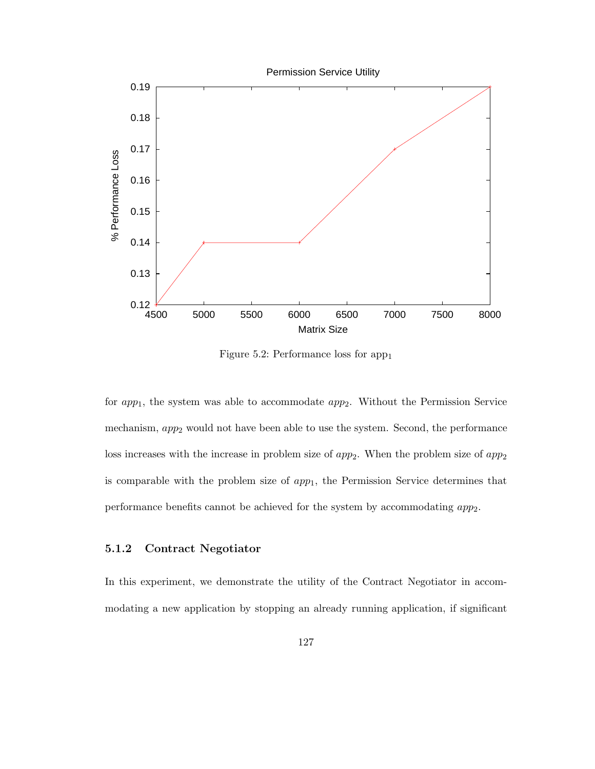

Figure 5.2: Performance loss for app<sub>1</sub>

for  $app_1$ , the system was able to accommodate  $app_2$ . Without the Permission Service mechanism,  $app_2$  would not have been able to use the system. Second, the performance loss increases with the increase in problem size of  $app_2$ . When the problem size of  $app_2$ is comparable with the problem size of  $app<sub>1</sub>$ , the Permission Service determines that performance benefits cannot be achieved for the system by accommodating app2.

### **5.1.2 Contract Negotiator**

In this experiment, we demonstrate the utility of the Contract Negotiator in accommodating a new application by stopping an already running application, if significant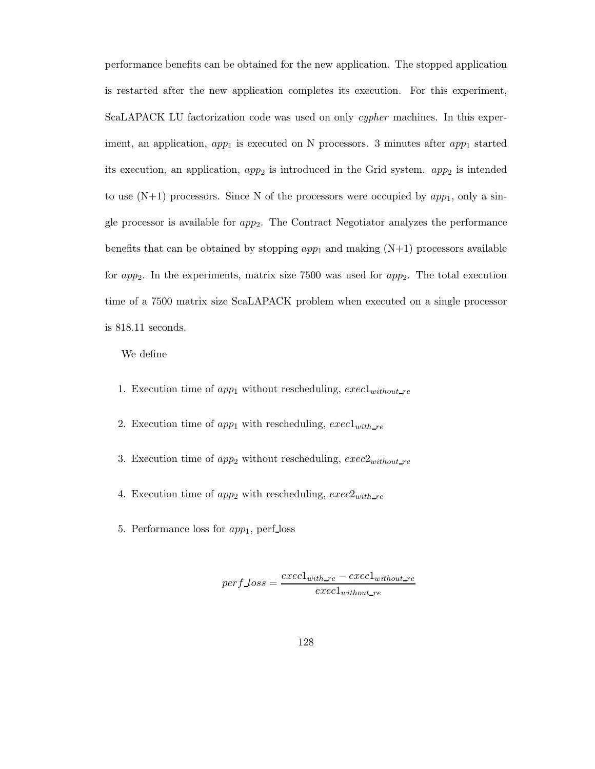performance benefits can be obtained for the new application. The stopped application is restarted after the new application completes its execution. For this experiment, ScaLAPACK LU factorization code was used on only *cypher* machines. In this experiment, an application,  $app_1$  is executed on N processors. 3 minutes after  $app_1$  started its execution, an application,  $app_2$  is introduced in the Grid system.  $app_2$  is intended to use  $(N+1)$  processors. Since N of the processors were occupied by  $app_1$ , only a single processor is available for  $app_2$ . The Contract Negotiator analyzes the performance benefits that can be obtained by stopping  $app_1$  and making  $(N+1)$  processors available for  $app_2$ . In the experiments, matrix size 7500 was used for  $app_2$ . The total execution time of a 7500 matrix size ScaLAPACK problem when executed on a single processor is 818.11 seconds.

We define

- 1. Execution time of  $app_1$  without rescheduling,  $exec1<sub>without_re</sub>$
- 2. Execution time of  $app_1$  with rescheduling,  $exec1_{with\_re}$
- 3. Execution time of  $app_2$  without rescheduling,  $exec2_{without\_re}$
- 4. Execution time of  $app_2$  with rescheduling,  $exec2_{with\_re}$
- 5. Performance loss for  $app_1$ , perf loss

$$
perf\_loss = \frac{exec1_{with\_re} - exec1_{without\_re}}{exec1_{without\_re}}
$$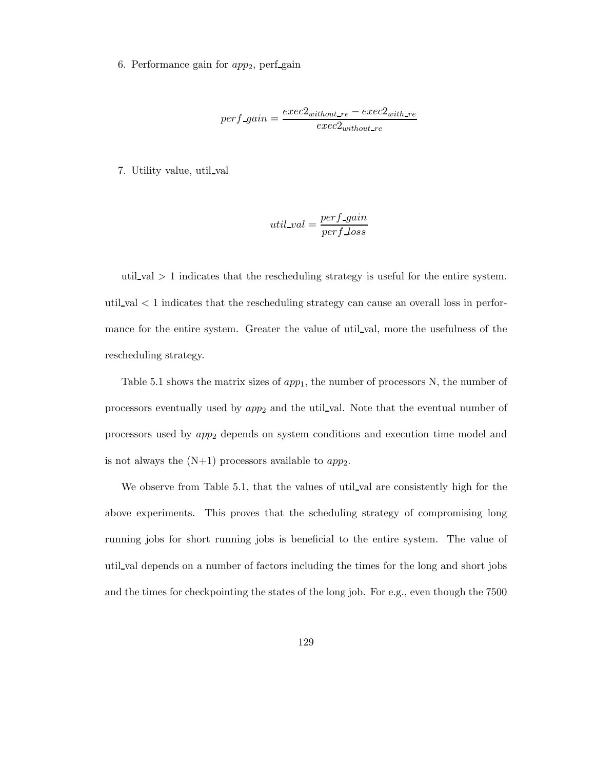6. Performance gain for  $app_2$ , perf-gain

$$
perf\_\_gain = \frac{exec2_{without\_re} - exec2_{with\_re}}{exec2_{without\_re}}
$$

7. Utility value, util val

$$
util\_val = \frac{perf\_gain}{perf\_loss}
$$

util  $val > 1$  indicates that the rescheduling strategy is useful for the entire system. util val < 1 indicates that the rescheduling strategy can cause an overall loss in performance for the entire system. Greater the value of util val, more the usefulness of the rescheduling strategy.

Table 5.1 shows the matrix sizes of  $app<sub>1</sub>$ , the number of processors N, the number of processors eventually used by  $app_2$  and the util-val. Note that the eventual number of processors used by app<sup>2</sup> depends on system conditions and execution time model and is not always the  $(N+1)$  processors available to  $app_2$ .

We observe from Table 5.1, that the values of util val are consistently high for the above experiments. This proves that the scheduling strategy of compromising long running jobs for short running jobs is beneficial to the entire system. The value of util val depends on a number of factors including the times for the long and short jobs and the times for checkpointing the states of the long job. For e.g., even though the 7500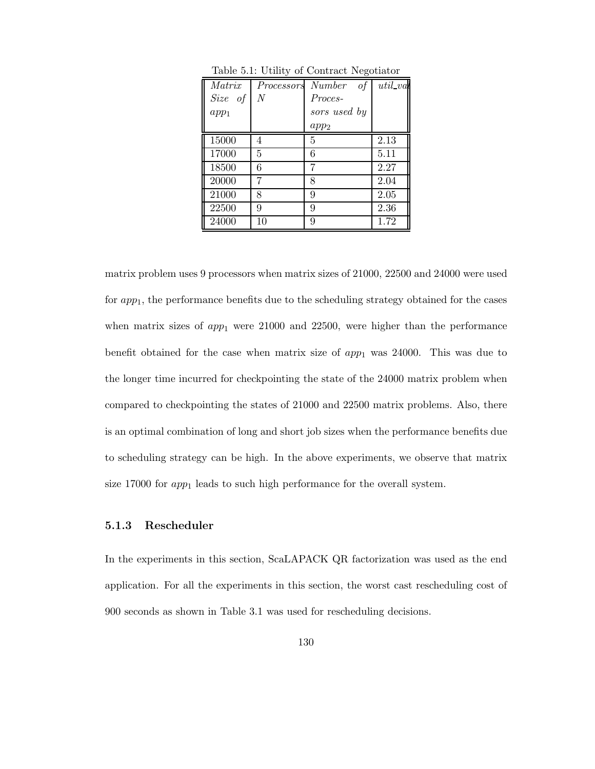| Matrix           | Processors | Number<br>οf     | util_val |
|------------------|------------|------------------|----------|
| Size of          | N          | Proces-          |          |
| app <sub>1</sub> |            | sors used by     |          |
|                  |            | app <sub>2</sub> |          |
| 15000            | 4          | 5                | 2.13     |
| 17000            | 5          | 6                | 5.11     |
| 18500            | 6          | 7                | 2.27     |
| 20000            | 7          | 8                | 2.04     |
| 21000            | 8          | 9                | 2.05     |
| 22500            | 9          | 9                | 2.36     |
| 24000            | 10         | 9                | 1.72     |

Table 5.1: Utility of Contract Negotiator

matrix problem uses 9 processors when matrix sizes of 21000, 22500 and 24000 were used for  $app_1$ , the performance benefits due to the scheduling strategy obtained for the cases when matrix sizes of  $app<sub>1</sub>$  were 21000 and 22500, were higher than the performance benefit obtained for the case when matrix size of  $app<sub>1</sub>$  was 24000. This was due to the longer time incurred for checkpointing the state of the 24000 matrix problem when compared to checkpointing the states of 21000 and 22500 matrix problems. Also, there is an optimal combination of long and short job sizes when the performance benefits due to scheduling strategy can be high. In the above experiments, we observe that matrix size 17000 for  $app_1$  leads to such high performance for the overall system.

### **5.1.3 Rescheduler**

In the experiments in this section, ScaLAPACK QR factorization was used as the end application. For all the experiments in this section, the worst cast rescheduling cost of 900 seconds as shown in Table 3.1 was used for rescheduling decisions.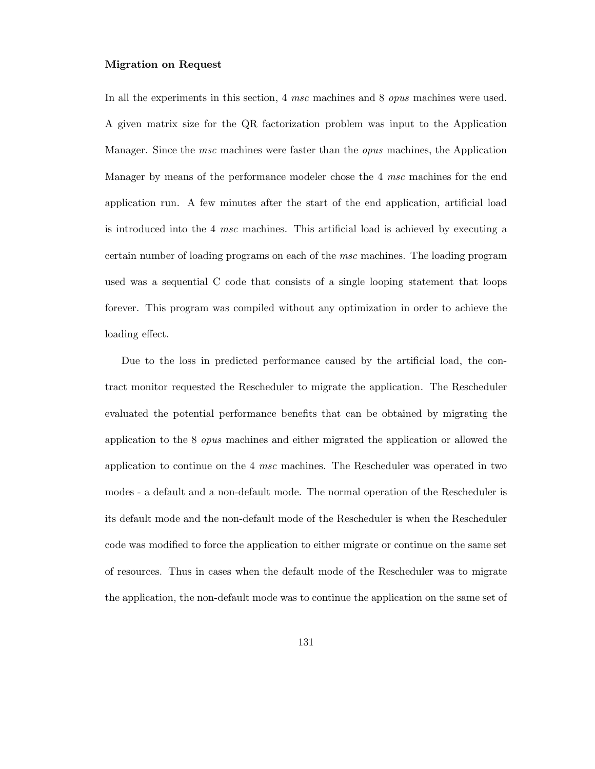### **Migration on Request**

In all the experiments in this section, 4 *msc* machines and 8 *opus* machines were used. A given matrix size for the QR factorization problem was input to the Application Manager. Since the *msc* machines were faster than the *opus* machines, the Application Manager by means of the performance modeler chose the 4 *msc* machines for the end application run. A few minutes after the start of the end application, artificial load is introduced into the 4 *msc* machines. This artificial load is achieved by executing a certain number of loading programs on each of the *msc* machines. The loading program used was a sequential C code that consists of a single looping statement that loops forever. This program was compiled without any optimization in order to achieve the loading effect.

Due to the loss in predicted performance caused by the artificial load, the contract monitor requested the Rescheduler to migrate the application. The Rescheduler evaluated the potential performance benefits that can be obtained by migrating the application to the 8 *opus* machines and either migrated the application or allowed the application to continue on the 4 *msc* machines. The Rescheduler was operated in two modes - a default and a non-default mode. The normal operation of the Rescheduler is its default mode and the non-default mode of the Rescheduler is when the Rescheduler code was modified to force the application to either migrate or continue on the same set of resources. Thus in cases when the default mode of the Rescheduler was to migrate the application, the non-default mode was to continue the application on the same set of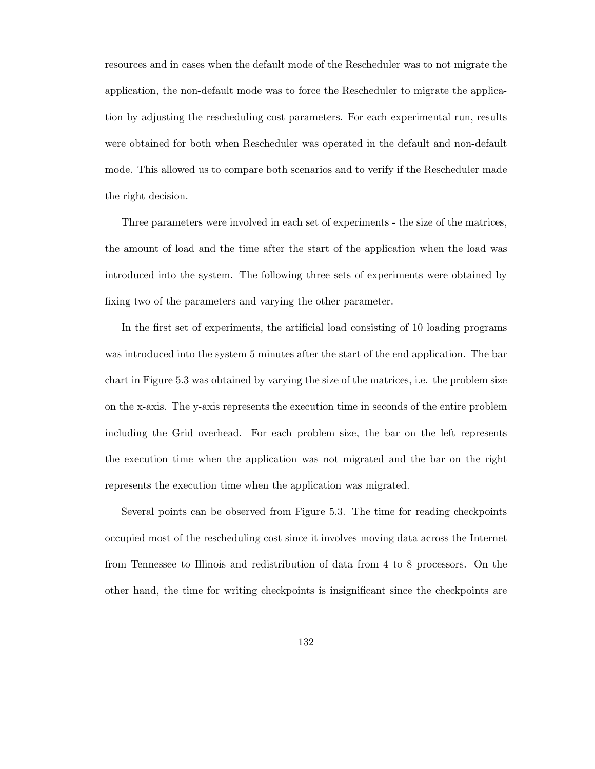resources and in cases when the default mode of the Rescheduler was to not migrate the application, the non-default mode was to force the Rescheduler to migrate the application by adjusting the rescheduling cost parameters. For each experimental run, results were obtained for both when Rescheduler was operated in the default and non-default mode. This allowed us to compare both scenarios and to verify if the Rescheduler made the right decision.

Three parameters were involved in each set of experiments - the size of the matrices, the amount of load and the time after the start of the application when the load was introduced into the system. The following three sets of experiments were obtained by fixing two of the parameters and varying the other parameter.

In the first set of experiments, the artificial load consisting of 10 loading programs was introduced into the system 5 minutes after the start of the end application. The bar chart in Figure 5.3 was obtained by varying the size of the matrices, i.e. the problem size on the x-axis. The y-axis represents the execution time in seconds of the entire problem including the Grid overhead. For each problem size, the bar on the left represents the execution time when the application was not migrated and the bar on the right represents the execution time when the application was migrated.

Several points can be observed from Figure 5.3. The time for reading checkpoints occupied most of the rescheduling cost since it involves moving data across the Internet from Tennessee to Illinois and redistribution of data from 4 to 8 processors. On the other hand, the time for writing checkpoints is insignificant since the checkpoints are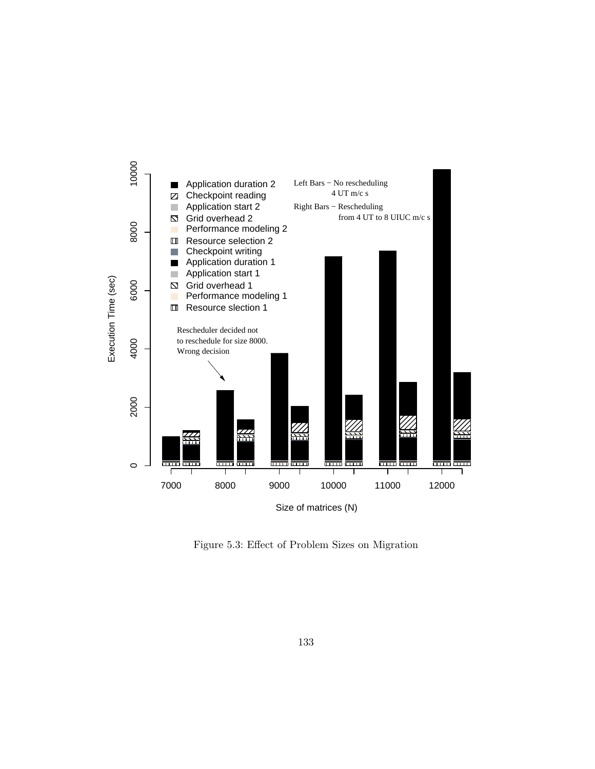

Figure 5.3: Effect of Problem Sizes on Migration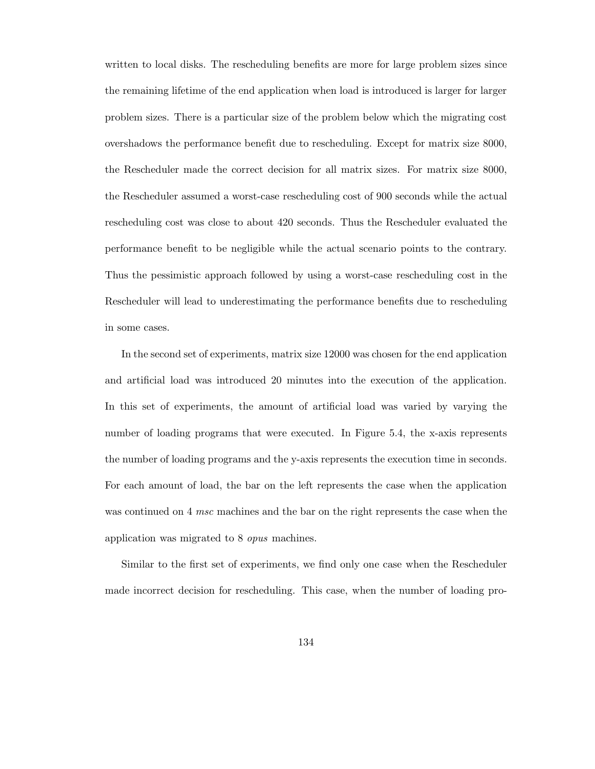written to local disks. The rescheduling benefits are more for large problem sizes since the remaining lifetime of the end application when load is introduced is larger for larger problem sizes. There is a particular size of the problem below which the migrating cost overshadows the performance benefit due to rescheduling. Except for matrix size 8000, the Rescheduler made the correct decision for all matrix sizes. For matrix size 8000, the Rescheduler assumed a worst-case rescheduling cost of 900 seconds while the actual rescheduling cost was close to about 420 seconds. Thus the Rescheduler evaluated the performance benefit to be negligible while the actual scenario points to the contrary. Thus the pessimistic approach followed by using a worst-case rescheduling cost in the Rescheduler will lead to underestimating the performance benefits due to rescheduling in some cases.

In the second set of experiments, matrix size 12000 was chosen for the end application and artificial load was introduced 20 minutes into the execution of the application. In this set of experiments, the amount of artificial load was varied by varying the number of loading programs that were executed. In Figure 5.4, the x-axis represents the number of loading programs and the y-axis represents the execution time in seconds. For each amount of load, the bar on the left represents the case when the application was continued on 4 *msc* machines and the bar on the right represents the case when the application was migrated to 8 *opus* machines.

Similar to the first set of experiments, we find only one case when the Rescheduler made incorrect decision for rescheduling. This case, when the number of loading pro-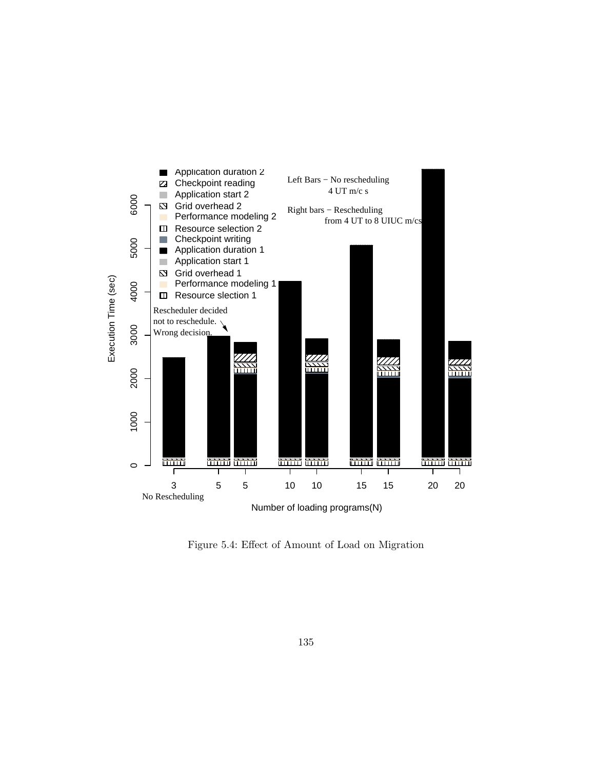

Figure 5.4: Effect of Amount of Load on Migration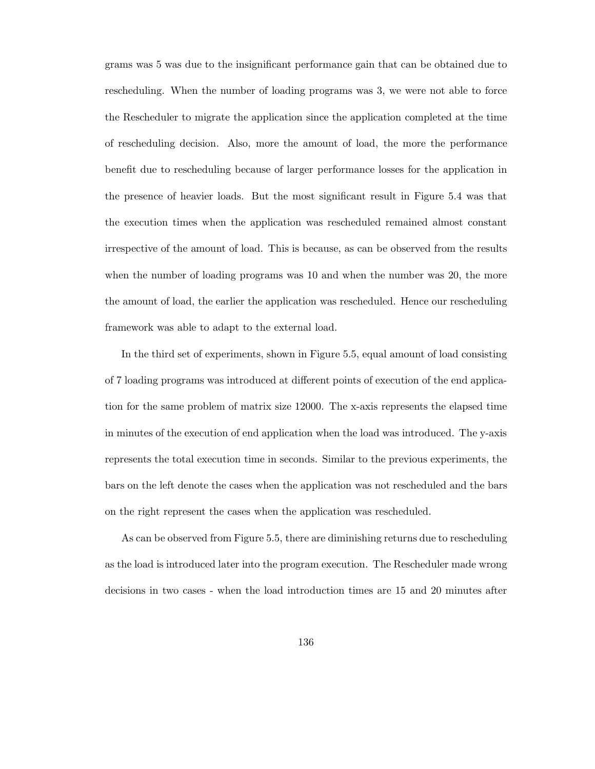grams was 5 was due to the insignificant performance gain that can be obtained due to rescheduling. When the number of loading programs was 3, we were not able to force the Rescheduler to migrate the application since the application completed at the time of rescheduling decision. Also, more the amount of load, the more the performance benefit due to rescheduling because of larger performance losses for the application in the presence of heavier loads. But the most significant result in Figure 5.4 was that the execution times when the application was rescheduled remained almost constant irrespective of the amount of load. This is because, as can be observed from the results when the number of loading programs was 10 and when the number was 20, the more the amount of load, the earlier the application was rescheduled. Hence our rescheduling framework was able to adapt to the external load.

In the third set of experiments, shown in Figure 5.5, equal amount of load consisting of 7 loading programs was introduced at different points of execution of the end application for the same problem of matrix size 12000. The x-axis represents the elapsed time in minutes of the execution of end application when the load was introduced. The y-axis represents the total execution time in seconds. Similar to the previous experiments, the bars on the left denote the cases when the application was not rescheduled and the bars on the right represent the cases when the application was rescheduled.

As can be observed from Figure 5.5, there are diminishing returns due to rescheduling as the load is introduced later into the program execution. The Rescheduler made wrong decisions in two cases - when the load introduction times are 15 and 20 minutes after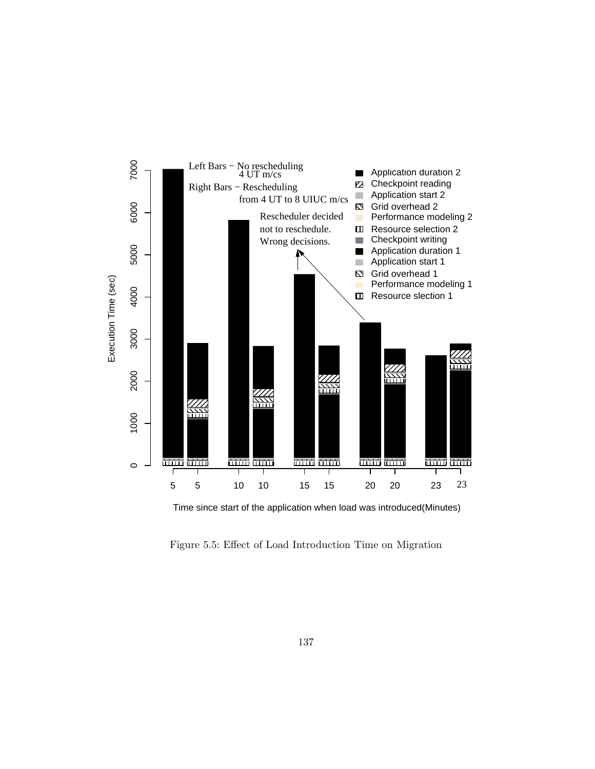

Time since start of the application when load was introduced(Minutes)

Figure 5.5: Effect of Load Introduction Time on Migration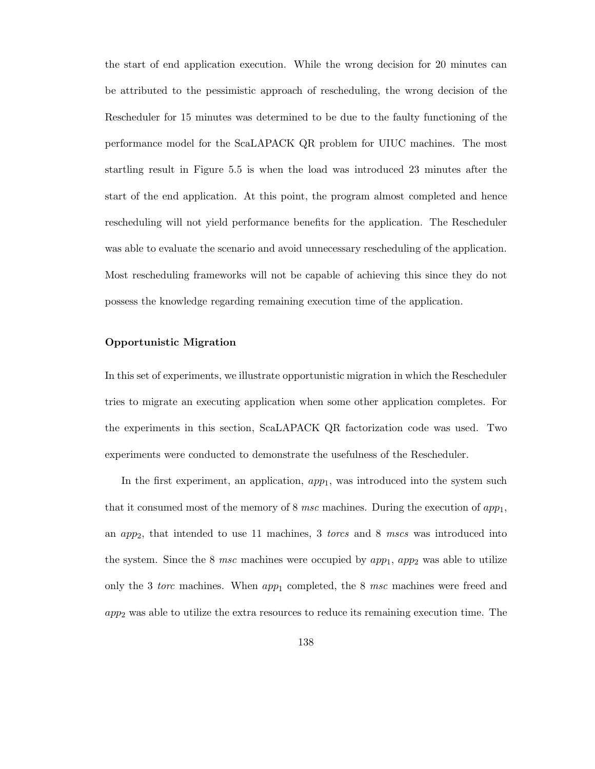the start of end application execution. While the wrong decision for 20 minutes can be attributed to the pessimistic approach of rescheduling, the wrong decision of the Rescheduler for 15 minutes was determined to be due to the faulty functioning of the performance model for the ScaLAPACK QR problem for UIUC machines. The most startling result in Figure 5.5 is when the load was introduced 23 minutes after the start of the end application. At this point, the program almost completed and hence rescheduling will not yield performance benefits for the application. The Rescheduler was able to evaluate the scenario and avoid unnecessary rescheduling of the application. Most rescheduling frameworks will not be capable of achieving this since they do not possess the knowledge regarding remaining execution time of the application.

#### **Opportunistic Migration**

In this set of experiments, we illustrate opportunistic migration in which the Rescheduler tries to migrate an executing application when some other application completes. For the experiments in this section, ScaLAPACK QR factorization code was used. Two experiments were conducted to demonstrate the usefulness of the Rescheduler.

In the first experiment, an application,  $app_1$ , was introduced into the system such that it consumed most of the memory of 8 *msc* machines. During the execution of  $app_1$ , an app2, that intended to use 11 machines, 3 *torcs* and 8 *mscs* was introduced into the system. Since the  $8$  *msc* machines were occupied by  $app_1$ ,  $app_2$  was able to utilize only the 3 *torc* machines. When  $app_1$  completed, the 8 *msc* machines were freed and  $app<sub>2</sub>$  was able to utilize the extra resources to reduce its remaining execution time. The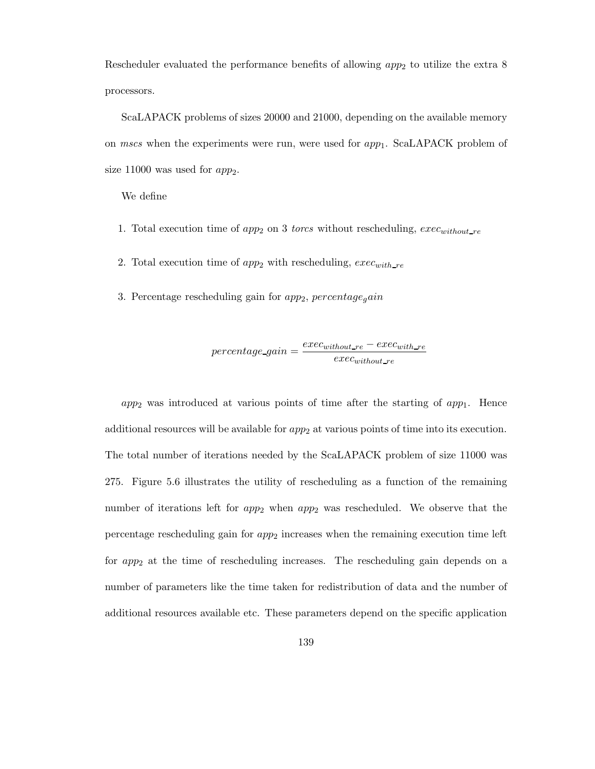Rescheduler evaluated the performance benefits of allowing  $app<sub>2</sub>$  to utilize the extra 8 processors.

ScaLAPACK problems of sizes 20000 and 21000, depending on the available memory on *mscs* when the experiments were run, were used for  $app_1$ . ScaLAPACK problem of size 11000 was used for  $app_2$ .

We define

- 1. Total execution time of  $app_2$  on 3 *torcs* without rescheduling,  $exec_{without\_re}$
- 2. Total execution time of  $app_2$  with rescheduling,  $exec_{with\_re}$
- 3. Percentage rescheduling gain for  $app_2$ , percentage<sub>g</sub>ain

$$
percentage\_gain = \frac{exec_{without\_re} - exec_{with\_re}}{exec_{without\_re}}
$$

 $app_2$  was introduced at various points of time after the starting of app<sub>1</sub>. Hence additional resources will be available for  $app<sub>2</sub>$  at various points of time into its execution. The total number of iterations needed by the ScaLAPACK problem of size 11000 was 275. Figure 5.6 illustrates the utility of rescheduling as a function of the remaining number of iterations left for  $app_2$  when  $app_2$  was rescheduled. We observe that the percentage rescheduling gain for  $app<sub>2</sub>$  increases when the remaining execution time left for  $app_2$  at the time of rescheduling increases. The rescheduling gain depends on a number of parameters like the time taken for redistribution of data and the number of additional resources available etc. These parameters depend on the specific application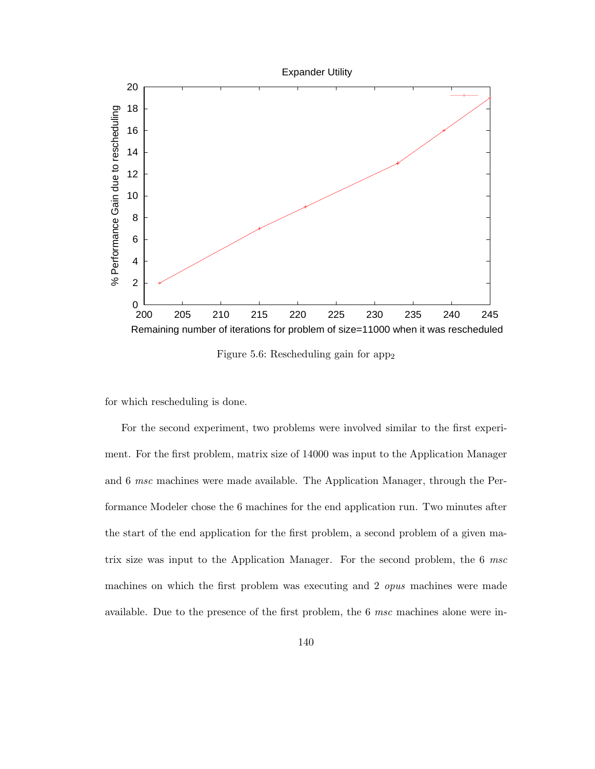

Figure 5.6: Rescheduling gain for app<sup>2</sup>

for which rescheduling is done.

For the second experiment, two problems were involved similar to the first experiment. For the first problem, matrix size of 14000 was input to the Application Manager and 6 *msc* machines were made available. The Application Manager, through the Performance Modeler chose the 6 machines for the end application run. Two minutes after the start of the end application for the first problem, a second problem of a given matrix size was input to the Application Manager. For the second problem, the 6 *msc* machines on which the first problem was executing and 2 *opus* machines were made available. Due to the presence of the first problem, the 6 *msc* machines alone were in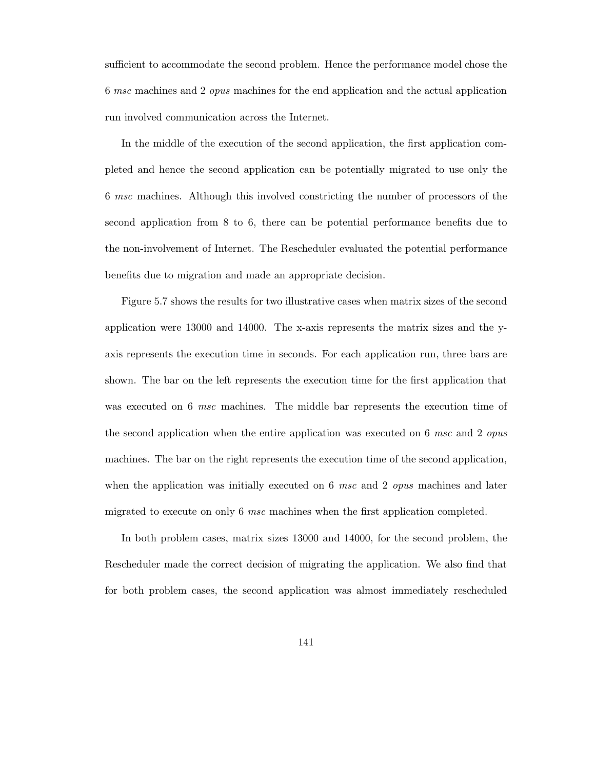sufficient to accommodate the second problem. Hence the performance model chose the 6 *msc* machines and 2 *opus* machines for the end application and the actual application run involved communication across the Internet.

In the middle of the execution of the second application, the first application completed and hence the second application can be potentially migrated to use only the 6 *msc* machines. Although this involved constricting the number of processors of the second application from 8 to 6, there can be potential performance benefits due to the non-involvement of Internet. The Rescheduler evaluated the potential performance benefits due to migration and made an appropriate decision.

Figure 5.7 shows the results for two illustrative cases when matrix sizes of the second application were 13000 and 14000. The x-axis represents the matrix sizes and the yaxis represents the execution time in seconds. For each application run, three bars are shown. The bar on the left represents the execution time for the first application that was executed on 6 *msc* machines. The middle bar represents the execution time of the second application when the entire application was executed on 6 *msc* and 2 *opus* machines. The bar on the right represents the execution time of the second application, when the application was initially executed on 6 *msc* and 2 *opus* machines and later migrated to execute on only 6 *msc* machines when the first application completed.

In both problem cases, matrix sizes 13000 and 14000, for the second problem, the Rescheduler made the correct decision of migrating the application. We also find that for both problem cases, the second application was almost immediately rescheduled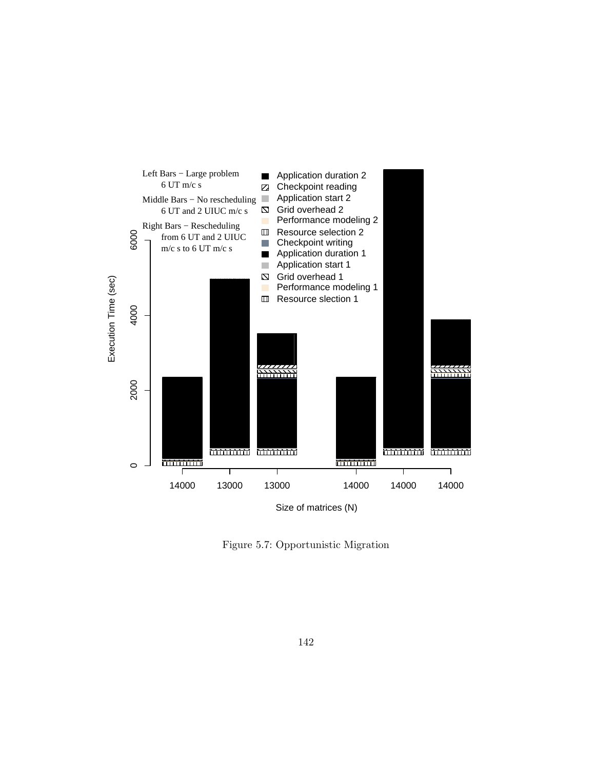

Figure 5.7: Opportunistic Migration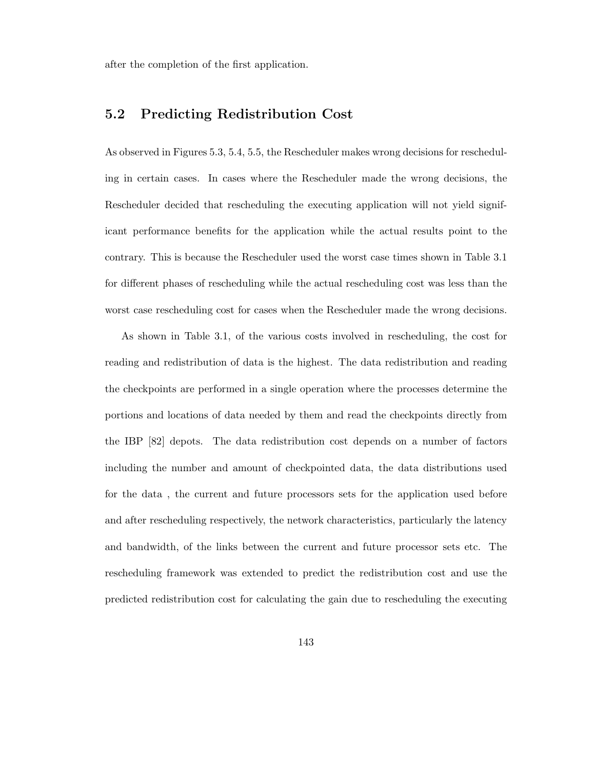after the completion of the first application.

# **5.2 Predicting Redistribution Cost**

As observed in Figures 5.3, 5.4, 5.5, the Rescheduler makes wrong decisions for rescheduling in certain cases. In cases where the Rescheduler made the wrong decisions, the Rescheduler decided that rescheduling the executing application will not yield significant performance benefits for the application while the actual results point to the contrary. This is because the Rescheduler used the worst case times shown in Table 3.1 for different phases of rescheduling while the actual rescheduling cost was less than the worst case rescheduling cost for cases when the Rescheduler made the wrong decisions.

As shown in Table 3.1, of the various costs involved in rescheduling, the cost for reading and redistribution of data is the highest. The data redistribution and reading the checkpoints are performed in a single operation where the processes determine the portions and locations of data needed by them and read the checkpoints directly from the IBP [82] depots. The data redistribution cost depends on a number of factors including the number and amount of checkpointed data, the data distributions used for the data , the current and future processors sets for the application used before and after rescheduling respectively, the network characteristics, particularly the latency and bandwidth, of the links between the current and future processor sets etc. The rescheduling framework was extended to predict the redistribution cost and use the predicted redistribution cost for calculating the gain due to rescheduling the executing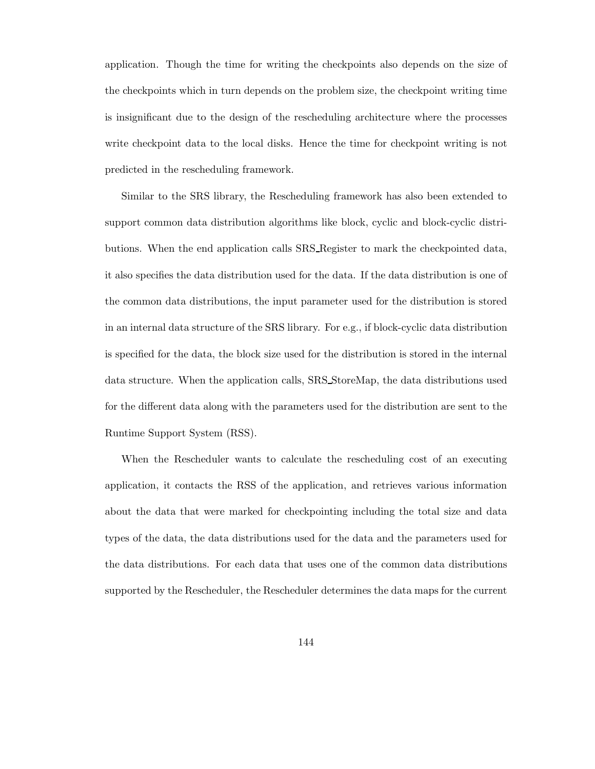application. Though the time for writing the checkpoints also depends on the size of the checkpoints which in turn depends on the problem size, the checkpoint writing time is insignificant due to the design of the rescheduling architecture where the processes write checkpoint data to the local disks. Hence the time for checkpoint writing is not predicted in the rescheduling framework.

Similar to the SRS library, the Rescheduling framework has also been extended to support common data distribution algorithms like block, cyclic and block-cyclic distributions. When the end application calls SRS Register to mark the checkpointed data, it also specifies the data distribution used for the data. If the data distribution is one of the common data distributions, the input parameter used for the distribution is stored in an internal data structure of the SRS library. For e.g., if block-cyclic data distribution is specified for the data, the block size used for the distribution is stored in the internal data structure. When the application calls, SRS StoreMap, the data distributions used for the different data along with the parameters used for the distribution are sent to the Runtime Support System (RSS).

When the Rescheduler wants to calculate the rescheduling cost of an executing application, it contacts the RSS of the application, and retrieves various information about the data that were marked for checkpointing including the total size and data types of the data, the data distributions used for the data and the parameters used for the data distributions. For each data that uses one of the common data distributions supported by the Rescheduler, the Rescheduler determines the data maps for the current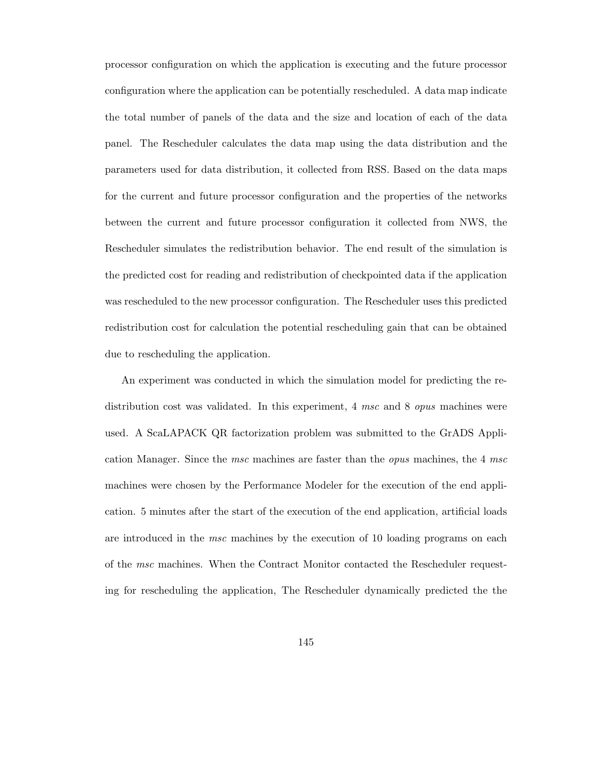processor configuration on which the application is executing and the future processor configuration where the application can be potentially rescheduled. A data map indicate the total number of panels of the data and the size and location of each of the data panel. The Rescheduler calculates the data map using the data distribution and the parameters used for data distribution, it collected from RSS. Based on the data maps for the current and future processor configuration and the properties of the networks between the current and future processor configuration it collected from NWS, the Rescheduler simulates the redistribution behavior. The end result of the simulation is the predicted cost for reading and redistribution of checkpointed data if the application was rescheduled to the new processor configuration. The Rescheduler uses this predicted redistribution cost for calculation the potential rescheduling gain that can be obtained due to rescheduling the application.

An experiment was conducted in which the simulation model for predicting the redistribution cost was validated. In this experiment, 4 *msc* and 8 *opus* machines were used. A ScaLAPACK QR factorization problem was submitted to the GrADS Application Manager. Since the *msc* machines are faster than the *opus* machines, the 4 *msc* machines were chosen by the Performance Modeler for the execution of the end application. 5 minutes after the start of the execution of the end application, artificial loads are introduced in the *msc* machines by the execution of 10 loading programs on each of the *msc* machines. When the Contract Monitor contacted the Rescheduler requesting for rescheduling the application, The Rescheduler dynamically predicted the the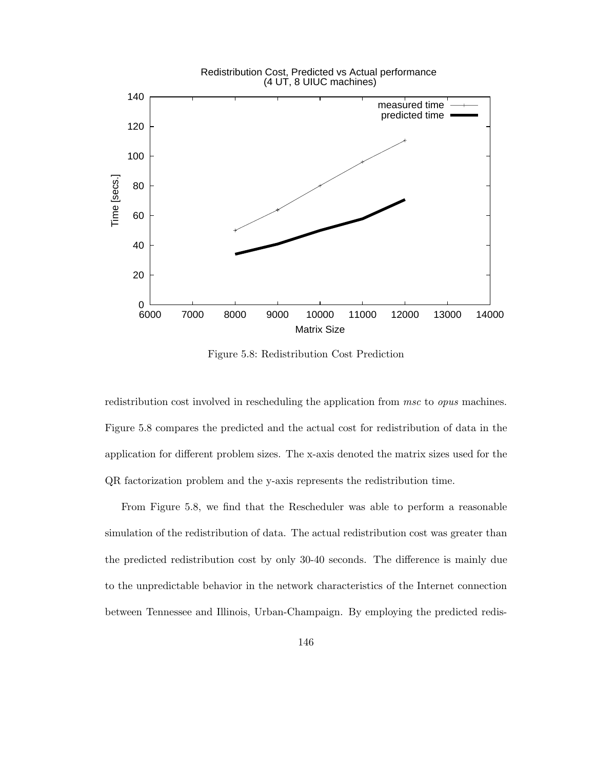

Figure 5.8: Redistribution Cost Prediction

redistribution cost involved in rescheduling the application from *msc* to *opus* machines. Figure 5.8 compares the predicted and the actual cost for redistribution of data in the application for different problem sizes. The x-axis denoted the matrix sizes used for the QR factorization problem and the y-axis represents the redistribution time.

From Figure 5.8, we find that the Rescheduler was able to perform a reasonable simulation of the redistribution of data. The actual redistribution cost was greater than the predicted redistribution cost by only 30-40 seconds. The difference is mainly due to the unpredictable behavior in the network characteristics of the Internet connection between Tennessee and Illinois, Urban-Champaign. By employing the predicted redis-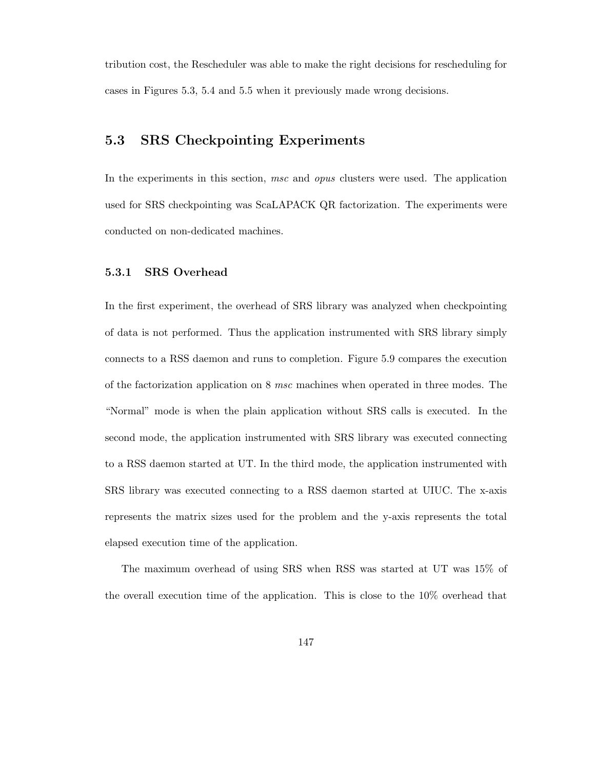tribution cost, the Rescheduler was able to make the right decisions for rescheduling for cases in Figures 5.3, 5.4 and 5.5 when it previously made wrong decisions.

# **5.3 SRS Checkpointing Experiments**

In the experiments in this section, *msc* and *opus* clusters were used. The application used for SRS checkpointing was ScaLAPACK QR factorization. The experiments were conducted on non-dedicated machines.

### **5.3.1 SRS Overhead**

In the first experiment, the overhead of SRS library was analyzed when checkpointing of data is not performed. Thus the application instrumented with SRS library simply connects to a RSS daemon and runs to completion. Figure 5.9 compares the execution of the factorization application on 8 *msc* machines when operated in three modes. The "Normal" mode is when the plain application without SRS calls is executed. In the second mode, the application instrumented with SRS library was executed connecting to a RSS daemon started at UT. In the third mode, the application instrumented with SRS library was executed connecting to a RSS daemon started at UIUC. The x-axis represents the matrix sizes used for the problem and the y-axis represents the total elapsed execution time of the application.

The maximum overhead of using SRS when RSS was started at UT was 15% of the overall execution time of the application. This is close to the 10% overhead that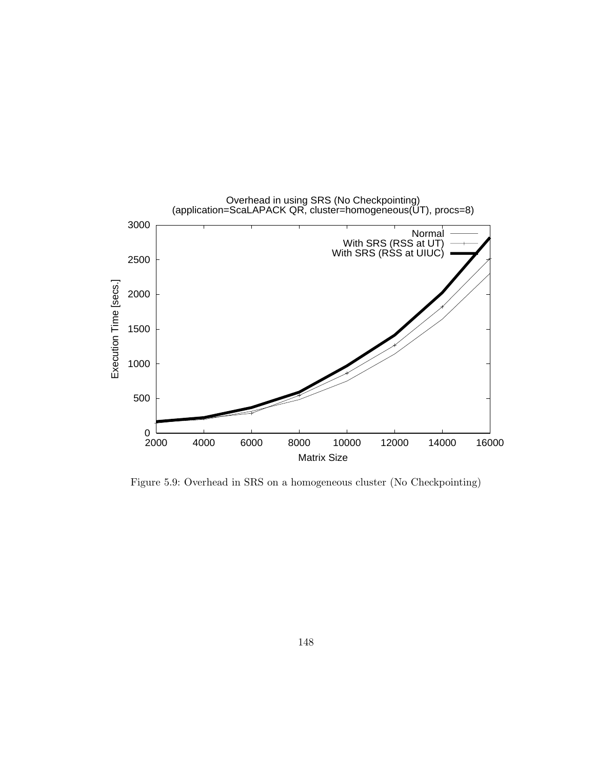

Figure 5.9: Overhead in SRS on a homogeneous cluster (No Checkpointing)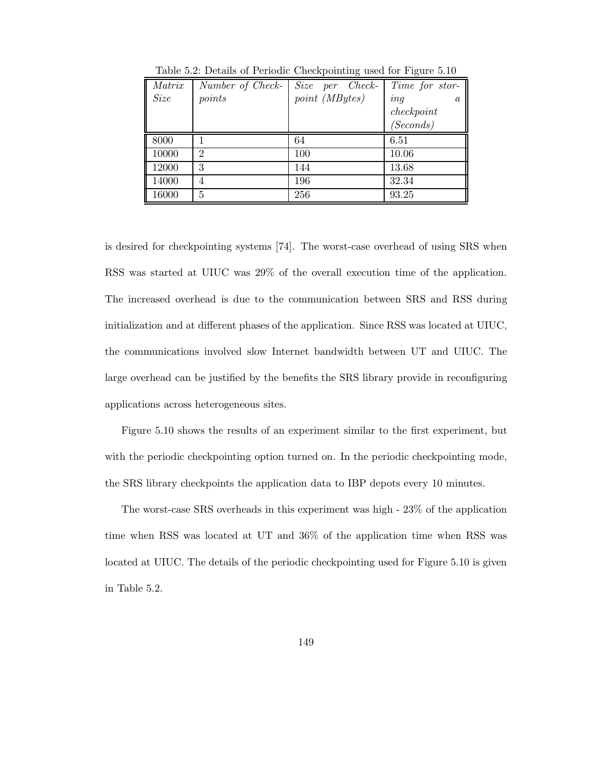| Matrix      | Number of Check- | Size per Check- | Time for stor-  |
|-------------|------------------|-----------------|-----------------|
| <i>Size</i> | points           | point (MBytes)  | inq<br>$\alpha$ |
|             |                  |                 | check point     |
|             |                  |                 | (Seconds)       |
| 8000        |                  | 64              | 6.51            |
| 10000       | $\overline{2}$   | 100             | 10.06           |
| 12000       | 3                | 144             | 13.68           |
| 14000       | $\overline{4}$   | 196             | 32.34           |
| 16000       | 5                | 256             | 93.25           |

Table 5.2: Details of Periodic Checkpointing used for Figure 5.10

is desired for checkpointing systems [74]. The worst-case overhead of using SRS when RSS was started at UIUC was 29% of the overall execution time of the application. The increased overhead is due to the communication between SRS and RSS during initialization and at different phases of the application. Since RSS was located at UIUC, the communications involved slow Internet bandwidth between UT and UIUC. The large overhead can be justified by the benefits the SRS library provide in reconfiguring applications across heterogeneous sites.

Figure 5.10 shows the results of an experiment similar to the first experiment, but with the periodic checkpointing option turned on. In the periodic checkpointing mode, the SRS library checkpoints the application data to IBP depots every 10 minutes.

The worst-case SRS overheads in this experiment was high - 23% of the application time when RSS was located at UT and 36% of the application time when RSS was located at UIUC. The details of the periodic checkpointing used for Figure 5.10 is given in Table 5.2.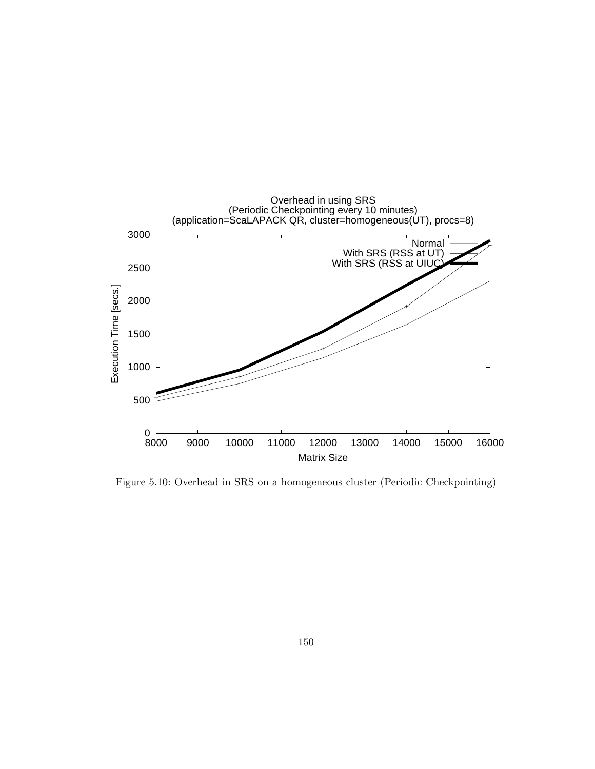

Figure 5.10: Overhead in SRS on a homogeneous cluster (Periodic Checkpointing)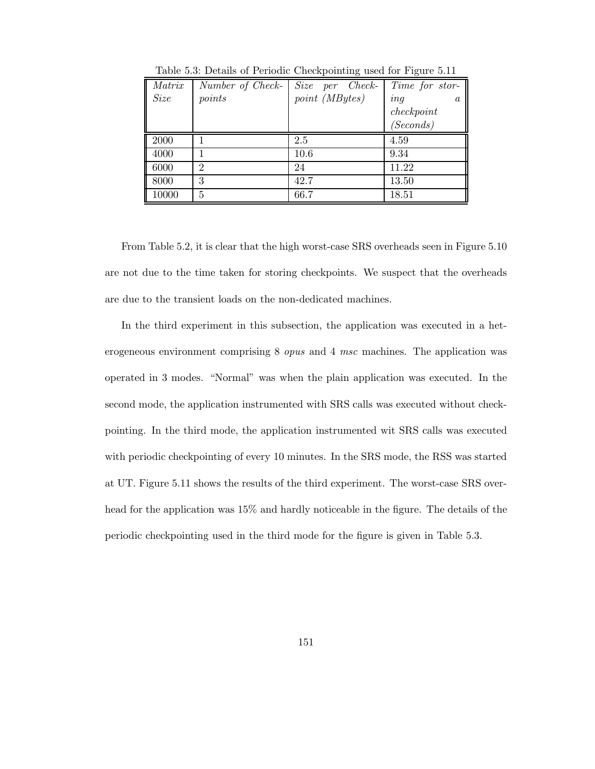| Matrix      | Number of Check- | Size per Check- | Time for stor-        |
|-------------|------------------|-----------------|-----------------------|
| <b>Size</b> | points           | point (MBytes)  | inq<br>$\mathfrak{a}$ |
|             |                  |                 | check point           |
|             |                  |                 | (Seconds)             |
| 2000        |                  | 2.5             | 4.59                  |
| 4000        |                  | 10.6            | 9.34                  |
| 6000        | $\mathcal{D}$    | 24              | 11.22                 |
| 8000        | 3                | 42.7            | 13.50                 |
| 10000       | 5                | 66.7            | 18.51                 |

Table 5.3: Details of Periodic Checkpointing used for Figure 5.11

From Table 5.2, it is clear that the high worst-case SRS overheads seen in Figure 5.10 are not due to the time taken for storing checkpoints. We suspect that the overheads are due to the transient loads on the non-dedicated machines.

In the third experiment in this subsection, the application was executed in a heterogeneous environment comprising 8 *opus* and 4 *msc* machines. The application was operated in 3 modes. "Normal" was when the plain application was executed. In the second mode, the application instrumented with SRS calls was executed without checkpointing. In the third mode, the application instrumented wit SRS calls was executed with periodic checkpointing of every 10 minutes. In the SRS mode, the RSS was started at UT. Figure 5.11 shows the results of the third experiment. The worst-case SRS overhead for the application was 15% and hardly noticeable in the figure. The details of the periodic checkpointing used in the third mode for the figure is given in Table 5.3.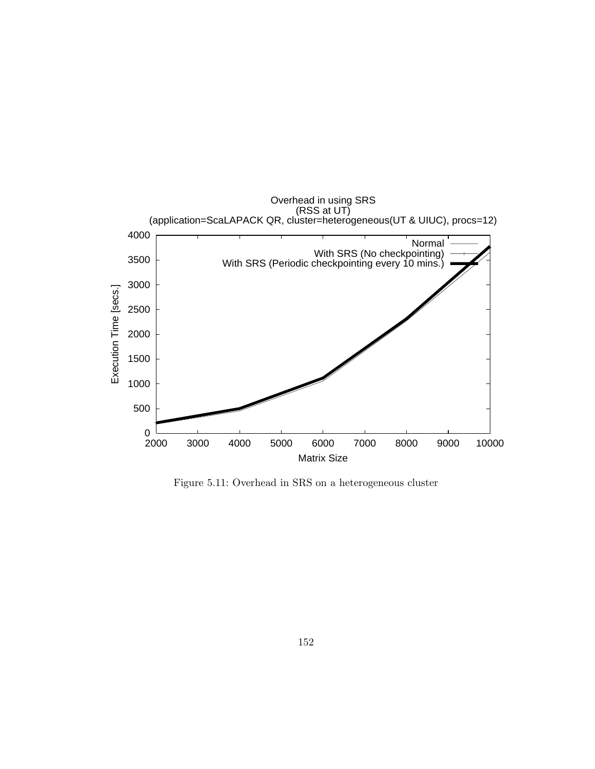

Figure 5.11: Overhead in SRS on a heterogeneous cluster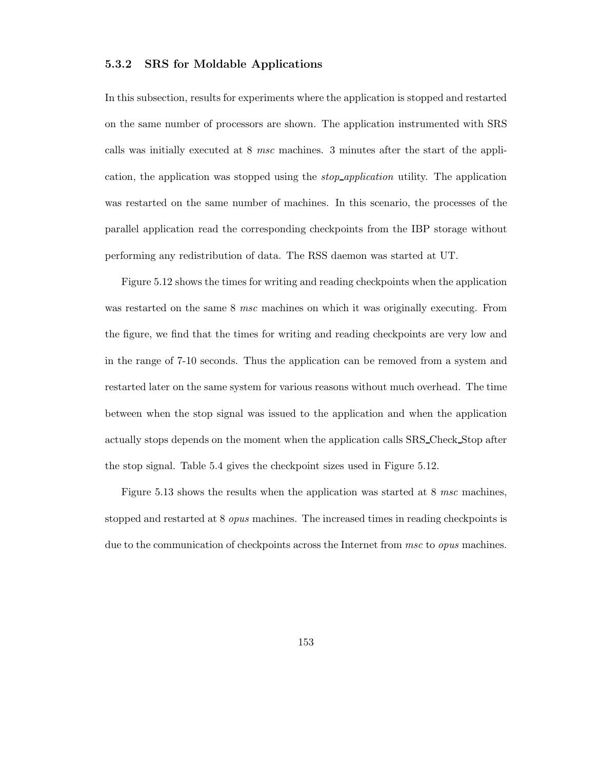### **5.3.2 SRS for Moldable Applications**

In this subsection, results for experiments where the application is stopped and restarted on the same number of processors are shown. The application instrumented with SRS calls was initially executed at 8 *msc* machines. 3 minutes after the start of the application, the application was stopped using the *stop application* utility. The application was restarted on the same number of machines. In this scenario, the processes of the parallel application read the corresponding checkpoints from the IBP storage without performing any redistribution of data. The RSS daemon was started at UT.

Figure 5.12 shows the times for writing and reading checkpoints when the application was restarted on the same 8 *msc* machines on which it was originally executing. From the figure, we find that the times for writing and reading checkpoints are very low and in the range of 7-10 seconds. Thus the application can be removed from a system and restarted later on the same system for various reasons without much overhead. The time between when the stop signal was issued to the application and when the application actually stops depends on the moment when the application calls SRS Check Stop after the stop signal. Table 5.4 gives the checkpoint sizes used in Figure 5.12.

Figure 5.13 shows the results when the application was started at 8 *msc* machines, stopped and restarted at 8 *opus* machines. The increased times in reading checkpoints is due to the communication of checkpoints across the Internet from *msc* to *opus* machines.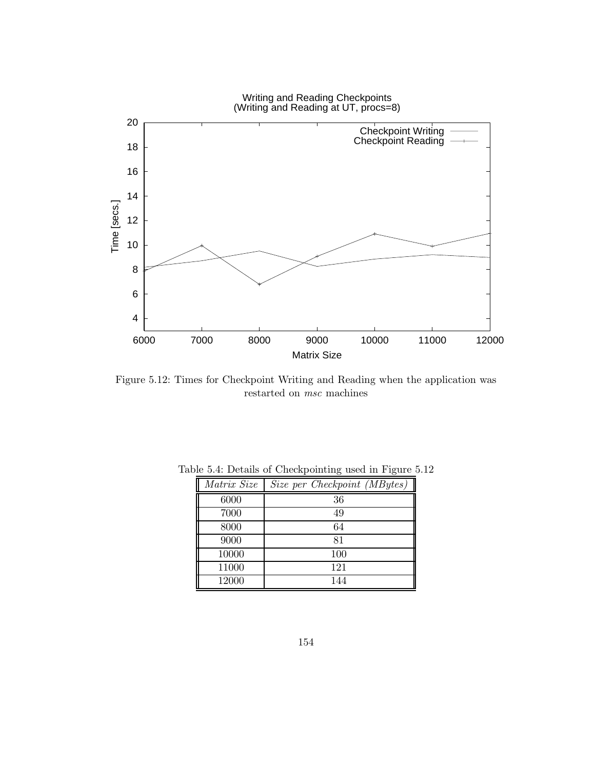

Figure 5.12: Times for Checkpoint Writing and Reading when the application was restarted on *msc* machines

| Matrix Size | Size per Checkpoint (MBytes) |
|-------------|------------------------------|
| 6000        | 36                           |
| 7000        | 49                           |
| 8000        | 64                           |
| 9000        | 81                           |
| 10000       | 100                          |
| 11000       | 121                          |
| 12000       | 144                          |

Table 5.4: Details of Checkpointing used in Figure 5.12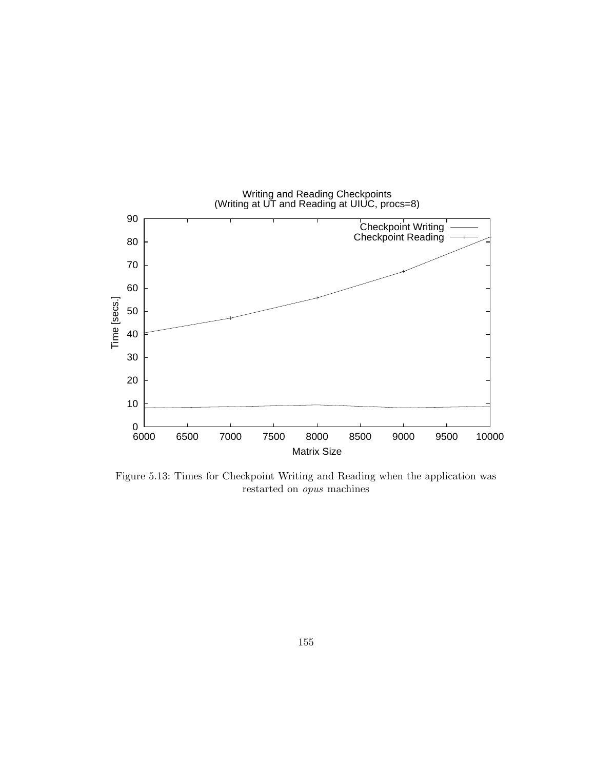

Figure 5.13: Times for Checkpoint Writing and Reading when the application was restarted on *opus* machines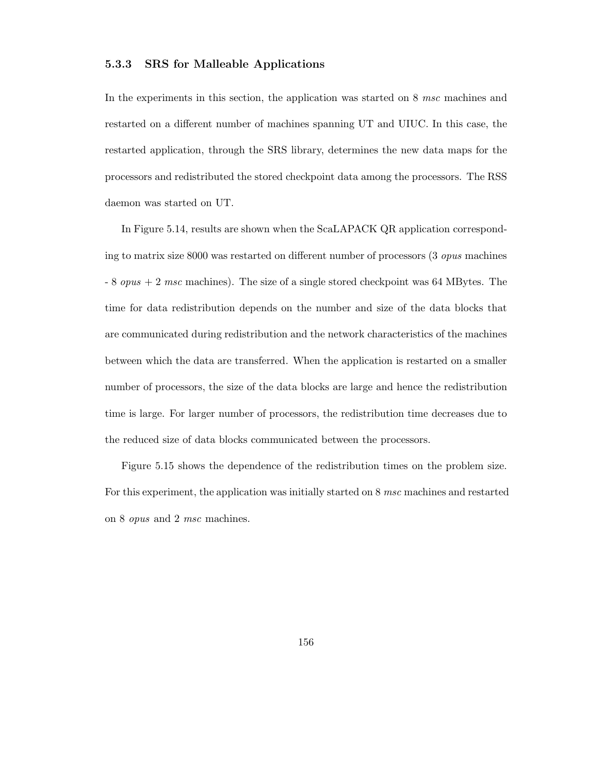### **5.3.3 SRS for Malleable Applications**

In the experiments in this section, the application was started on 8 *msc* machines and restarted on a different number of machines spanning UT and UIUC. In this case, the restarted application, through the SRS library, determines the new data maps for the processors and redistributed the stored checkpoint data among the processors. The RSS daemon was started on UT.

In Figure 5.14, results are shown when the ScaLAPACK QR application corresponding to matrix size 8000 was restarted on different number of processors (3 *opus* machines - 8 *opus* + 2 *msc* machines). The size of a single stored checkpoint was 64 MBytes. The time for data redistribution depends on the number and size of the data blocks that are communicated during redistribution and the network characteristics of the machines between which the data are transferred. When the application is restarted on a smaller number of processors, the size of the data blocks are large and hence the redistribution time is large. For larger number of processors, the redistribution time decreases due to the reduced size of data blocks communicated between the processors.

Figure 5.15 shows the dependence of the redistribution times on the problem size. For this experiment, the application was initially started on 8 *msc* machines and restarted on 8 *opus* and 2 *msc* machines.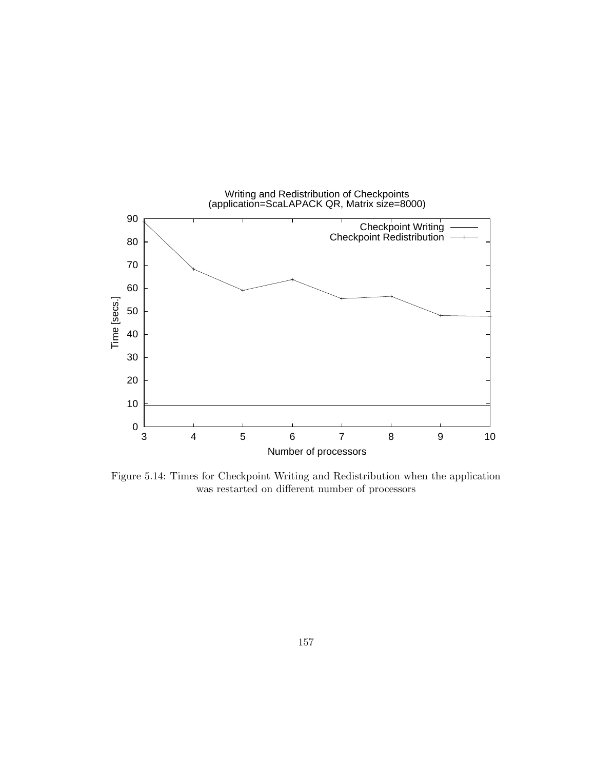

Figure 5.14: Times for Checkpoint Writing and Redistribution when the application was restarted on different number of processors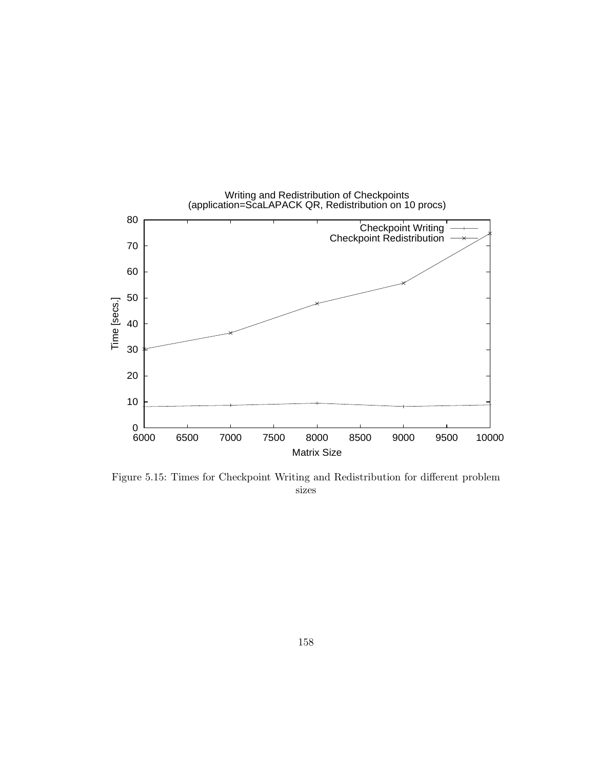

Figure 5.15: Times for Checkpoint Writing and Redistribution for different problem sizes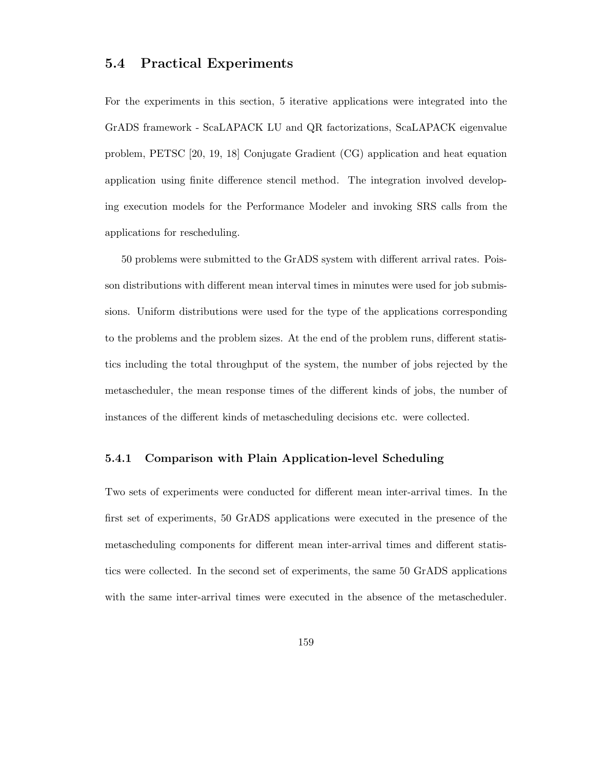## **5.4 Practical Experiments**

For the experiments in this section, 5 iterative applications were integrated into the GrADS framework - ScaLAPACK LU and QR factorizations, ScaLAPACK eigenvalue problem, PETSC [20, 19, 18] Conjugate Gradient (CG) application and heat equation application using finite difference stencil method. The integration involved developing execution models for the Performance Modeler and invoking SRS calls from the applications for rescheduling.

50 problems were submitted to the GrADS system with different arrival rates. Poisson distributions with different mean interval times in minutes were used for job submissions. Uniform distributions were used for the type of the applications corresponding to the problems and the problem sizes. At the end of the problem runs, different statistics including the total throughput of the system, the number of jobs rejected by the metascheduler, the mean response times of the different kinds of jobs, the number of instances of the different kinds of metascheduling decisions etc. were collected.

### **5.4.1 Comparison with Plain Application-level Scheduling**

Two sets of experiments were conducted for different mean inter-arrival times. In the first set of experiments, 50 GrADS applications were executed in the presence of the metascheduling components for different mean inter-arrival times and different statistics were collected. In the second set of experiments, the same 50 GrADS applications with the same inter-arrival times were executed in the absence of the metascheduler.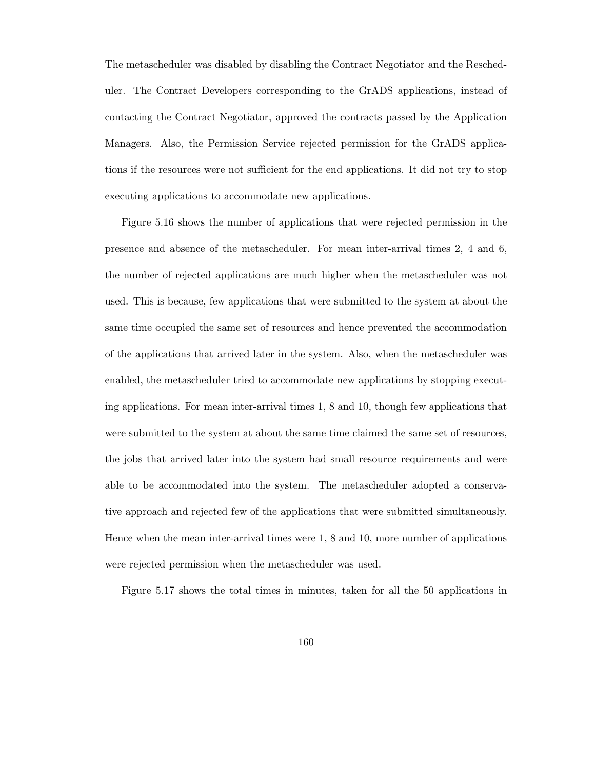The metascheduler was disabled by disabling the Contract Negotiator and the Rescheduler. The Contract Developers corresponding to the GrADS applications, instead of contacting the Contract Negotiator, approved the contracts passed by the Application Managers. Also, the Permission Service rejected permission for the GrADS applications if the resources were not sufficient for the end applications. It did not try to stop executing applications to accommodate new applications.

Figure 5.16 shows the number of applications that were rejected permission in the presence and absence of the metascheduler. For mean inter-arrival times 2, 4 and 6, the number of rejected applications are much higher when the metascheduler was not used. This is because, few applications that were submitted to the system at about the same time occupied the same set of resources and hence prevented the accommodation of the applications that arrived later in the system. Also, when the metascheduler was enabled, the metascheduler tried to accommodate new applications by stopping executing applications. For mean inter-arrival times 1, 8 and 10, though few applications that were submitted to the system at about the same time claimed the same set of resources, the jobs that arrived later into the system had small resource requirements and were able to be accommodated into the system. The metascheduler adopted a conservative approach and rejected few of the applications that were submitted simultaneously. Hence when the mean inter-arrival times were 1, 8 and 10, more number of applications were rejected permission when the metascheduler was used.

Figure 5.17 shows the total times in minutes, taken for all the 50 applications in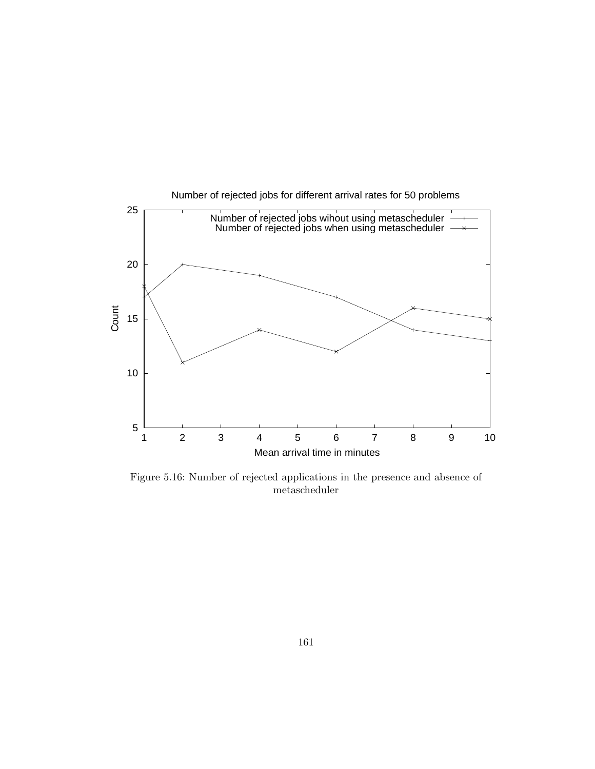

Figure 5.16: Number of rejected applications in the presence and absence of metascheduler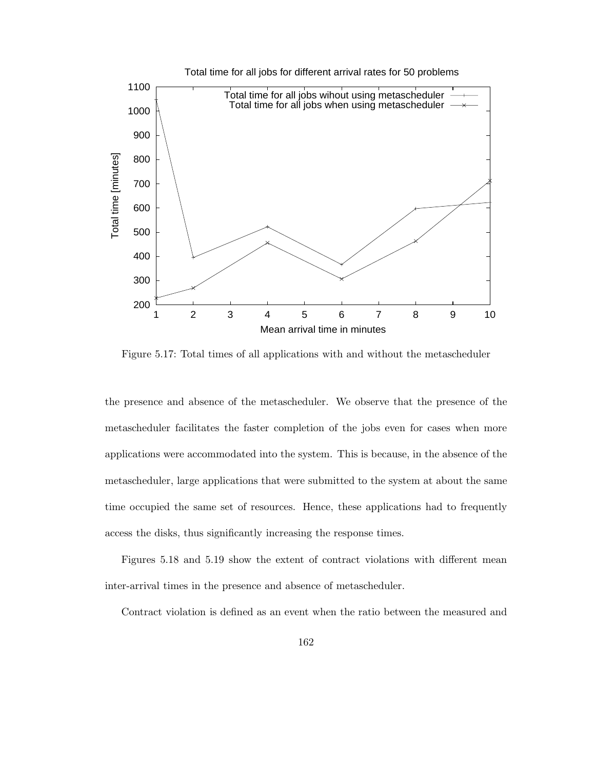

Figure 5.17: Total times of all applications with and without the metascheduler

the presence and absence of the metascheduler. We observe that the presence of the metascheduler facilitates the faster completion of the jobs even for cases when more applications were accommodated into the system. This is because, in the absence of the metascheduler, large applications that were submitted to the system at about the same time occupied the same set of resources. Hence, these applications had to frequently access the disks, thus significantly increasing the response times.

Figures 5.18 and 5.19 show the extent of contract violations with different mean inter-arrival times in the presence and absence of metascheduler.

Contract violation is defined as an event when the ratio between the measured and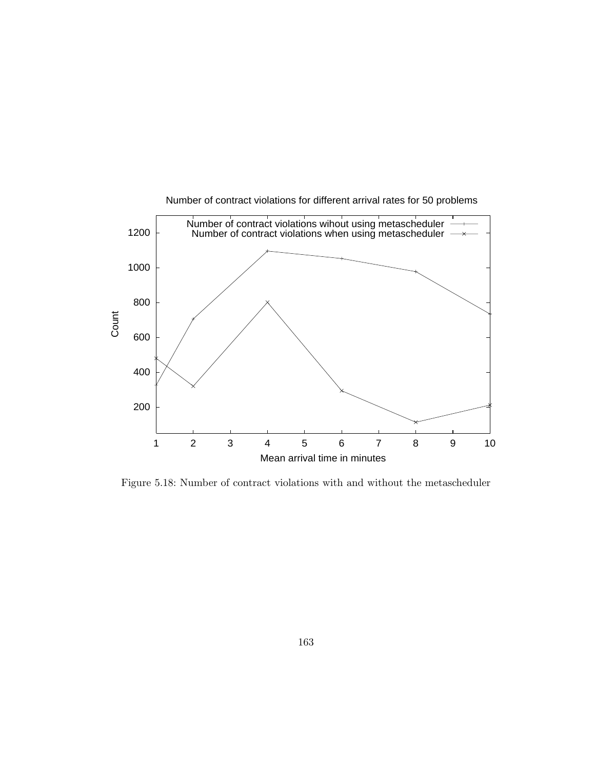

Number of contract violations for different arrival rates for 50 problems

Figure 5.18: Number of contract violations with and without the metascheduler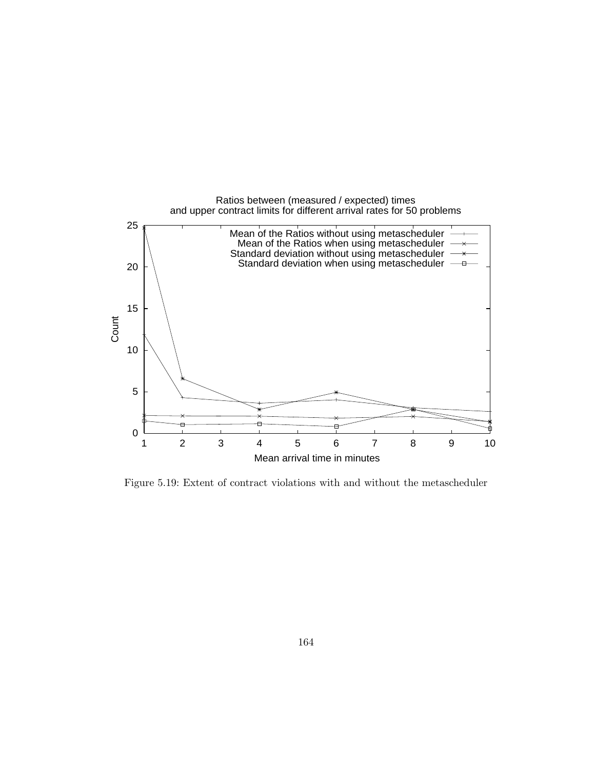

Figure 5.19: Extent of contract violations with and without the metascheduler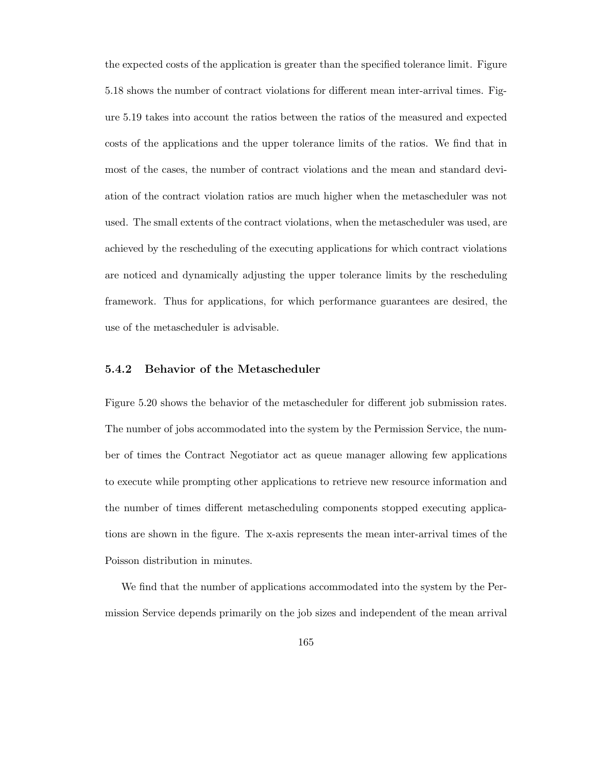the expected costs of the application is greater than the specified tolerance limit. Figure 5.18 shows the number of contract violations for different mean inter-arrival times. Figure 5.19 takes into account the ratios between the ratios of the measured and expected costs of the applications and the upper tolerance limits of the ratios. We find that in most of the cases, the number of contract violations and the mean and standard deviation of the contract violation ratios are much higher when the metascheduler was not used. The small extents of the contract violations, when the metascheduler was used, are achieved by the rescheduling of the executing applications for which contract violations are noticed and dynamically adjusting the upper tolerance limits by the rescheduling framework. Thus for applications, for which performance guarantees are desired, the use of the metascheduler is advisable.

#### **5.4.2 Behavior of the Metascheduler**

Figure 5.20 shows the behavior of the metascheduler for different job submission rates. The number of jobs accommodated into the system by the Permission Service, the number of times the Contract Negotiator act as queue manager allowing few applications to execute while prompting other applications to retrieve new resource information and the number of times different metascheduling components stopped executing applications are shown in the figure. The x-axis represents the mean inter-arrival times of the Poisson distribution in minutes.

We find that the number of applications accommodated into the system by the Permission Service depends primarily on the job sizes and independent of the mean arrival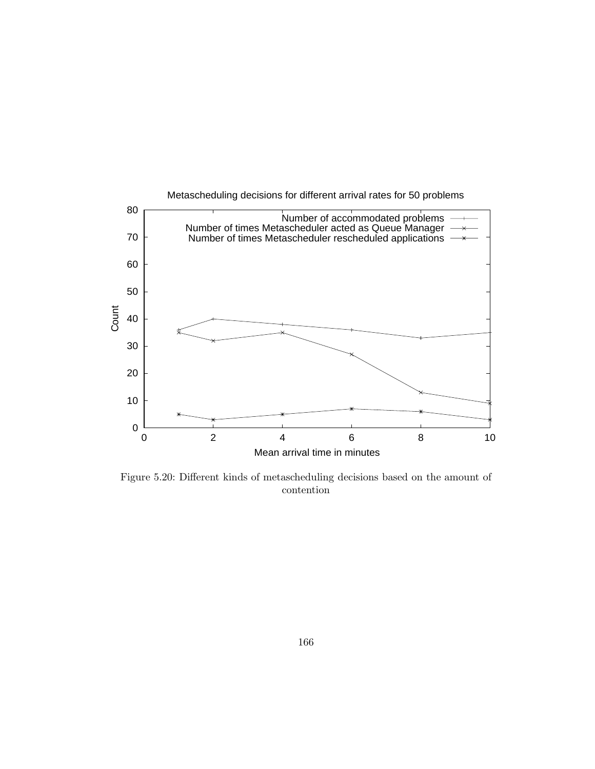

Figure 5.20: Different kinds of metascheduling decisions based on the amount of contention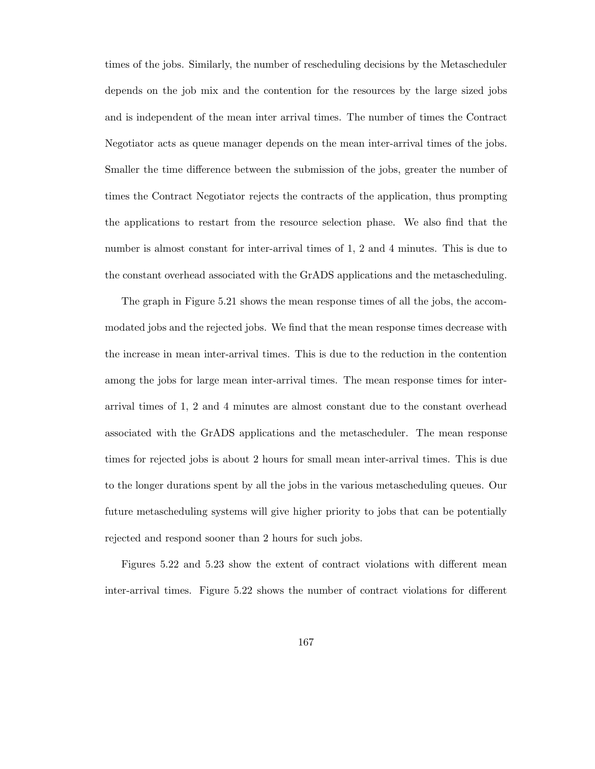times of the jobs. Similarly, the number of rescheduling decisions by the Metascheduler depends on the job mix and the contention for the resources by the large sized jobs and is independent of the mean inter arrival times. The number of times the Contract Negotiator acts as queue manager depends on the mean inter-arrival times of the jobs. Smaller the time difference between the submission of the jobs, greater the number of times the Contract Negotiator rejects the contracts of the application, thus prompting the applications to restart from the resource selection phase. We also find that the number is almost constant for inter-arrival times of 1, 2 and 4 minutes. This is due to the constant overhead associated with the GrADS applications and the metascheduling.

The graph in Figure 5.21 shows the mean response times of all the jobs, the accommodated jobs and the rejected jobs. We find that the mean response times decrease with the increase in mean inter-arrival times. This is due to the reduction in the contention among the jobs for large mean inter-arrival times. The mean response times for interarrival times of 1, 2 and 4 minutes are almost constant due to the constant overhead associated with the GrADS applications and the metascheduler. The mean response times for rejected jobs is about 2 hours for small mean inter-arrival times. This is due to the longer durations spent by all the jobs in the various metascheduling queues. Our future metascheduling systems will give higher priority to jobs that can be potentially rejected and respond sooner than 2 hours for such jobs.

Figures 5.22 and 5.23 show the extent of contract violations with different mean inter-arrival times. Figure 5.22 shows the number of contract violations for different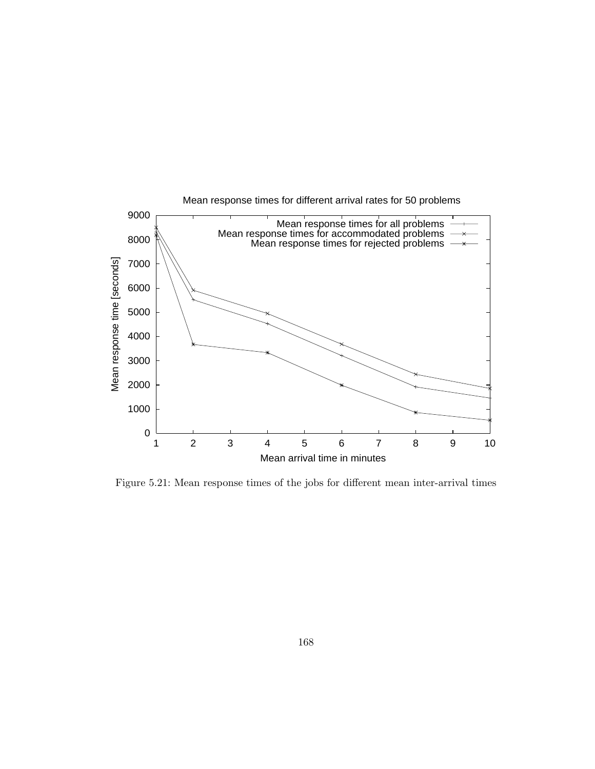

Figure 5.21: Mean response times of the jobs for different mean inter-arrival times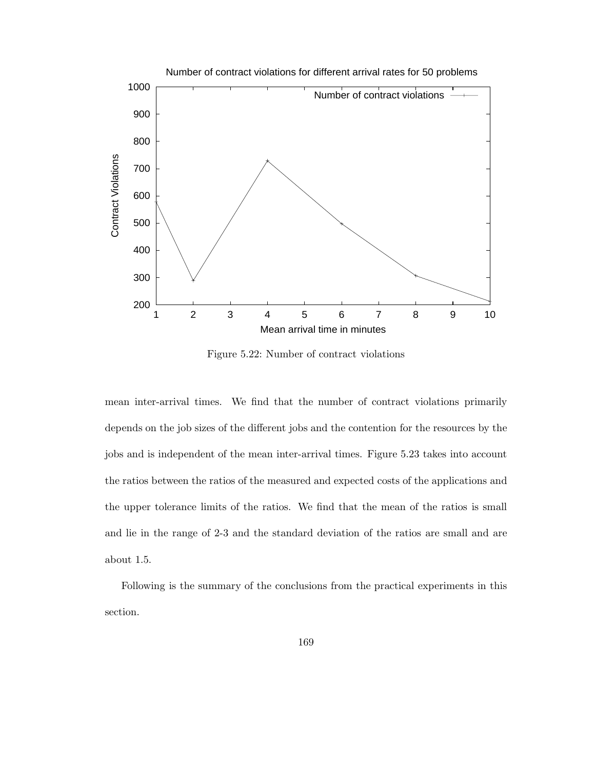

Figure 5.22: Number of contract violations

mean inter-arrival times. We find that the number of contract violations primarily depends on the job sizes of the different jobs and the contention for the resources by the jobs and is independent of the mean inter-arrival times. Figure 5.23 takes into account the ratios between the ratios of the measured and expected costs of the applications and the upper tolerance limits of the ratios. We find that the mean of the ratios is small and lie in the range of 2-3 and the standard deviation of the ratios are small and are about 1.5.

Following is the summary of the conclusions from the practical experiments in this section.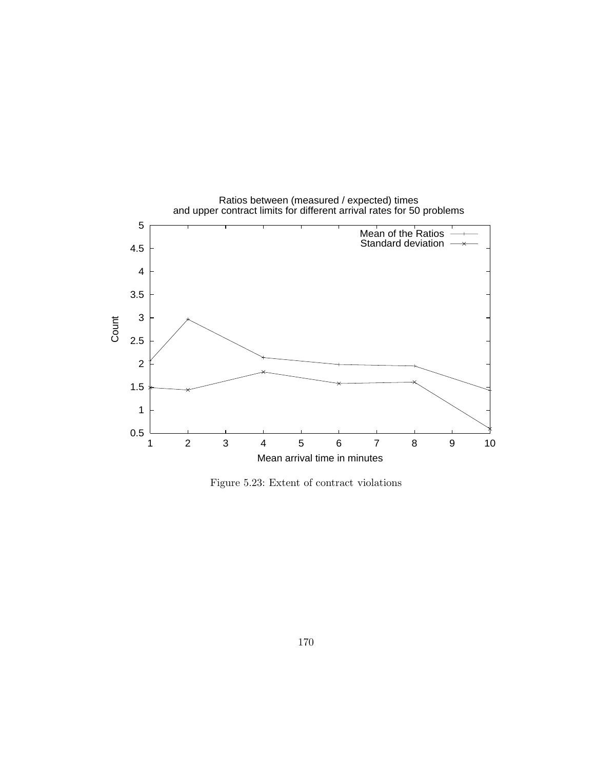

Figure 5.23: Extent of contract violations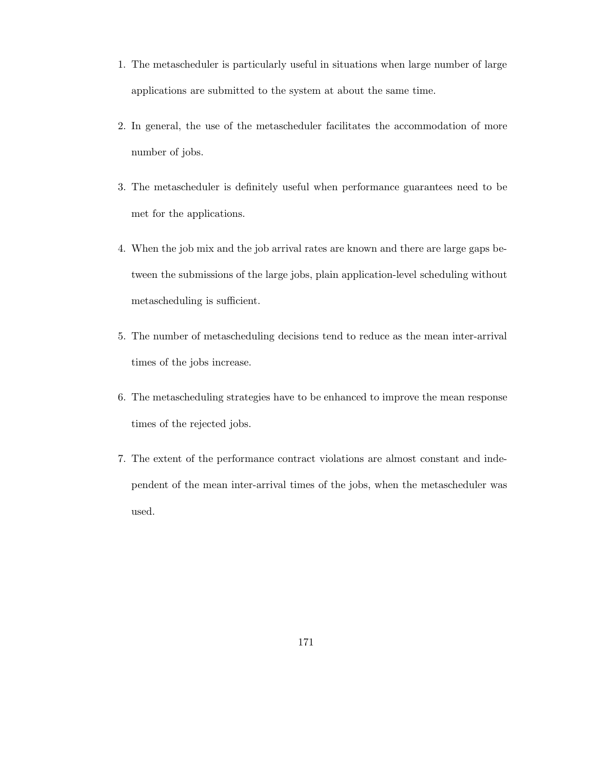- 1. The metascheduler is particularly useful in situations when large number of large applications are submitted to the system at about the same time.
- 2. In general, the use of the metascheduler facilitates the accommodation of more number of jobs.
- 3. The metascheduler is definitely useful when performance guarantees need to be met for the applications.
- 4. When the job mix and the job arrival rates are known and there are large gaps between the submissions of the large jobs, plain application-level scheduling without metascheduling is sufficient.
- 5. The number of metascheduling decisions tend to reduce as the mean inter-arrival times of the jobs increase.
- 6. The metascheduling strategies have to be enhanced to improve the mean response times of the rejected jobs.
- 7. The extent of the performance contract violations are almost constant and independent of the mean inter-arrival times of the jobs, when the metascheduler was used.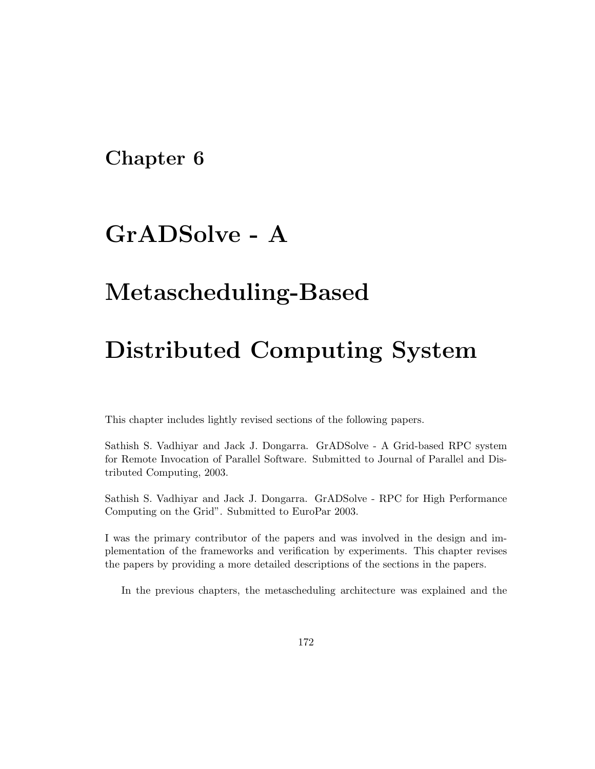**Chapter 6**

# **GrADSolve - A**

# **Metascheduling-Based**

# **Distributed Computing System**

This chapter includes lightly revised sections of the following papers.

Sathish S. Vadhiyar and Jack J. Dongarra. GrADSolve - A Grid-based RPC system for Remote Invocation of Parallel Software. Submitted to Journal of Parallel and Distributed Computing, 2003.

Sathish S. Vadhiyar and Jack J. Dongarra. GrADSolve - RPC for High Performance Computing on the Grid". Submitted to EuroPar 2003.

I was the primary contributor of the papers and was involved in the design and implementation of the frameworks and verification by experiments. This chapter revises the papers by providing a more detailed descriptions of the sections in the papers.

In the previous chapters, the metascheduling architecture was explained and the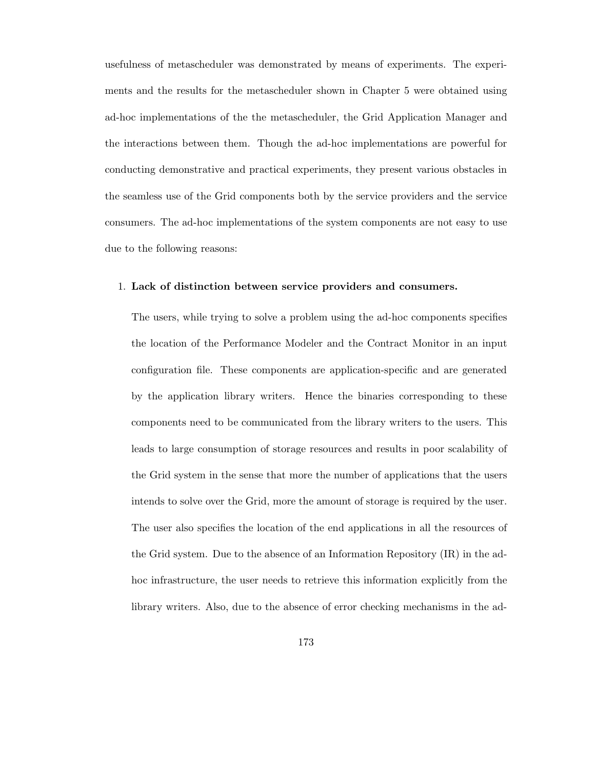usefulness of metascheduler was demonstrated by means of experiments. The experiments and the results for the metascheduler shown in Chapter 5 were obtained using ad-hoc implementations of the the metascheduler, the Grid Application Manager and the interactions between them. Though the ad-hoc implementations are powerful for conducting demonstrative and practical experiments, they present various obstacles in the seamless use of the Grid components both by the service providers and the service consumers. The ad-hoc implementations of the system components are not easy to use due to the following reasons:

#### 1. **Lack of distinction between service providers and consumers.**

The users, while trying to solve a problem using the ad-hoc components specifies the location of the Performance Modeler and the Contract Monitor in an input configuration file. These components are application-specific and are generated by the application library writers. Hence the binaries corresponding to these components need to be communicated from the library writers to the users. This leads to large consumption of storage resources and results in poor scalability of the Grid system in the sense that more the number of applications that the users intends to solve over the Grid, more the amount of storage is required by the user. The user also specifies the location of the end applications in all the resources of the Grid system. Due to the absence of an Information Repository (IR) in the adhoc infrastructure, the user needs to retrieve this information explicitly from the library writers. Also, due to the absence of error checking mechanisms in the ad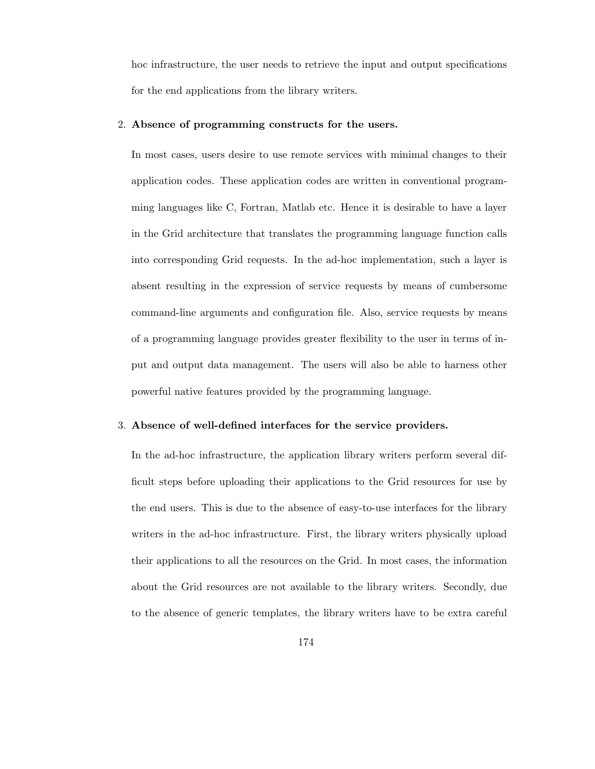hoc infrastructure, the user needs to retrieve the input and output specifications for the end applications from the library writers.

#### 2. **Absence of programming constructs for the users.**

In most cases, users desire to use remote services with minimal changes to their application codes. These application codes are written in conventional programming languages like C, Fortran, Matlab etc. Hence it is desirable to have a layer in the Grid architecture that translates the programming language function calls into corresponding Grid requests. In the ad-hoc implementation, such a layer is absent resulting in the expression of service requests by means of cumbersome command-line arguments and configuration file. Also, service requests by means of a programming language provides greater flexibility to the user in terms of input and output data management. The users will also be able to harness other powerful native features provided by the programming language.

#### 3. **Absence of well-defined interfaces for the service providers.**

In the ad-hoc infrastructure, the application library writers perform several difficult steps before uploading their applications to the Grid resources for use by the end users. This is due to the absence of easy-to-use interfaces for the library writers in the ad-hoc infrastructure. First, the library writers physically upload their applications to all the resources on the Grid. In most cases, the information about the Grid resources are not available to the library writers. Secondly, due to the absence of generic templates, the library writers have to be extra careful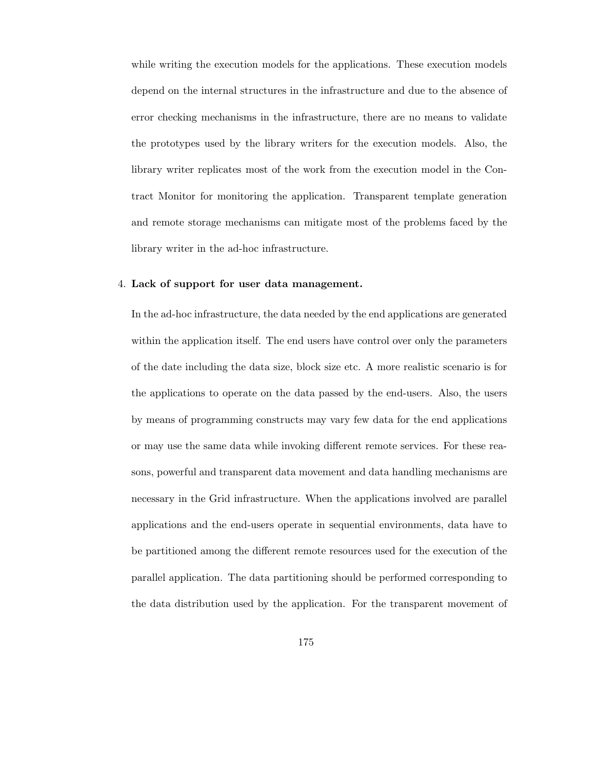while writing the execution models for the applications. These execution models depend on the internal structures in the infrastructure and due to the absence of error checking mechanisms in the infrastructure, there are no means to validate the prototypes used by the library writers for the execution models. Also, the library writer replicates most of the work from the execution model in the Contract Monitor for monitoring the application. Transparent template generation and remote storage mechanisms can mitigate most of the problems faced by the library writer in the ad-hoc infrastructure.

### 4. **Lack of support for user data management.**

In the ad-hoc infrastructure, the data needed by the end applications are generated within the application itself. The end users have control over only the parameters of the date including the data size, block size etc. A more realistic scenario is for the applications to operate on the data passed by the end-users. Also, the users by means of programming constructs may vary few data for the end applications or may use the same data while invoking different remote services. For these reasons, powerful and transparent data movement and data handling mechanisms are necessary in the Grid infrastructure. When the applications involved are parallel applications and the end-users operate in sequential environments, data have to be partitioned among the different remote resources used for the execution of the parallel application. The data partitioning should be performed corresponding to the data distribution used by the application. For the transparent movement of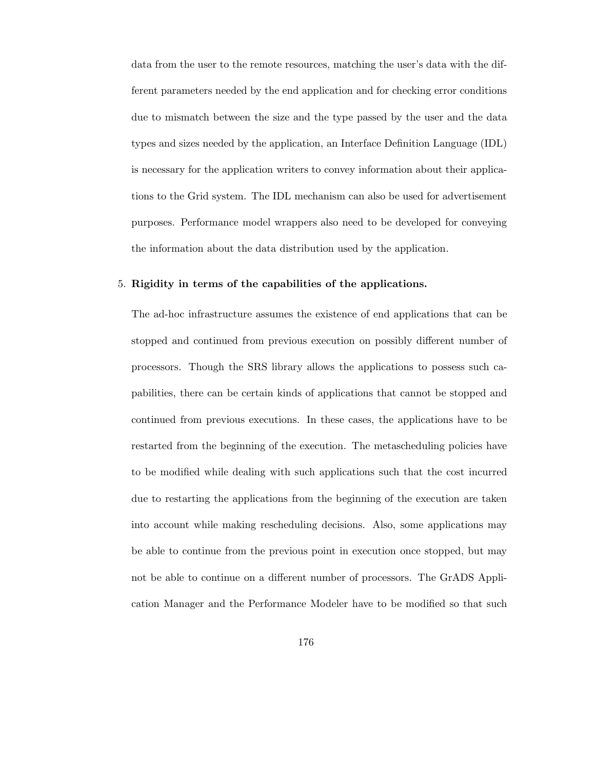data from the user to the remote resources, matching the user's data with the different parameters needed by the end application and for checking error conditions due to mismatch between the size and the type passed by the user and the data types and sizes needed by the application, an Interface Definition Language (IDL) is necessary for the application writers to convey information about their applications to the Grid system. The IDL mechanism can also be used for advertisement purposes. Performance model wrappers also need to be developed for conveying the information about the data distribution used by the application.

### 5. **Rigidity in terms of the capabilities of the applications.**

The ad-hoc infrastructure assumes the existence of end applications that can be stopped and continued from previous execution on possibly different number of processors. Though the SRS library allows the applications to possess such capabilities, there can be certain kinds of applications that cannot be stopped and continued from previous executions. In these cases, the applications have to be restarted from the beginning of the execution. The metascheduling policies have to be modified while dealing with such applications such that the cost incurred due to restarting the applications from the beginning of the execution are taken into account while making rescheduling decisions. Also, some applications may be able to continue from the previous point in execution once stopped, but may not be able to continue on a different number of processors. The GrADS Application Manager and the Performance Modeler have to be modified so that such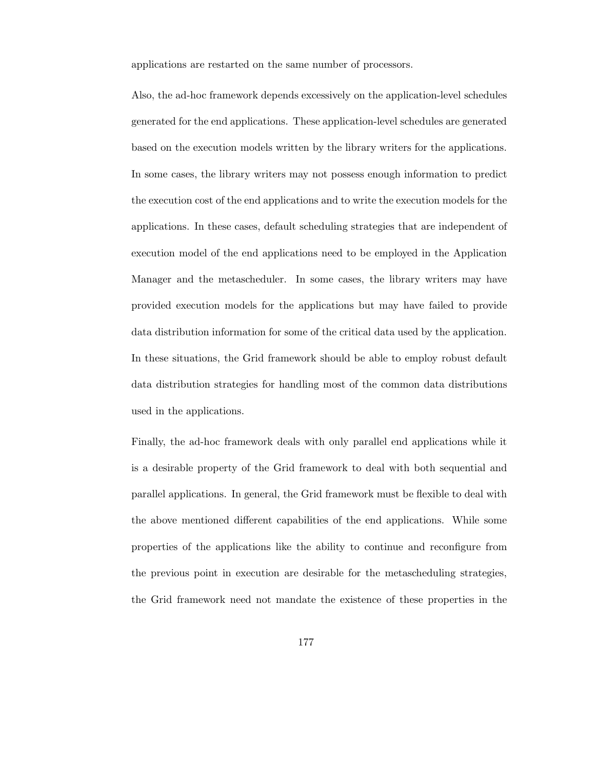applications are restarted on the same number of processors.

Also, the ad-hoc framework depends excessively on the application-level schedules generated for the end applications. These application-level schedules are generated based on the execution models written by the library writers for the applications. In some cases, the library writers may not possess enough information to predict the execution cost of the end applications and to write the execution models for the applications. In these cases, default scheduling strategies that are independent of execution model of the end applications need to be employed in the Application Manager and the metascheduler. In some cases, the library writers may have provided execution models for the applications but may have failed to provide data distribution information for some of the critical data used by the application. In these situations, the Grid framework should be able to employ robust default data distribution strategies for handling most of the common data distributions used in the applications.

Finally, the ad-hoc framework deals with only parallel end applications while it is a desirable property of the Grid framework to deal with both sequential and parallel applications. In general, the Grid framework must be flexible to deal with the above mentioned different capabilities of the end applications. While some properties of the applications like the ability to continue and reconfigure from the previous point in execution are desirable for the metascheduling strategies, the Grid framework need not mandate the existence of these properties in the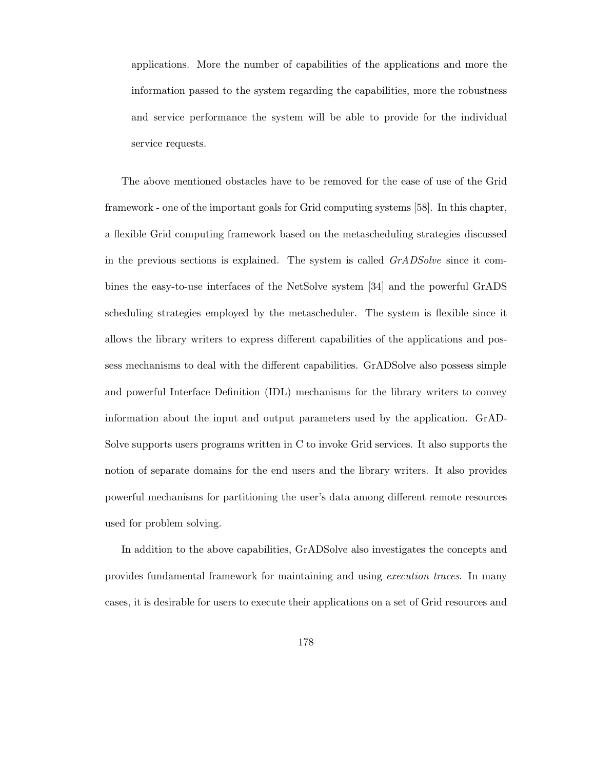applications. More the number of capabilities of the applications and more the information passed to the system regarding the capabilities, more the robustness and service performance the system will be able to provide for the individual service requests.

The above mentioned obstacles have to be removed for the ease of use of the Grid framework - one of the important goals for Grid computing systems [58]. In this chapter, a flexible Grid computing framework based on the metascheduling strategies discussed in the previous sections is explained. The system is called *GrADSolve* since it combines the easy-to-use interfaces of the NetSolve system [34] and the powerful GrADS scheduling strategies employed by the metascheduler. The system is flexible since it allows the library writers to express different capabilities of the applications and possess mechanisms to deal with the different capabilities. GrADSolve also possess simple and powerful Interface Definition (IDL) mechanisms for the library writers to convey information about the input and output parameters used by the application. GrAD-Solve supports users programs written in C to invoke Grid services. It also supports the notion of separate domains for the end users and the library writers. It also provides powerful mechanisms for partitioning the user's data among different remote resources used for problem solving.

In addition to the above capabilities, GrADSolve also investigates the concepts and provides fundamental framework for maintaining and using *execution traces*. In many cases, it is desirable for users to execute their applications on a set of Grid resources and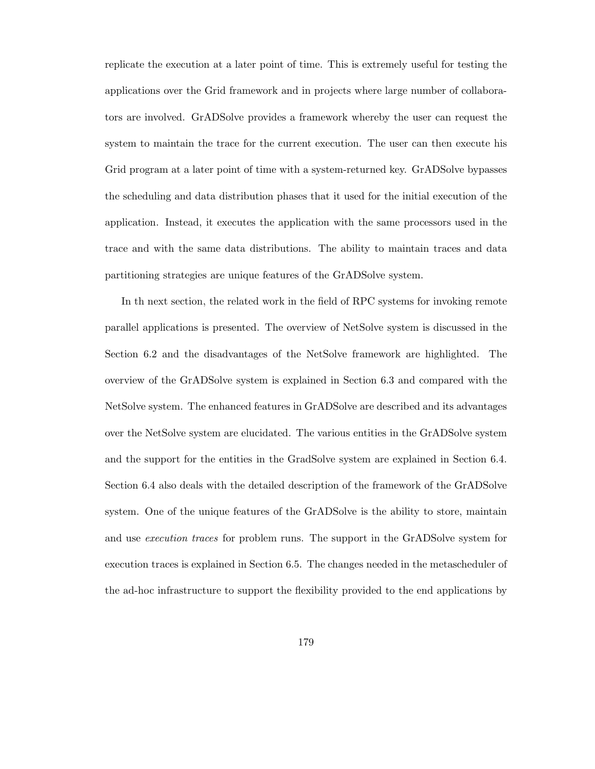replicate the execution at a later point of time. This is extremely useful for testing the applications over the Grid framework and in projects where large number of collaborators are involved. GrADSolve provides a framework whereby the user can request the system to maintain the trace for the current execution. The user can then execute his Grid program at a later point of time with a system-returned key. GrADSolve bypasses the scheduling and data distribution phases that it used for the initial execution of the application. Instead, it executes the application with the same processors used in the trace and with the same data distributions. The ability to maintain traces and data partitioning strategies are unique features of the GrADSolve system.

In th next section, the related work in the field of RPC systems for invoking remote parallel applications is presented. The overview of NetSolve system is discussed in the Section 6.2 and the disadvantages of the NetSolve framework are highlighted. The overview of the GrADSolve system is explained in Section 6.3 and compared with the NetSolve system. The enhanced features in GrADSolve are described and its advantages over the NetSolve system are elucidated. The various entities in the GrADSolve system and the support for the entities in the GradSolve system are explained in Section 6.4. Section 6.4 also deals with the detailed description of the framework of the GrADSolve system. One of the unique features of the GrADSolve is the ability to store, maintain and use *execution traces* for problem runs. The support in the GrADSolve system for execution traces is explained in Section 6.5. The changes needed in the metascheduler of the ad-hoc infrastructure to support the flexibility provided to the end applications by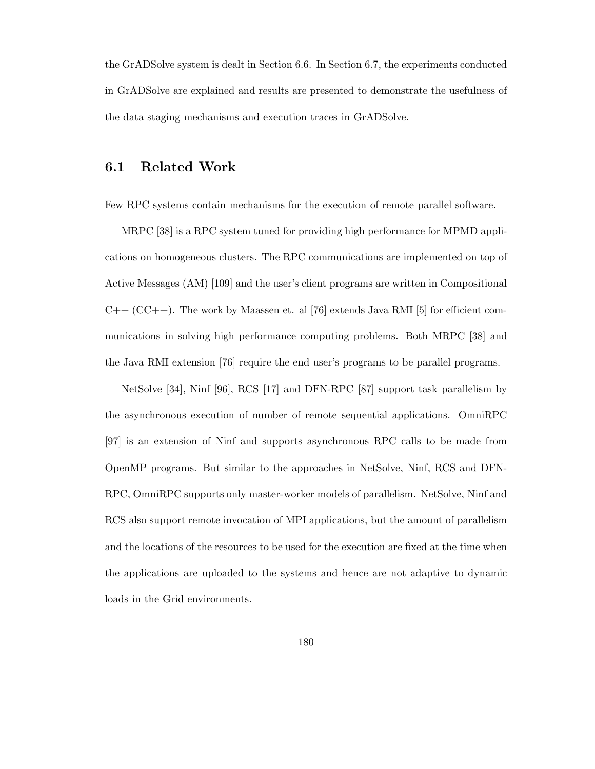the GrADSolve system is dealt in Section 6.6. In Section 6.7, the experiments conducted in GrADSolve are explained and results are presented to demonstrate the usefulness of the data staging mechanisms and execution traces in GrADSolve.

# **6.1 Related Work**

Few RPC systems contain mechanisms for the execution of remote parallel software.

MRPC [38] is a RPC system tuned for providing high performance for MPMD applications on homogeneous clusters. The RPC communications are implemented on top of Active Messages (AM) [109] and the user's client programs are written in Compositional  $C++ (CC++)$ . The work by Maassen et. al [76] extends Java RMI [5] for efficient communications in solving high performance computing problems. Both MRPC [38] and the Java RMI extension [76] require the end user's programs to be parallel programs.

NetSolve [34], Ninf [96], RCS [17] and DFN-RPC [87] support task parallelism by the asynchronous execution of number of remote sequential applications. OmniRPC [97] is an extension of Ninf and supports asynchronous RPC calls to be made from OpenMP programs. But similar to the approaches in NetSolve, Ninf, RCS and DFN-RPC, OmniRPC supports only master-worker models of parallelism. NetSolve, Ninf and RCS also support remote invocation of MPI applications, but the amount of parallelism and the locations of the resources to be used for the execution are fixed at the time when the applications are uploaded to the systems and hence are not adaptive to dynamic loads in the Grid environments.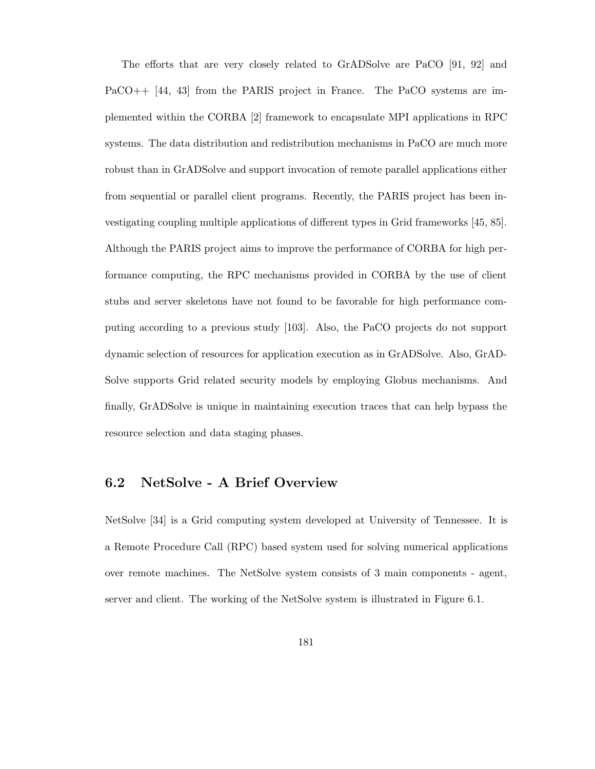The efforts that are very closely related to GrADSolve are PaCO [91, 92] and PaCO++ [44, 43] from the PARIS project in France. The PaCO systems are implemented within the CORBA [2] framework to encapsulate MPI applications in RPC systems. The data distribution and redistribution mechanisms in PaCO are much more robust than in GrADSolve and support invocation of remote parallel applications either from sequential or parallel client programs. Recently, the PARIS project has been investigating coupling multiple applications of different types in Grid frameworks [45, 85]. Although the PARIS project aims to improve the performance of CORBA for high performance computing, the RPC mechanisms provided in CORBA by the use of client stubs and server skeletons have not found to be favorable for high performance computing according to a previous study [103]. Also, the PaCO projects do not support dynamic selection of resources for application execution as in GrADSolve. Also, GrAD-Solve supports Grid related security models by employing Globus mechanisms. And finally, GrADSolve is unique in maintaining execution traces that can help bypass the resource selection and data staging phases.

# **6.2 NetSolve - A Brief Overview**

NetSolve [34] is a Grid computing system developed at University of Tennessee. It is a Remote Procedure Call (RPC) based system used for solving numerical applications over remote machines. The NetSolve system consists of 3 main components - agent, server and client. The working of the NetSolve system is illustrated in Figure 6.1.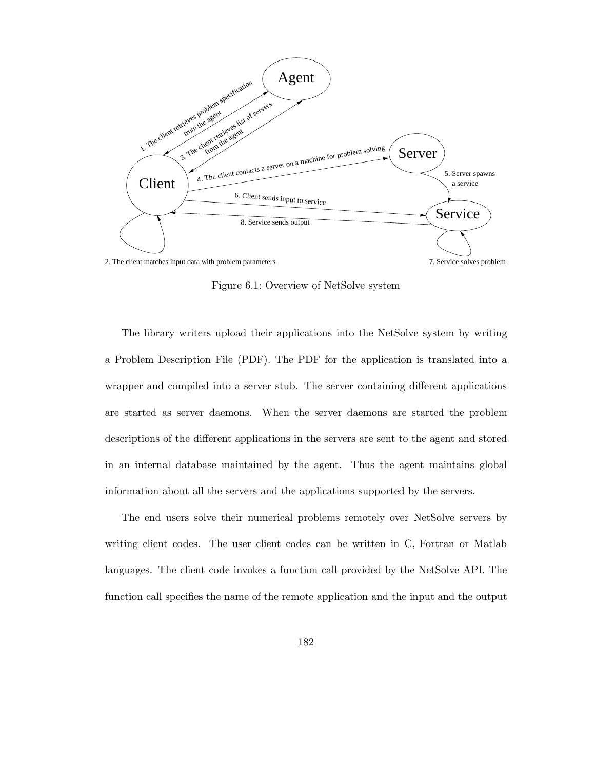

Figure 6.1: Overview of NetSolve system

The library writers upload their applications into the NetSolve system by writing a Problem Description File (PDF). The PDF for the application is translated into a wrapper and compiled into a server stub. The server containing different applications are started as server daemons. When the server daemons are started the problem descriptions of the different applications in the servers are sent to the agent and stored in an internal database maintained by the agent. Thus the agent maintains global information about all the servers and the applications supported by the servers.

The end users solve their numerical problems remotely over NetSolve servers by writing client codes. The user client codes can be written in C, Fortran or Matlab languages. The client code invokes a function call provided by the NetSolve API. The function call specifies the name of the remote application and the input and the output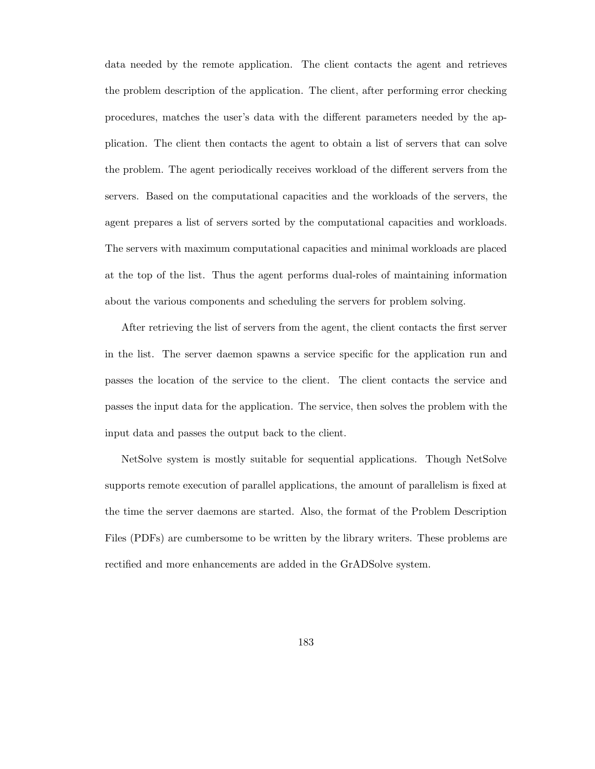data needed by the remote application. The client contacts the agent and retrieves the problem description of the application. The client, after performing error checking procedures, matches the user's data with the different parameters needed by the application. The client then contacts the agent to obtain a list of servers that can solve the problem. The agent periodically receives workload of the different servers from the servers. Based on the computational capacities and the workloads of the servers, the agent prepares a list of servers sorted by the computational capacities and workloads. The servers with maximum computational capacities and minimal workloads are placed at the top of the list. Thus the agent performs dual-roles of maintaining information about the various components and scheduling the servers for problem solving.

After retrieving the list of servers from the agent, the client contacts the first server in the list. The server daemon spawns a service specific for the application run and passes the location of the service to the client. The client contacts the service and passes the input data for the application. The service, then solves the problem with the input data and passes the output back to the client.

NetSolve system is mostly suitable for sequential applications. Though NetSolve supports remote execution of parallel applications, the amount of parallelism is fixed at the time the server daemons are started. Also, the format of the Problem Description Files (PDFs) are cumbersome to be written by the library writers. These problems are rectified and more enhancements are added in the GrADSolve system.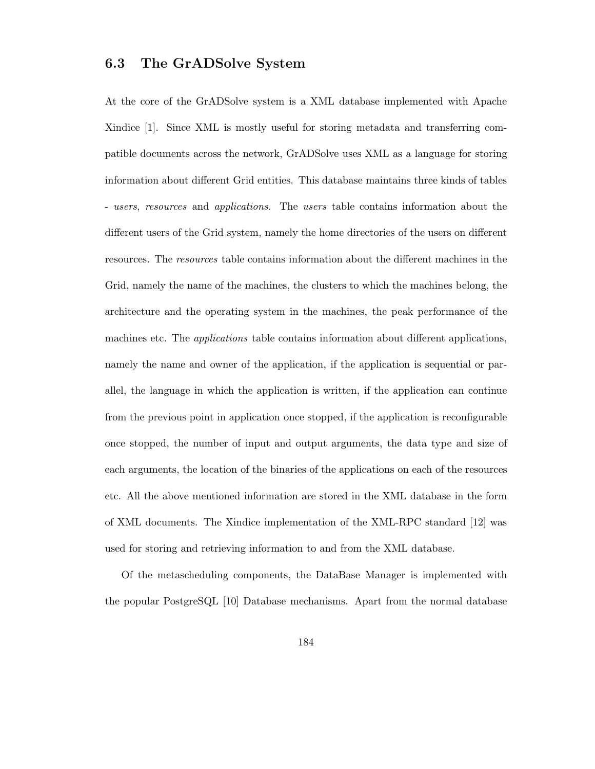## **6.3 The GrADSolve System**

At the core of the GrADSolve system is a XML database implemented with Apache Xindice [1]. Since XML is mostly useful for storing metadata and transferring compatible documents across the network, GrADSolve uses XML as a language for storing information about different Grid entities. This database maintains three kinds of tables - *users*, *resources* and *applications*. The *users* table contains information about the different users of the Grid system, namely the home directories of the users on different resources. The *resources* table contains information about the different machines in the Grid, namely the name of the machines, the clusters to which the machines belong, the architecture and the operating system in the machines, the peak performance of the machines etc. The *applications* table contains information about different applications, namely the name and owner of the application, if the application is sequential or parallel, the language in which the application is written, if the application can continue from the previous point in application once stopped, if the application is reconfigurable once stopped, the number of input and output arguments, the data type and size of each arguments, the location of the binaries of the applications on each of the resources etc. All the above mentioned information are stored in the XML database in the form of XML documents. The Xindice implementation of the XML-RPC standard [12] was used for storing and retrieving information to and from the XML database.

Of the metascheduling components, the DataBase Manager is implemented with the popular PostgreSQL [10] Database mechanisms. Apart from the normal database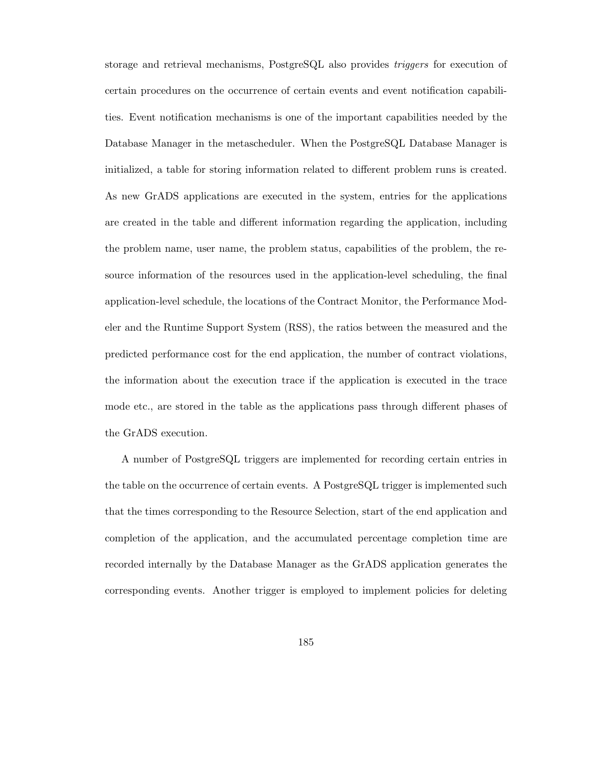storage and retrieval mechanisms, PostgreSQL also provides *triggers* for execution of certain procedures on the occurrence of certain events and event notification capabilities. Event notification mechanisms is one of the important capabilities needed by the Database Manager in the metascheduler. When the PostgreSQL Database Manager is initialized, a table for storing information related to different problem runs is created. As new GrADS applications are executed in the system, entries for the applications are created in the table and different information regarding the application, including the problem name, user name, the problem status, capabilities of the problem, the resource information of the resources used in the application-level scheduling, the final application-level schedule, the locations of the Contract Monitor, the Performance Modeler and the Runtime Support System (RSS), the ratios between the measured and the predicted performance cost for the end application, the number of contract violations, the information about the execution trace if the application is executed in the trace mode etc., are stored in the table as the applications pass through different phases of the GrADS execution.

A number of PostgreSQL triggers are implemented for recording certain entries in the table on the occurrence of certain events. A PostgreSQL trigger is implemented such that the times corresponding to the Resource Selection, start of the end application and completion of the application, and the accumulated percentage completion time are recorded internally by the Database Manager as the GrADS application generates the corresponding events. Another trigger is employed to implement policies for deleting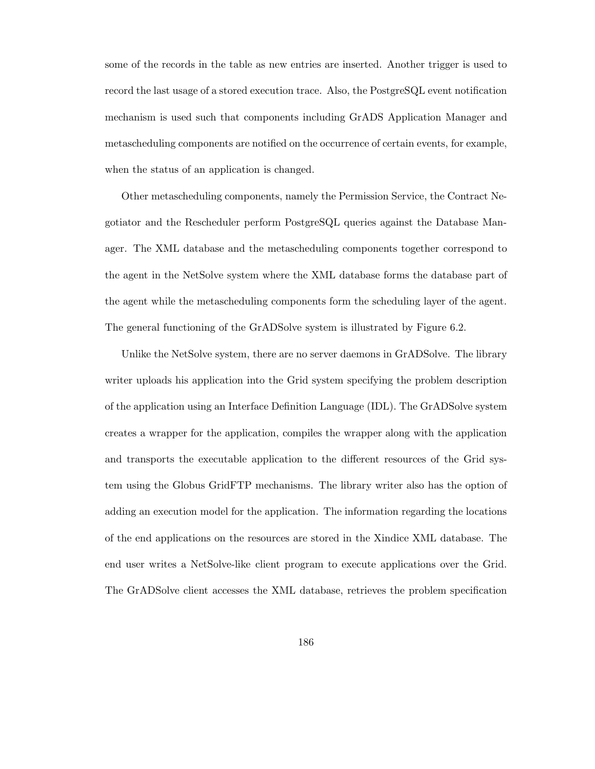some of the records in the table as new entries are inserted. Another trigger is used to record the last usage of a stored execution trace. Also, the PostgreSQL event notification mechanism is used such that components including GrADS Application Manager and metascheduling components are notified on the occurrence of certain events, for example, when the status of an application is changed.

Other metascheduling components, namely the Permission Service, the Contract Negotiator and the Rescheduler perform PostgreSQL queries against the Database Manager. The XML database and the metascheduling components together correspond to the agent in the NetSolve system where the XML database forms the database part of the agent while the metascheduling components form the scheduling layer of the agent. The general functioning of the GrADSolve system is illustrated by Figure 6.2.

Unlike the NetSolve system, there are no server daemons in GrADSolve. The library writer uploads his application into the Grid system specifying the problem description of the application using an Interface Definition Language (IDL). The GrADSolve system creates a wrapper for the application, compiles the wrapper along with the application and transports the executable application to the different resources of the Grid system using the Globus GridFTP mechanisms. The library writer also has the option of adding an execution model for the application. The information regarding the locations of the end applications on the resources are stored in the Xindice XML database. The end user writes a NetSolve-like client program to execute applications over the Grid. The GrADSolve client accesses the XML database, retrieves the problem specification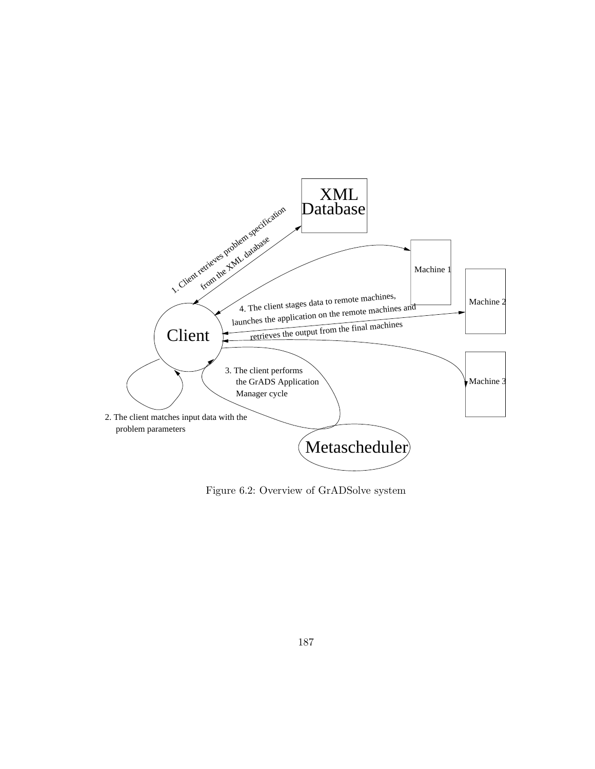

Figure 6.2: Overview of GrADSolve system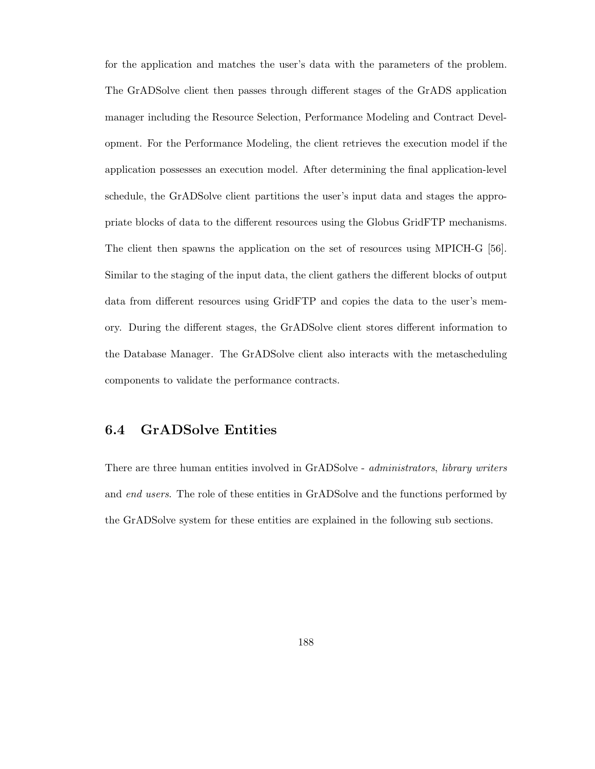for the application and matches the user's data with the parameters of the problem. The GrADSolve client then passes through different stages of the GrADS application manager including the Resource Selection, Performance Modeling and Contract Development. For the Performance Modeling, the client retrieves the execution model if the application possesses an execution model. After determining the final application-level schedule, the GrADSolve client partitions the user's input data and stages the appropriate blocks of data to the different resources using the Globus GridFTP mechanisms. The client then spawns the application on the set of resources using MPICH-G [56]. Similar to the staging of the input data, the client gathers the different blocks of output data from different resources using GridFTP and copies the data to the user's memory. During the different stages, the GrADSolve client stores different information to the Database Manager. The GrADSolve client also interacts with the metascheduling components to validate the performance contracts.

# **6.4 GrADSolve Entities**

There are three human entities involved in GrADSolve - *administrators*, *library writers* and *end users*. The role of these entities in GrADSolve and the functions performed by the GrADSolve system for these entities are explained in the following sub sections.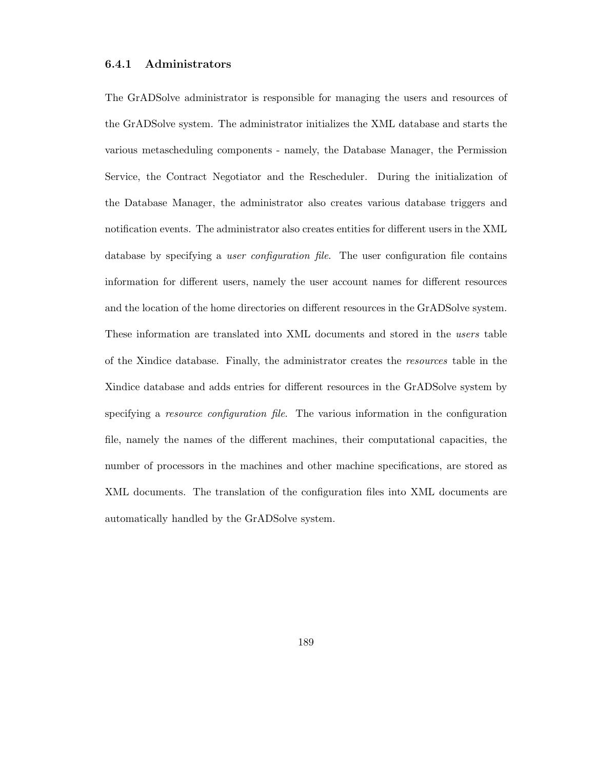## **6.4.1 Administrators**

The GrADSolve administrator is responsible for managing the users and resources of the GrADSolve system. The administrator initializes the XML database and starts the various metascheduling components - namely, the Database Manager, the Permission Service, the Contract Negotiator and the Rescheduler. During the initialization of the Database Manager, the administrator also creates various database triggers and notification events. The administrator also creates entities for different users in the XML database by specifying a *user configuration file*. The user configuration file contains information for different users, namely the user account names for different resources and the location of the home directories on different resources in the GrADSolve system. These information are translated into XML documents and stored in the *users* table of the Xindice database. Finally, the administrator creates the *resources* table in the Xindice database and adds entries for different resources in the GrADSolve system by specifying a *resource configuration file*. The various information in the configuration file, namely the names of the different machines, their computational capacities, the number of processors in the machines and other machine specifications, are stored as XML documents. The translation of the configuration files into XML documents are automatically handled by the GrADSolve system.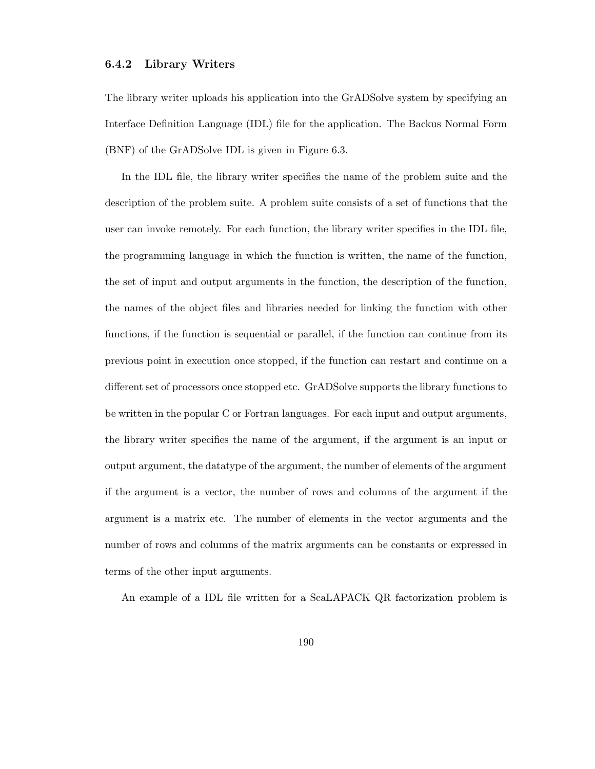### **6.4.2 Library Writers**

The library writer uploads his application into the GrADSolve system by specifying an Interface Definition Language (IDL) file for the application. The Backus Normal Form (BNF) of the GrADSolve IDL is given in Figure 6.3.

In the IDL file, the library writer specifies the name of the problem suite and the description of the problem suite. A problem suite consists of a set of functions that the user can invoke remotely. For each function, the library writer specifies in the IDL file, the programming language in which the function is written, the name of the function, the set of input and output arguments in the function, the description of the function, the names of the object files and libraries needed for linking the function with other functions, if the function is sequential or parallel, if the function can continue from its previous point in execution once stopped, if the function can restart and continue on a different set of processors once stopped etc. GrADSolve supports the library functions to be written in the popular C or Fortran languages. For each input and output arguments, the library writer specifies the name of the argument, if the argument is an input or output argument, the datatype of the argument, the number of elements of the argument if the argument is a vector, the number of rows and columns of the argument if the argument is a matrix etc. The number of elements in the vector arguments and the number of rows and columns of the matrix arguments can be constants or expressed in terms of the other input arguments.

An example of a IDL file written for a ScaLAPACK QR factorization problem is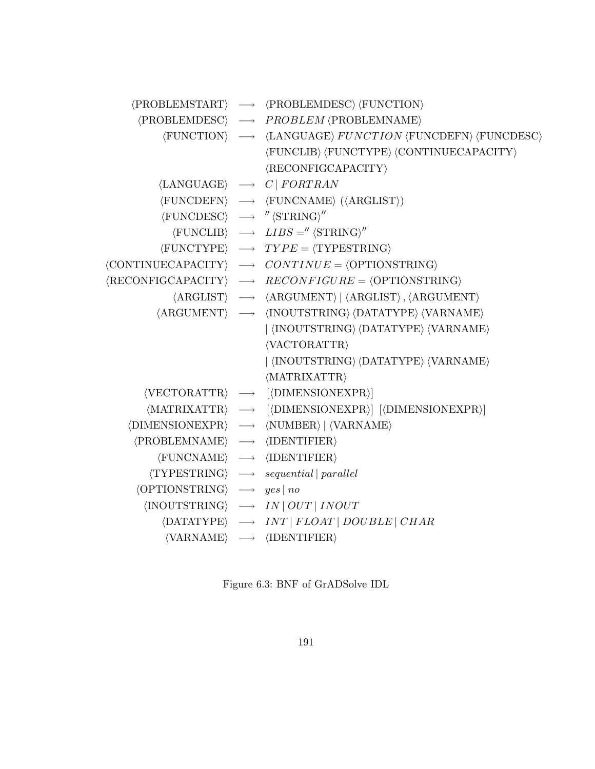$\langle$ PROBLEMSTART $\rangle \rightarrow \langle$ PROBLEMDESC $\rangle \langle$ FUNCTION $\rangle$  $\langle$ PROBLEMDESC $\rangle \rightarrow$  *PROBLEM*  $\langle$ PROBLEMNAME $\rangle$  $\langle$ FUNCTION $\rangle \rightarrow \langle$ LANGUAGE $\rangle$  FUNCTION  $\langle$ FUNCDEFN $\rangle$   $\langle$ FUNCDESC $\rangle$  $\langle$ FUNCLIB $\rangle$  $\langle$ FUNCTYPE $\rangle$  $\langle$ CONTINUECAPACITY $\rangle$  $\langle$ RECONFIGCAPACITY $\rangle$  $\langle$ LANGUAGE $\rangle \rightarrow C |$  FORT RAN  $\langle$ FUNCDEFN $\rangle \rightarrow \langle$ FUNCNAME $\rangle$  ( $\langle$ ARGLIST $\rangle$ )  $\langle$ FUNCDESC $\rangle \rightarrow$  " $\langle$ STRING $\rangle$ "  $\langle$ FUNCLIB $\rangle \rightarrow LIBS ='' \langle \text{STRING} \rangle''$  $\langle \text{FUNCTYPE} \rangle \rightarrow \text{TYPE} = \langle \text{TYPESTRING} \rangle$  $\langle \text{CONTINUECAPACITY} \rangle \rightarrow \text{CONTINUE} = \langle \text{OPTIONSTRING} \rangle$  $\langle RECONFIGCAPACITY \rangle \rightarrow RECONFIGURE = \langle OPTIONSTRING \rangle$  $\langle \text{ARGLIST} \rangle \rightarrow \langle \text{ARGUMENT} \rangle | \langle \text{ARGLIST} \rangle, \langle \text{ARGUMENT} \rangle$  $\langle \text{ARGUMENT} \rangle \rightarrow \langle \text{INOUTSTRING} \rangle \langle \text{DATATYPE} \rangle \langle \text{VARNAME} \rangle$  $|\langle \text{INOUTSTRING} \rangle \langle \text{DATATYPE} \rangle \langle \text{VARNAME} \rangle$  $\langle$ VACTORATTR $\rangle$  $|\langle \text{INOUTSTRING} \rangle \langle \text{DATATYPE} \rangle \langle \text{VARNAME} \rangle$  $\langle \text{MATRIXATTR} \rangle$  $\langle$ VECTORATTR $\rangle \rightarrow [\langle$ DIMENSIONEXPR $\rangle]$  $\langle \text{MATRIXATTR} \rangle \rightarrow [\langle \text{DIMENSIONEXPR} \rangle] [\langle \text{DIMENSIONEXPR} \rangle]$  $\langle$ DIMENSIONEXPR $\rangle \rightarrow \langle$ NUMBER $\rangle$ | $\langle$ VARNAME $\rangle$  $\langle$ PROBLEMNAME $\rangle \rightarrow \langle$ IDENTIFIER $\rangle$  $\langle$ FUNCNAME $\rangle \rightarrow \langle$ IDENTIFIER $\rangle$  $\langle \text{TYPESTRING} \rangle \rightarrow \text{sequential} | \text{parallel}$  $\langle \text{OPTIONSTRING} \rangle \rightarrow \text{yes} | \text{no}$  $\langle \text{INOUTSTRING} \rangle \rightarrow IN \mid OUT \mid INOUT$  $\langle$ DATATYPE $\rangle \rightarrow INT | FLOAT | DOUBLE | CHAR$  $\langle \text{VARME} \rangle \rightarrow \langle \text{IDENTIFYER} \rangle$ 

Figure 6.3: BNF of GrADSolve IDL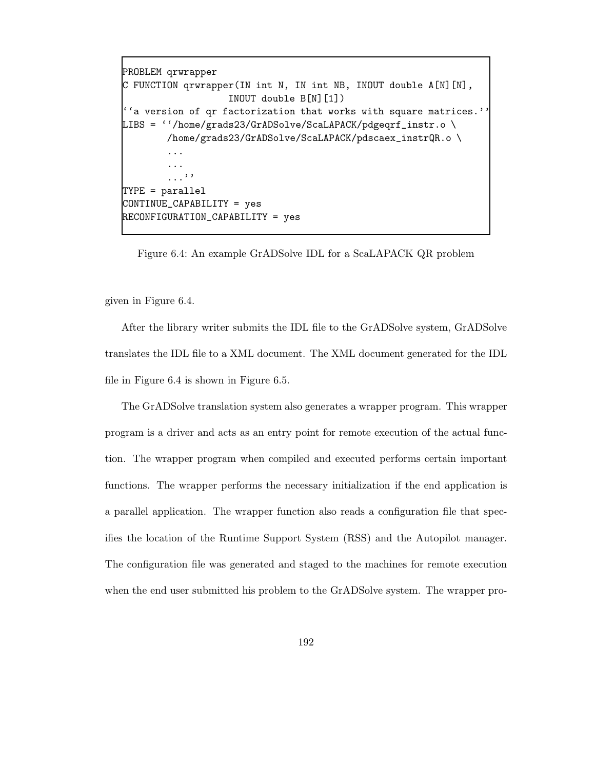```
PROBLEM qrwrapper
C FUNCTION qrwrapper(IN int N, IN int NB, INOUT double A[N][N],
                   INOUT double B[N][1])
 'a version of qr factorization that works with square matrices.'
LIBS = ''/home/grads23/GrADSolve/ScaLAPACK/pdgeqrf_instr.o \
        /home/grads23/GrADSolve/ScaLAPACK/pdscaex_instrQR.o \
        ...
        ...
        ...''
TYPE = parallel
CONTINUE_CAPABILITY = yes
RECONFIGURATION_CAPABILITY = yes
```
Figure 6.4: An example GrADSolve IDL for a ScaLAPACK QR problem

given in Figure 6.4.

After the library writer submits the IDL file to the GrADSolve system, GrADSolve translates the IDL file to a XML document. The XML document generated for the IDL file in Figure 6.4 is shown in Figure 6.5.

The GrADSolve translation system also generates a wrapper program. This wrapper program is a driver and acts as an entry point for remote execution of the actual function. The wrapper program when compiled and executed performs certain important functions. The wrapper performs the necessary initialization if the end application is a parallel application. The wrapper function also reads a configuration file that specifies the location of the Runtime Support System (RSS) and the Autopilot manager. The configuration file was generated and staged to the machines for remote execution when the end user submitted his problem to the GrADSolve system. The wrapper pro-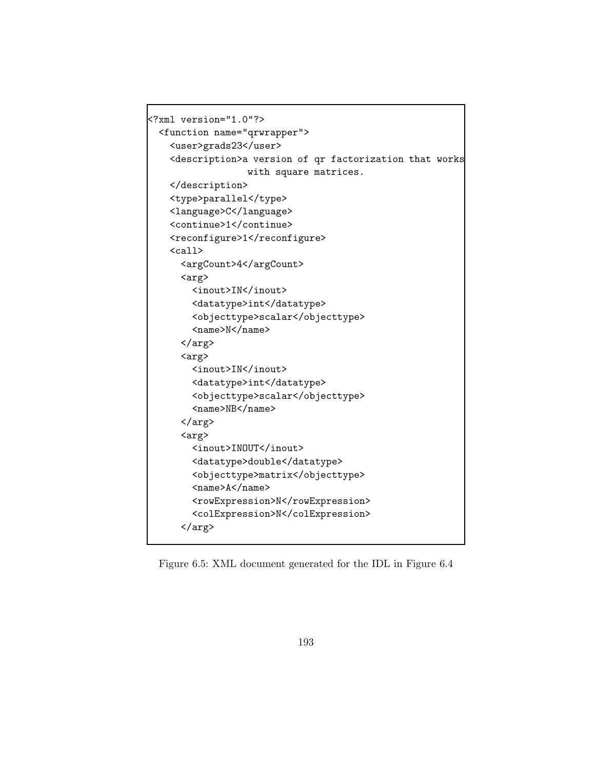```
<?xml version="1.0"?>
 <function name="qrwrapper">
    <user>grads23</user>
    <description>a version of qr factorization that works
                  with square matrices.
    </description>
    <type>parallel</type>
   <language>C</language>
    <continue>1</continue>
    <reconfigure>1</reconfigure>
    <call>
      <argCount>4</argCount>
      <arg>
        <inout>IN</inout>
        <datatype>int</datatype>
        <objecttype>scalar</objecttype>
        <name>N</name>
      </arg>
      <arg>
        <inout>IN</inout>
        <datatype>int</datatype>
        <objecttype>scalar</objecttype>
        <name>NB</name>
      </arg>
      <arg>
        <inout>INOUT</inout>
        <datatype>double</datatype>
        <objecttype>matrix</objecttype>
        <name>A</name>
        <rowExpression>N</rowExpression>
        <colExpression>N</colExpression>
      </arg>
```
Figure 6.5: XML document generated for the IDL in Figure 6.4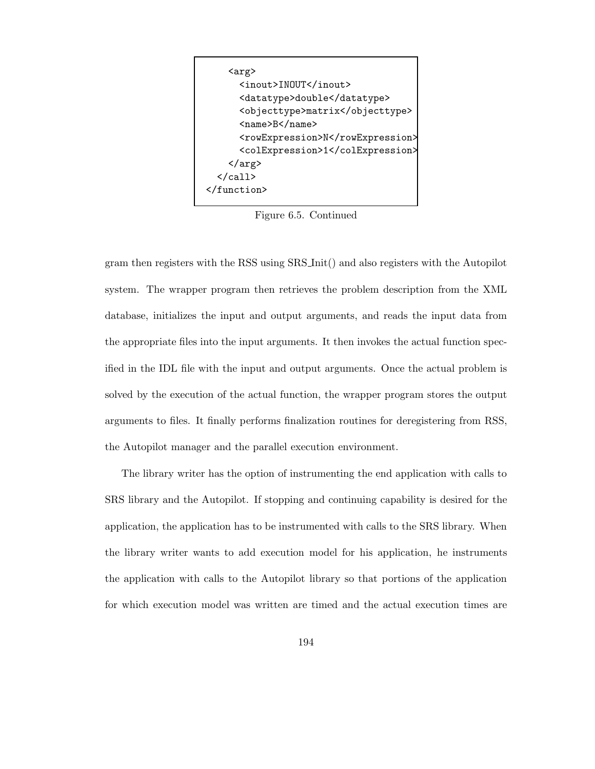<arg> <inout>INOUT</inout> <datatype>double</datatype> <objecttype>matrix</objecttype> <name>B</name> <rowExpression>N</rowExpression> <colExpression>1</colExpression>  $\langle \rangle$  arg  $\rangle$ </call> </function>

Figure 6.5. Continued

gram then registers with the RSS using SRS Init() and also registers with the Autopilot system. The wrapper program then retrieves the problem description from the XML database, initializes the input and output arguments, and reads the input data from the appropriate files into the input arguments. It then invokes the actual function specified in the IDL file with the input and output arguments. Once the actual problem is solved by the execution of the actual function, the wrapper program stores the output arguments to files. It finally performs finalization routines for deregistering from RSS, the Autopilot manager and the parallel execution environment.

The library writer has the option of instrumenting the end application with calls to SRS library and the Autopilot. If stopping and continuing capability is desired for the application, the application has to be instrumented with calls to the SRS library. When the library writer wants to add execution model for his application, he instruments the application with calls to the Autopilot library so that portions of the application for which execution model was written are timed and the actual execution times are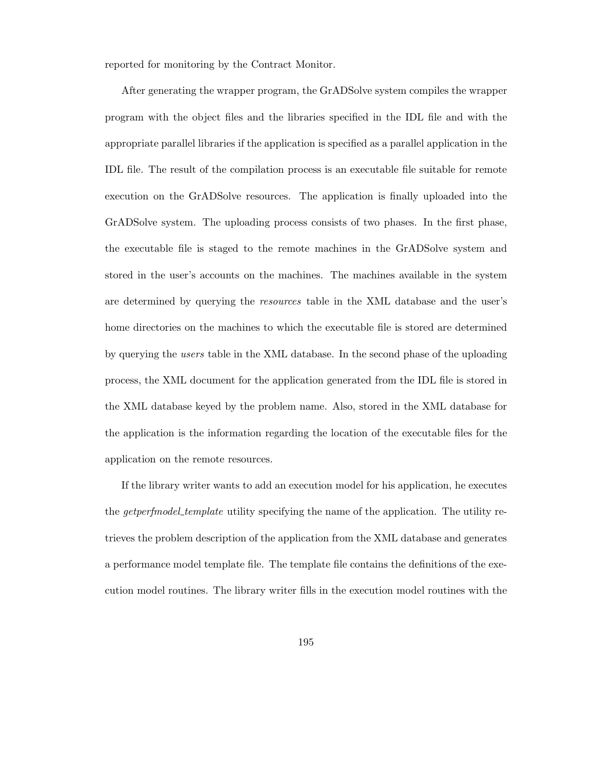reported for monitoring by the Contract Monitor.

After generating the wrapper program, the GrADSolve system compiles the wrapper program with the object files and the libraries specified in the IDL file and with the appropriate parallel libraries if the application is specified as a parallel application in the IDL file. The result of the compilation process is an executable file suitable for remote execution on the GrADSolve resources. The application is finally uploaded into the GrADSolve system. The uploading process consists of two phases. In the first phase, the executable file is staged to the remote machines in the GrADSolve system and stored in the user's accounts on the machines. The machines available in the system are determined by querying the *resources* table in the XML database and the user's home directories on the machines to which the executable file is stored are determined by querying the *users* table in the XML database. In the second phase of the uploading process, the XML document for the application generated from the IDL file is stored in the XML database keyed by the problem name. Also, stored in the XML database for the application is the information regarding the location of the executable files for the application on the remote resources.

If the library writer wants to add an execution model for his application, he executes the *getperfmodel template* utility specifying the name of the application. The utility retrieves the problem description of the application from the XML database and generates a performance model template file. The template file contains the definitions of the execution model routines. The library writer fills in the execution model routines with the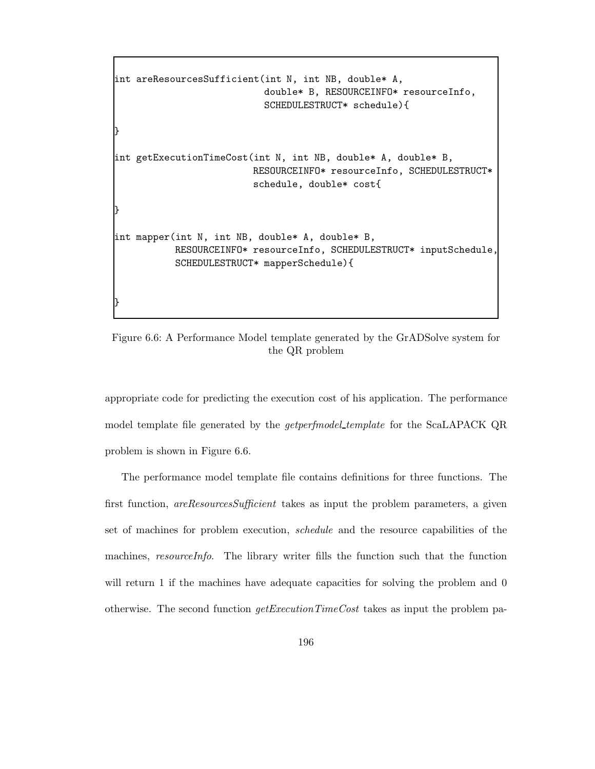```
int areResourcesSufficient(int N, int NB, double* A,
                           double* B, RESOURCEINFO* resourceInfo,
                           SCHEDULESTRUCT* schedule){
}
int getExecutionTimeCost(int N, int NB, double* A, double* B,
                         RESOURCEINFO* resourceInfo, SCHEDULESTRUCT*
                         schedule, double* cost{
}
int mapper(int N, int NB, double* A, double* B,
           RESOURCEINFO* resourceInfo, SCHEDULESTRUCT* inputSchedule,
           SCHEDULESTRUCT* mapperSchedule){
}
```
Figure 6.6: A Performance Model template generated by the GrADSolve system for the QR problem

appropriate code for predicting the execution cost of his application. The performance model template file generated by the *getperfmodel template* for the ScaLAPACK QR problem is shown in Figure 6.6.

The performance model template file contains definitions for three functions. The first function, *areResourcesSufficient* takes as input the problem parameters, a given set of machines for problem execution, *schedule* and the resource capabilities of the machines, *resourceInfo*. The library writer fills the function such that the function will return 1 if the machines have adequate capacities for solving the problem and 0 otherwise. The second function *getExecutionTimeCost* takes as input the problem pa-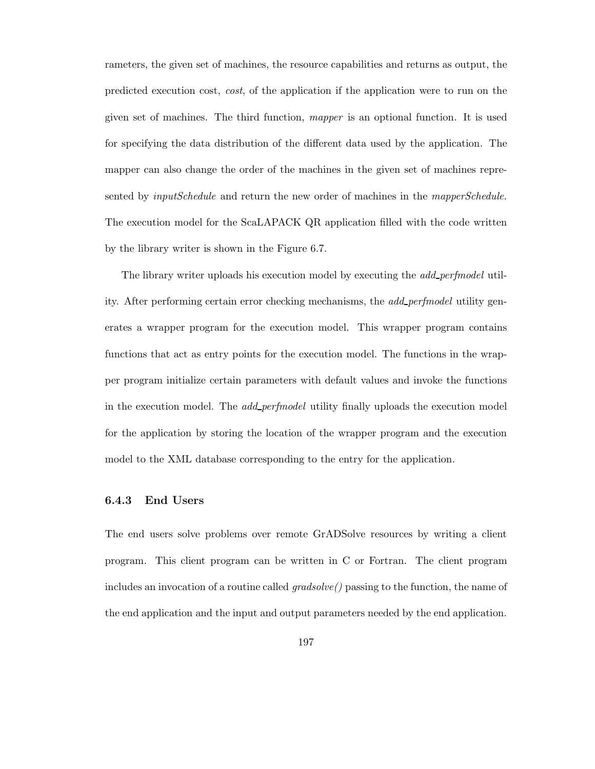rameters, the given set of machines, the resource capabilities and returns as output, the predicted execution cost, *cost*, of the application if the application were to run on the given set of machines. The third function, *mapper* is an optional function. It is used for specifying the data distribution of the different data used by the application. The mapper can also change the order of the machines in the given set of machines represented by *inputSchedule* and return the new order of machines in the *mapperSchedule*. The execution model for the ScaLAPACK QR application filled with the code written by the library writer is shown in the Figure 6.7.

The library writer uploads his execution model by executing the *add perfmodel* utility. After performing certain error checking mechanisms, the *add perfmodel* utility generates a wrapper program for the execution model. This wrapper program contains functions that act as entry points for the execution model. The functions in the wrapper program initialize certain parameters with default values and invoke the functions in the execution model. The *add perfmodel* utility finally uploads the execution model for the application by storing the location of the wrapper program and the execution model to the XML database corresponding to the entry for the application.

#### **6.4.3 End Users**

The end users solve problems over remote GrADSolve resources by writing a client program. This client program can be written in C or Fortran. The client program includes an invocation of a routine called *gradsolve()* passing to the function, the name of the end application and the input and output parameters needed by the end application.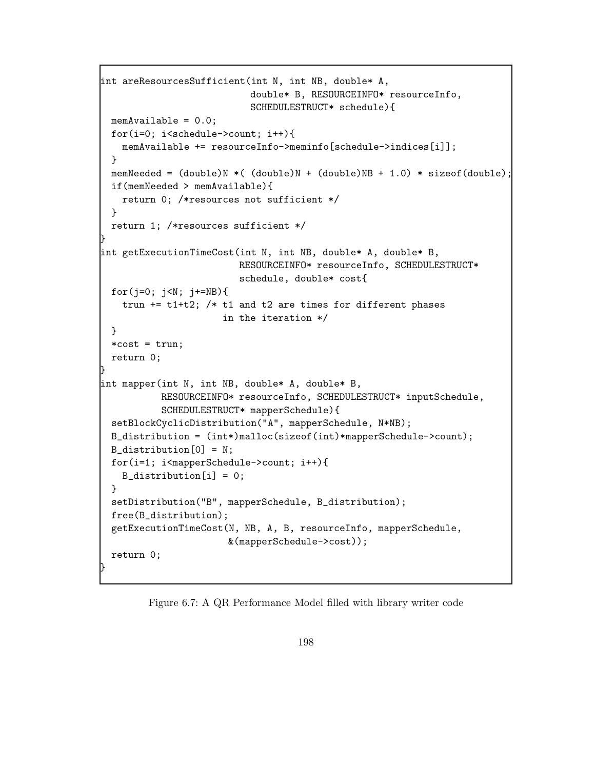```
int areResourcesSufficient(int N, int NB, double* A,
                           double* B, RESOURCEINFO* resourceInfo,
                           SCHEDULESTRUCT* schedule){
 memAvailable = 0.0;
 for(i=0; i<schedule->count; i++){
   memAvailable += resourceInfo->meminfo[schedule->indices[i]];
 }
 memNeeded = (double)N * ( (double)N + (double)NB + 1.0) * sizeof(double);if(memNeeded > memAvailable){
   return 0; /*resources not sufficient */
 }
 return 1; /*resources sufficient */
}
int getExecutionTimeCost(int N, int NB, double* A, double* B,
                         RESOURCEINFO* resourceInfo, SCHEDULESTRUCT*
                         schedule, double* cost{
 for(j=0; j<N; j+=NB){
   trun += t1+t2; /* t1 and t2 are times for different phases
                      in the iteration */
 }
 *cost = true;return 0;
}
int mapper(int N, int NB, double* A, double* B,
           RESOURCEINFO* resourceInfo, SCHEDULESTRUCT* inputSchedule,
           SCHEDULESTRUCT* mapperSchedule){
 setBlockCyclicDistribution("A", mapperSchedule, N*NB);
 B_distribution = (int*)malloc(sizeof(int)*mapperSchedule->count);
 B_distribution[0] = N;
 for(i=1; i<mapperSchedule->count; i++){
   B_distribution[i] = 0;}
 setDistribution("B", mapperSchedule, B_distribution);
 free(B_distribution);
 getExecutionTimeCost(N, NB, A, B, resourceInfo, mapperSchedule,
                       &(mapperSchedule->cost));
 return 0;
}
```
Figure 6.7: A QR Performance Model filled with library writer code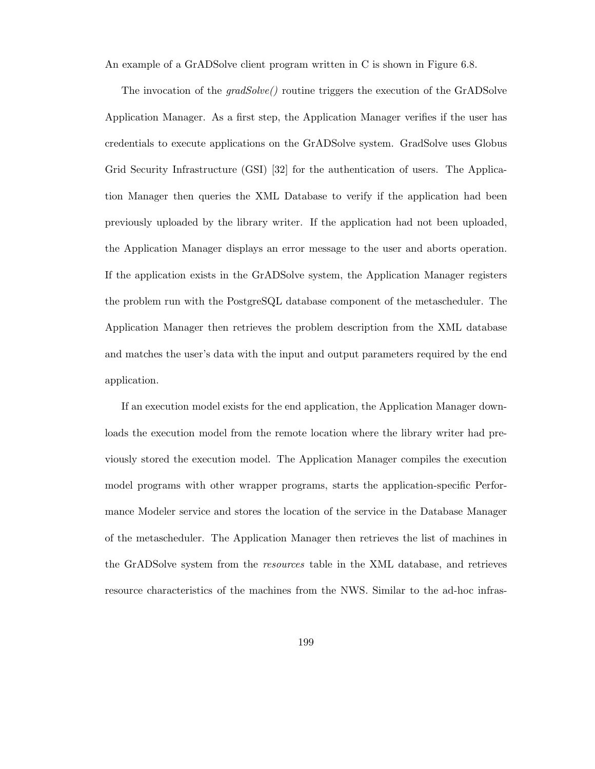An example of a GrADSolve client program written in C is shown in Figure 6.8.

The invocation of the *gradSolve()* routine triggers the execution of the GrADSolve Application Manager. As a first step, the Application Manager verifies if the user has credentials to execute applications on the GrADSolve system. GradSolve uses Globus Grid Security Infrastructure (GSI) [32] for the authentication of users. The Application Manager then queries the XML Database to verify if the application had been previously uploaded by the library writer. If the application had not been uploaded, the Application Manager displays an error message to the user and aborts operation. If the application exists in the GrADSolve system, the Application Manager registers the problem run with the PostgreSQL database component of the metascheduler. The Application Manager then retrieves the problem description from the XML database and matches the user's data with the input and output parameters required by the end application.

If an execution model exists for the end application, the Application Manager downloads the execution model from the remote location where the library writer had previously stored the execution model. The Application Manager compiles the execution model programs with other wrapper programs, starts the application-specific Performance Modeler service and stores the location of the service in the Database Manager of the metascheduler. The Application Manager then retrieves the list of machines in the GrADSolve system from the *resources* table in the XML database, and retrieves resource characteristics of the machines from the NWS. Similar to the ad-hoc infras-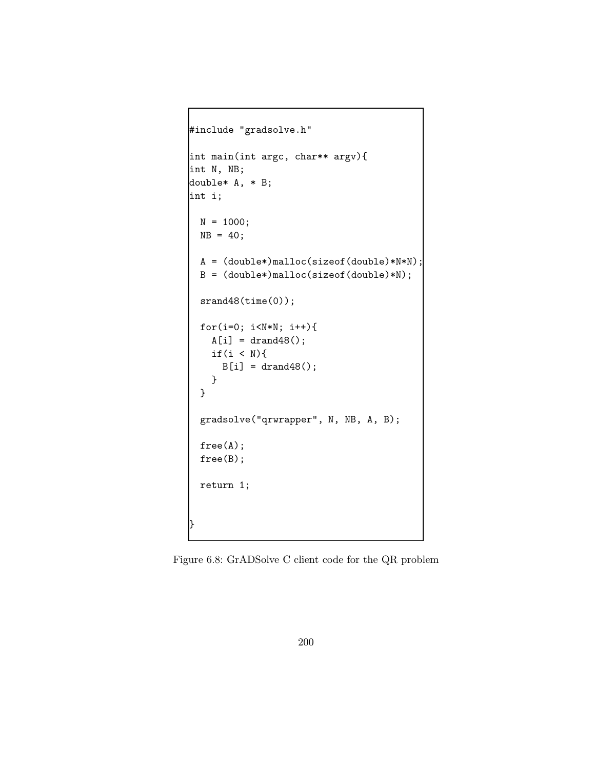```
#include "gradsolve.h"
int main(int argc, char** argv){
int N, NB;
double* A, * B;
int i;
 N = 1000;NB = 40;
 A = (double*)malloc(sizeof(double)*N*N);
 B = (double*)malloc(sizeof(double)*N);
 srand48(time(0));
 for(i=0; i<N*N; i++){
    A[i] = \text{drand48}();
    if(i < N){
     B[i] = \text{drand48} ();
    }
  }
 gradsolve("qrwrapper", N, NB, A, B);
 free(A);
 free(B);
 return 1;
}
```
Figure 6.8: GrADSolve C client code for the QR problem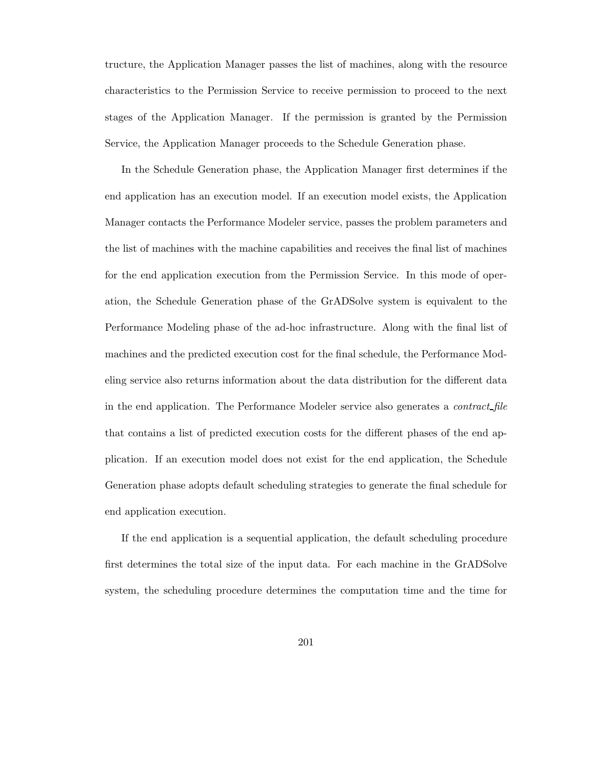tructure, the Application Manager passes the list of machines, along with the resource characteristics to the Permission Service to receive permission to proceed to the next stages of the Application Manager. If the permission is granted by the Permission Service, the Application Manager proceeds to the Schedule Generation phase.

In the Schedule Generation phase, the Application Manager first determines if the end application has an execution model. If an execution model exists, the Application Manager contacts the Performance Modeler service, passes the problem parameters and the list of machines with the machine capabilities and receives the final list of machines for the end application execution from the Permission Service. In this mode of operation, the Schedule Generation phase of the GrADSolve system is equivalent to the Performance Modeling phase of the ad-hoc infrastructure. Along with the final list of machines and the predicted execution cost for the final schedule, the Performance Modeling service also returns information about the data distribution for the different data in the end application. The Performance Modeler service also generates a *contract file* that contains a list of predicted execution costs for the different phases of the end application. If an execution model does not exist for the end application, the Schedule Generation phase adopts default scheduling strategies to generate the final schedule for end application execution.

If the end application is a sequential application, the default scheduling procedure first determines the total size of the input data. For each machine in the GrADSolve system, the scheduling procedure determines the computation time and the time for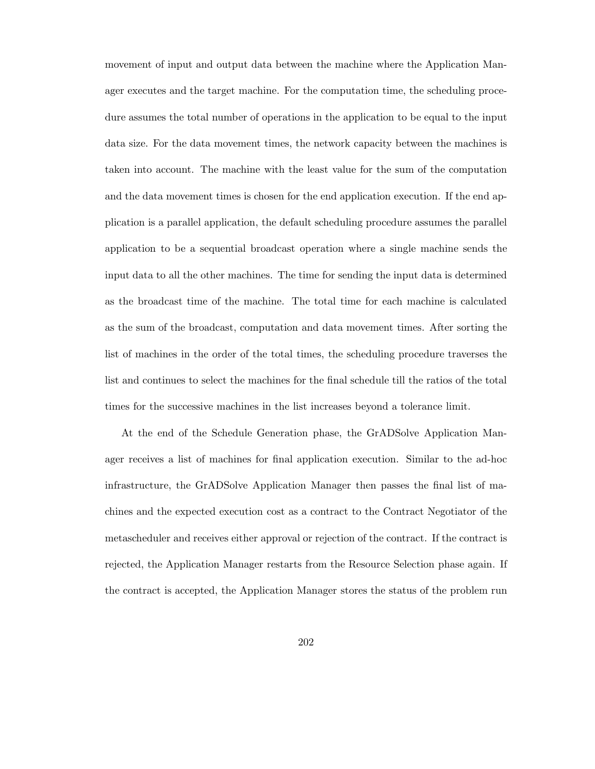movement of input and output data between the machine where the Application Manager executes and the target machine. For the computation time, the scheduling procedure assumes the total number of operations in the application to be equal to the input data size. For the data movement times, the network capacity between the machines is taken into account. The machine with the least value for the sum of the computation and the data movement times is chosen for the end application execution. If the end application is a parallel application, the default scheduling procedure assumes the parallel application to be a sequential broadcast operation where a single machine sends the input data to all the other machines. The time for sending the input data is determined as the broadcast time of the machine. The total time for each machine is calculated as the sum of the broadcast, computation and data movement times. After sorting the list of machines in the order of the total times, the scheduling procedure traverses the list and continues to select the machines for the final schedule till the ratios of the total times for the successive machines in the list increases beyond a tolerance limit.

At the end of the Schedule Generation phase, the GrADSolve Application Manager receives a list of machines for final application execution. Similar to the ad-hoc infrastructure, the GrADSolve Application Manager then passes the final list of machines and the expected execution cost as a contract to the Contract Negotiator of the metascheduler and receives either approval or rejection of the contract. If the contract is rejected, the Application Manager restarts from the Resource Selection phase again. If the contract is accepted, the Application Manager stores the status of the problem run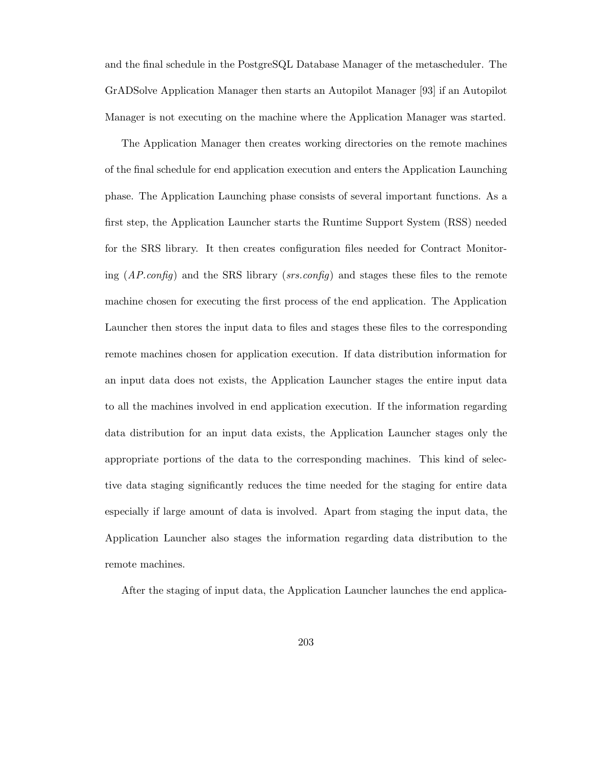and the final schedule in the PostgreSQL Database Manager of the metascheduler. The GrADSolve Application Manager then starts an Autopilot Manager [93] if an Autopilot Manager is not executing on the machine where the Application Manager was started.

The Application Manager then creates working directories on the remote machines of the final schedule for end application execution and enters the Application Launching phase. The Application Launching phase consists of several important functions. As a first step, the Application Launcher starts the Runtime Support System (RSS) needed for the SRS library. It then creates configuration files needed for Contract Monitoring (*AP.config*) and the SRS library (*srs.config*) and stages these files to the remote machine chosen for executing the first process of the end application. The Application Launcher then stores the input data to files and stages these files to the corresponding remote machines chosen for application execution. If data distribution information for an input data does not exists, the Application Launcher stages the entire input data to all the machines involved in end application execution. If the information regarding data distribution for an input data exists, the Application Launcher stages only the appropriate portions of the data to the corresponding machines. This kind of selective data staging significantly reduces the time needed for the staging for entire data especially if large amount of data is involved. Apart from staging the input data, the Application Launcher also stages the information regarding data distribution to the remote machines.

After the staging of input data, the Application Launcher launches the end applica-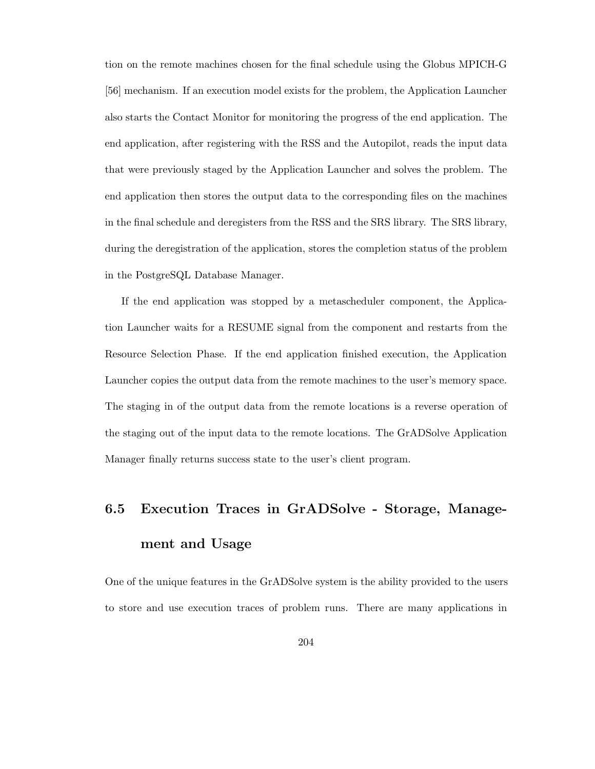tion on the remote machines chosen for the final schedule using the Globus MPICH-G [56] mechanism. If an execution model exists for the problem, the Application Launcher also starts the Contact Monitor for monitoring the progress of the end application. The end application, after registering with the RSS and the Autopilot, reads the input data that were previously staged by the Application Launcher and solves the problem. The end application then stores the output data to the corresponding files on the machines in the final schedule and deregisters from the RSS and the SRS library. The SRS library, during the deregistration of the application, stores the completion status of the problem in the PostgreSQL Database Manager.

If the end application was stopped by a metascheduler component, the Application Launcher waits for a RESUME signal from the component and restarts from the Resource Selection Phase. If the end application finished execution, the Application Launcher copies the output data from the remote machines to the user's memory space. The staging in of the output data from the remote locations is a reverse operation of the staging out of the input data to the remote locations. The GrADSolve Application Manager finally returns success state to the user's client program.

# **6.5 Execution Traces in GrADSolve - Storage, Management and Usage**

One of the unique features in the GrADSolve system is the ability provided to the users to store and use execution traces of problem runs. There are many applications in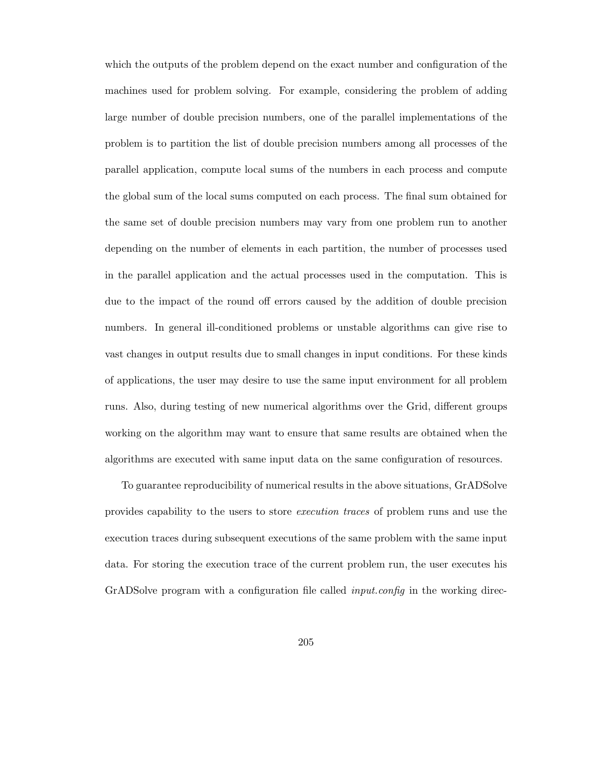which the outputs of the problem depend on the exact number and configuration of the machines used for problem solving. For example, considering the problem of adding large number of double precision numbers, one of the parallel implementations of the problem is to partition the list of double precision numbers among all processes of the parallel application, compute local sums of the numbers in each process and compute the global sum of the local sums computed on each process. The final sum obtained for the same set of double precision numbers may vary from one problem run to another depending on the number of elements in each partition, the number of processes used in the parallel application and the actual processes used in the computation. This is due to the impact of the round off errors caused by the addition of double precision numbers. In general ill-conditioned problems or unstable algorithms can give rise to vast changes in output results due to small changes in input conditions. For these kinds of applications, the user may desire to use the same input environment for all problem runs. Also, during testing of new numerical algorithms over the Grid, different groups working on the algorithm may want to ensure that same results are obtained when the algorithms are executed with same input data on the same configuration of resources.

To guarantee reproducibility of numerical results in the above situations, GrADSolve provides capability to the users to store *execution traces* of problem runs and use the execution traces during subsequent executions of the same problem with the same input data. For storing the execution trace of the current problem run, the user executes his GrADSolve program with a configuration file called *input.config* in the working direc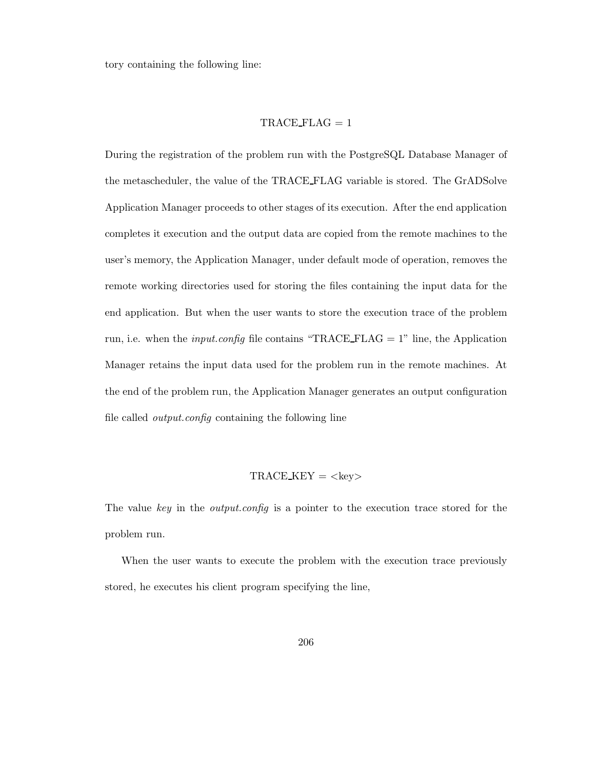tory containing the following line:

### $\operatorname{TRACE\_FLAG} = 1$

During the registration of the problem run with the PostgreSQL Database Manager of the metascheduler, the value of the TRACE FLAG variable is stored. The GrADSolve Application Manager proceeds to other stages of its execution. After the end application completes it execution and the output data are copied from the remote machines to the user's memory, the Application Manager, under default mode of operation, removes the remote working directories used for storing the files containing the input data for the end application. But when the user wants to store the execution trace of the problem run, i.e. when the *input.config* file contains "TRACE FLAG = 1" line, the Application Manager retains the input data used for the problem run in the remote machines. At the end of the problem run, the Application Manager generates an output configuration file called *output.config* containing the following line

### $\text{TRACE\_KEY} = \text{}$

The value *key* in the *output.config* is a pointer to the execution trace stored for the problem run.

When the user wants to execute the problem with the execution trace previously stored, he executes his client program specifying the line,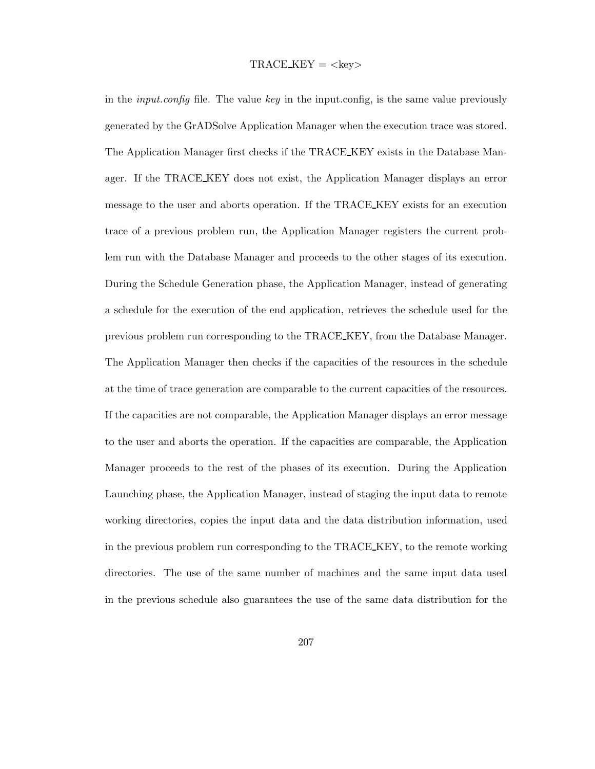### $\text{TRACE\_KEY} = \text{}$

in the *input.config* file. The value *key* in the input.config, is the same value previously generated by the GrADSolve Application Manager when the execution trace was stored. The Application Manager first checks if the TRACE KEY exists in the Database Manager. If the TRACE KEY does not exist, the Application Manager displays an error message to the user and aborts operation. If the TRACE KEY exists for an execution trace of a previous problem run, the Application Manager registers the current problem run with the Database Manager and proceeds to the other stages of its execution. During the Schedule Generation phase, the Application Manager, instead of generating a schedule for the execution of the end application, retrieves the schedule used for the previous problem run corresponding to the TRACE KEY, from the Database Manager. The Application Manager then checks if the capacities of the resources in the schedule at the time of trace generation are comparable to the current capacities of the resources. If the capacities are not comparable, the Application Manager displays an error message to the user and aborts the operation. If the capacities are comparable, the Application Manager proceeds to the rest of the phases of its execution. During the Application Launching phase, the Application Manager, instead of staging the input data to remote working directories, copies the input data and the data distribution information, used in the previous problem run corresponding to the TRACE KEY, to the remote working directories. The use of the same number of machines and the same input data used in the previous schedule also guarantees the use of the same data distribution for the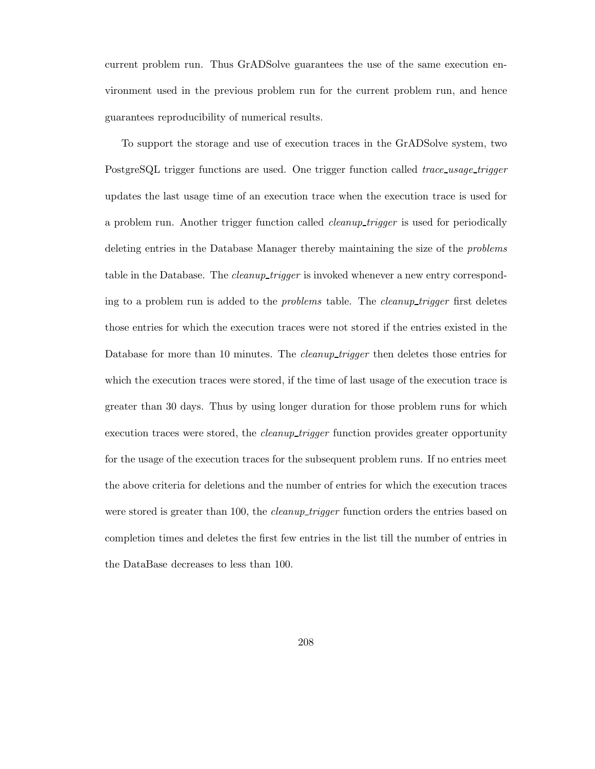current problem run. Thus GrADSolve guarantees the use of the same execution environment used in the previous problem run for the current problem run, and hence guarantees reproducibility of numerical results.

To support the storage and use of execution traces in the GrADSolve system, two PostgreSQL trigger functions are used. One trigger function called *trace usage trigger* updates the last usage time of an execution trace when the execution trace is used for a problem run. Another trigger function called *cleanup trigger* is used for periodically deleting entries in the Database Manager thereby maintaining the size of the *problems* table in the Database. The *cleanup trigger* is invoked whenever a new entry corresponding to a problem run is added to the *problems* table. The *cleanup trigger* first deletes those entries for which the execution traces were not stored if the entries existed in the Database for more than 10 minutes. The *cleanup trigger* then deletes those entries for which the execution traces were stored, if the time of last usage of the execution trace is greater than 30 days. Thus by using longer duration for those problem runs for which execution traces were stored, the *cleanup trigger* function provides greater opportunity for the usage of the execution traces for the subsequent problem runs. If no entries meet the above criteria for deletions and the number of entries for which the execution traces were stored is greater than 100, the *cleanup trigger* function orders the entries based on completion times and deletes the first few entries in the list till the number of entries in the DataBase decreases to less than 100.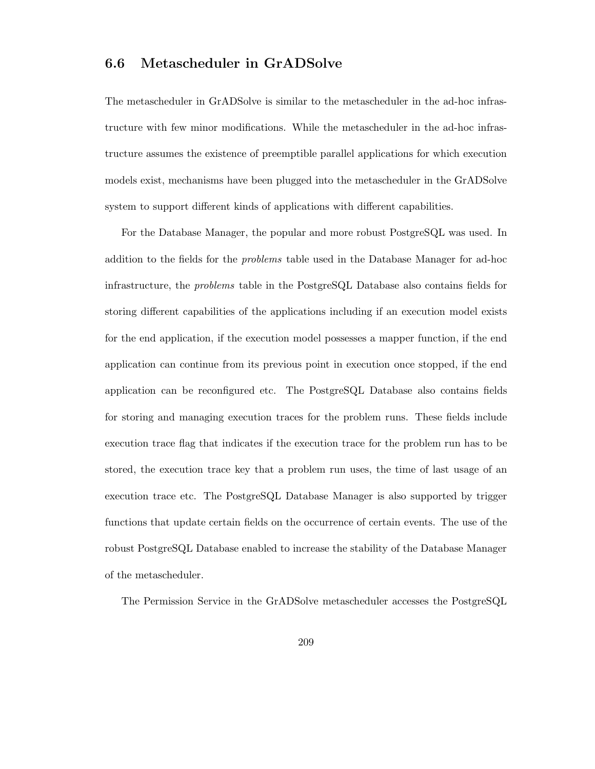### **6.6 Metascheduler in GrADSolve**

The metascheduler in GrADSolve is similar to the metascheduler in the ad-hoc infrastructure with few minor modifications. While the metascheduler in the ad-hoc infrastructure assumes the existence of preemptible parallel applications for which execution models exist, mechanisms have been plugged into the metascheduler in the GrADSolve system to support different kinds of applications with different capabilities.

For the Database Manager, the popular and more robust PostgreSQL was used. In addition to the fields for the *problems* table used in the Database Manager for ad-hoc infrastructure, the *problems* table in the PostgreSQL Database also contains fields for storing different capabilities of the applications including if an execution model exists for the end application, if the execution model possesses a mapper function, if the end application can continue from its previous point in execution once stopped, if the end application can be reconfigured etc. The PostgreSQL Database also contains fields for storing and managing execution traces for the problem runs. These fields include execution trace flag that indicates if the execution trace for the problem run has to be stored, the execution trace key that a problem run uses, the time of last usage of an execution trace etc. The PostgreSQL Database Manager is also supported by trigger functions that update certain fields on the occurrence of certain events. The use of the robust PostgreSQL Database enabled to increase the stability of the Database Manager of the metascheduler.

The Permission Service in the GrADSolve metascheduler accesses the PostgreSQL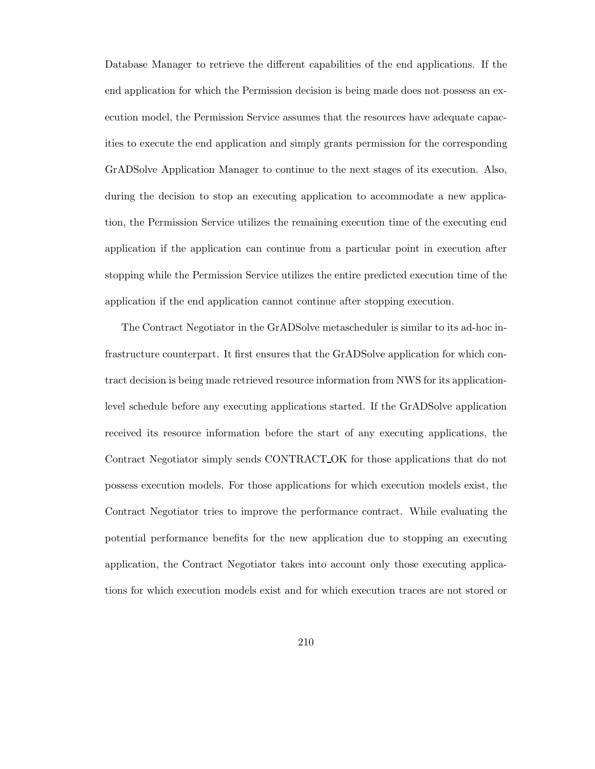Database Manager to retrieve the different capabilities of the end applications. If the end application for which the Permission decision is being made does not possess an execution model, the Permission Service assumes that the resources have adequate capacities to execute the end application and simply grants permission for the corresponding GrADSolve Application Manager to continue to the next stages of its execution. Also, during the decision to stop an executing application to accommodate a new application, the Permission Service utilizes the remaining execution time of the executing end application if the application can continue from a particular point in execution after stopping while the Permission Service utilizes the entire predicted execution time of the application if the end application cannot continue after stopping execution.

The Contract Negotiator in the GrADSolve metascheduler is similar to its ad-hoc infrastructure counterpart. It first ensures that the GrADSolve application for which contract decision is being made retrieved resource information from NWS for its applicationlevel schedule before any executing applications started. If the GrADSolve application received its resource information before the start of any executing applications, the Contract Negotiator simply sends CONTRACT OK for those applications that do not possess execution models. For those applications for which execution models exist, the Contract Negotiator tries to improve the performance contract. While evaluating the potential performance benefits for the new application due to stopping an executing application, the Contract Negotiator takes into account only those executing applications for which execution models exist and for which execution traces are not stored or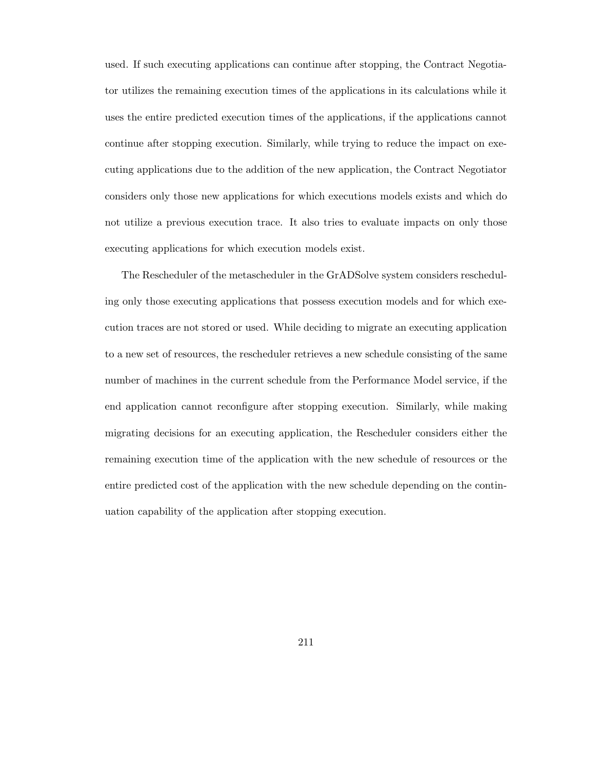used. If such executing applications can continue after stopping, the Contract Negotiator utilizes the remaining execution times of the applications in its calculations while it uses the entire predicted execution times of the applications, if the applications cannot continue after stopping execution. Similarly, while trying to reduce the impact on executing applications due to the addition of the new application, the Contract Negotiator considers only those new applications for which executions models exists and which do not utilize a previous execution trace. It also tries to evaluate impacts on only those executing applications for which execution models exist.

The Rescheduler of the metascheduler in the GrADSolve system considers rescheduling only those executing applications that possess execution models and for which execution traces are not stored or used. While deciding to migrate an executing application to a new set of resources, the rescheduler retrieves a new schedule consisting of the same number of machines in the current schedule from the Performance Model service, if the end application cannot reconfigure after stopping execution. Similarly, while making migrating decisions for an executing application, the Rescheduler considers either the remaining execution time of the application with the new schedule of resources or the entire predicted cost of the application with the new schedule depending on the continuation capability of the application after stopping execution.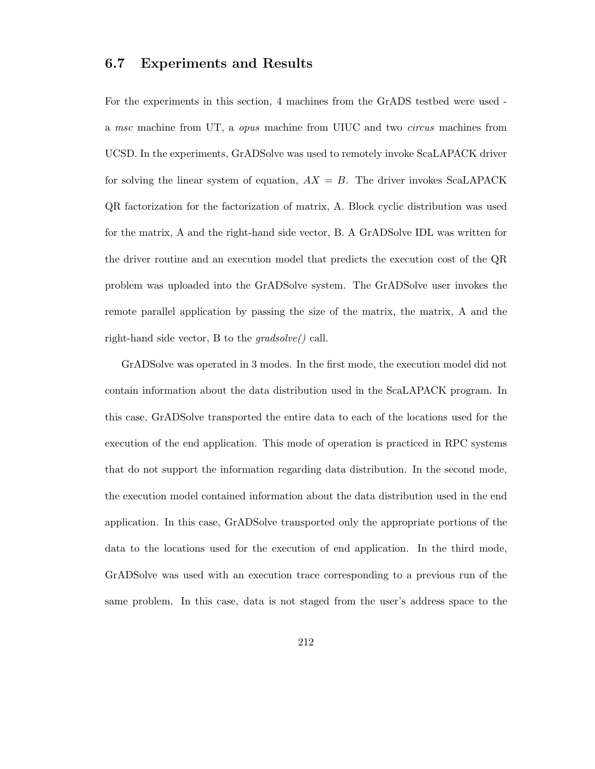### **6.7 Experiments and Results**

For the experiments in this section, 4 machines from the GrADS testbed were used a *msc* machine from UT, a *opus* machine from UIUC and two *circus* machines from UCSD. In the experiments, GrADSolve was used to remotely invoke ScaLAPACK driver for solving the linear system of equation,  $AX = B$ . The driver invokes ScaLAPACK QR factorization for the factorization of matrix, A. Block cyclic distribution was used for the matrix, A and the right-hand side vector, B. A GrADSolve IDL was written for the driver routine and an execution model that predicts the execution cost of the QR problem was uploaded into the GrADSolve system. The GrADSolve user invokes the remote parallel application by passing the size of the matrix, the matrix, A and the right-hand side vector, B to the *gradsolve()* call.

GrADSolve was operated in 3 modes. In the first mode, the execution model did not contain information about the data distribution used in the ScaLAPACK program. In this case, GrADSolve transported the entire data to each of the locations used for the execution of the end application. This mode of operation is practiced in RPC systems that do not support the information regarding data distribution. In the second mode, the execution model contained information about the data distribution used in the end application. In this case, GrADSolve transported only the appropriate portions of the data to the locations used for the execution of end application. In the third mode, GrADSolve was used with an execution trace corresponding to a previous run of the same problem. In this case, data is not staged from the user's address space to the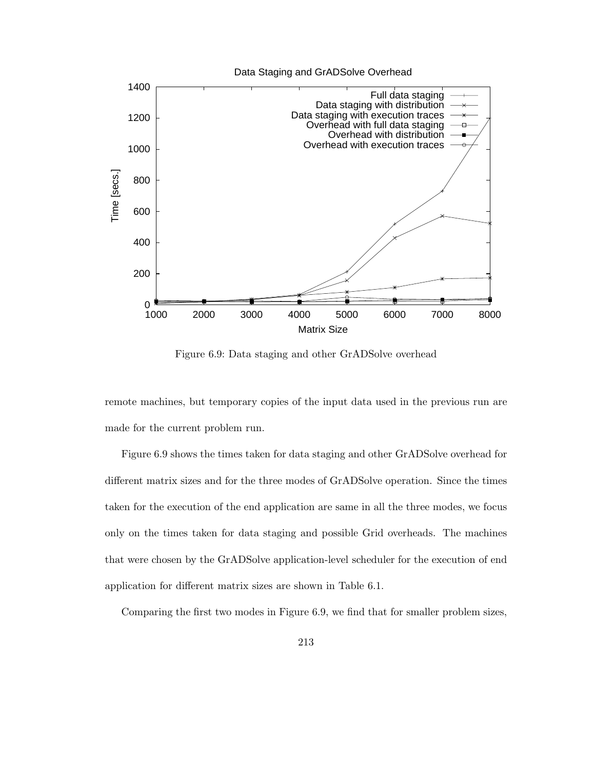

Figure 6.9: Data staging and other GrADSolve overhead

remote machines, but temporary copies of the input data used in the previous run are made for the current problem run.

Figure 6.9 shows the times taken for data staging and other GrADSolve overhead for different matrix sizes and for the three modes of GrADSolve operation. Since the times taken for the execution of the end application are same in all the three modes, we focus only on the times taken for data staging and possible Grid overheads. The machines that were chosen by the GrADSolve application-level scheduler for the execution of end application for different matrix sizes are shown in Table 6.1.

Comparing the first two modes in Figure 6.9, we find that for smaller problem sizes,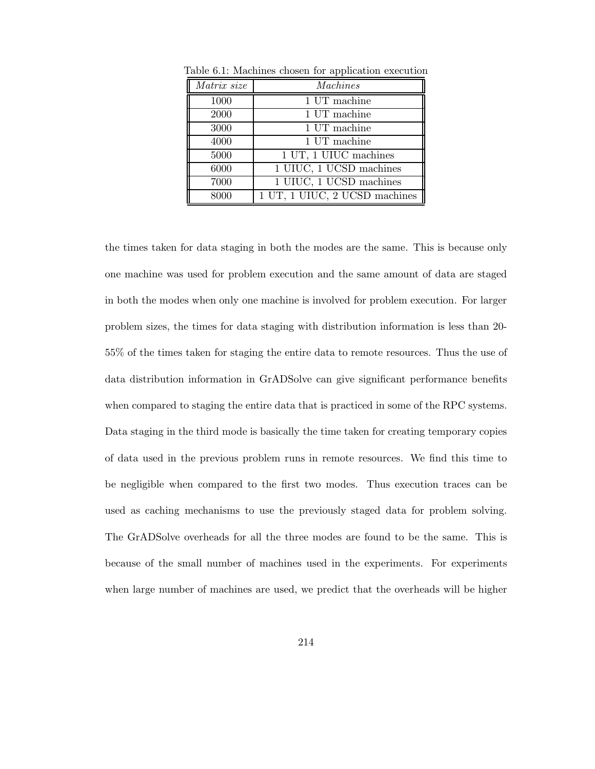| Matrix size | <b>Machines</b>                                              |
|-------------|--------------------------------------------------------------|
| 1000        | 1 UT machine                                                 |
| 2000        | 1 UT machine                                                 |
| 3000        | 1 UT machine                                                 |
| 4000        | 1 UT machine                                                 |
| 5000        | 1 UT, 1 UIUC machines                                        |
| 6000        | 1 UIUC, 1 UCSD machines                                      |
| 7000        | 1 UIUC, 1 UCSD machines                                      |
| 8000        | $1 \text{ UT}$ , $1 \text{ UIUC}$ , $2 \text{UCSD}$ machines |

Table 6.1: Machines chosen for application execution

the times taken for data staging in both the modes are the same. This is because only one machine was used for problem execution and the same amount of data are staged in both the modes when only one machine is involved for problem execution. For larger problem sizes, the times for data staging with distribution information is less than 20- 55% of the times taken for staging the entire data to remote resources. Thus the use of data distribution information in GrADSolve can give significant performance benefits when compared to staging the entire data that is practiced in some of the RPC systems. Data staging in the third mode is basically the time taken for creating temporary copies of data used in the previous problem runs in remote resources. We find this time to be negligible when compared to the first two modes. Thus execution traces can be used as caching mechanisms to use the previously staged data for problem solving. The GrADSolve overheads for all the three modes are found to be the same. This is because of the small number of machines used in the experiments. For experiments when large number of machines are used, we predict that the overheads will be higher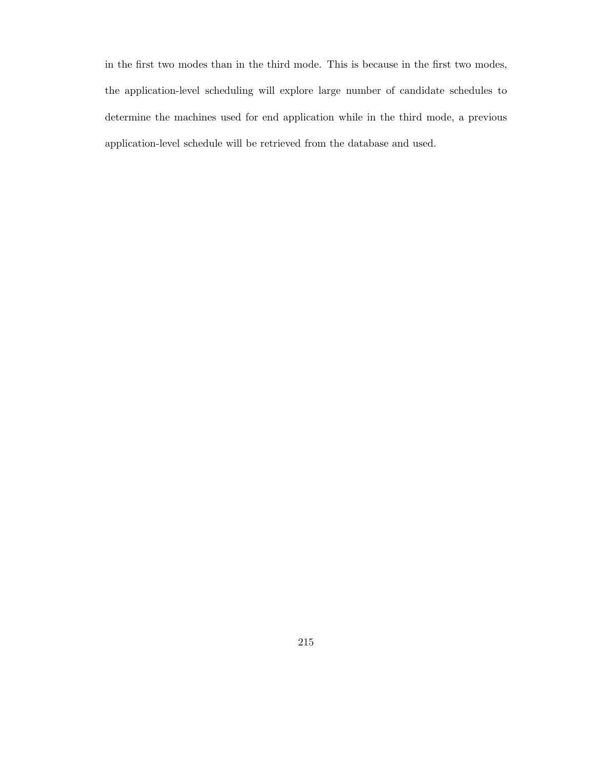in the first two modes than in the third mode. This is because in the first two modes, the application-level scheduling will explore large number of candidate schedules to determine the machines used for end application while in the third mode, a previous application-level schedule will be retrieved from the database and used.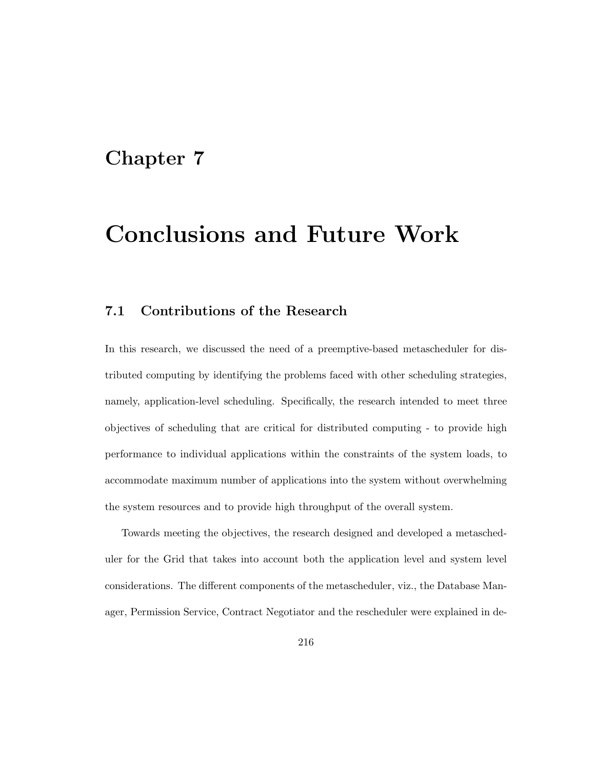### **Chapter 7**

## **Conclusions and Future Work**

### **7.1 Contributions of the Research**

In this research, we discussed the need of a preemptive-based metascheduler for distributed computing by identifying the problems faced with other scheduling strategies, namely, application-level scheduling. Specifically, the research intended to meet three objectives of scheduling that are critical for distributed computing - to provide high performance to individual applications within the constraints of the system loads, to accommodate maximum number of applications into the system without overwhelming the system resources and to provide high throughput of the overall system.

Towards meeting the objectives, the research designed and developed a metascheduler for the Grid that takes into account both the application level and system level considerations. The different components of the metascheduler, viz., the Database Manager, Permission Service, Contract Negotiator and the rescheduler were explained in de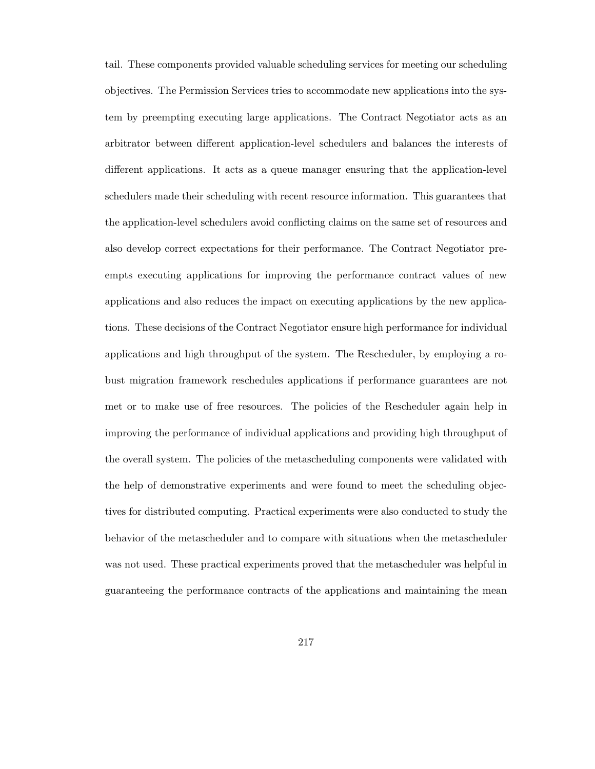tail. These components provided valuable scheduling services for meeting our scheduling objectives. The Permission Services tries to accommodate new applications into the system by preempting executing large applications. The Contract Negotiator acts as an arbitrator between different application-level schedulers and balances the interests of different applications. It acts as a queue manager ensuring that the application-level schedulers made their scheduling with recent resource information. This guarantees that the application-level schedulers avoid conflicting claims on the same set of resources and also develop correct expectations for their performance. The Contract Negotiator preempts executing applications for improving the performance contract values of new applications and also reduces the impact on executing applications by the new applications. These decisions of the Contract Negotiator ensure high performance for individual applications and high throughput of the system. The Rescheduler, by employing a robust migration framework reschedules applications if performance guarantees are not met or to make use of free resources. The policies of the Rescheduler again help in improving the performance of individual applications and providing high throughput of the overall system. The policies of the metascheduling components were validated with the help of demonstrative experiments and were found to meet the scheduling objectives for distributed computing. Practical experiments were also conducted to study the behavior of the metascheduler and to compare with situations when the metascheduler was not used. These practical experiments proved that the metascheduler was helpful in guaranteeing the performance contracts of the applications and maintaining the mean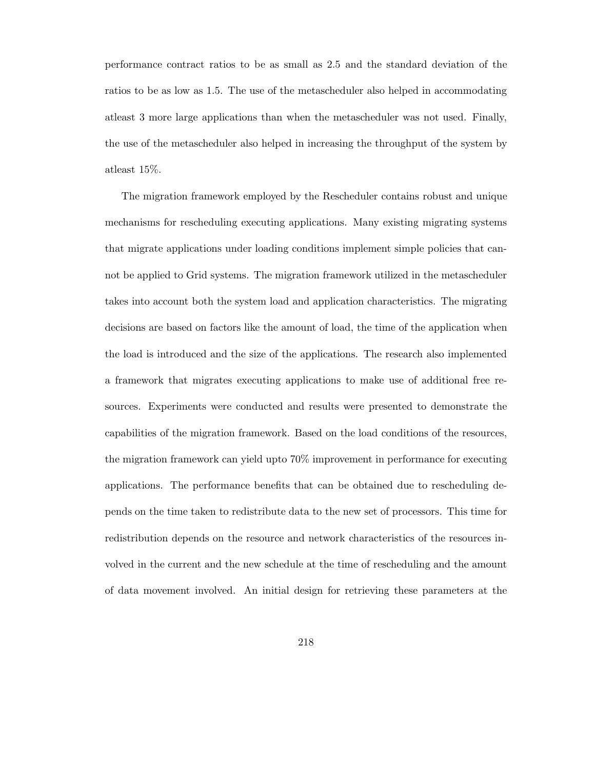performance contract ratios to be as small as 2.5 and the standard deviation of the ratios to be as low as 1.5. The use of the metascheduler also helped in accommodating atleast 3 more large applications than when the metascheduler was not used. Finally, the use of the metascheduler also helped in increasing the throughput of the system by atleast 15%.

The migration framework employed by the Rescheduler contains robust and unique mechanisms for rescheduling executing applications. Many existing migrating systems that migrate applications under loading conditions implement simple policies that cannot be applied to Grid systems. The migration framework utilized in the metascheduler takes into account both the system load and application characteristics. The migrating decisions are based on factors like the amount of load, the time of the application when the load is introduced and the size of the applications. The research also implemented a framework that migrates executing applications to make use of additional free resources. Experiments were conducted and results were presented to demonstrate the capabilities of the migration framework. Based on the load conditions of the resources, the migration framework can yield upto 70% improvement in performance for executing applications. The performance benefits that can be obtained due to rescheduling depends on the time taken to redistribute data to the new set of processors. This time for redistribution depends on the resource and network characteristics of the resources involved in the current and the new schedule at the time of rescheduling and the amount of data movement involved. An initial design for retrieving these parameters at the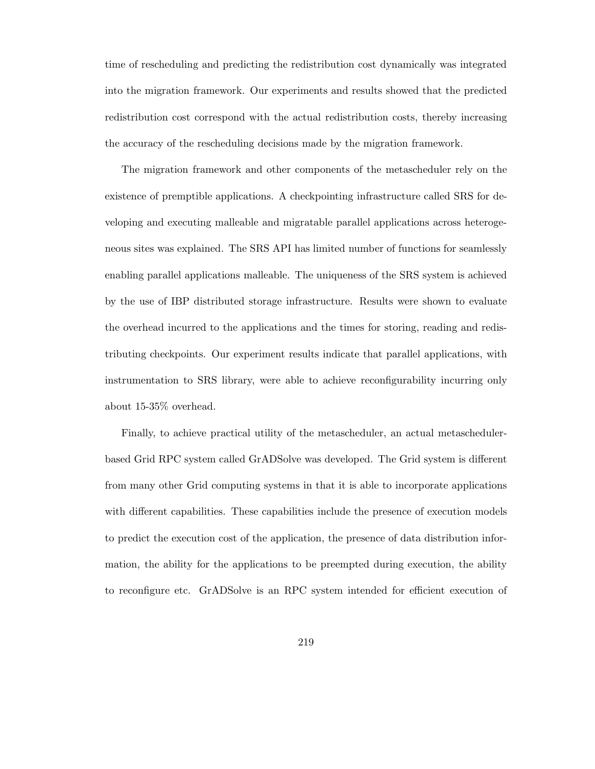time of rescheduling and predicting the redistribution cost dynamically was integrated into the migration framework. Our experiments and results showed that the predicted redistribution cost correspond with the actual redistribution costs, thereby increasing the accuracy of the rescheduling decisions made by the migration framework.

The migration framework and other components of the metascheduler rely on the existence of premptible applications. A checkpointing infrastructure called SRS for developing and executing malleable and migratable parallel applications across heterogeneous sites was explained. The SRS API has limited number of functions for seamlessly enabling parallel applications malleable. The uniqueness of the SRS system is achieved by the use of IBP distributed storage infrastructure. Results were shown to evaluate the overhead incurred to the applications and the times for storing, reading and redistributing checkpoints. Our experiment results indicate that parallel applications, with instrumentation to SRS library, were able to achieve reconfigurability incurring only about 15-35% overhead.

Finally, to achieve practical utility of the metascheduler, an actual metaschedulerbased Grid RPC system called GrADSolve was developed. The Grid system is different from many other Grid computing systems in that it is able to incorporate applications with different capabilities. These capabilities include the presence of execution models to predict the execution cost of the application, the presence of data distribution information, the ability for the applications to be preempted during execution, the ability to reconfigure etc. GrADSolve is an RPC system intended for efficient execution of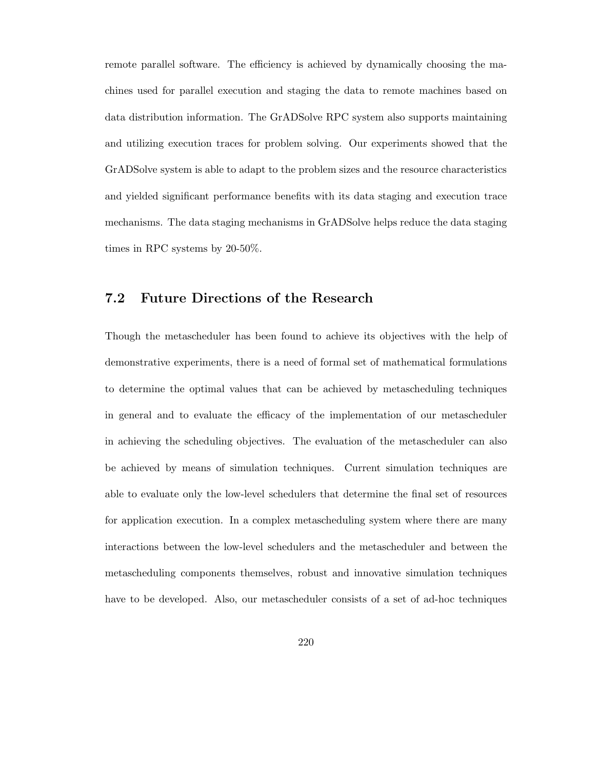remote parallel software. The efficiency is achieved by dynamically choosing the machines used for parallel execution and staging the data to remote machines based on data distribution information. The GrADSolve RPC system also supports maintaining and utilizing execution traces for problem solving. Our experiments showed that the GrADSolve system is able to adapt to the problem sizes and the resource characteristics and yielded significant performance benefits with its data staging and execution trace mechanisms. The data staging mechanisms in GrADSolve helps reduce the data staging times in RPC systems by 20-50%.

### **7.2 Future Directions of the Research**

Though the metascheduler has been found to achieve its objectives with the help of demonstrative experiments, there is a need of formal set of mathematical formulations to determine the optimal values that can be achieved by metascheduling techniques in general and to evaluate the efficacy of the implementation of our metascheduler in achieving the scheduling objectives. The evaluation of the metascheduler can also be achieved by means of simulation techniques. Current simulation techniques are able to evaluate only the low-level schedulers that determine the final set of resources for application execution. In a complex metascheduling system where there are many interactions between the low-level schedulers and the metascheduler and between the metascheduling components themselves, robust and innovative simulation techniques have to be developed. Also, our metascheduler consists of a set of ad-hoc techniques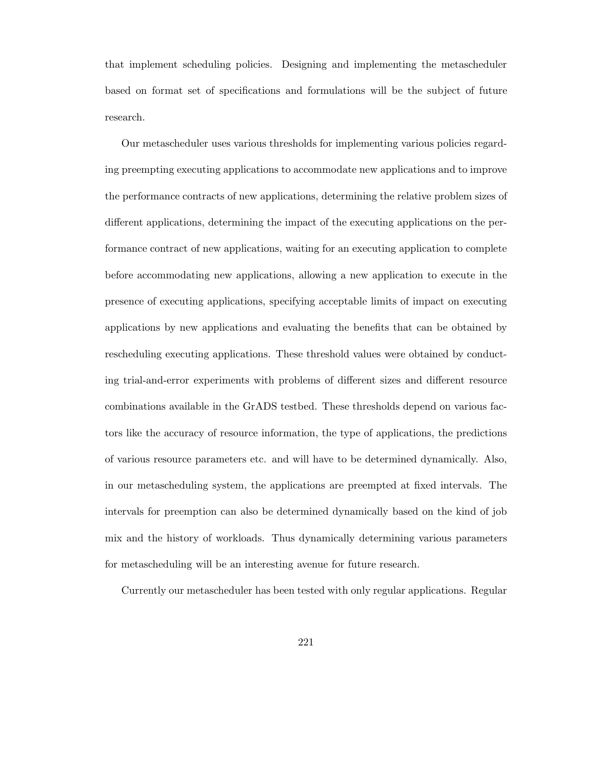that implement scheduling policies. Designing and implementing the metascheduler based on format set of specifications and formulations will be the subject of future research.

Our metascheduler uses various thresholds for implementing various policies regarding preempting executing applications to accommodate new applications and to improve the performance contracts of new applications, determining the relative problem sizes of different applications, determining the impact of the executing applications on the performance contract of new applications, waiting for an executing application to complete before accommodating new applications, allowing a new application to execute in the presence of executing applications, specifying acceptable limits of impact on executing applications by new applications and evaluating the benefits that can be obtained by rescheduling executing applications. These threshold values were obtained by conducting trial-and-error experiments with problems of different sizes and different resource combinations available in the GrADS testbed. These thresholds depend on various factors like the accuracy of resource information, the type of applications, the predictions of various resource parameters etc. and will have to be determined dynamically. Also, in our metascheduling system, the applications are preempted at fixed intervals. The intervals for preemption can also be determined dynamically based on the kind of job mix and the history of workloads. Thus dynamically determining various parameters for metascheduling will be an interesting avenue for future research.

Currently our metascheduler has been tested with only regular applications. Regular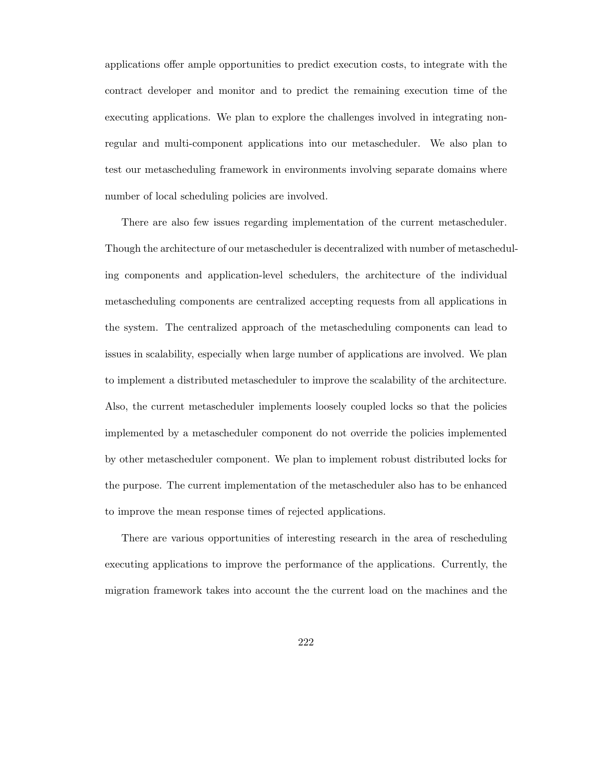applications offer ample opportunities to predict execution costs, to integrate with the contract developer and monitor and to predict the remaining execution time of the executing applications. We plan to explore the challenges involved in integrating nonregular and multi-component applications into our metascheduler. We also plan to test our metascheduling framework in environments involving separate domains where number of local scheduling policies are involved.

There are also few issues regarding implementation of the current metascheduler. Though the architecture of our metascheduler is decentralized with number of metascheduling components and application-level schedulers, the architecture of the individual metascheduling components are centralized accepting requests from all applications in the system. The centralized approach of the metascheduling components can lead to issues in scalability, especially when large number of applications are involved. We plan to implement a distributed metascheduler to improve the scalability of the architecture. Also, the current metascheduler implements loosely coupled locks so that the policies implemented by a metascheduler component do not override the policies implemented by other metascheduler component. We plan to implement robust distributed locks for the purpose. The current implementation of the metascheduler also has to be enhanced to improve the mean response times of rejected applications.

There are various opportunities of interesting research in the area of rescheduling executing applications to improve the performance of the applications. Currently, the migration framework takes into account the the current load on the machines and the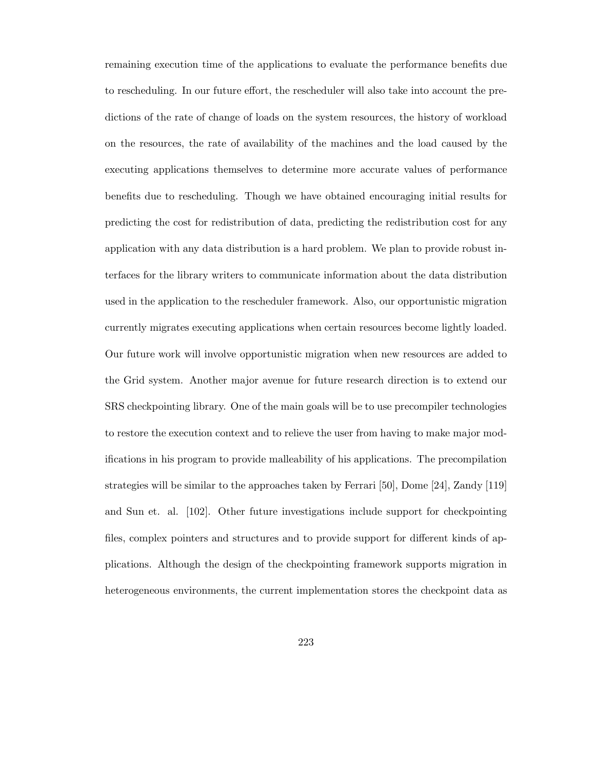remaining execution time of the applications to evaluate the performance benefits due to rescheduling. In our future effort, the rescheduler will also take into account the predictions of the rate of change of loads on the system resources, the history of workload on the resources, the rate of availability of the machines and the load caused by the executing applications themselves to determine more accurate values of performance benefits due to rescheduling. Though we have obtained encouraging initial results for predicting the cost for redistribution of data, predicting the redistribution cost for any application with any data distribution is a hard problem. We plan to provide robust interfaces for the library writers to communicate information about the data distribution used in the application to the rescheduler framework. Also, our opportunistic migration currently migrates executing applications when certain resources become lightly loaded. Our future work will involve opportunistic migration when new resources are added to the Grid system. Another major avenue for future research direction is to extend our SRS checkpointing library. One of the main goals will be to use precompiler technologies to restore the execution context and to relieve the user from having to make major modifications in his program to provide malleability of his applications. The precompilation strategies will be similar to the approaches taken by Ferrari [50], Dome [24], Zandy [119] and Sun et. al. [102]. Other future investigations include support for checkpointing files, complex pointers and structures and to provide support for different kinds of applications. Although the design of the checkpointing framework supports migration in heterogeneous environments, the current implementation stores the checkpoint data as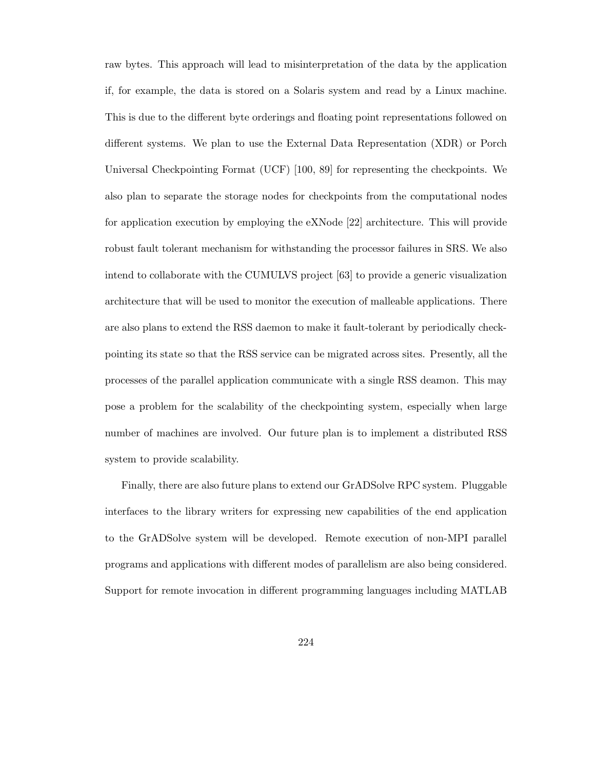raw bytes. This approach will lead to misinterpretation of the data by the application if, for example, the data is stored on a Solaris system and read by a Linux machine. This is due to the different byte orderings and floating point representations followed on different systems. We plan to use the External Data Representation (XDR) or Porch Universal Checkpointing Format (UCF) [100, 89] for representing the checkpoints. We also plan to separate the storage nodes for checkpoints from the computational nodes for application execution by employing the eXNode [22] architecture. This will provide robust fault tolerant mechanism for withstanding the processor failures in SRS. We also intend to collaborate with the CUMULVS project [63] to provide a generic visualization architecture that will be used to monitor the execution of malleable applications. There are also plans to extend the RSS daemon to make it fault-tolerant by periodically checkpointing its state so that the RSS service can be migrated across sites. Presently, all the processes of the parallel application communicate with a single RSS deamon. This may pose a problem for the scalability of the checkpointing system, especially when large number of machines are involved. Our future plan is to implement a distributed RSS system to provide scalability.

Finally, there are also future plans to extend our GrADSolve RPC system. Pluggable interfaces to the library writers for expressing new capabilities of the end application to the GrADSolve system will be developed. Remote execution of non-MPI parallel programs and applications with different modes of parallelism are also being considered. Support for remote invocation in different programming languages including MATLAB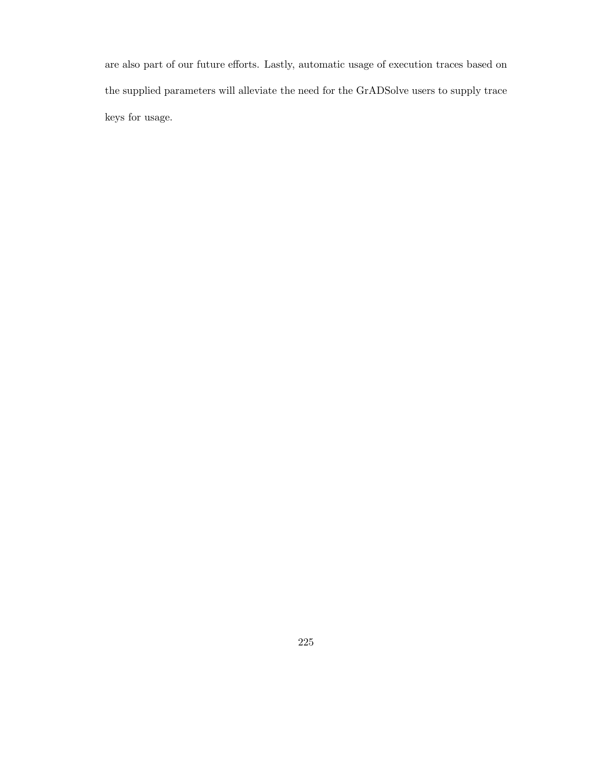are also part of our future efforts. Lastly, automatic usage of execution traces based on the supplied parameters will alleviate the need for the GrADSolve users to supply trace keys for usage.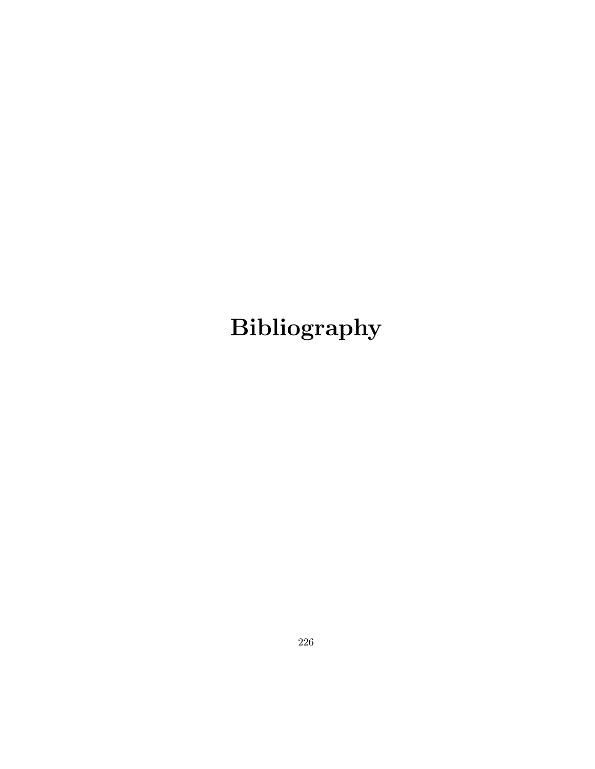# **Bibliography**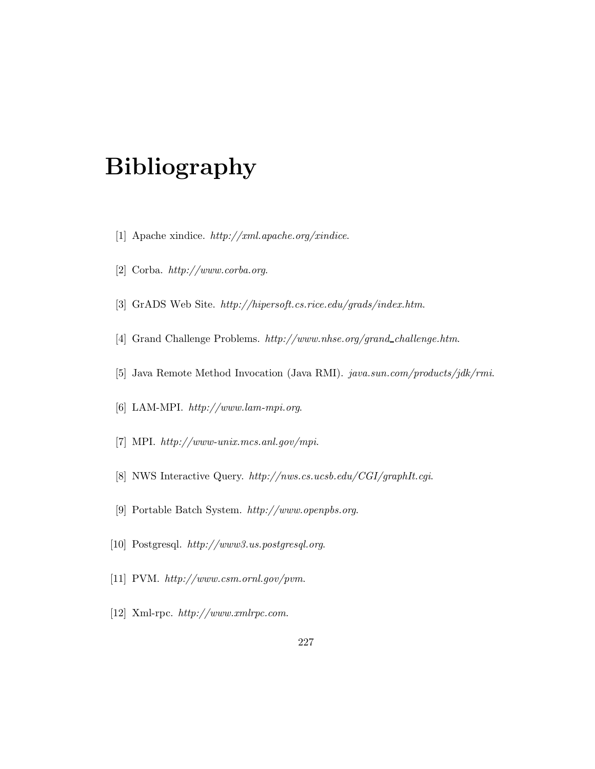# **Bibliography**

- [1] Apache xindice. *http://xml.apache.org/xindice*.
- [2] Corba. *http://www.corba.org*.
- [3] GrADS Web Site. *http://hipersoft.cs.rice.edu/grads/index.htm*.
- [4] Grand Challenge Problems. *http://www.nhse.org/grand challenge.htm*.
- [5] Java Remote Method Invocation (Java RMI). *java.sun.com/products/jdk/rmi*.
- [6] LAM-MPI. *http://www.lam-mpi.org*.
- [7] MPI. *http://www-unix.mcs.anl.gov/mpi*.
- [8] NWS Interactive Query. *http://nws.cs.ucsb.edu/CGI/graphIt.cgi*.
- [9] Portable Batch System. *http://www.openpbs.org*.
- [10] Postgresql. *http://www3.us.postgresql.org*.
- [11] PVM. *http://www.csm.ornl.gov/pvm*.
- [12] Xml-rpc. *http://www.xmlrpc.com*.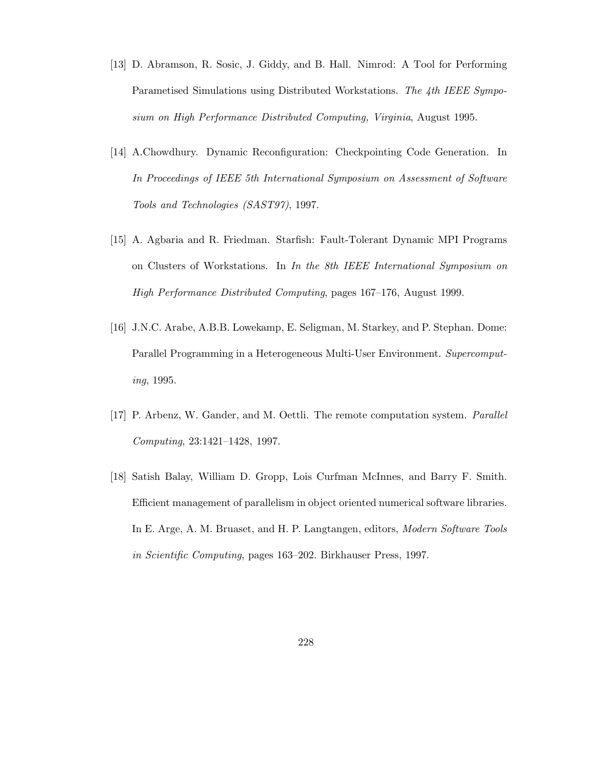- [13] D. Abramson, R. Sosic, J. Giddy, and B. Hall. Nimrod: A Tool for Performing Parametised Simulations using Distributed Workstations. *The 4th IEEE Symposium on High Performance Distributed Computing, Virginia*, August 1995.
- [14] A.Chowdhury. Dynamic Reconfiguration: Checkpointing Code Generation. In *In Proceedings of IEEE 5th International Symposium on Assessment of Software Tools and Technologies (SAST97)*, 1997.
- [15] A. Agbaria and R. Friedman. Starfish: Fault-Tolerant Dynamic MPI Programs on Clusters of Workstations. In *In the 8th IEEE International Symposium on High Performance Distributed Computing*, pages 167–176, August 1999.
- [16] J.N.C. Arabe, A.B.B. Lowekamp, E. Seligman, M. Starkey, and P. Stephan. Dome: Parallel Programming in a Heterogeneous Multi-User Environment. *Supercomputing*, 1995.
- [17] P. Arbenz, W. Gander, and M. Oettli. The remote computation system. *Parallel Computing*, 23:1421–1428, 1997.
- [18] Satish Balay, William D. Gropp, Lois Curfman McInnes, and Barry F. Smith. Efficient management of parallelism in object oriented numerical software libraries. In E. Arge, A. M. Bruaset, and H. P. Langtangen, editors, *Modern Software Tools in Scientific Computing*, pages 163–202. Birkhauser Press, 1997.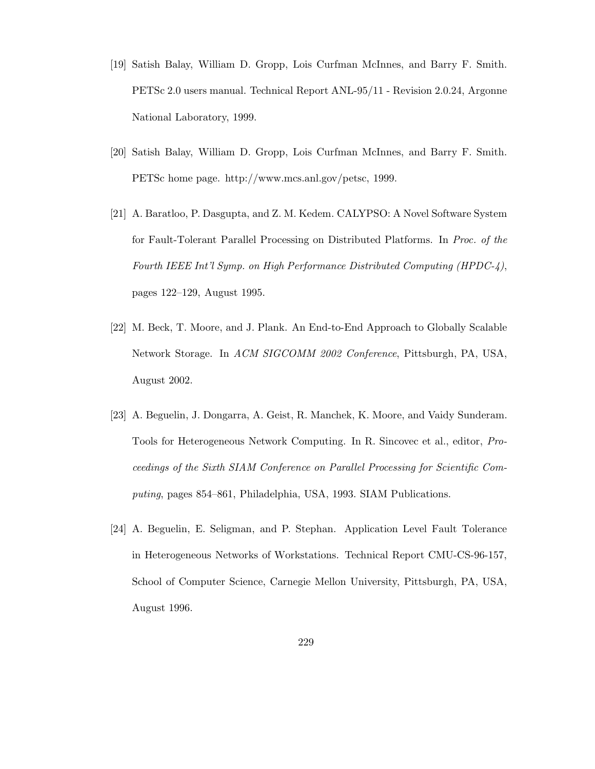- [19] Satish Balay, William D. Gropp, Lois Curfman McInnes, and Barry F. Smith. PETSc 2.0 users manual. Technical Report ANL-95/11 - Revision 2.0.24, Argonne National Laboratory, 1999.
- [20] Satish Balay, William D. Gropp, Lois Curfman McInnes, and Barry F. Smith. PETSc home page. http://www.mcs.anl.gov/petsc, 1999.
- [21] A. Baratloo, P. Dasgupta, and Z. M. Kedem. CALYPSO: A Novel Software System for Fault-Tolerant Parallel Processing on Distributed Platforms. In *Proc. of the Fourth IEEE Int'l Symp. on High Performance Distributed Computing (HPDC-4)*, pages 122–129, August 1995.
- [22] M. Beck, T. Moore, and J. Plank. An End-to-End Approach to Globally Scalable Network Storage. In *ACM SIGCOMM 2002 Conference*, Pittsburgh, PA, USA, August 2002.
- [23] A. Beguelin, J. Dongarra, A. Geist, R. Manchek, K. Moore, and Vaidy Sunderam. Tools for Heterogeneous Network Computing. In R. Sincovec et al., editor, *Proceedings of the Sixth SIAM Conference on Parallel Processing for Scientific Computing*, pages 854–861, Philadelphia, USA, 1993. SIAM Publications.
- [24] A. Beguelin, E. Seligman, and P. Stephan. Application Level Fault Tolerance in Heterogeneous Networks of Workstations. Technical Report CMU-CS-96-157, School of Computer Science, Carnegie Mellon University, Pittsburgh, PA, USA, August 1996.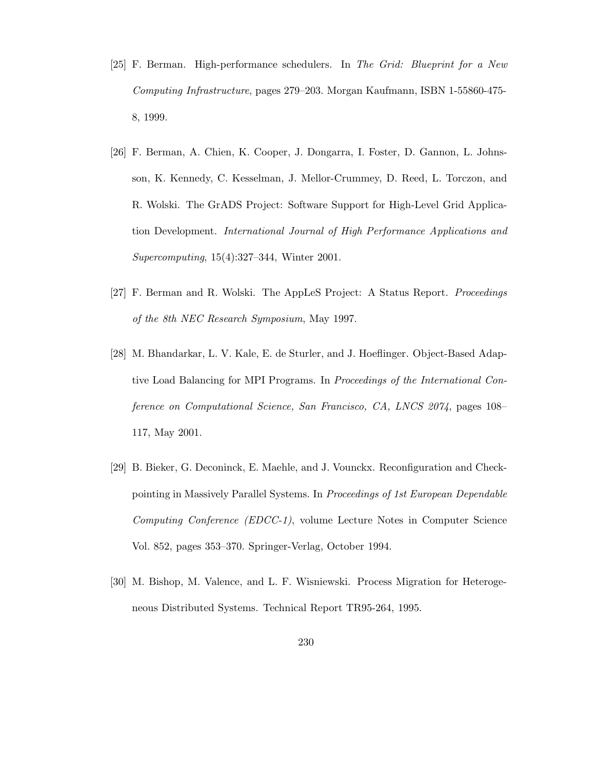- [25] F. Berman. High-performance schedulers. In *The Grid: Blueprint for a New Computing Infrastructure*, pages 279–203. Morgan Kaufmann, ISBN 1-55860-475- 8, 1999.
- [26] F. Berman, A. Chien, K. Cooper, J. Dongarra, I. Foster, D. Gannon, L. Johnsson, K. Kennedy, C. Kesselman, J. Mellor-Crummey, D. Reed, L. Torczon, and R. Wolski. The GrADS Project: Software Support for High-Level Grid Application Development. *International Journal of High Performance Applications and Supercomputing*, 15(4):327–344, Winter 2001.
- [27] F. Berman and R. Wolski. The AppLeS Project: A Status Report. *Proceedings of the 8th NEC Research Symposium*, May 1997.
- [28] M. Bhandarkar, L. V. Kale, E. de Sturler, and J. Hoeflinger. Object-Based Adaptive Load Balancing for MPI Programs. In *Proceedings of the International Conference on Computational Science, San Francisco, CA, LNCS 2074*, pages 108– 117, May 2001.
- [29] B. Bieker, G. Deconinck, E. Maehle, and J. Vounckx. Reconfiguration and Checkpointing in Massively Parallel Systems. In *Proceedings of 1st European Dependable Computing Conference (EDCC-1)*, volume Lecture Notes in Computer Science Vol. 852, pages 353–370. Springer-Verlag, October 1994.
- [30] M. Bishop, M. Valence, and L. F. Wisniewski. Process Migration for Heterogeneous Distributed Systems. Technical Report TR95-264, 1995.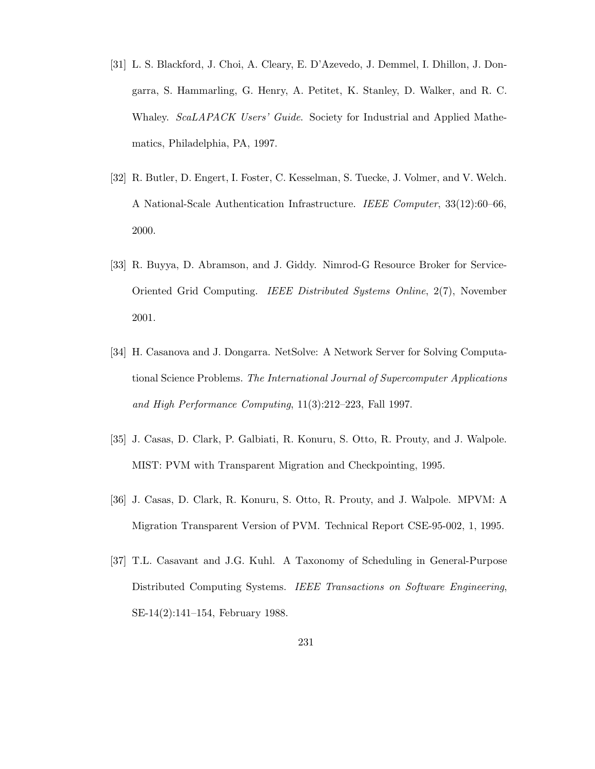- [31] L. S. Blackford, J. Choi, A. Cleary, E. D'Azevedo, J. Demmel, I. Dhillon, J. Dongarra, S. Hammarling, G. Henry, A. Petitet, K. Stanley, D. Walker, and R. C. Whaley. *ScaLAPACK Users' Guide*. Society for Industrial and Applied Mathematics, Philadelphia, PA, 1997.
- [32] R. Butler, D. Engert, I. Foster, C. Kesselman, S. Tuecke, J. Volmer, and V. Welch. A National-Scale Authentication Infrastructure. *IEEE Computer*, 33(12):60–66, 2000.
- [33] R. Buyya, D. Abramson, and J. Giddy. Nimrod-G Resource Broker for Service-Oriented Grid Computing. *IEEE Distributed Systems Online*, 2(7), November 2001.
- [34] H. Casanova and J. Dongarra. NetSolve: A Network Server for Solving Computational Science Problems. *The International Journal of Supercomputer Applications and High Performance Computing*, 11(3):212–223, Fall 1997.
- [35] J. Casas, D. Clark, P. Galbiati, R. Konuru, S. Otto, R. Prouty, and J. Walpole. MIST: PVM with Transparent Migration and Checkpointing, 1995.
- [36] J. Casas, D. Clark, R. Konuru, S. Otto, R. Prouty, and J. Walpole. MPVM: A Migration Transparent Version of PVM. Technical Report CSE-95-002, 1, 1995.
- [37] T.L. Casavant and J.G. Kuhl. A Taxonomy of Scheduling in General-Purpose Distributed Computing Systems. *IEEE Transactions on Software Engineering*, SE-14(2):141–154, February 1988.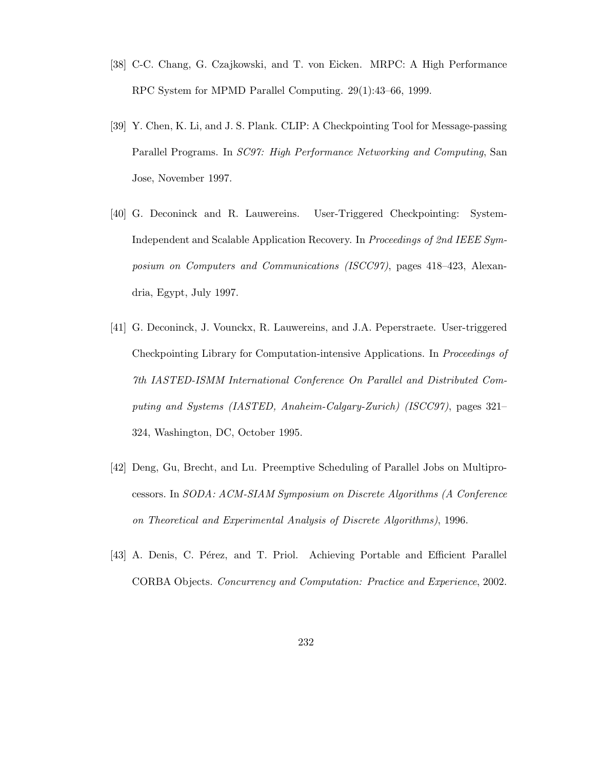- [38] C-C. Chang, G. Czajkowski, and T. von Eicken. MRPC: A High Performance RPC System for MPMD Parallel Computing. 29(1):43–66, 1999.
- [39] Y. Chen, K. Li, and J. S. Plank. CLIP: A Checkpointing Tool for Message-passing Parallel Programs. In *SC97: High Performance Networking and Computing*, San Jose, November 1997.
- [40] G. Deconinck and R. Lauwereins. User-Triggered Checkpointing: System-Independent and Scalable Application Recovery. In *Proceedings of 2nd IEEE Symposium on Computers and Communications (ISCC97)*, pages 418–423, Alexandria, Egypt, July 1997.
- [41] G. Deconinck, J. Vounckx, R. Lauwereins, and J.A. Peperstraete. User-triggered Checkpointing Library for Computation-intensive Applications. In *Proceedings of 7th IASTED-ISMM International Conference On Parallel and Distributed Computing and Systems (IASTED, Anaheim-Calgary-Zurich) (ISCC97)*, pages 321– 324, Washington, DC, October 1995.
- [42] Deng, Gu, Brecht, and Lu. Preemptive Scheduling of Parallel Jobs on Multiprocessors. In *SODA: ACM-SIAM Symposium on Discrete Algorithms (A Conference on Theoretical and Experimental Analysis of Discrete Algorithms)*, 1996.
- [43] A. Denis, C. Pérez, and T. Priol. Achieving Portable and Efficient Parallel CORBA Objects. *Concurrency and Computation: Practice and Experience*, 2002.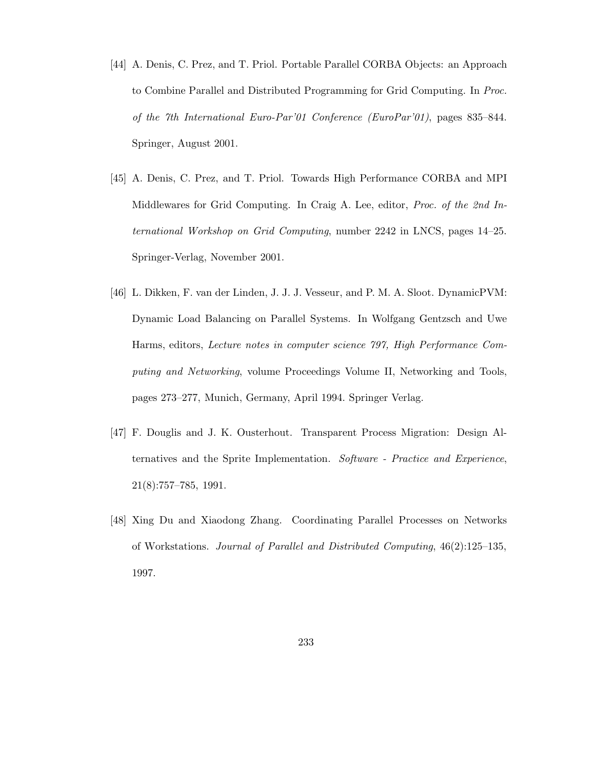- [44] A. Denis, C. Prez, and T. Priol. Portable Parallel CORBA Objects: an Approach to Combine Parallel and Distributed Programming for Grid Computing. In *Proc. of the 7th International Euro-Par'01 Conference (EuroPar'01)*, pages 835–844. Springer, August 2001.
- [45] A. Denis, C. Prez, and T. Priol. Towards High Performance CORBA and MPI Middlewares for Grid Computing. In Craig A. Lee, editor, *Proc. of the 2nd International Workshop on Grid Computing*, number 2242 in LNCS, pages 14–25. Springer-Verlag, November 2001.
- [46] L. Dikken, F. van der Linden, J. J. J. Vesseur, and P. M. A. Sloot. DynamicPVM: Dynamic Load Balancing on Parallel Systems. In Wolfgang Gentzsch and Uwe Harms, editors, *Lecture notes in computer science 797, High Performance Computing and Networking*, volume Proceedings Volume II, Networking and Tools, pages 273–277, Munich, Germany, April 1994. Springer Verlag.
- [47] F. Douglis and J. K. Ousterhout. Transparent Process Migration: Design Alternatives and the Sprite Implementation. *Software - Practice and Experience*, 21(8):757–785, 1991.
- [48] Xing Du and Xiaodong Zhang. Coordinating Parallel Processes on Networks of Workstations. *Journal of Parallel and Distributed Computing*, 46(2):125–135, 1997.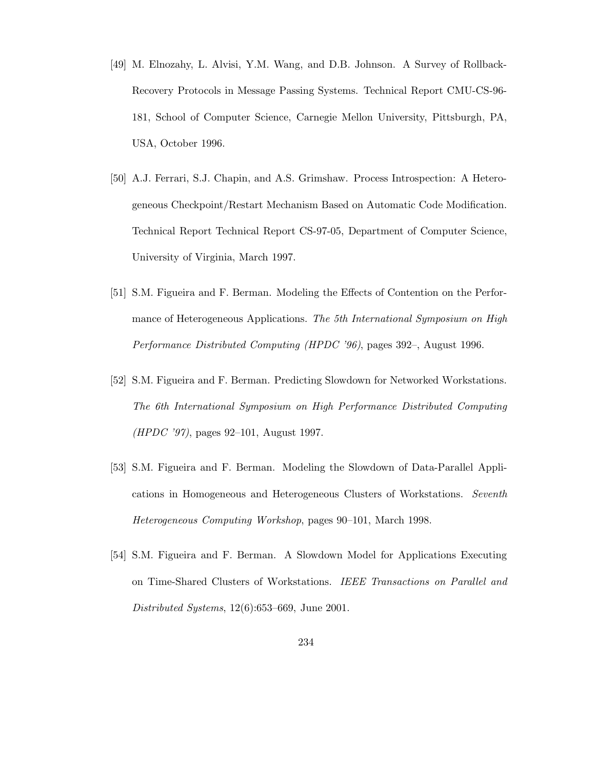- [49] M. Elnozahy, L. Alvisi, Y.M. Wang, and D.B. Johnson. A Survey of Rollback-Recovery Protocols in Message Passing Systems. Technical Report CMU-CS-96- 181, School of Computer Science, Carnegie Mellon University, Pittsburgh, PA, USA, October 1996.
- [50] A.J. Ferrari, S.J. Chapin, and A.S. Grimshaw. Process Introspection: A Heterogeneous Checkpoint/Restart Mechanism Based on Automatic Code Modification. Technical Report Technical Report CS-97-05, Department of Computer Science, University of Virginia, March 1997.
- [51] S.M. Figueira and F. Berman. Modeling the Effects of Contention on the Performance of Heterogeneous Applications. *The 5th International Symposium on High Performance Distributed Computing (HPDC '96)*, pages 392–, August 1996.
- [52] S.M. Figueira and F. Berman. Predicting Slowdown for Networked Workstations. *The 6th International Symposium on High Performance Distributed Computing (HPDC '97)*, pages 92–101, August 1997.
- [53] S.M. Figueira and F. Berman. Modeling the Slowdown of Data-Parallel Applications in Homogeneous and Heterogeneous Clusters of Workstations. *Seventh Heterogeneous Computing Workshop*, pages 90–101, March 1998.
- [54] S.M. Figueira and F. Berman. A Slowdown Model for Applications Executing on Time-Shared Clusters of Workstations. *IEEE Transactions on Parallel and Distributed Systems*, 12(6):653–669, June 2001.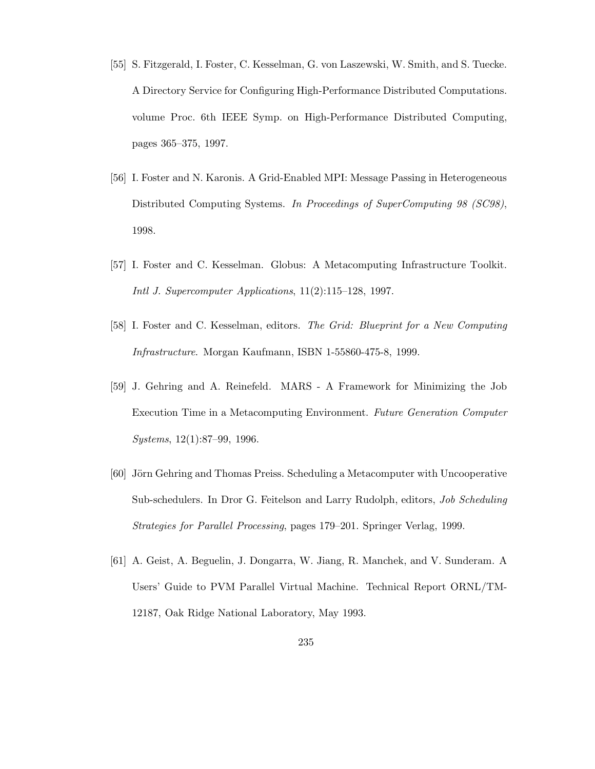- [55] S. Fitzgerald, I. Foster, C. Kesselman, G. von Laszewski, W. Smith, and S. Tuecke. A Directory Service for Configuring High-Performance Distributed Computations. volume Proc. 6th IEEE Symp. on High-Performance Distributed Computing, pages 365–375, 1997.
- [56] I. Foster and N. Karonis. A Grid-Enabled MPI: Message Passing in Heterogeneous Distributed Computing Systems. *In Proceedings of SuperComputing 98 (SC98)*, 1998.
- [57] I. Foster and C. Kesselman. Globus: A Metacomputing Infrastructure Toolkit. *Intl J. Supercomputer Applications*, 11(2):115–128, 1997.
- [58] I. Foster and C. Kesselman, editors. *The Grid: Blueprint for a New Computing Infrastructure*. Morgan Kaufmann, ISBN 1-55860-475-8, 1999.
- [59] J. Gehring and A. Reinefeld. MARS A Framework for Minimizing the Job Execution Time in a Metacomputing Environment. *Future Generation Computer Systems*, 12(1):87–99, 1996.
- [60] Jörn Gehring and Thomas Preiss. Scheduling a Metacomputer with Uncooperative Sub-schedulers. In Dror G. Feitelson and Larry Rudolph, editors, *Job Scheduling Strategies for Parallel Processing*, pages 179–201. Springer Verlag, 1999.
- [61] A. Geist, A. Beguelin, J. Dongarra, W. Jiang, R. Manchek, and V. Sunderam. A Users' Guide to PVM Parallel Virtual Machine. Technical Report ORNL/TM-12187, Oak Ridge National Laboratory, May 1993.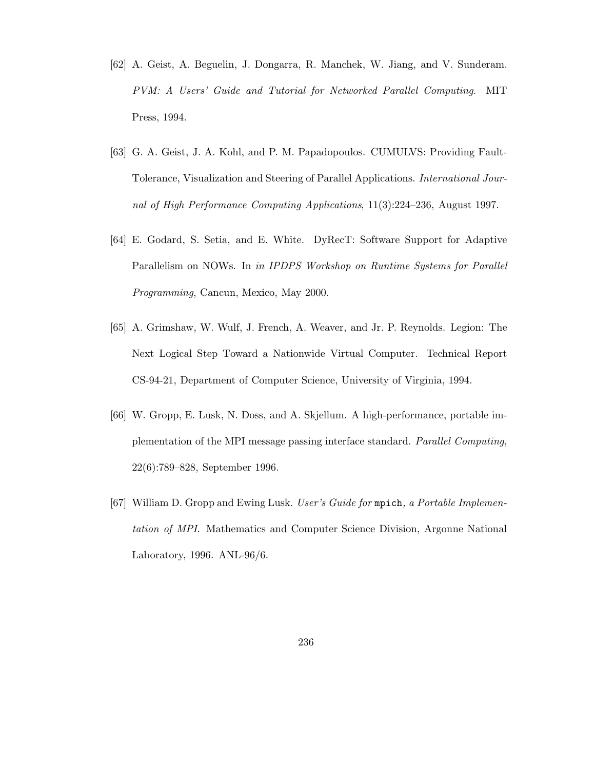- [62] A. Geist, A. Beguelin, J. Dongarra, R. Manchek, W. Jiang, and V. Sunderam. *PVM: A Users' Guide and Tutorial for Networked Parallel Computing*. MIT Press, 1994.
- [63] G. A. Geist, J. A. Kohl, and P. M. Papadopoulos. CUMULVS: Providing Fault-Tolerance, Visualization and Steering of Parallel Applications. *International Journal of High Performance Computing Applications*, 11(3):224–236, August 1997.
- [64] E. Godard, S. Setia, and E. White. DyRecT: Software Support for Adaptive Parallelism on NOWs. In *in IPDPS Workshop on Runtime Systems for Parallel Programming*, Cancun, Mexico, May 2000.
- [65] A. Grimshaw, W. Wulf, J. French, A. Weaver, and Jr. P. Reynolds. Legion: The Next Logical Step Toward a Nationwide Virtual Computer. Technical Report CS-94-21, Department of Computer Science, University of Virginia, 1994.
- [66] W. Gropp, E. Lusk, N. Doss, and A. Skjellum. A high-performance, portable implementation of the MPI message passing interface standard. *Parallel Computing*, 22(6):789–828, September 1996.
- [67] William D. Gropp and Ewing Lusk. *User's Guide for* mpich*, a Portable Implementation of MPI*. Mathematics and Computer Science Division, Argonne National Laboratory, 1996. ANL-96/6.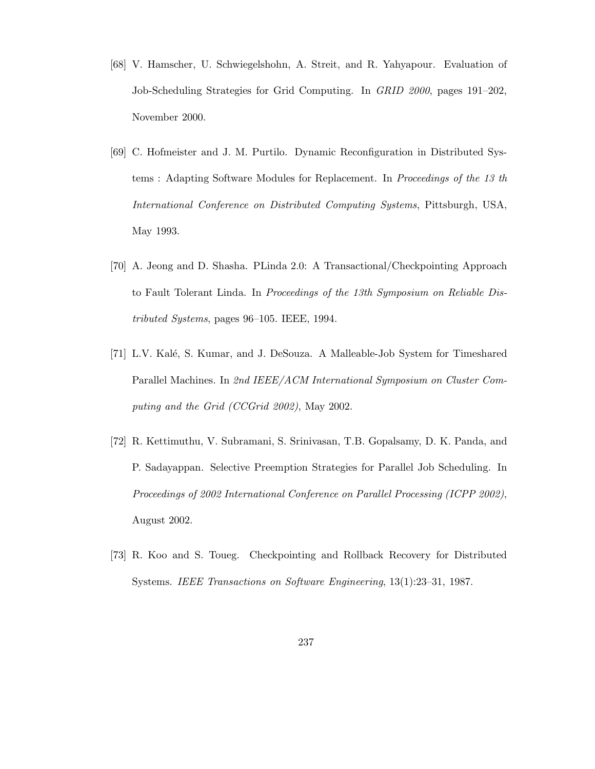- [68] V. Hamscher, U. Schwiegelshohn, A. Streit, and R. Yahyapour. Evaluation of Job-Scheduling Strategies for Grid Computing. In *GRID 2000*, pages 191–202, November 2000.
- [69] C. Hofmeister and J. M. Purtilo. Dynamic Reconfiguration in Distributed Systems : Adapting Software Modules for Replacement. In *Proceedings of the 13 th International Conference on Distributed Computing Systems*, Pittsburgh, USA, May 1993.
- [70] A. Jeong and D. Shasha. PLinda 2.0: A Transactional/Checkpointing Approach to Fault Tolerant Linda. In *Proceedings of the 13th Symposium on Reliable Distributed Systems*, pages 96–105. IEEE, 1994.
- [71] L.V. Kal´e, S. Kumar, and J. DeSouza. A Malleable-Job System for Timeshared Parallel Machines. In *2nd IEEE/ACM International Symposium on Cluster Computing and the Grid (CCGrid 2002)*, May 2002.
- [72] R. Kettimuthu, V. Subramani, S. Srinivasan, T.B. Gopalsamy, D. K. Panda, and P. Sadayappan. Selective Preemption Strategies for Parallel Job Scheduling. In *Proceedings of 2002 International Conference on Parallel Processing (ICPP 2002)*, August 2002.
- [73] R. Koo and S. Toueg. Checkpointing and Rollback Recovery for Distributed Systems. *IEEE Transactions on Software Engineering*, 13(1):23–31, 1987.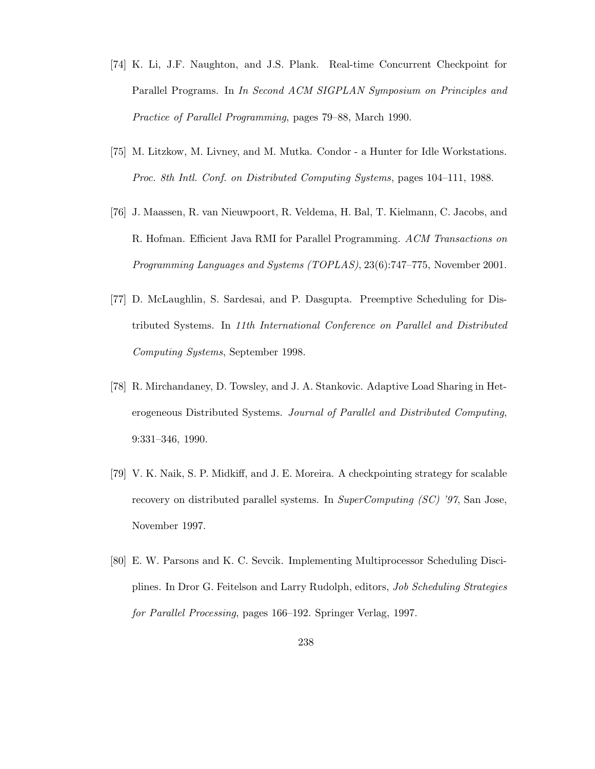- [74] K. Li, J.F. Naughton, and J.S. Plank. Real-time Concurrent Checkpoint for Parallel Programs. In *In Second ACM SIGPLAN Symposium on Principles and Practice of Parallel Programming*, pages 79–88, March 1990.
- [75] M. Litzkow, M. Livney, and M. Mutka. Condor a Hunter for Idle Workstations. *Proc. 8th Intl. Conf. on Distributed Computing Systems*, pages 104–111, 1988.
- [76] J. Maassen, R. van Nieuwpoort, R. Veldema, H. Bal, T. Kielmann, C. Jacobs, and R. Hofman. Efficient Java RMI for Parallel Programming. *ACM Transactions on Programming Languages and Systems (TOPLAS)*, 23(6):747–775, November 2001.
- [77] D. McLaughlin, S. Sardesai, and P. Dasgupta. Preemptive Scheduling for Distributed Systems. In *11th International Conference on Parallel and Distributed Computing Systems*, September 1998.
- [78] R. Mirchandaney, D. Towsley, and J. A. Stankovic. Adaptive Load Sharing in Heterogeneous Distributed Systems. *Journal of Parallel and Distributed Computing*, 9:331–346, 1990.
- [79] V. K. Naik, S. P. Midkiff, and J. E. Moreira. A checkpointing strategy for scalable recovery on distributed parallel systems. In *SuperComputing (SC) '97*, San Jose, November 1997.
- [80] E. W. Parsons and K. C. Sevcik. Implementing Multiprocessor Scheduling Disciplines. In Dror G. Feitelson and Larry Rudolph, editors, *Job Scheduling Strategies for Parallel Processing*, pages 166–192. Springer Verlag, 1997.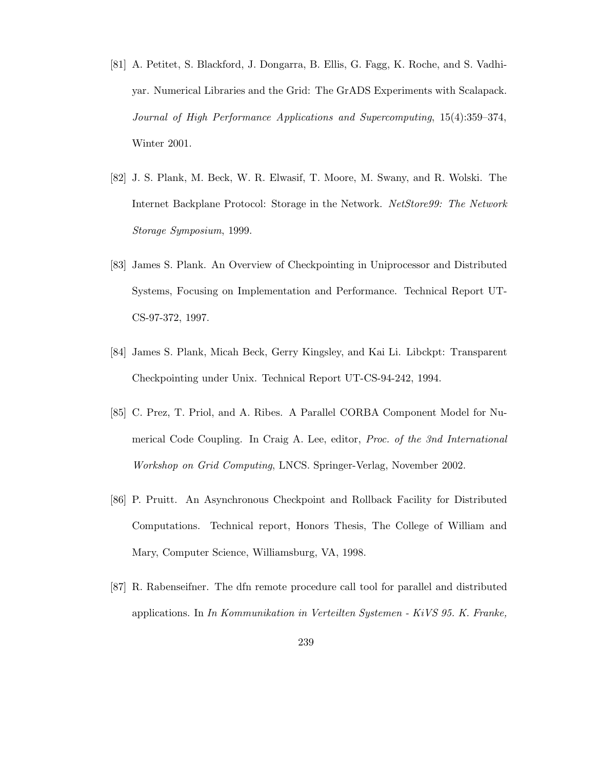- [81] A. Petitet, S. Blackford, J. Dongarra, B. Ellis, G. Fagg, K. Roche, and S. Vadhiyar. Numerical Libraries and the Grid: The GrADS Experiments with Scalapack. *Journal of High Performance Applications and Supercomputing*, 15(4):359–374, Winter 2001.
- [82] J. S. Plank, M. Beck, W. R. Elwasif, T. Moore, M. Swany, and R. Wolski. The Internet Backplane Protocol: Storage in the Network. *NetStore99: The Network Storage Symposium*, 1999.
- [83] James S. Plank. An Overview of Checkpointing in Uniprocessor and Distributed Systems, Focusing on Implementation and Performance. Technical Report UT-CS-97-372, 1997.
- [84] James S. Plank, Micah Beck, Gerry Kingsley, and Kai Li. Libckpt: Transparent Checkpointing under Unix. Technical Report UT-CS-94-242, 1994.
- [85] C. Prez, T. Priol, and A. Ribes. A Parallel CORBA Component Model for Numerical Code Coupling. In Craig A. Lee, editor, *Proc. of the 3nd International Workshop on Grid Computing*, LNCS. Springer-Verlag, November 2002.
- [86] P. Pruitt. An Asynchronous Checkpoint and Rollback Facility for Distributed Computations. Technical report, Honors Thesis, The College of William and Mary, Computer Science, Williamsburg, VA, 1998.
- [87] R. Rabenseifner. The dfn remote procedure call tool for parallel and distributed applications. In *In Kommunikation in Verteilten Systemen - KiVS 95. K. Franke,*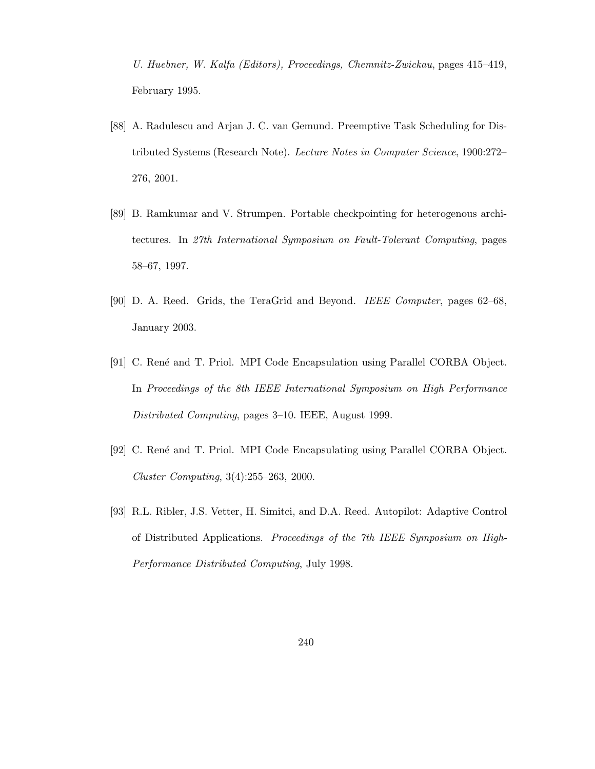*U. Huebner, W. Kalfa (Editors), Proceedings, Chemnitz-Zwickau*, pages 415–419, February 1995.

- [88] A. Radulescu and Arjan J. C. van Gemund. Preemptive Task Scheduling for Distributed Systems (Research Note). *Lecture Notes in Computer Science*, 1900:272– 276, 2001.
- [89] B. Ramkumar and V. Strumpen. Portable checkpointing for heterogenous architectures. In *27th International Symposium on Fault-Tolerant Computing*, pages 58–67, 1997.
- [90] D. A. Reed. Grids, the TeraGrid and Beyond. *IEEE Computer*, pages 62–68, January 2003.
- [91] C. René and T. Priol. MPI Code Encapsulation using Parallel CORBA Object. In *Proceedings of the 8th IEEE International Symposium on High Performance Distributed Computing*, pages 3–10. IEEE, August 1999.
- [92] C. René and T. Priol. MPI Code Encapsulating using Parallel CORBA Object. *Cluster Computing*, 3(4):255–263, 2000.
- [93] R.L. Ribler, J.S. Vetter, H. Simitci, and D.A. Reed. Autopilot: Adaptive Control of Distributed Applications. *Proceedings of the 7th IEEE Symposium on High-Performance Distributed Computing*, July 1998.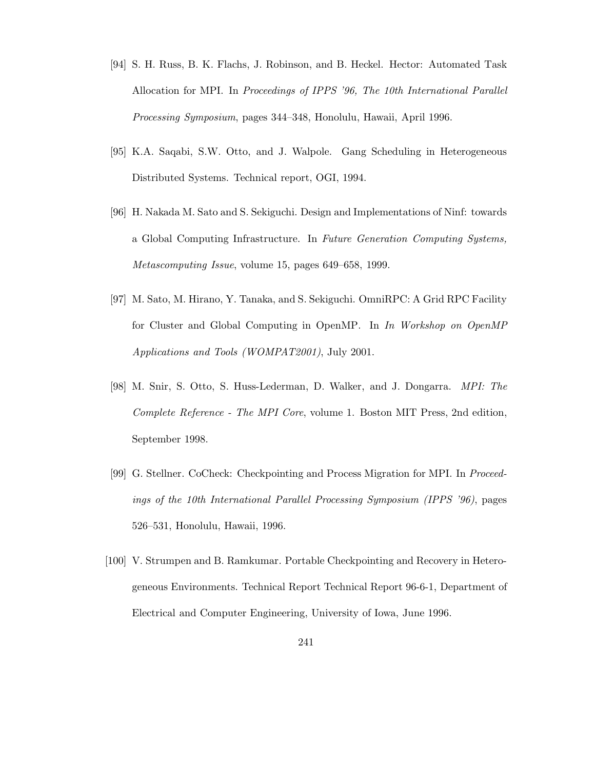- [94] S. H. Russ, B. K. Flachs, J. Robinson, and B. Heckel. Hector: Automated Task Allocation for MPI. In *Proceedings of IPPS '96, The 10th International Parallel Processing Symposium*, pages 344–348, Honolulu, Hawaii, April 1996.
- [95] K.A. Saqabi, S.W. Otto, and J. Walpole. Gang Scheduling in Heterogeneous Distributed Systems. Technical report, OGI, 1994.
- [96] H. Nakada M. Sato and S. Sekiguchi. Design and Implementations of Ninf: towards a Global Computing Infrastructure. In *Future Generation Computing Systems, Metascomputing Issue*, volume 15, pages 649–658, 1999.
- [97] M. Sato, M. Hirano, Y. Tanaka, and S. Sekiguchi. OmniRPC: A Grid RPC Facility for Cluster and Global Computing in OpenMP. In *In Workshop on OpenMP Applications and Tools (WOMPAT2001)*, July 2001.
- [98] M. Snir, S. Otto, S. Huss-Lederman, D. Walker, and J. Dongarra. *MPI: The Complete Reference - The MPI Core*, volume 1. Boston MIT Press, 2nd edition, September 1998.
- [99] G. Stellner. CoCheck: Checkpointing and Process Migration for MPI. In *Proceedings of the 10th International Parallel Processing Symposium (IPPS '96)*, pages 526–531, Honolulu, Hawaii, 1996.
- [100] V. Strumpen and B. Ramkumar. Portable Checkpointing and Recovery in Heterogeneous Environments. Technical Report Technical Report 96-6-1, Department of Electrical and Computer Engineering, University of Iowa, June 1996.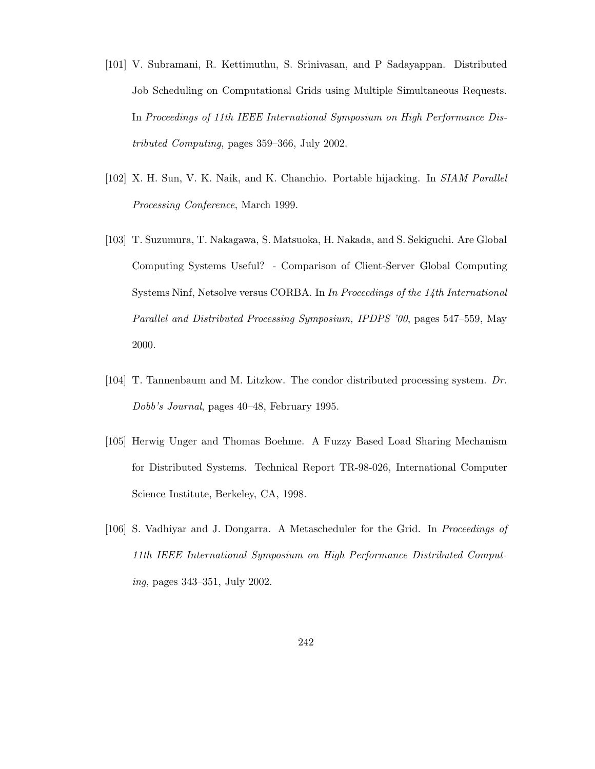- [101] V. Subramani, R. Kettimuthu, S. Srinivasan, and P Sadayappan. Distributed Job Scheduling on Computational Grids using Multiple Simultaneous Requests. In *Proceedings of 11th IEEE International Symposium on High Performance Distributed Computing*, pages 359–366, July 2002.
- [102] X. H. Sun, V. K. Naik, and K. Chanchio. Portable hijacking. In *SIAM Parallel Processing Conference*, March 1999.
- [103] T. Suzumura, T. Nakagawa, S. Matsuoka, H. Nakada, and S. Sekiguchi. Are Global Computing Systems Useful? - Comparison of Client-Server Global Computing Systems Ninf, Netsolve versus CORBA. In *In Proceedings of the 14th International Parallel and Distributed Processing Symposium, IPDPS '00*, pages 547–559, May 2000.
- [104] T. Tannenbaum and M. Litzkow. The condor distributed processing system. *Dr. Dobb's Journal*, pages 40–48, February 1995.
- [105] Herwig Unger and Thomas Boehme. A Fuzzy Based Load Sharing Mechanism for Distributed Systems. Technical Report TR-98-026, International Computer Science Institute, Berkeley, CA, 1998.
- [106] S. Vadhiyar and J. Dongarra. A Metascheduler for the Grid. In *Proceedings of 11th IEEE International Symposium on High Performance Distributed Computing*, pages 343–351, July 2002.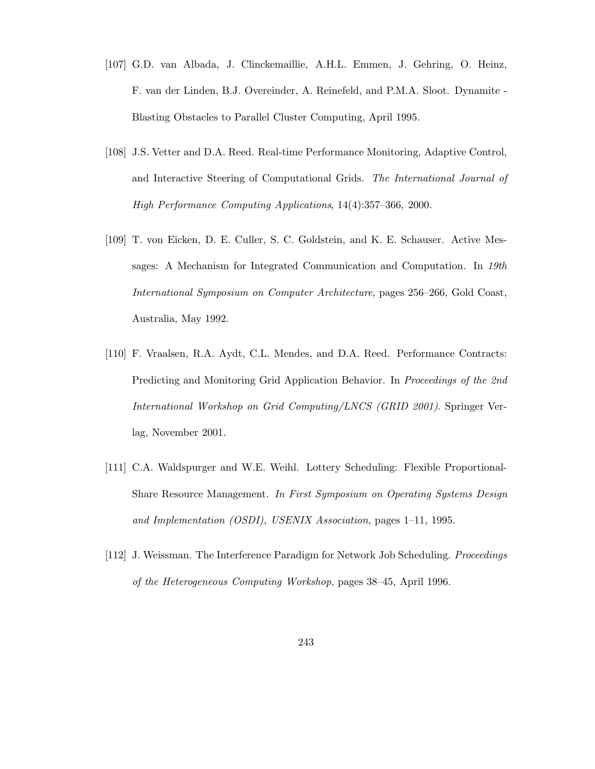- [107] G.D. van Albada, J. Clinckemaillie, A.H.L. Emmen, J. Gehring, O. Heinz, F. van der Linden, B.J. Overeinder, A. Reinefeld, and P.M.A. Sloot. Dynamite - Blasting Obstacles to Parallel Cluster Computing, April 1995.
- [108] J.S. Vetter and D.A. Reed. Real-time Performance Monitoring, Adaptive Control, and Interactive Steering of Computational Grids. *The International Journal of High Performance Computing Applications*, 14(4):357–366, 2000.
- [109] T. von Eicken, D. E. Culler, S. C. Goldstein, and K. E. Schauser. Active Messages: A Mechanism for Integrated Communication and Computation. In *19th International Symposium on Computer Architecture*, pages 256–266, Gold Coast, Australia, May 1992.
- [110] F. Vraalsen, R.A. Aydt, C.L. Mendes, and D.A. Reed. Performance Contracts: Predicting and Monitoring Grid Application Behavior. In *Proceedings of the 2nd International Workshop on Grid Computing/LNCS (GRID 2001)*. Springer Verlag, November 2001.
- [111] C.A. Waldspurger and W.E. Weihl. Lottery Scheduling: Flexible Proportional-Share Resource Management. *In First Symposium on Operating Systems Design and Implementation (OSDI), USENIX Association*, pages 1–11, 1995.
- [112] J. Weissman. The Interference Paradigm for Network Job Scheduling. *Proceedings of the Heterogeneous Computing Workshop*, pages 38–45, April 1996.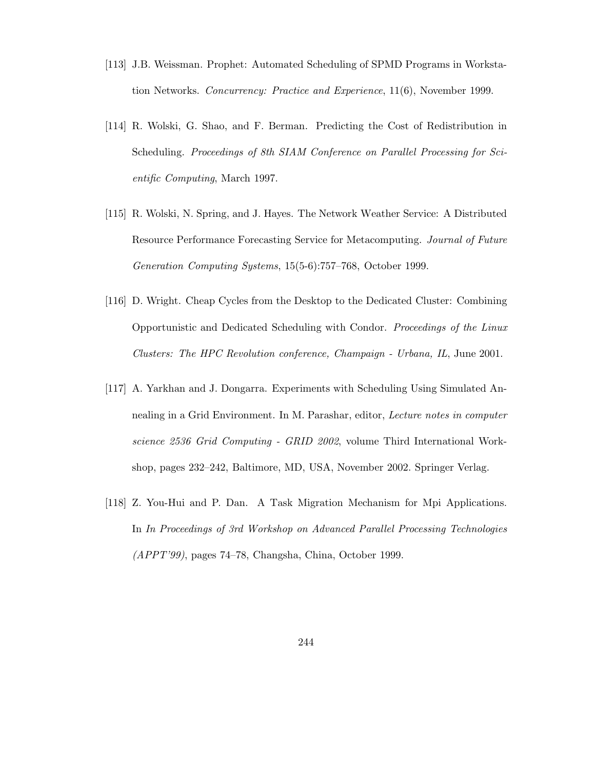- [113] J.B. Weissman. Prophet: Automated Scheduling of SPMD Programs in Workstation Networks. *Concurrency: Practice and Experience*, 11(6), November 1999.
- [114] R. Wolski, G. Shao, and F. Berman. Predicting the Cost of Redistribution in Scheduling. *Proceedings of 8th SIAM Conference on Parallel Processing for Scientific Computing*, March 1997.
- [115] R. Wolski, N. Spring, and J. Hayes. The Network Weather Service: A Distributed Resource Performance Forecasting Service for Metacomputing. *Journal of Future Generation Computing Systems*, 15(5-6):757–768, October 1999.
- [116] D. Wright. Cheap Cycles from the Desktop to the Dedicated Cluster: Combining Opportunistic and Dedicated Scheduling with Condor. *Proceedings of the Linux Clusters: The HPC Revolution conference, Champaign - Urbana, IL*, June 2001.
- [117] A. Yarkhan and J. Dongarra. Experiments with Scheduling Using Simulated Annealing in a Grid Environment. In M. Parashar, editor, *Lecture notes in computer science 2536 Grid Computing - GRID 2002*, volume Third International Workshop, pages 232–242, Baltimore, MD, USA, November 2002. Springer Verlag.
- [118] Z. You-Hui and P. Dan. A Task Migration Mechanism for Mpi Applications. In *In Proceedings of 3rd Workshop on Advanced Parallel Processing Technologies (APPT'99)*, pages 74–78, Changsha, China, October 1999.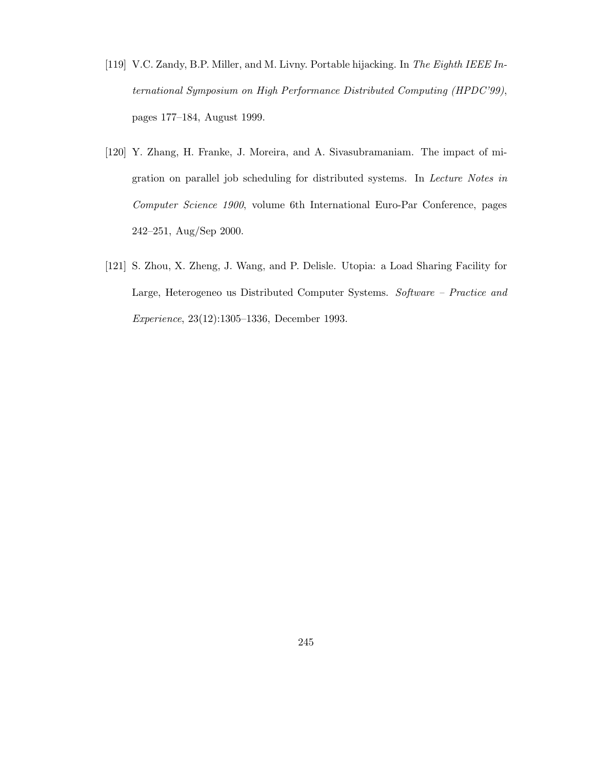- [119] V.C. Zandy, B.P. Miller, and M. Livny. Portable hijacking. In *The Eighth IEEE International Symposium on High Performance Distributed Computing (HPDC'99)*, pages 177–184, August 1999.
- [120] Y. Zhang, H. Franke, J. Moreira, and A. Sivasubramaniam. The impact of migration on parallel job scheduling for distributed systems. In *Lecture Notes in Computer Science 1900*, volume 6th International Euro-Par Conference, pages 242–251, Aug/Sep 2000.
- [121] S. Zhou, X. Zheng, J. Wang, and P. Delisle. Utopia: a Load Sharing Facility for Large, Heterogeneo us Distributed Computer Systems. *Software – Practice and Experience*, 23(12):1305–1336, December 1993.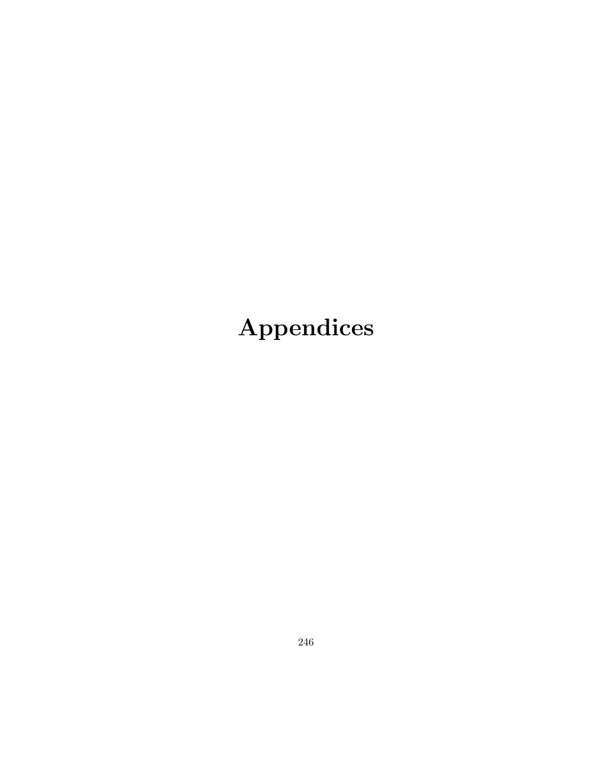# **Appendices**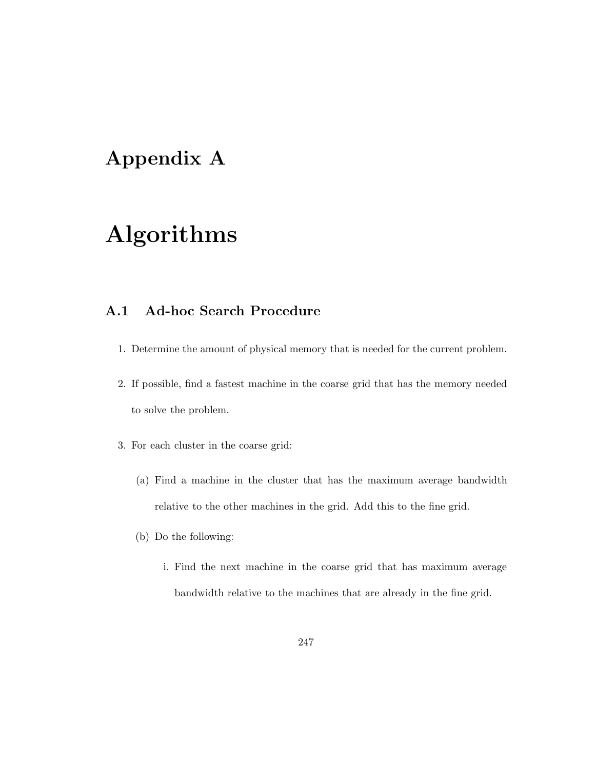## **Appendix A**

## **Algorithms**

## **A.1 Ad-hoc Search Procedure**

- 1. Determine the amount of physical memory that is needed for the current problem.
- 2. If possible, find a fastest machine in the coarse grid that has the memory needed to solve the problem.
- 3. For each cluster in the coarse grid:
	- (a) Find a machine in the cluster that has the maximum average bandwidth relative to the other machines in the grid. Add this to the fine grid.
	- (b) Do the following:
		- i. Find the next machine in the coarse grid that has maximum average bandwidth relative to the machines that are already in the fine grid.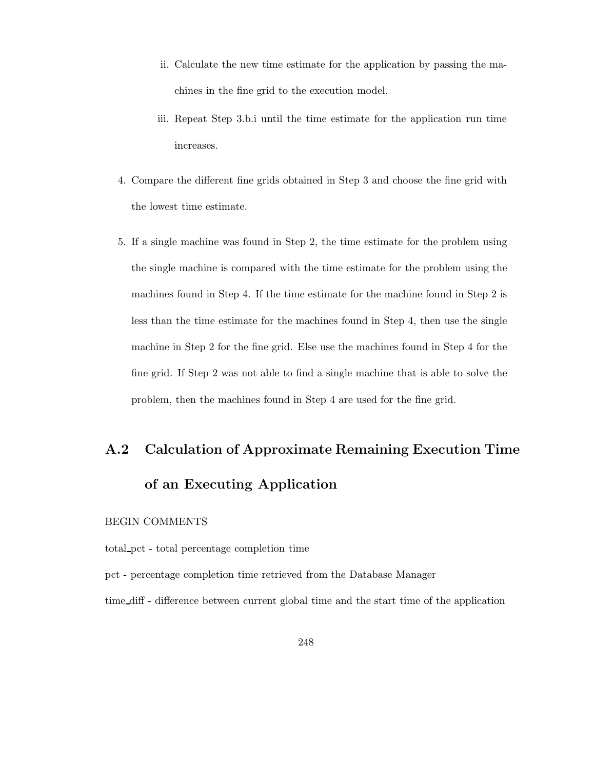- ii. Calculate the new time estimate for the application by passing the machines in the fine grid to the execution model.
- iii. Repeat Step 3.b.i until the time estimate for the application run time increases.
- 4. Compare the different fine grids obtained in Step 3 and choose the fine grid with the lowest time estimate.
- 5. If a single machine was found in Step 2, the time estimate for the problem using the single machine is compared with the time estimate for the problem using the machines found in Step 4. If the time estimate for the machine found in Step 2 is less than the time estimate for the machines found in Step 4, then use the single machine in Step 2 for the fine grid. Else use the machines found in Step 4 for the fine grid. If Step 2 was not able to find a single machine that is able to solve the problem, then the machines found in Step 4 are used for the fine grid.

## **A.2 Calculation of Approximate Remaining Execution Time of an Executing Application**

#### BEGIN COMMENTS

- total pct total percentage completion time
- pct percentage completion time retrieved from the Database Manager

time diff - difference between current global time and the start time of the application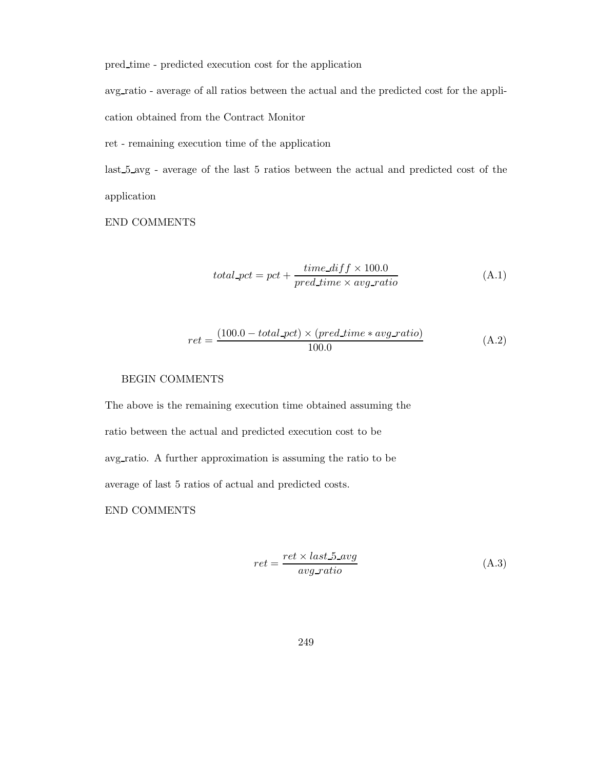pred time - predicted execution cost for the application

avg ratio - average of all ratios between the actual and the predicted cost for the appli-

cation obtained from the Contract Monitor

ret - remaining execution time of the application

last 5 avg - average of the last 5 ratios between the actual and predicted cost of the application

#### END COMMENTS

$$
total\_pot = pct + \frac{time\_diff \times 100.0}{pred\_time \times avg\_ratio}
$$
 (A.1)

$$
ret = \frac{(100.0 - total\_pot) \times (pred\_time * avg\_ratio)}{100.0}
$$
 (A.2)

#### BEGIN COMMENTS

The above is the remaining execution time obtained assuming the ratio between the actual and predicted execution cost to be avg ratio. A further approximation is assuming the ratio to be average of last 5 ratios of actual and predicted costs.

#### END COMMENTS

$$
ret = \frac{ret \times last\_5 \text{.avg}}{avg\_ratio}
$$
 (A.3)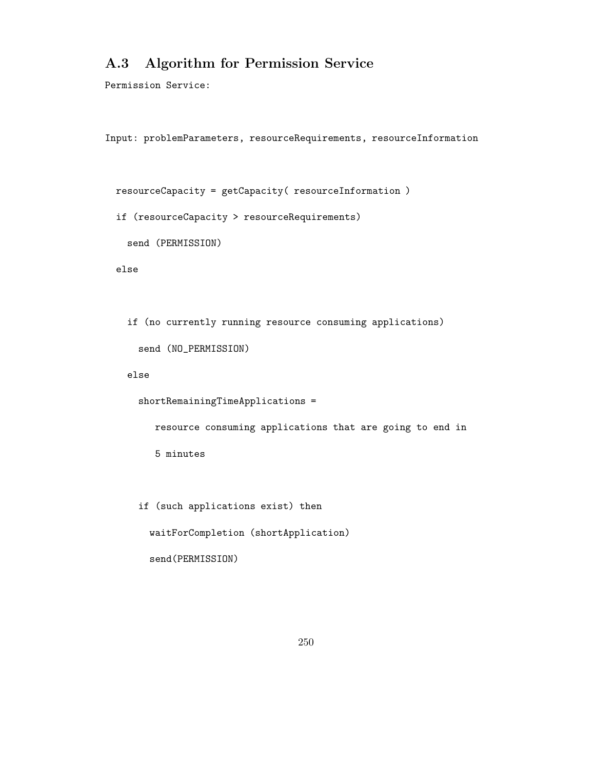## **A.3 Algorithm for Permission Service**

Permission Service:

Input: problemParameters, resourceRequirements, resourceInformation

resourceCapacity = getCapacity( resourceInformation )

if (resourceCapacity > resourceRequirements)

send (PERMISSION)

else

if (no currently running resource consuming applications) send (NO\_PERMISSION)

else

shortRemainingTimeApplications =

resource consuming applications that are going to end in

5 minutes

if (such applications exist) then

waitForCompletion (shortApplication)

send(PERMISSION)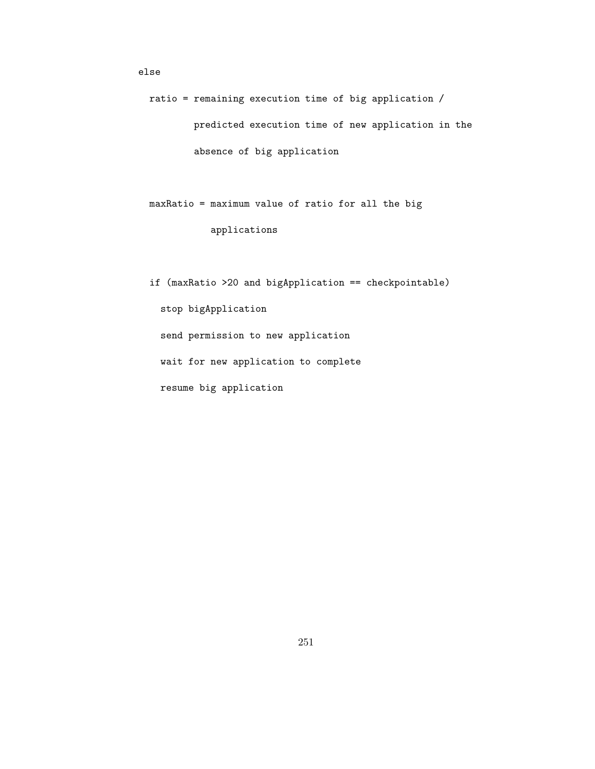```
else
```
ratio = remaining execution time of big application / predicted execution time of new application in the absence of big application

maxRatio = maximum value of ratio for all the big

applications

if (maxRatio >20 and bigApplication == checkpointable)

stop bigApplication

send permission to new application

wait for new application to complete

resume big application

251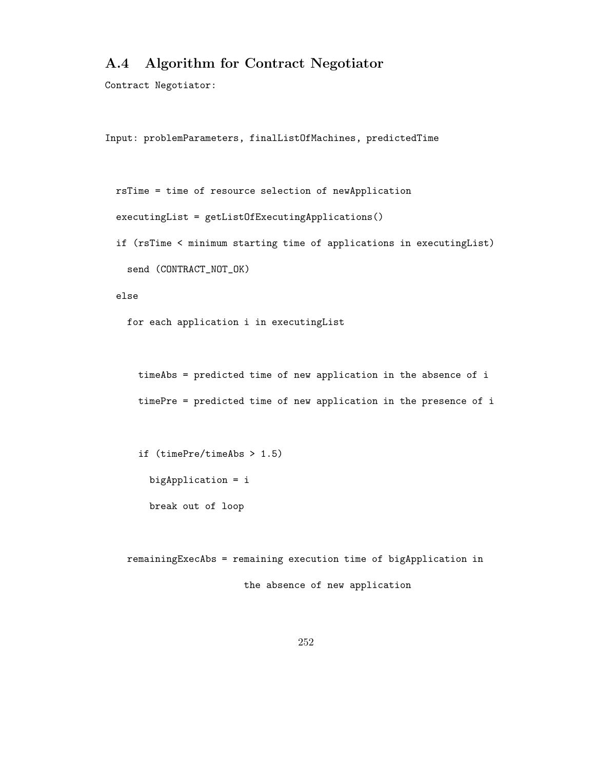### **A.4 Algorithm for Contract Negotiator**

Contract Negotiator:

```
Input: problemParameters, finalListOfMachines, predictedTime
```

```
rsTime = time of resource selection of newApplication
executingList = getListOfExecutingApplications()
```
if (rsTime < minimum starting time of applications in executingList) send (CONTRACT\_NOT\_OK)

else

for each application i in executingList

timeAbs = predicted time of new application in the absence of i timePre = predicted time of new application in the presence of i

```
if (timePre/timeAbs > 1.5)
 bigApplication = i
 break out of loop
```
remainingExecAbs = remaining execution time of bigApplication in the absence of new application

252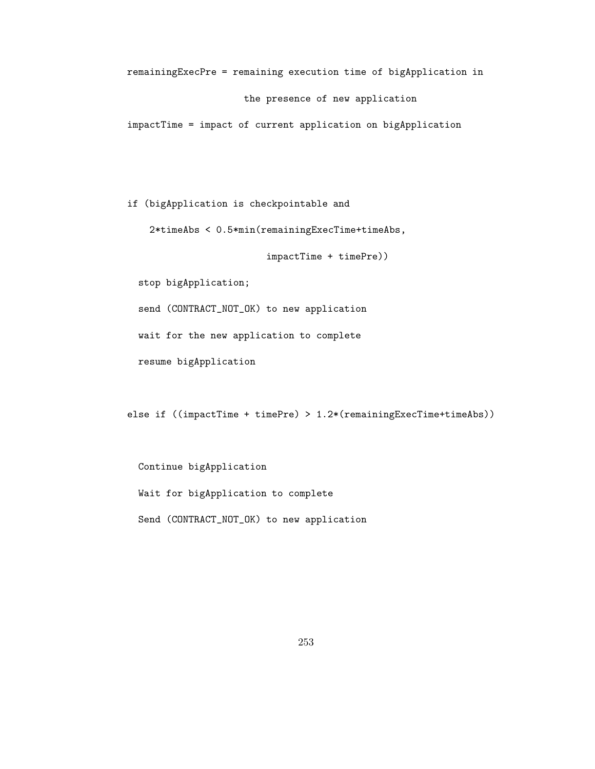remainingExecPre = remaining execution time of bigApplication in

#### the presence of new application

impactTime = impact of current application on bigApplication

if (bigApplication is checkpointable and

2\*timeAbs < 0.5\*min(remainingExecTime+timeAbs,

impactTime + timePre))

stop bigApplication;

send (CONTRACT\_NOT\_OK) to new application

wait for the new application to complete

resume bigApplication

else if ((impactTime + timePre) > 1.2\*(remainingExecTime+timeAbs))

Continue bigApplication

Wait for bigApplication to complete

Send (CONTRACT\_NOT\_OK) to new application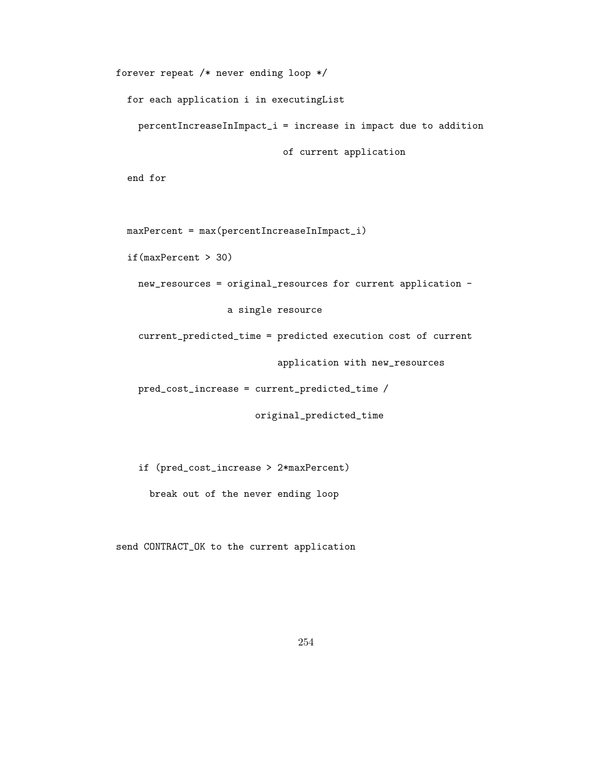```
forever repeat /* never ending loop */
```
for each application i in executingList

percentIncreaseInImpact\_i = increase in impact due to addition

of current application

end for

```
maxPercent = max(percentIncreaseInImpact_i)
```
if(maxPercent > 30)

new\_resources = original\_resources for current application -

a single resource

current\_predicted\_time = predicted execution cost of current

application with new\_resources

pred\_cost\_increase = current\_predicted\_time /

original\_predicted\_time

if (pred\_cost\_increase > 2\*maxPercent)

break out of the never ending loop

send CONTRACT\_OK to the current application

254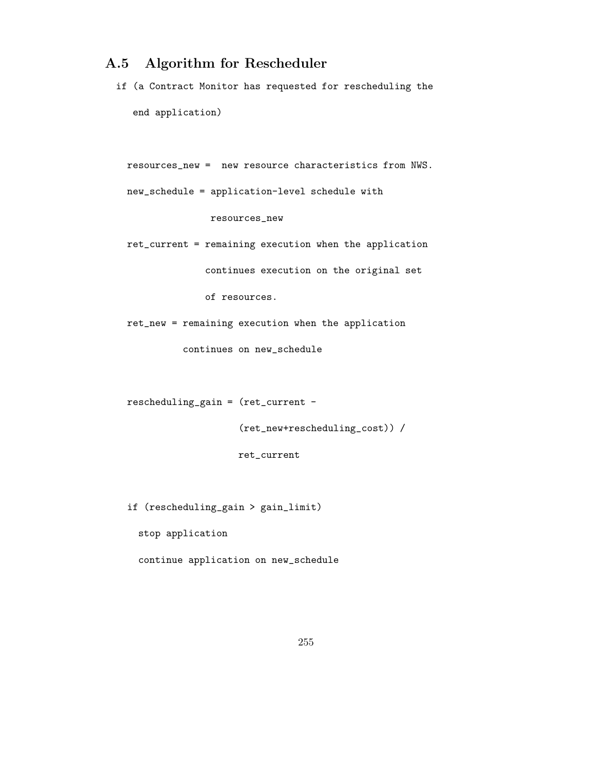## **A.5 Algorithm for Rescheduler**

if (a Contract Monitor has requested for rescheduling the end application)

```
resources_new = new resource characteristics from NWS.
new_schedule = application-level schedule with
```

```
resources_new
```
ret\_current = remaining execution when the application continues execution on the original set

of resources.

ret\_new = remaining execution when the application continues on new\_schedule

rescheduling\_gain = (ret\_current -

(ret\_new+rescheduling\_cost)) /

ret\_current

if (rescheduling\_gain > gain\_limit)

stop application

continue application on new\_schedule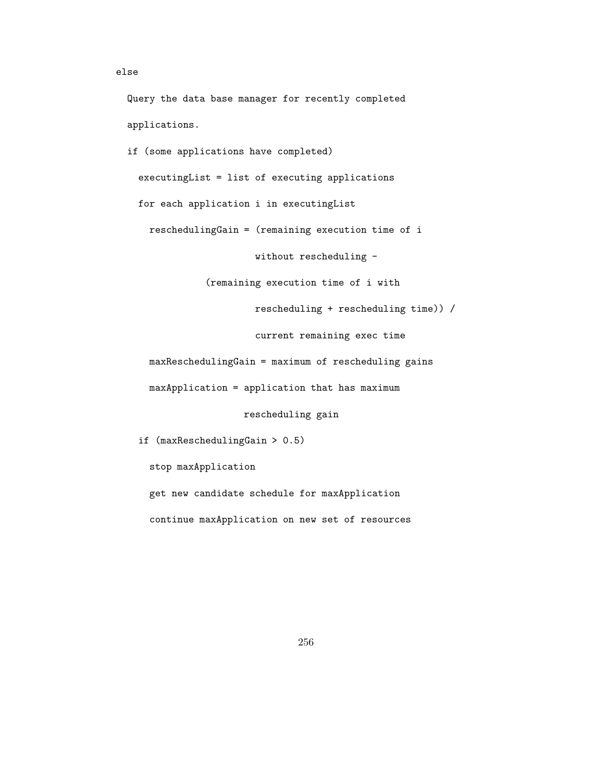```
Query the data base manager for recently completed
applications.
if (some applications have completed)
 executingList = list of executing applications
 for each application i in executingList
   reschedulingGain = (remaining execution time of i
                       without rescheduling -
              (remaining execution time of i with
                       rescheduling + rescheduling time)) /
                       current remaining exec time
   maxReschedulingGain = maximum of rescheduling gains
   maxApplication = application that has maximum
                     rescheduling gain
```
if (maxReschedulingGain > 0.5)

stop maxApplication

else

get new candidate schedule for maxApplication

continue maxApplication on new set of resources

256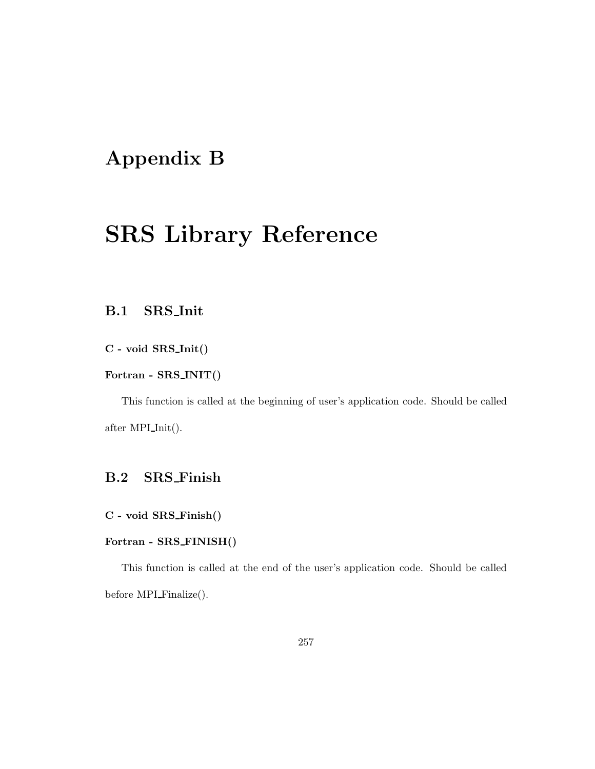## **Appendix B**

## **SRS Library Reference**

## **B.1 SRS Init**

**C - void SRS Init()**

#### **Fortran - SRS INIT()**

This function is called at the beginning of user's application code. Should be called after  $MPI\_Init()$ .

## **B.2 SRS Finish**

**C - void SRS Finish()**

#### **Fortran - SRS FINISH()**

This function is called at the end of the user's application code. Should be called before MPI\_Finalize().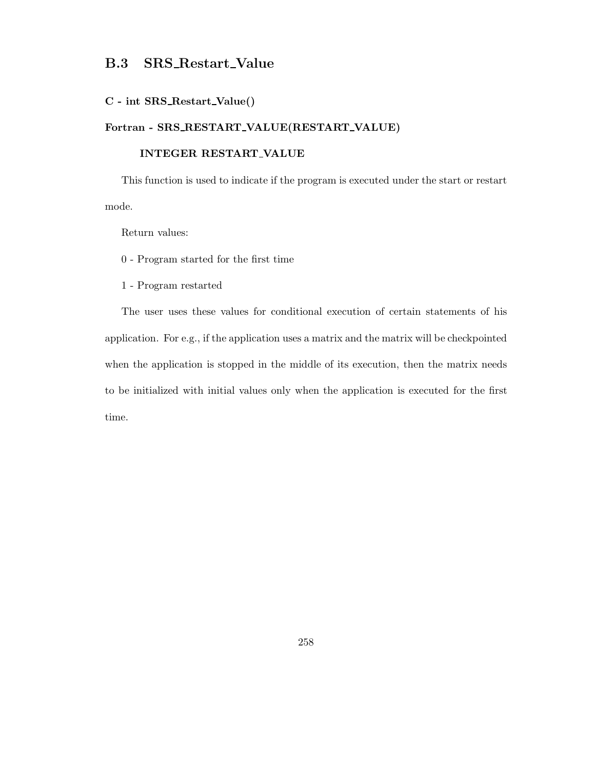### **B.3 SRS Restart Value**

#### **C - int SRS Restart Value()**

#### **Fortran - SRS RESTART VALUE(RESTART VALUE)**

#### **INTEGER RESTART VALUE**

This function is used to indicate if the program is executed under the start or restart mode.

Return values:

0 - Program started for the first time

1 - Program restarted

The user uses these values for conditional execution of certain statements of his application. For e.g., if the application uses a matrix and the matrix will be checkpointed when the application is stopped in the middle of its execution, then the matrix needs to be initialized with initial values only when the application is executed for the first time.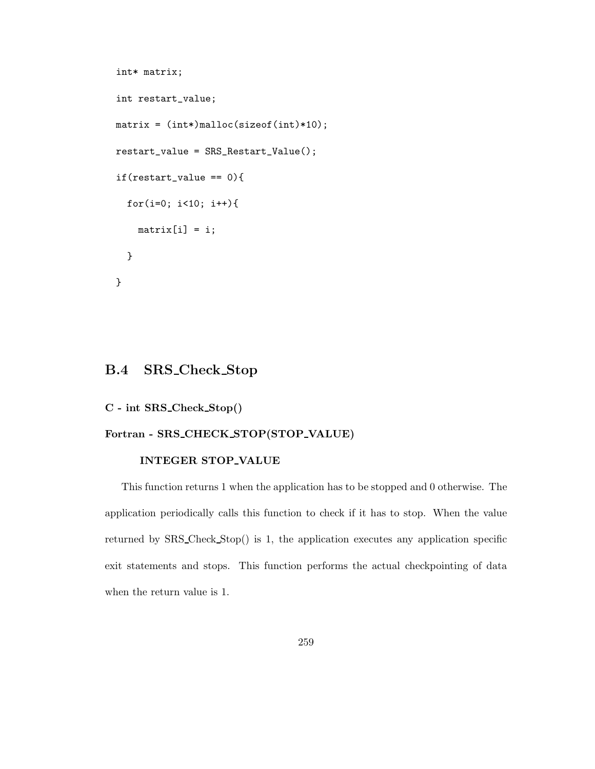```
int* matrix;
int restart_value;
matrix = (int*)malloc(sizeof(int)*10);
restart_value = SRS_Restart_Value();
if(restart_value == 0){
  for(i=0; i<10; i++){
    matrix[i] = i;}
}
```
## **B.4 SRS Check Stop**

**C - int SRS Check Stop()**

#### **Fortran - SRS CHECK STOP(STOP VALUE)**

#### **INTEGER STOP VALUE**

This function returns 1 when the application has to be stopped and 0 otherwise. The application periodically calls this function to check if it has to stop. When the value returned by SRS Check Stop() is 1, the application executes any application specific exit statements and stops. This function performs the actual checkpointing of data when the return value is 1.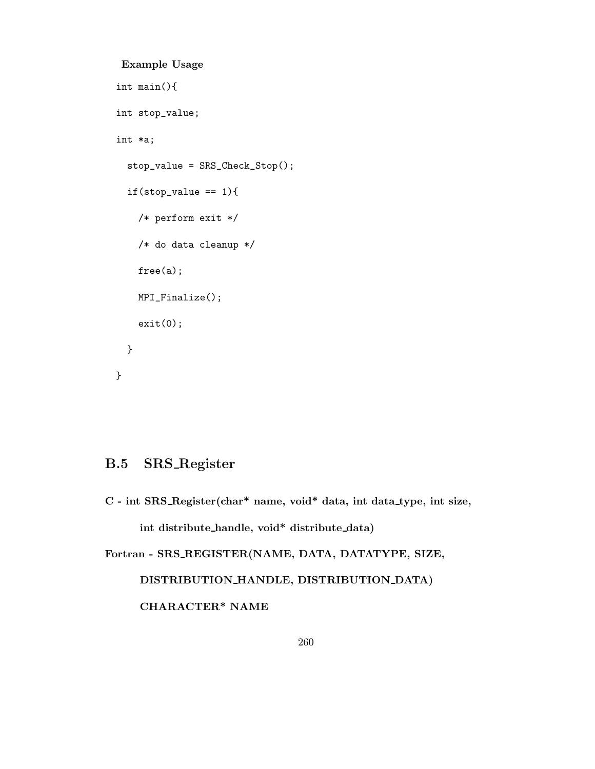```
Example Usage
int main(){
int stop_value;
int *a;
  stop_value = SRS_Check_Stop();
  if({stop_value == 1}){
    /* perform exit */
   /* do data cleanup */
    free(a);
    MPI_Finalize();
    exit(0);
  }
}
```
## **B.5 SRS Register**

**C - int SRS Register(char\* name, void\* data, int data type, int size,**

**int distribute handle, void\* distribute data)**

**Fortran - SRS REGISTER(NAME, DATA, DATATYPE, SIZE, DISTRIBUTION HANDLE, DISTRIBUTION DATA) CHARACTER\* NAME**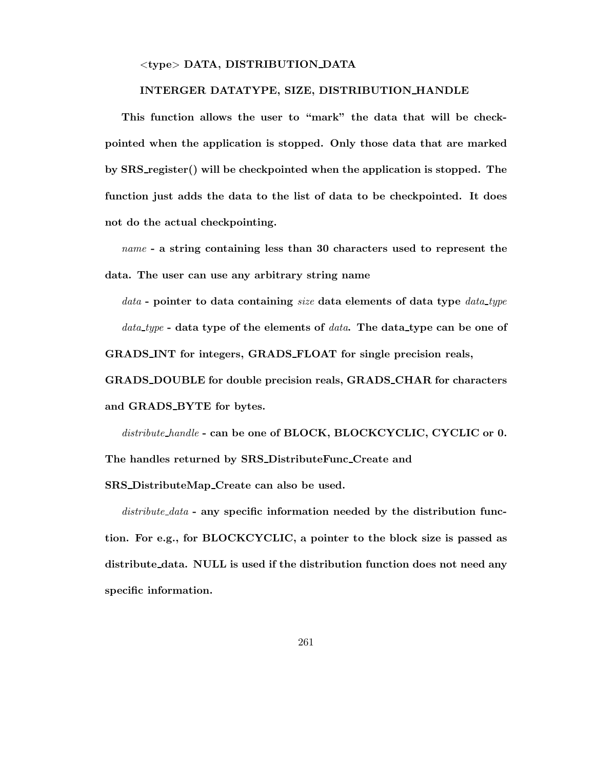#### <**type**> **DATA, DISTRIBUTION DATA**

#### **INTERGER DATATYPE, SIZE, DISTRIBUTION HANDLE**

**This function allows the user to "mark" the data that will be checkpointed when the application is stopped. Only those data that are marked by SRS register() will be checkpointed when the application is stopped. The function just adds the data to the list of data to be checkpointed. It does not do the actual checkpointing.**

*name* **- a string containing less than 30 characters used to represent the data. The user can use any arbitrary string name**

*data* **- pointer to data containing** *size* **data elements of data type** *data type data type* **- data type of the elements of** *data***. The data type can be one of GRADS INT for integers, GRADS FLOAT for single precision reals,**

**GRADS DOUBLE for double precision reals, GRADS CHAR for characters and GRADS BYTE for bytes.**

*distribute handle* **- can be one of BLOCK, BLOCKCYCLIC, CYCLIC or 0.**

**The handles returned by SRS DistributeFunc Create and**

**SRS DistributeMap Create can also be used.**

*distribute data* **- any specific information needed by the distribution function. For e.g., for BLOCKCYCLIC, a pointer to the block size is passed as distribute data. NULL is used if the distribution function does not need any specific information.**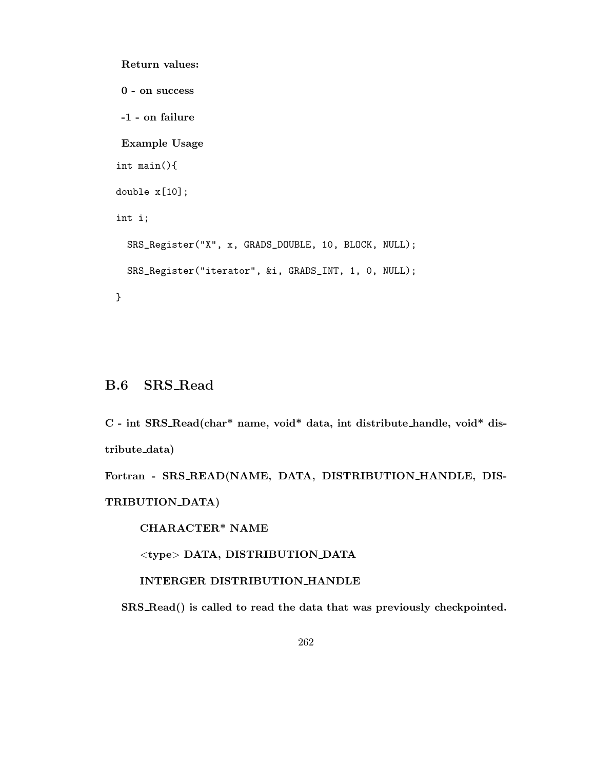```
Return values:
 0 - on success
-1 - on failure
 Example Usage
int main(){
double x[10];
int i;
  SRS_Register("X", x, GRADS_DOUBLE, 10, BLOCK, NULL);
  SRS_Register("iterator", &i, GRADS_INT, 1, 0, NULL);
}
```
### **B.6 SRS Read**

**C - int SRS Read(char\* name, void\* data, int distribute handle, void\* distribute data)**

Fortran - SRS\_READ(NAME, DATA, DISTRIBUTION\_HANDLE, DIS-**TRIBUTION DATA)**

**CHARACTER\* NAME**

<**type**> **DATA, DISTRIBUTION DATA**

**INTERGER DISTRIBUTION HANDLE**

**SRS Read() is called to read the data that was previously checkpointed.**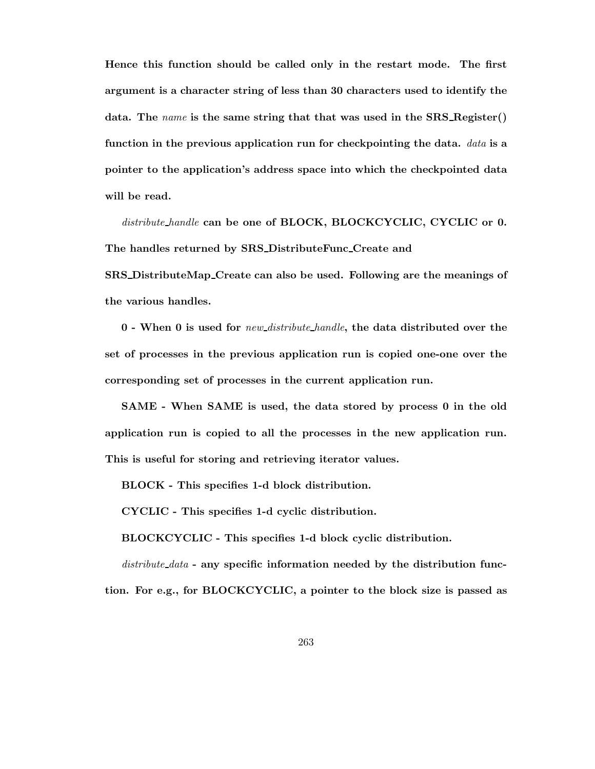**Hence this function should be called only in the restart mode. The first argument is a character string of less than 30 characters used to identify the data. The** *name* **is the same string that that was used in the SRS Register() function in the previous application run for checkpointing the data.** *data* **is a pointer to the application's address space into which the checkpointed data will be read.**

*distribute handle* **can be one of BLOCK, BLOCKCYCLIC, CYCLIC or 0. The handles returned by SRS DistributeFunc Create and**

**SRS DistributeMap Create can also be used. Following are the meanings of the various handles.**

**0 - When 0 is used for** *new distribute handle***, the data distributed over the set of processes in the previous application run is copied one-one over the corresponding set of processes in the current application run.**

**SAME - When SAME is used, the data stored by process 0 in the old application run is copied to all the processes in the new application run. This is useful for storing and retrieving iterator values.**

**BLOCK - This specifies 1-d block distribution.**

**CYCLIC - This specifies 1-d cyclic distribution.**

**BLOCKCYCLIC - This specifies 1-d block cyclic distribution.**

*distribute data* **- any specific information needed by the distribution function. For e.g., for BLOCKCYCLIC, a pointer to the block size is passed as**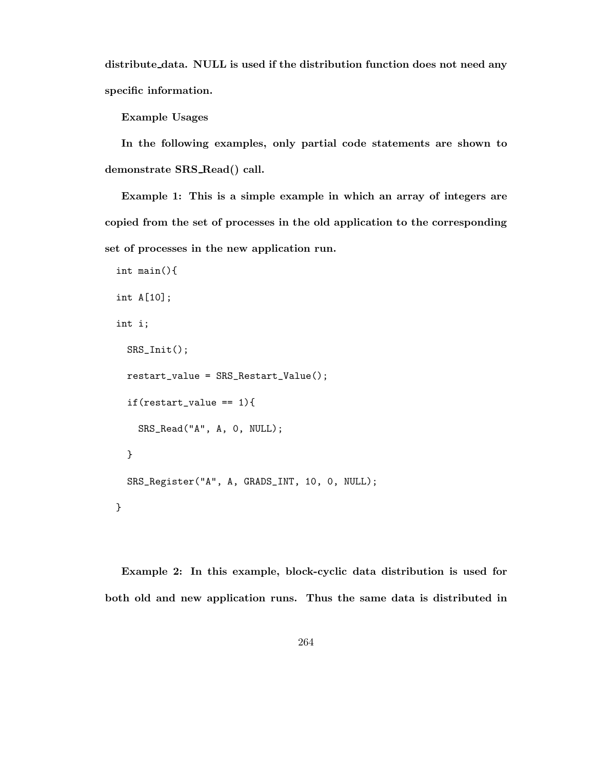**distribute data. NULL is used if the distribution function does not need any specific information.**

**Example Usages**

**In the following examples, only partial code statements are shown to demonstrate SRS Read() call.**

**Example 1: This is a simple example in which an array of integers are copied from the set of processes in the old application to the corresponding set of processes in the new application run.**

```
int main(){
int A[10];
int i;
  SRS_Init();
  restart_value = SRS_Restart_Value();
  if(restart_value == 1){
    SRS_Read("A", A, 0, NULL);
  }
  SRS_Register("A", A, GRADS_INT, 10, 0, NULL);
}
```
**Example 2: In this example, block-cyclic data distribution is used for both old and new application runs. Thus the same data is distributed in**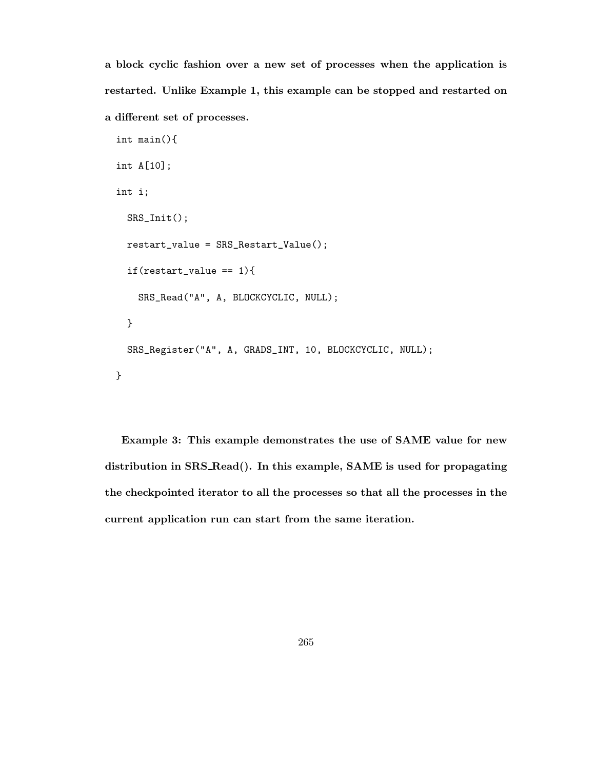**a block cyclic fashion over a new set of processes when the application is restarted. Unlike Example 1, this example can be stopped and restarted on a different set of processes.**

```
int main(){
int A[10];
int i;
  SRS_Init();
  restart_value = SRS_Restart_Value();
  if(restart_value == 1){
    SRS_Read("A", A, BLOCKCYCLIC, NULL);
  }
  SRS_Register("A", A, GRADS_INT, 10, BLOCKCYCLIC, NULL);
}
```
**Example 3: This example demonstrates the use of SAME value for new distribution in SRS Read(). In this example, SAME is used for propagating the checkpointed iterator to all the processes so that all the processes in the current application run can start from the same iteration.**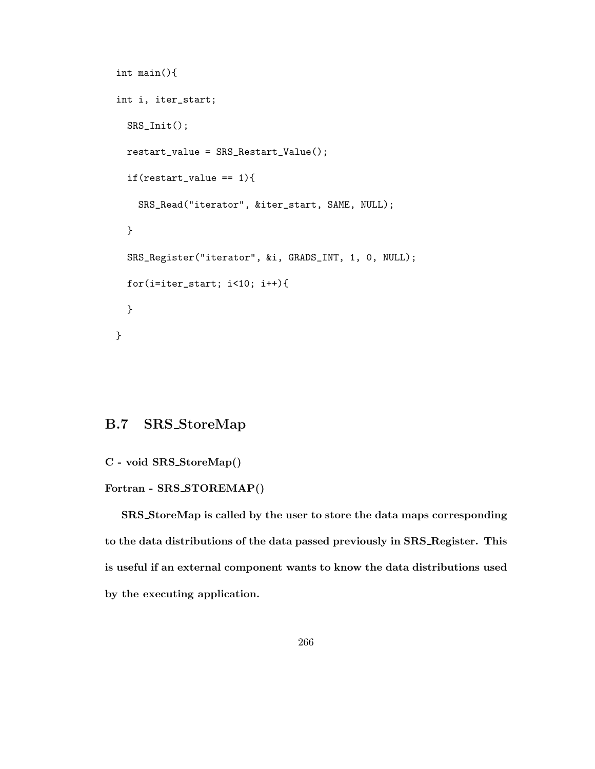```
int main(){
int i, iter_start;
  SRS_Init();
  restart_value = SRS_Restart_Value();
  if(restart_value == 1){
    SRS_Read("iterator", &iter_start, SAME, NULL);
  }
  SRS_Register("iterator", &i, GRADS_INT, 1, 0, NULL);
  for(i=iter_start; i<10; i++){
  }
}
```
### **B.7 SRS StoreMap**

```
C - void SRS StoreMap()
```
#### **Fortran - SRS STOREMAP()**

**SRS StoreMap is called by the user to store the data maps corresponding to the data distributions of the data passed previously in SRS Register. This is useful if an external component wants to know the data distributions used by the executing application.**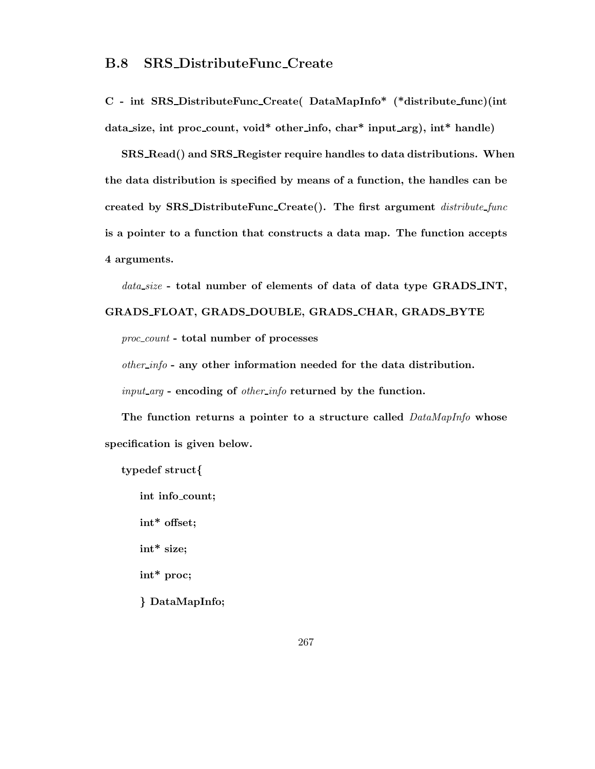#### **B.8 SRS DistributeFunc Create**

**C - int SRS DistributeFunc Create( DataMapInfo\* (\*distribute func)(int data size, int proc count, void\* other info, char\* input arg), int\* handle)**

**SRS Read() and SRS Register require handles to data distributions. When the data distribution is specified by means of a function, the handles can be created by SRS DistributeFunc Create(). The first argument** *distribute func* **is a pointer to a function that constructs a data map. The function accepts 4 arguments.**

*data size* **- total number of elements of data of data type GRADS INT, GRADS FLOAT, GRADS DOUBLE, GRADS CHAR, GRADS BYTE**

*proc count* **- total number of processes**

*other info* **- any other information needed for the data distribution.**

*input arg* **- encoding of** *other info* **returned by the function.**

**The function returns a pointer to a structure called** *DataMapInfo* **whose specification is given below.**

**typedef struct***{* **int info count; int\* offset; int\* size; int\* proc;** *}* **DataMapInfo;**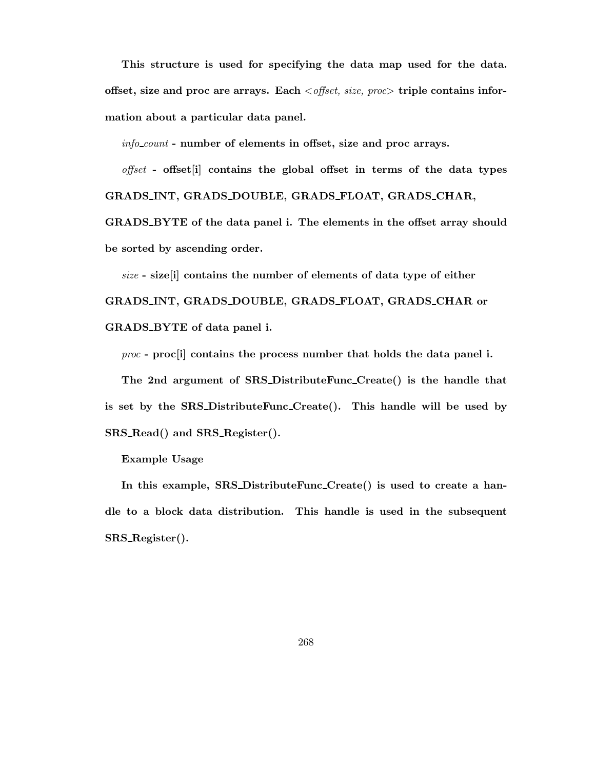**This structure is used for specifying the data map used for the data. offset, size and proc are arrays. Each** <*offset, size, proc*> **triple contains information about a particular data panel.**

*info count* **- number of elements in offset, size and proc arrays.**

*offset* **- offset[i] contains the global offset in terms of the data types GRADS INT, GRADS DOUBLE, GRADS FLOAT, GRADS CHAR,**

**GRADS BYTE of the data panel i. The elements in the offset array should be sorted by ascending order.**

*size* **- size[i] contains the number of elements of data type of either GRADS INT, GRADS DOUBLE, GRADS FLOAT, GRADS CHAR or GRADS BYTE of data panel i.**

*proc* **- proc[i] contains the process number that holds the data panel i. The 2nd argument of SRS DistributeFunc Create() is the handle that is set by the SRS DistributeFunc Create(). This handle will be used by SRS Read() and SRS Register().**

**Example Usage**

**In this example, SRS DistributeFunc Create() is used to create a handle to a block data distribution. This handle is used in the subsequent SRS Register().**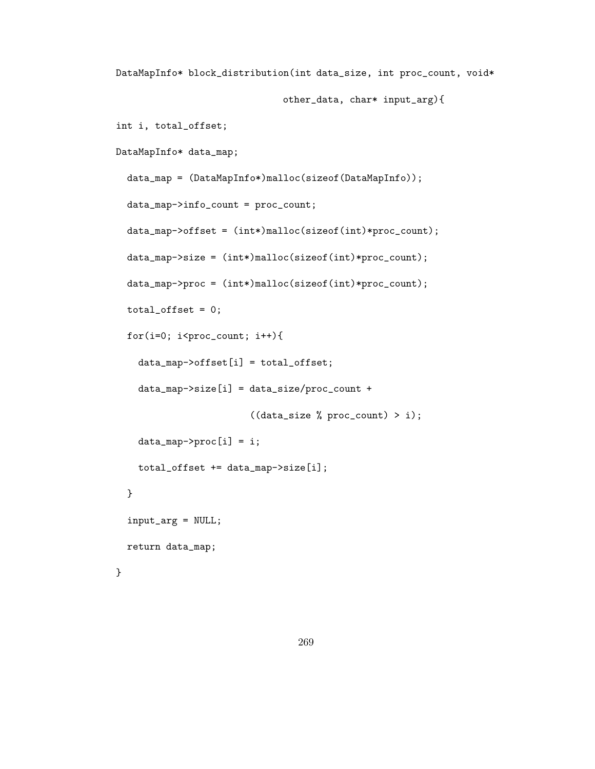```
DataMapInfo* block_distribution(int data_size, int proc_count, void*
                              other_data, char* input_arg){
int i, total_offset;
DataMapInfo* data_map;
  data_map = (DataMapInfo*)malloc(sizeof(DataMapInfo));
  data_map->info_count = proc_count;
  data_map->offset = (int*)malloc(sizeof(int)*proc_count);
  data_map->size = (int*)malloc(sizeof(int)*proc_count);
  data_map->proc = (int*)malloc(sizeof(int)*proc_count);
  total_offset = 0;for(i=0; i<proc_count; i++){
    data_map->offset[i] = total_offset;
    data_map->size[i] = data_size/proc_count +
                        ((data_size % proc_count) > i);data_map->proc[i] = i;
    total_offset += data_map->size[i];
  }
  input_arg = NULL;
 return data_map;
}
```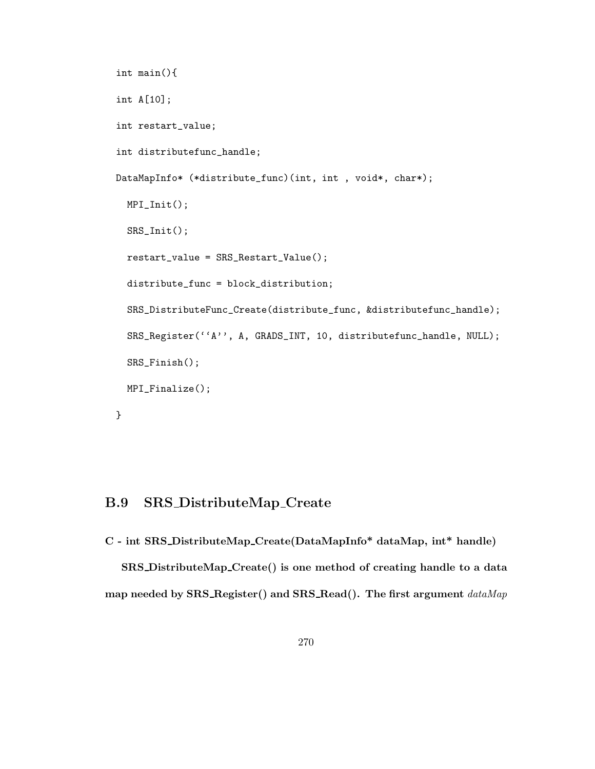```
int main(){
int A[10];
int restart_value;
int distributefunc_handle;
DataMapInfo* (*distribute_func)(int, int , void*, char*);
  MPI_Init();
  SRS_Init();
  restart_value = SRS_Restart_Value();
  distribute_func = block_distribution;
  SRS_DistributeFunc_Create(distribute_func, &distributefunc_handle);
  SRS_Register(''A'', A, GRADS_INT, 10, distributefunc_handle, NULL);
  SRS_Finish();
 MPI_Finalize();
}
```
## **B.9 SRS DistributeMap Create**

**C - int SRS DistributeMap Create(DataMapInfo\* dataMap, int\* handle) SRS DistributeMap Create() is one method of creating handle to a data map needed by SRS Register() and SRS Read(). The first argument** *dataMap*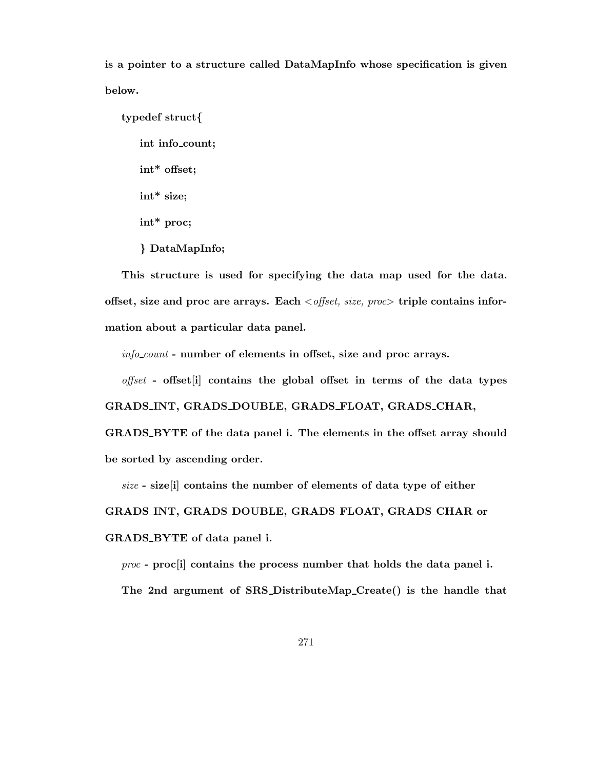**is a pointer to a structure called DataMapInfo whose specification is given below.**

**typedef struct***{* **int info count; int\* offset; int\* size; int\* proc;** *}* **DataMapInfo;**

**This structure is used for specifying the data map used for the data. offset, size and proc are arrays. Each** <*offset, size, proc*> **triple contains information about a particular data panel.**

*info count* **- number of elements in offset, size and proc arrays.**

*offset* **- offset[i] contains the global offset in terms of the data types GRADS INT, GRADS DOUBLE, GRADS FLOAT, GRADS CHAR, GRADS BYTE of the data panel i. The elements in the offset array should be sorted by ascending order.**

*size* **- size[i] contains the number of elements of data type of either**

**GRADS INT, GRADS DOUBLE, GRADS FLOAT, GRADS CHAR or**

**GRADS BYTE of data panel i.**

*proc* **- proc[i] contains the process number that holds the data panel i.**

**The 2nd argument of SRS DistributeMap Create() is the handle that**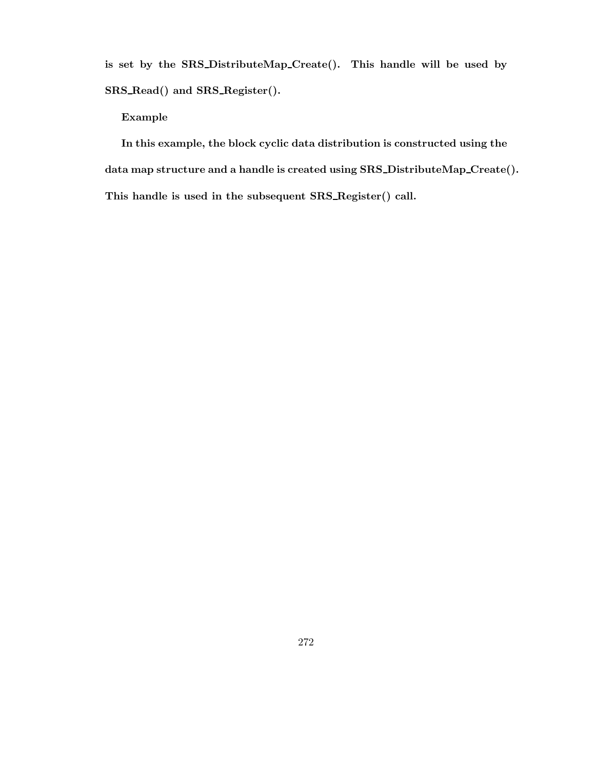**is set by the SRS DistributeMap Create(). This handle will be used by SRS Read() and SRS Register().**

**Example**

**In this example, the block cyclic data distribution is constructed using the data map structure and a handle is created using SRS DistributeMap Create(). This handle is used in the subsequent SRS Register() call.**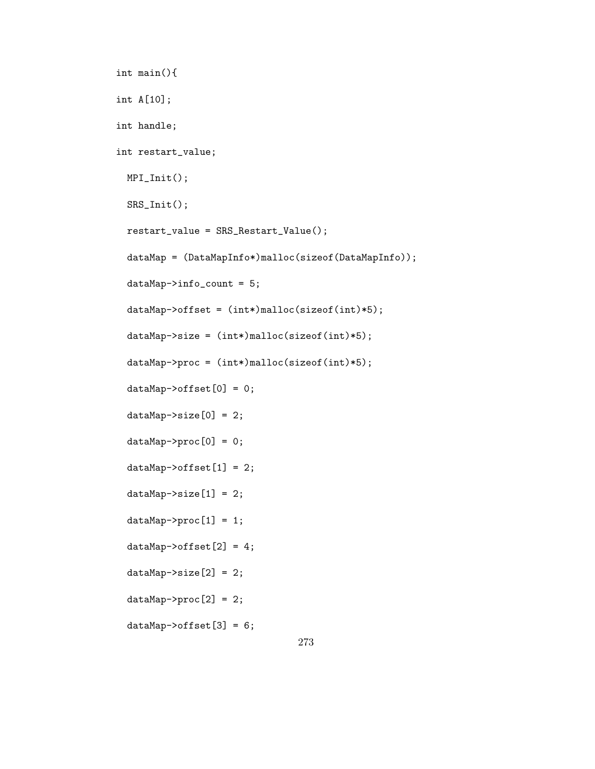```
int main(){
int A[10];
int handle;
int restart_value;
  MPI_Init();
  SRS_Init();
 restart_value = SRS_Restart_Value();
  dataMap = (DataMapInfo*)malloc(sizeof(DataMapInfo));
  dataMap->info_count = 5;
  dataMap->offset = (int*)malloc(sizeof(int)*5);
  dataMap->size = (int*)malloc(sizeof(int)*5);
  dataMap->proc = (int*)malloc(sizeof(int)*5);
  dataMap->offset[0] = 0;
  dataMap->size[0] = 2;dataMap->proc[0] = 0;
  dataMap->offset[1] = 2;
  dataMap->size[1] = 2;dataMap->proc[1] = 1;dataMap\rightarrowoffset[2] = 4;dataMap->size[2] = 2;dataMap->proc[2] = 2;dataMap\rightarrowoffset[3] = 6;
                                 273
```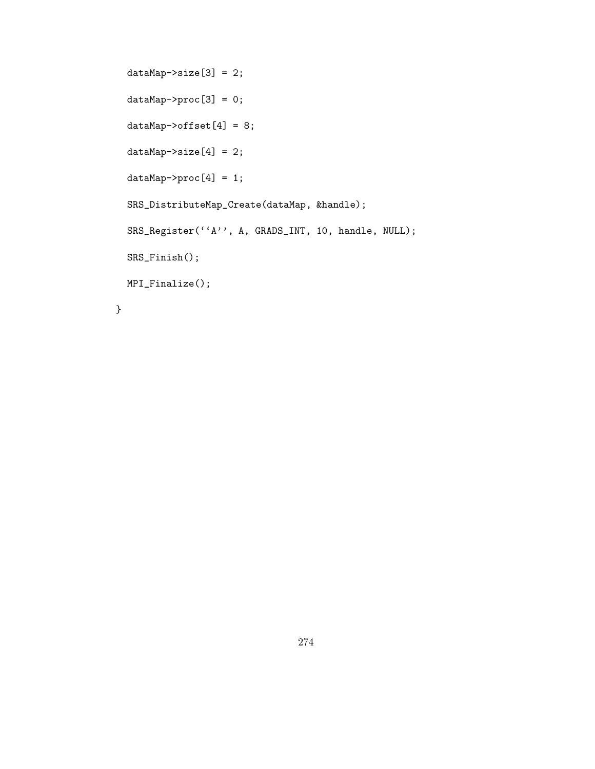```
dataMap\rightarrow size[3] = 2;dataMap->proc[3] = 0;dataMap\rightarrowoffset[4] = 8;dataMap->size[4] = 2;
  dataMap->proc[4] = 1;SRS_DistributeMap_Create(dataMap, &handle);
  SRS_Register(''A'', A, GRADS_INT, 10, handle, NULL);
 SRS_Finish();
 MPI_Finalize();
}
```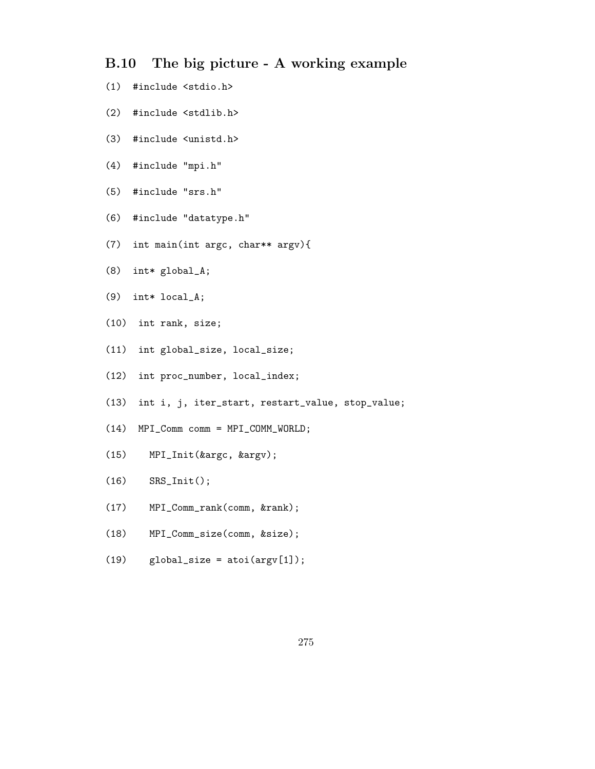## **B.10 The big picture - A working example**

- (1) #include <stdio.h>
- (2) #include <stdlib.h>
- (3) #include <unistd.h>
- (4) #include "mpi.h"
- (5) #include "srs.h"
- (6) #include "datatype.h"
- (7) int main(int argc, char\*\* argv){
- (8) int\* global\_A;
- (9) int\* local\_A;
- (10) int rank, size;
- (11) int global\_size, local\_size;
- (12) int proc\_number, local\_index;
- (13) int i, j, iter\_start, restart\_value, stop\_value;
- (14) MPI\_Comm comm = MPI\_COMM\_WORLD;
- (15) MPI\_Init(&argc, &argv);
- (16) SRS\_Init();
- (17) MPI\_Comm\_rank(comm, &rank);
- (18) MPI\_Comm\_size(comm, &size);
- $(19)$  global\_size = atoi(argv[1]);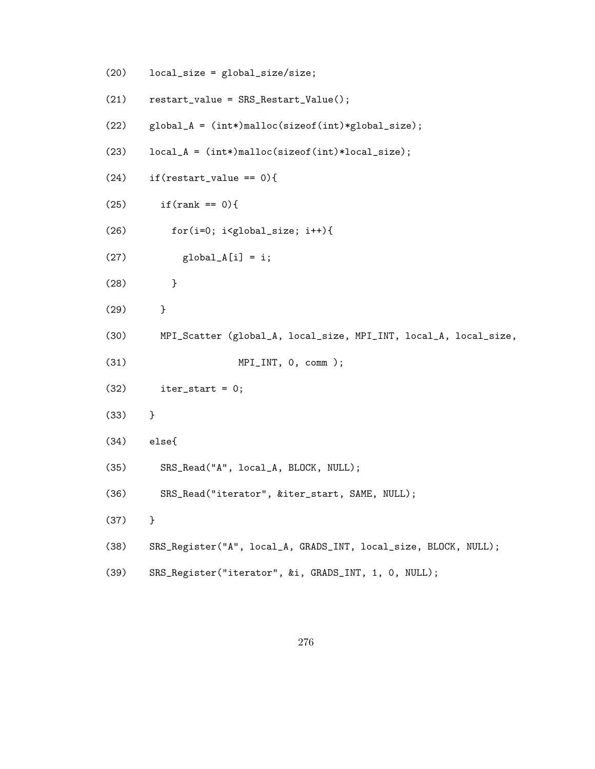| (20) | $local_size = global_size / size;$                               |
|------|------------------------------------------------------------------|
| (21) | $restart_value = SRS\_Restart_value();$                          |
| (22) | $global_A = (int*)$ malloc(sizeof(int)*global_size);             |
| (23) | $local_A = (int*)malloc(sizeof(int)*local_size);$                |
| (24) | if(restart_value == $0$ ){                                       |
| (25) | if $(rank == 0)$ {                                               |
| (26) | $for(i=0; i{$                                                    |
| (27) | $global_A[i] = i;$                                               |
| (28) | }                                                                |
| (29) | $\}$                                                             |
| (30) | MPI_Scatter (global_A, local_size, MPI_INT, local_A, local_size, |
| (31) | $MPI_INT, 0, comm);$                                             |
| (32) | $iter\_start = 0;$                                               |
| (33) | }                                                                |
| (34) | else{                                                            |
| (35) | SRS_Read("A", local_A, BLOCK, NULL);                             |
| (36) | SRS_Read("iterator", &iter_start, SAME, NULL);                   |
| (37) | }                                                                |
| (38) | SRS_Register("A", local_A, GRADS_INT, local_size, BLOCK, NULL);  |
| (39) | SRS_Register("iterator", &i, GRADS_INT, 1, 0, NULL);             |

276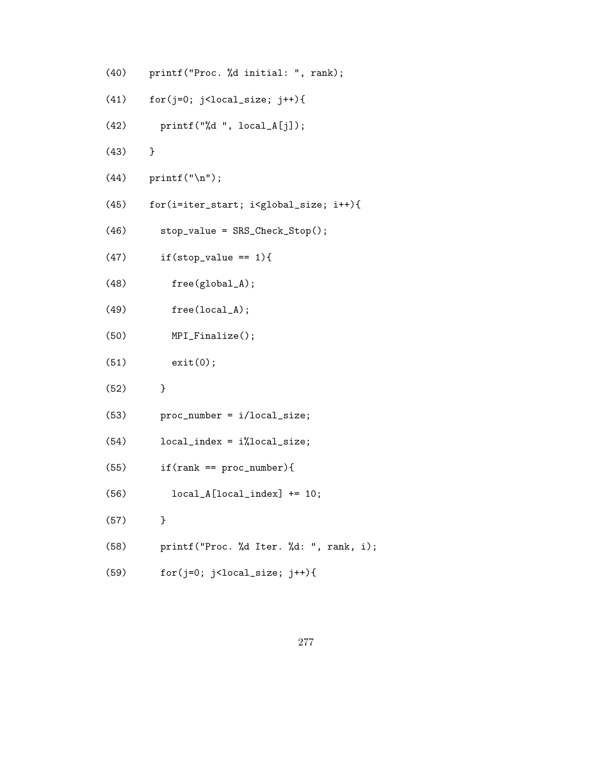- (40) printf("Proc. %d initial: ", rank);
- $(41)$  for(j=0; j<local\_size; j++){
- (42) printf("%d ", local\_A[j]);
- $(43)$  }
- $(44)$  printf("\n");
- (45) for(i=iter\_start; i<global\_size; i++){
- (46) stop\_value = SRS\_Check\_Stop();
- $(47)$  if(stop\_value == 1){
- (48) free(global\_A);
- (49) free(local\_A);
- (50) MPI\_Finalize();
- (51) exit(0);
- $(52)$  }
- (53) proc\_number = i/local\_size;
- (54) local\_index = i%local\_size;
- $(55)$  if(rank == proc\_number){
- (56) local\_A[local\_index] += 10;
- $(57)$  }
- (58) printf("Proc. %d Iter. %d: ", rank, i);
- $(59)$  for(j=0; j<local\_size; j++){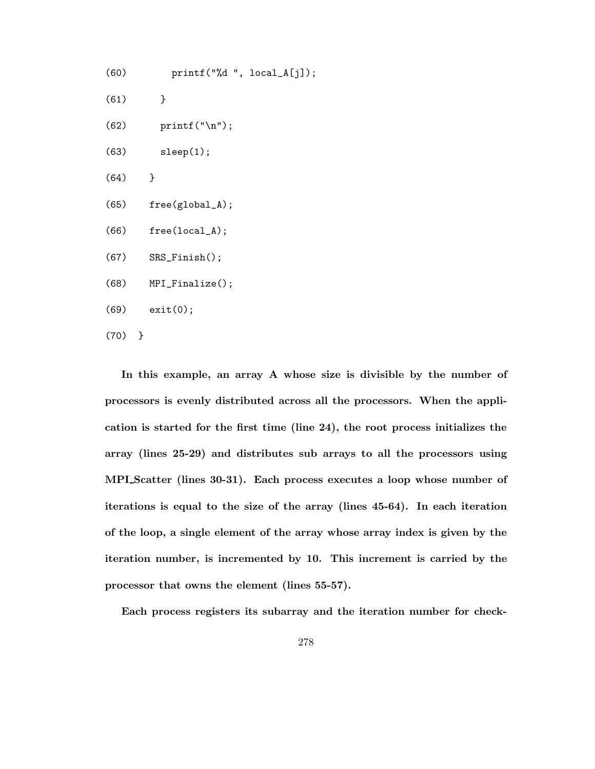(60) printf("%d ", local\_A[j]);

- $(61)$  }
- $(62)$  printf("\n");
- (63) sleep(1);
- $(64)$  }
- (65) free(global\_A);
- (66) free(local\_A);
- (67) SRS\_Finish();
- (68) MPI\_Finalize();
- (69) exit(0);

(70) }

**In this example, an array A whose size is divisible by the number of processors is evenly distributed across all the processors. When the application is started for the first time (line 24), the root process initializes the array (lines 25-29) and distributes sub arrays to all the processors using MPI Scatter (lines 30-31). Each process executes a loop whose number of iterations is equal to the size of the array (lines 45-64). In each iteration of the loop, a single element of the array whose array index is given by the iteration number, is incremented by 10. This increment is carried by the processor that owns the element (lines 55-57).**

**Each process registers its subarray and the iteration number for check-**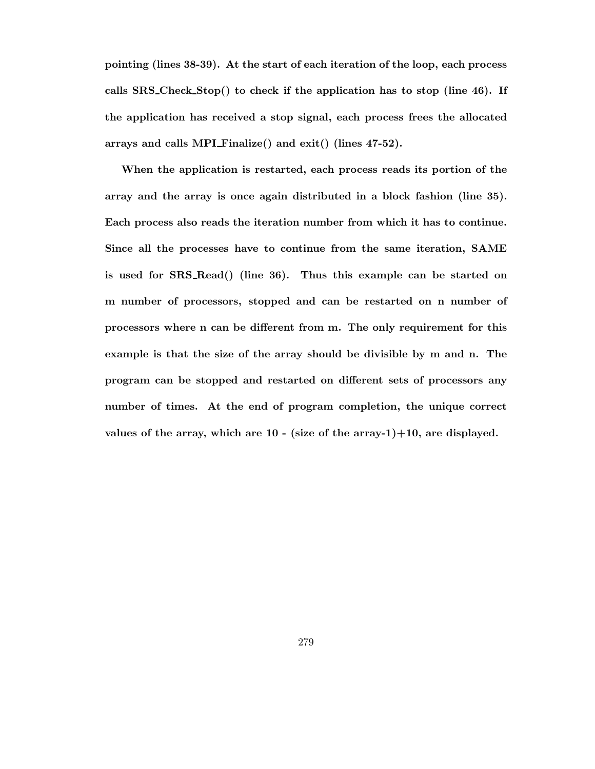**pointing (lines 38-39). At the start of each iteration of the loop, each process calls SRS Check Stop() to check if the application has to stop (line 46). If the application has received a stop signal, each process frees the allocated arrays and calls MPI Finalize() and exit() (lines 47-52).**

**When the application is restarted, each process reads its portion of the array and the array is once again distributed in a block fashion (line 35). Each process also reads the iteration number from which it has to continue. Since all the processes have to continue from the same iteration, SAME is used for SRS Read() (line 36). Thus this example can be started on m number of processors, stopped and can be restarted on n number of processors where n can be different from m. The only requirement for this example is that the size of the array should be divisible by m and n. The program can be stopped and restarted on different sets of processors any number of times. At the end of program completion, the unique correct values of the array, which are 10 - (size of the array-1)+10, are displayed.**